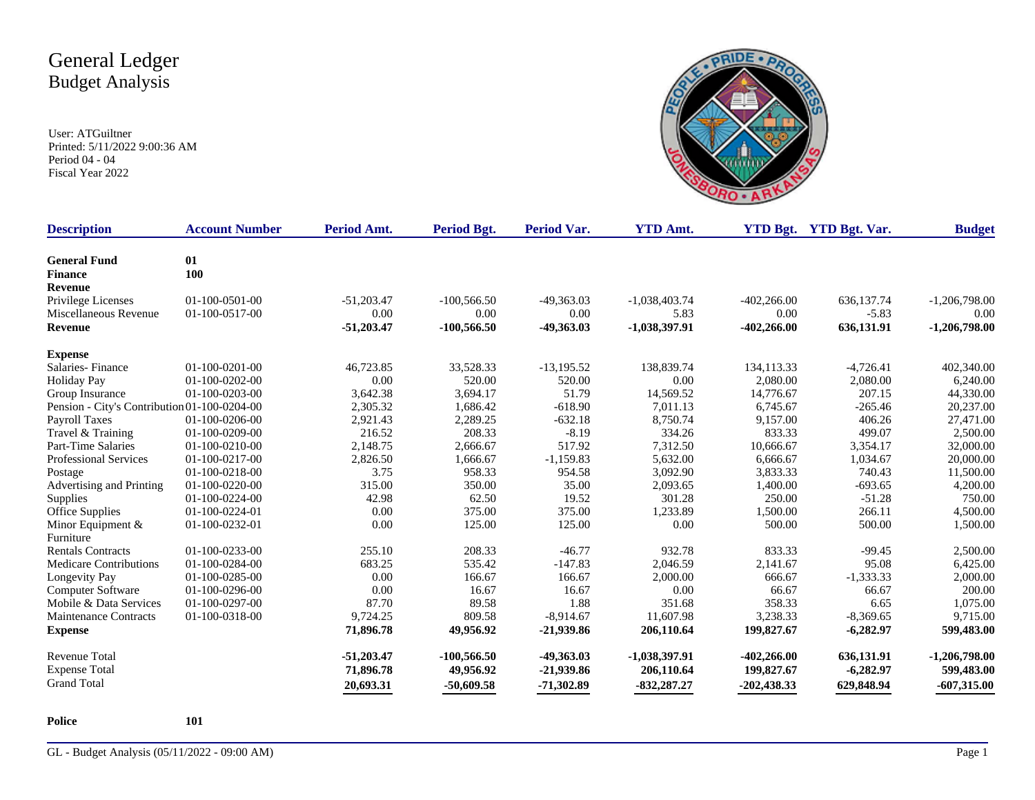User: ATGuiltner Printed: 5/11/2022 9:00:36 AM Period 04 - 04 Fiscal Year 2022



| <b>Description</b>                           | <b>Account Number</b> | Period Amt.  | Period Bgt.   | <b>Period Var.</b> | <b>YTD Amt.</b> |               | <b>YTD Bgt.</b> YTD Bgt. Var. | <b>Budget</b>   |
|----------------------------------------------|-----------------------|--------------|---------------|--------------------|-----------------|---------------|-------------------------------|-----------------|
| <b>General Fund</b>                          | 01                    |              |               |                    |                 |               |                               |                 |
| <b>Finance</b>                               | 100                   |              |               |                    |                 |               |                               |                 |
| <b>Revenue</b>                               |                       |              |               |                    |                 |               |                               |                 |
| Privilege Licenses                           | 01-100-0501-00        | $-51,203.47$ | $-100,566.50$ | $-49,363.03$       | $-1,038,403.74$ | $-402,266.00$ | 636,137.74                    | $-1,206,798.00$ |
| Miscellaneous Revenue                        | 01-100-0517-00        | 0.00         | 0.00          | 0.00               | 5.83            | 0.00          | $-5.83$                       | 0.00            |
| <b>Revenue</b>                               |                       | $-51,203.47$ | $-100,566.50$ | -49,363.03         | $-1,038,397.91$ | $-402,266.00$ | 636,131.91                    | $-1,206,798.00$ |
| <b>Expense</b>                               |                       |              |               |                    |                 |               |                               |                 |
| Salaries-Finance                             | $01-100-0201-00$      | 46,723.85    | 33,528.33     | $-13,195.52$       | 138,839.74      | 134,113.33    | $-4,726.41$                   | 402,340.00      |
| <b>Holiday Pay</b>                           | $01-100-0202-00$      | 0.00         | 520.00        | 520.00             | 0.00            | 2,080.00      | 2,080.00                      | 6,240.00        |
| Group Insurance                              | $01-100-0203-00$      | 3,642.38     | 3,694.17      | 51.79              | 14,569.52       | 14,776.67     | 207.15                        | 44,330.00       |
| Pension - City's Contribution 01-100-0204-00 |                       | 2,305.32     | 1,686.42      | $-618.90$          | 7,011.13        | 6,745.67      | $-265.46$                     | 20,237.00       |
| Payroll Taxes                                | 01-100-0206-00        | 2,921.43     | 2,289.25      | $-632.18$          | 8,750.74        | 9,157.00      | 406.26                        | 27,471.00       |
| Travel & Training                            | 01-100-0209-00        | 216.52       | 208.33        | $-8.19$            | 334.26          | 833.33        | 499.07                        | 2,500.00        |
| Part-Time Salaries                           | 01-100-0210-00        | 2,148.75     | 2,666.67      | 517.92             | 7,312.50        | 10,666.67     | 3,354.17                      | 32,000.00       |
| <b>Professional Services</b>                 | 01-100-0217-00        | 2,826.50     | 1,666.67      | $-1,159.83$        | 5,632.00        | 6,666.67      | 1,034.67                      | 20,000.00       |
| Postage                                      | 01-100-0218-00        | 3.75         | 958.33        | 954.58             | 3,092.90        | 3,833.33      | 740.43                        | 11,500.00       |
| Advertising and Printing                     | 01-100-0220-00        | 315.00       | 350.00        | 35.00              | 2,093.65        | 1,400.00      | $-693.65$                     | 4,200.00        |
| Supplies                                     | 01-100-0224-00        | 42.98        | 62.50         | 19.52              | 301.28          | 250.00        | $-51.28$                      | 750.00          |
| Office Supplies                              | 01-100-0224-01        | 0.00         | 375.00        | 375.00             | 1,233.89        | 1,500.00      | 266.11                        | 4,500.00        |
| Minor Equipment &                            | 01-100-0232-01        | 0.00         | 125.00        | 125.00             | 0.00            | 500.00        | 500.00                        | 1,500.00        |
| Furniture                                    |                       |              |               |                    |                 |               |                               |                 |
| <b>Rentals Contracts</b>                     | 01-100-0233-00        | 255.10       | 208.33        | $-46.77$           | 932.78          | 833.33        | $-99.45$                      | 2,500.00        |
| Medicare Contributions                       | 01-100-0284-00        | 683.25       | 535.42        | $-147.83$          | 2,046.59        | 2,141.67      | 95.08                         | 6,425.00        |
| Longevity Pay                                | 01-100-0285-00        | 0.00         | 166.67        | 166.67             | 2,000.00        | 666.67        | $-1,333.33$                   | 2,000.00        |
| Computer Software                            | 01-100-0296-00        | 0.00         | 16.67         | 16.67              | 0.00            | 66.67         | 66.67                         | 200.00          |
| Mobile & Data Services                       | 01-100-0297-00        | 87.70        | 89.58         | 1.88               | 351.68          | 358.33        | 6.65                          | 1,075.00        |
| Maintenance Contracts                        | 01-100-0318-00        | 9,724.25     | 809.58        | $-8,914.67$        | 11,607.98       | 3,238.33      | $-8,369.65$                   | 9,715.00        |
| <b>Expense</b>                               |                       | 71,896.78    | 49,956.92     | $-21,939.86$       | 206,110.64      | 199,827.67    | $-6,282.97$                   | 599,483.00      |
| <b>Revenue Total</b>                         |                       | $-51,203.47$ | $-100,566.50$ | -49,363.03         | -1,038,397.91   | $-402,266.00$ | 636,131.91                    | $-1,206,798.00$ |
| <b>Expense Total</b>                         |                       | 71,896.78    | 49,956.92     | $-21,939.86$       | 206,110.64      | 199,827.67    | $-6,282.97$                   | 599,483.00      |
| <b>Grand Total</b>                           |                       | 20,693.31    | $-50,609.58$  | $-71,302.89$       | $-832,287,27$   | $-202,438.33$ | 629,848.94                    | $-607,315.00$   |

**Police 101**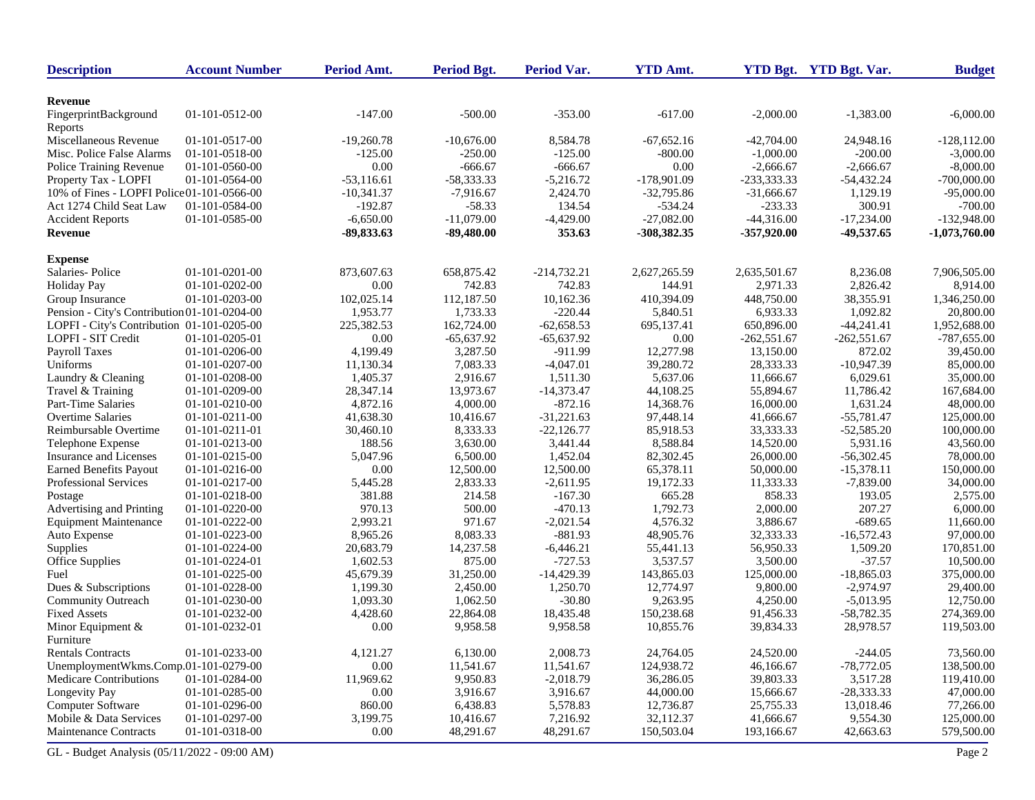| <b>Description</b>                           | <b>Account Number</b> | Period Amt.  | <b>Period Bgt.</b> | <b>Period Var.</b> | <b>YTD Amt.</b> |               | YTD Bgt. YTD Bgt. Var. | <b>Budget</b>   |
|----------------------------------------------|-----------------------|--------------|--------------------|--------------------|-----------------|---------------|------------------------|-----------------|
|                                              |                       |              |                    |                    |                 |               |                        |                 |
| <b>Revenue</b>                               | 01-101-0512-00        | $-147.00$    | $-500.00$          | $-353.00$          | $-617.00$       | $-2,000.00$   |                        | $-6,000.00$     |
| FingerprintBackground                        |                       |              |                    |                    |                 |               | $-1,383.00$            |                 |
| Reports<br>Miscellaneous Revenue             | 01-101-0517-00        | $-19,260.78$ | $-10.676.00$       | 8,584.78           | $-67,652,16$    | $-42,704.00$  | 24,948.16              | $-128, 112.00$  |
| Misc. Police False Alarms                    | 01-101-0518-00        | $-125.00$    | -250.00            | $-125.00$          | $-800.00$       | $-1,000.00$   | $-200.00$              | $-3,000.00$     |
| Police Training Revenue                      | 01-101-0560-00        | 0.00         | $-666.67$          | $-666.67$          | 0.00            | $-2,666.67$   | $-2,666.67$            | $-8,000.00$     |
| Property Tax - LOPFI                         | 01-101-0564-00        | $-53,116.61$ | $-58,333.33$       | $-5,216.72$        | -178,901.09     | $-233,333.33$ | $-54,432.24$           | $-700,000.00$   |
| 10% of Fines - LOPFI Police01-101-0566-00    |                       | $-10,341.37$ | $-7,916.67$        | 2,424.70           | $-32,795.86$    | $-31,666.67$  | 1,129.19               | $-95,000.00$    |
| Act 1274 Child Seat Law                      | 01-101-0584-00        | $-192.87$    | $-58.33$           | 134.54             | $-534.24$       | $-233.33$     | 300.91                 | $-700.00$       |
| <b>Accident Reports</b>                      | 01-101-0585-00        | $-6,650.00$  | $-11,079.00$       | $-4,429.00$        | $-27,082.00$    | $-44,316.00$  | $-17,234.00$           | $-132,948.00$   |
| Revenue                                      |                       | $-89,833.63$ | $-89,480.00$       | 353.63             | -308,382.35     | $-357,920.00$ | -49,537.65             | $-1,073,760.00$ |
|                                              |                       |              |                    |                    |                 |               |                        |                 |
| <b>Expense</b>                               |                       |              |                    |                    |                 |               |                        |                 |
| Salaries-Police                              | 01-101-0201-00        | 873,607.63   | 658,875.42         | $-214,732.21$      | 2,627,265.59    | 2,635,501.67  | 8,236.08               | 7,906,505.00    |
| <b>Holiday Pay</b>                           | 01-101-0202-00        | 0.00         | 742.83             | 742.83             | 144.91          | 2,971.33      | 2,826.42               | 8,914.00        |
| Group Insurance                              | 01-101-0203-00        | 102,025.14   | 112,187.50         | 10,162.36          | 410,394.09      | 448,750.00    | 38,355.91              | 1,346,250.00    |
| Pension - City's Contribution 01-101-0204-00 |                       | 1,953.77     | 1,733.33           | $-220.44$          | 5,840.51        | 6,933.33      | 1,092.82               | 20,800.00       |
| LOPFI - City's Contribution 01-101-0205-00   |                       | 225,382.53   | 162,724.00         | $-62,658.53$       | 695,137.41      | 650,896.00    | $-44,241.41$           | 1,952,688.00    |
| LOPFI - SIT Credit                           | 01-101-0205-01        | 0.00         | $-65,637.92$       | $-65,637.92$       | 0.00            | $-262,551.67$ | $-262,551.67$          | $-787,655.00$   |
| Payroll Taxes                                | 01-101-0206-00        | 4,199.49     | 3,287.50           | $-911.99$          | 12,277.98       | 13,150.00     | 872.02                 | 39,450.00       |
| Uniforms                                     | 01-101-0207-00        | 11,130.34    | 7,083.33           | $-4,047.01$        | 39,280.72       | 28,333.33     | $-10,947.39$           | 85,000.00       |
| Laundry & Cleaning                           | 01-101-0208-00        | 1,405.37     | 2,916.67           | 1,511.30           | 5,637.06        | 11,666.67     | 6,029.61               | 35,000.00       |
| Travel & Training                            | 01-101-0209-00        | 28,347.14    | 13,973.67          | $-14,373.47$       | 44.108.25       | 55,894.67     | 11,786.42              | 167,684.00      |
| <b>Part-Time Salaries</b>                    | 01-101-0210-00        | 4,872.16     | 4,000.00           | $-872.16$          | 14,368.76       | 16,000.00     | 1,631.24               | 48,000.00       |
| <b>Overtime Salaries</b>                     | 01-101-0211-00        | 41,638.30    | 10,416.67          | $-31,221.63$       | 97,448.14       | 41,666.67     | $-55,781.47$           | 125,000.00      |
| Reimbursable Overtime                        | 01-101-0211-01        | 30,460.10    | 8,333.33           | $-22,126.77$       | 85,918.53       | 33,333.33     | $-52,585.20$           | 100,000.00      |
| Telephone Expense                            | 01-101-0213-00        | 188.56       | 3,630.00           | 3,441.44           | 8,588.84        | 14,520.00     | 5,931.16               | 43,560.00       |
| Insurance and Licenses                       | 01-101-0215-00        | 5,047.96     | 6,500.00           | 1,452.04           | 82,302.45       | 26,000.00     | $-56,302.45$           | 78,000.00       |
| <b>Earned Benefits Payout</b>                | 01-101-0216-00        | 0.00         | 12,500.00          | 12,500.00          | 65,378.11       | 50,000.00     | $-15,378.11$           | 150,000.00      |
| Professional Services                        | 01-101-0217-00        | 5,445.28     | 2,833.33           | $-2,611.95$        | 19,172.33       | 11,333.33     | $-7,839.00$            | 34,000.00       |
| Postage                                      | 01-101-0218-00        | 381.88       | 214.58             | $-167.30$          | 665.28          | 858.33        | 193.05                 | 2,575.00        |
| Advertising and Printing                     | 01-101-0220-00        | 970.13       | 500.00             | $-470.13$          | 1,792.73        | 2,000.00      | 207.27                 | 6,000.00        |
| <b>Equipment Maintenance</b>                 | 01-101-0222-00        | 2,993.21     | 971.67             | $-2,021.54$        | 4,576.32        | 3,886.67      | $-689.65$              | 11,660.00       |
| Auto Expense                                 | 01-101-0223-00        | 8,965.26     | 8,083.33           | $-881.93$          | 48,905.76       | 32,333.33     | $-16,572.43$           | 97,000.00       |
| Supplies                                     | 01-101-0224-00        | 20,683.79    | 14,237.58          | $-6,446.21$        | 55,441.13       | 56,950.33     | 1,509.20               | 170,851.00      |
| Office Supplies                              | 01-101-0224-01        | 1,602.53     | 875.00             | $-727.53$          | 3,537.57        | 3,500.00      | $-37.57$               | 10,500.00       |
| Fuel                                         | 01-101-0225-00        | 45,679.39    | 31,250.00          | $-14,429.39$       | 143,865.03      | 125,000.00    | $-18,865.03$           | 375,000.00      |
| Dues & Subscriptions                         | 01-101-0228-00        | 1,199.30     | 2,450.00           | 1,250.70           | 12,774.97       | 9,800.00      | $-2,974.97$            | 29,400.00       |
| Community Outreach                           | 01-101-0230-00        | 1,093.30     | 1,062.50           | $-30.80$           | 9,263.95        | 4,250.00      | $-5,013.95$            | 12,750.00       |
| <b>Fixed Assets</b>                          | 01-101-0232-00        | 4,428.60     | 22,864.08          | 18,435.48          | 150,238.68      | 91,456.33     | $-58,782.35$           | 274,369.00      |
| Minor Equipment &<br>Furniture               | 01-101-0232-01        | 0.00         | 9,958.58           | 9,958.58           | 10,855.76       | 39,834.33     | 28,978.57              | 119,503.00      |
| <b>Rentals Contracts</b>                     | 01-101-0233-00        | 4,121.27     | 6,130.00           | 2,008.73           | 24,764.05       | 24,520.00     | $-244.05$              | 73,560.00       |
| UnemploymentWkms.Comp.01-101-0279-00         |                       | 0.00         | 11,541.67          | 11,541.67          | 124,938.72      | 46,166.67     | $-78,772.05$           | 138,500.00      |
| <b>Medicare Contributions</b>                | 01-101-0284-00        | 11,969.62    | 9,950.83           | $-2,018.79$        | 36,286.05       | 39,803.33     | 3,517.28               | 119,410.00      |
| Longevity Pay                                | 01-101-0285-00        | 0.00         | 3,916.67           | 3,916.67           | 44,000.00       | 15,666.67     | $-28,333.33$           | 47,000.00       |
| Computer Software                            | 01-101-0296-00        | 860.00       | 6,438.83           | 5,578.83           | 12,736.87       | 25,755.33     | 13,018.46              | 77,266.00       |
| Mobile & Data Services                       | 01-101-0297-00        | 3,199.75     | 10,416.67          | 7,216.92           | 32,112.37       | 41,666.67     | 9,554.30               | 125,000.00      |
| <b>Maintenance Contracts</b>                 | 01-101-0318-00        | 0.00         | 48,291.67          | 48,291.67          | 150,503.04      | 193,166.67    | 42,663.63              | 579,500.00      |
| GL - Budget Analysis (05/11/2022 - 09:00 AM) |                       |              |                    |                    |                 |               |                        | Page 2          |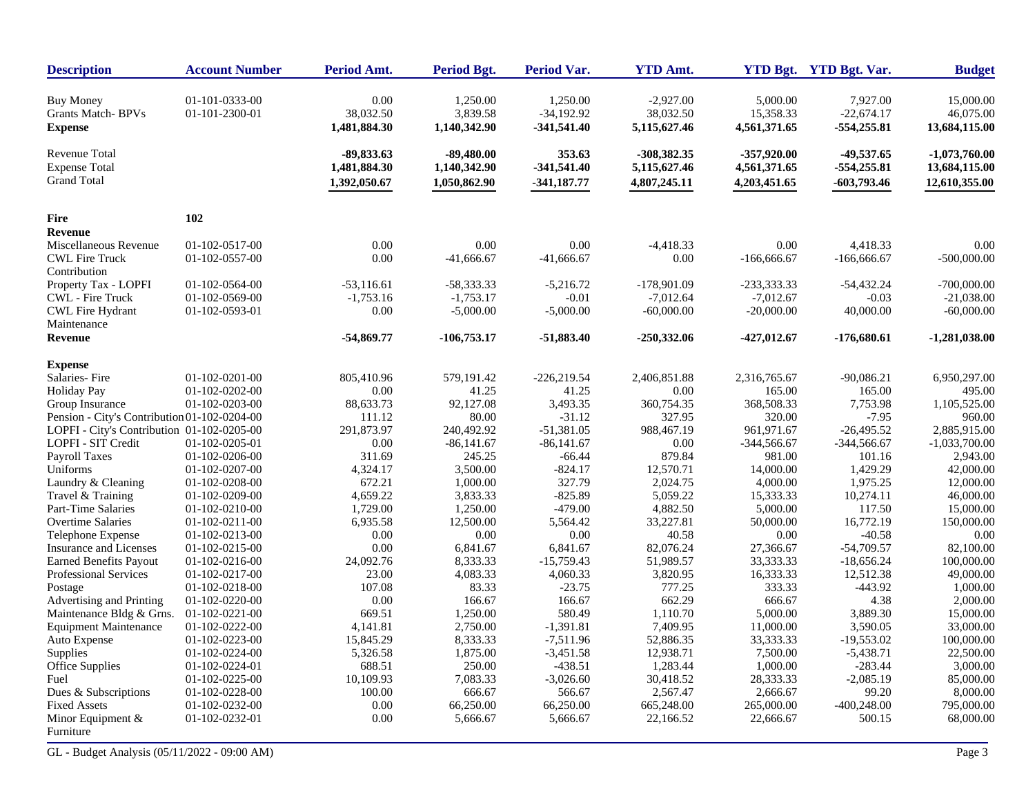| <b>Description</b>                                             | <b>Account Number</b>            | Period Amt.                       | <b>Period Bgt.</b>                   | <b>Period Var.</b>                        | <b>YTD Amt.</b>                          |                                       | YTD Bgt. YTD Bgt. Var.                    | <b>Budget</b>                           |
|----------------------------------------------------------------|----------------------------------|-----------------------------------|--------------------------------------|-------------------------------------------|------------------------------------------|---------------------------------------|-------------------------------------------|-----------------------------------------|
| <b>Buy Money</b><br><b>Grants Match-BPVs</b><br><b>Expense</b> | 01-101-0333-00<br>01-101-2300-01 | 0.00<br>38,032.50<br>1,481,884.30 | 1,250.00<br>3,839.58<br>1,140,342.90 | 1,250.00<br>$-34,192.92$<br>$-341,541.40$ | $-2,927.00$<br>38,032.50<br>5,115,627.46 | 5,000.00<br>15,358.33<br>4,561,371.65 | 7,927.00<br>$-22,674.17$<br>$-554,255.81$ | 15,000.00<br>46,075.00<br>13,684,115.00 |
| <b>Revenue Total</b><br><b>Expense Total</b>                   |                                  | -89,833.63<br>1,481,884.30        | $-89,480.00$<br>1,140,342.90         | 353.63<br>$-341,541.40$                   | -308,382.35<br>5,115,627.46              | $-357,920.00$<br>4,561,371.65         | -49,537.65<br>$-554,255.81$               | $-1,073,760.00$<br>13,684,115.00        |
| <b>Grand Total</b>                                             |                                  | 1,392,050.67                      | 1,050,862.90                         | $-341,187.77$                             | 4,807,245.11                             | 4,203,451.65                          | $-603,793.46$                             | 12,610,355.00                           |
| <b>Fire</b>                                                    | 102                              |                                   |                                      |                                           |                                          |                                       |                                           |                                         |
| <b>Revenue</b>                                                 |                                  |                                   |                                      |                                           |                                          |                                       |                                           |                                         |
| Miscellaneous Revenue                                          | 01-102-0517-00                   | 0.00                              | 0.00                                 | 0.00                                      | $-4,418.33$                              | 0.00                                  | 4,418.33                                  | 0.00                                    |
| <b>CWL Fire Truck</b>                                          | 01-102-0557-00                   | 0.00                              | $-41,666.67$                         | $-41,666.67$                              | 0.00                                     | $-166,666.67$                         | $-166,666.67$                             | $-500,000.00$                           |
| Contribution                                                   |                                  |                                   |                                      |                                           |                                          |                                       |                                           |                                         |
| Property Tax - LOPFI                                           | 01-102-0564-00                   | $-53,116.61$                      | -58,333.33                           | $-5,216.72$                               | $-178,901.09$                            | -233,333.33                           | $-54,432.24$                              | $-700,000.00$                           |
| <b>CWL</b> - Fire Truck                                        | 01-102-0569-00                   | $-1,753.16$                       | $-1,753.17$                          | $-0.01$                                   | $-7,012.64$                              | $-7,012.67$                           | $-0.03$                                   | $-21,038.00$                            |
| <b>CWL Fire Hydrant</b>                                        | 01-102-0593-01                   | 0.00                              | $-5,000.00$                          | $-5,000.00$                               | $-60,000.00$                             | $-20,000.00$                          | 40,000.00                                 | $-60,000.00$                            |
| Maintenance                                                    |                                  |                                   |                                      |                                           |                                          |                                       |                                           |                                         |
| <b>Revenue</b>                                                 |                                  | $-54,869.77$                      | $-106,753.17$                        | $-51,883.40$                              | $-250,332.06$                            | $-427,012.67$                         | $-176,680.61$                             | $-1,281,038.00$                         |
| <b>Expense</b>                                                 |                                  |                                   |                                      |                                           |                                          |                                       |                                           |                                         |
| Salaries-Fire                                                  | $01-102-0201-00$                 | 805,410.96                        | 579,191.42                           | $-226,219.54$                             | 2,406,851.88                             | 2,316,765.67                          | $-90,086.21$                              | 6,950,297.00                            |
| <b>Holiday Pay</b>                                             | $01-102-0202-00$                 | 0.00                              | 41.25                                | 41.25                                     | 0.00                                     | 165.00                                | 165.00                                    | 495.00                                  |
| Group Insurance                                                | 01-102-0203-00                   | 88,633.73                         | 92,127.08                            | 3,493.35                                  | 360,754.35                               | 368,508.33                            | 7,753.98                                  | 1,105,525.00                            |
| Pension - City's Contribution 01-102-0204-00                   |                                  | 111.12                            | 80.00                                | $-31.12$                                  | 327.95                                   | 320.00                                | $-7.95$                                   | 960.00                                  |
| LOPFI - City's Contribution 01-102-0205-00                     |                                  | 291,873.97                        | 240,492.92                           | $-51,381.05$                              | 988,467.19                               | 961,971.67                            | $-26,495.52$                              | 2,885,915.00                            |
| LOPFI - SIT Credit                                             | 01-102-0205-01                   | 0.00                              | $-86,141.67$                         | $-86,141.67$                              | 0.00                                     | $-344,566.67$                         | $-344,566.67$                             | $-1,033,700.00$                         |
| Payroll Taxes                                                  | 01-102-0206-00                   | 311.69                            | 245.25                               | $-66.44$                                  | 879.84                                   | 981.00                                | 101.16                                    | 2,943.00                                |
| Uniforms                                                       | 01-102-0207-00                   | 4,324.17                          | 3,500.00                             | $-824.17$                                 | 12,570.71                                | 14,000.00                             | 1,429.29                                  | 42,000.00                               |
| Laundry & Cleaning                                             | 01-102-0208-00                   | 672.21                            | 1,000.00                             | 327.79                                    | 2,024.75                                 | 4,000.00                              | 1,975.25                                  | 12,000.00                               |
| Travel & Training                                              | 01-102-0209-00                   | 4,659.22                          | 3,833.33                             | $-825.89$                                 | 5,059.22                                 | 15,333.33                             | 10,274.11                                 | 46,000.00                               |
| Part-Time Salaries                                             | 01-102-0210-00                   | 1,729.00                          | 1,250.00                             | $-479.00$                                 | 4,882.50                                 | 5,000.00                              | 117.50                                    | 15,000.00                               |
| Overtime Salaries                                              | 01-102-0211-00                   | 6,935.58                          | 12,500.00                            | 5,564.42                                  | 33,227.81                                | 50,000.00                             | 16,772.19                                 | 150,000.00                              |
| Telephone Expense                                              | 01-102-0213-00                   | 0.00                              | 0.00                                 | 0.00                                      | 40.58                                    | 0.00                                  | $-40.58$                                  | 0.00                                    |
| Insurance and Licenses                                         | 01-102-0215-00                   | 0.00                              | 6,841.67                             | 6,841.67                                  | 82,076.24                                | 27,366.67                             | $-54,709.57$                              | 82,100.00                               |
| <b>Earned Benefits Payout</b>                                  | 01-102-0216-00                   | 24,092.76                         | 8,333.33                             | $-15,759.43$                              | 51,989.57                                | 33,333.33                             | $-18,656.24$                              | 100,000.00                              |
| Professional Services                                          | 01-102-0217-00                   | 23.00                             | 4,083.33                             | 4,060.33                                  | 3,820.95                                 | 16,333.33                             | 12,512.38                                 | 49,000.00                               |
| Postage                                                        | 01-102-0218-00                   | 107.08                            | 83.33                                | $-23.75$                                  | 777.25                                   | 333.33                                | $-443.92$                                 | 1,000.00                                |
| Advertising and Printing                                       | 01-102-0220-00                   | 0.00                              | 166.67                               | 166.67                                    | 662.29                                   | 666.67                                | 4.38                                      | 2,000.00                                |
| Maintenance Bldg & Grns.                                       | 01-102-0221-00                   | 669.51                            | 1,250.00                             | 580.49                                    | 1,110.70                                 | 5,000.00                              | 3,889.30                                  | 15,000.00                               |
| <b>Equipment Maintenance</b>                                   | 01-102-0222-00                   | 4,141.81                          | 2,750.00                             | $-1,391.81$                               | 7,409.95                                 | 11,000.00                             | 3,590.05                                  | 33,000.00                               |
| Auto Expense                                                   | 01-102-0223-00                   | 15,845.29                         | 8,333.33                             | $-7,511.96$                               | 52,886.35                                | 33,333.33                             | $-19,553.02$                              | 100,000.00                              |
| Supplies                                                       | 01-102-0224-00                   | 5,326.58                          | 1,875.00                             | $-3,451.58$                               | 12,938.71                                | 7,500.00                              | $-5,438.71$                               | 22,500.00                               |
| Office Supplies                                                | 01-102-0224-01                   | 688.51                            | 250.00                               | $-438.51$                                 | 1,283.44                                 | 1,000.00                              | $-283.44$                                 | 3,000.00                                |
| Fuel                                                           | 01-102-0225-00                   | 10,109.93                         | 7,083.33                             | $-3,026.60$                               | 30,418.52                                | 28,333.33                             | $-2,085.19$                               | 85,000.00                               |
| Dues & Subscriptions                                           | 01-102-0228-00                   | 100.00                            | 666.67                               | 566.67                                    | 2,567.47                                 | 2,666.67                              | 99.20                                     | 8,000.00                                |
| <b>Fixed Assets</b>                                            | 01-102-0232-00                   | 0.00                              | 66,250.00                            | 66,250.00                                 | 665,248.00                               | 265,000.00                            | $-400,248.00$                             | 795,000.00                              |
| Minor Equipment $&$<br>Furniture                               | 01-102-0232-01                   | 0.00                              | 5,666.67                             | 5,666.67                                  | 22,166.52                                | 22,666.67                             | 500.15                                    | 68,000.00                               |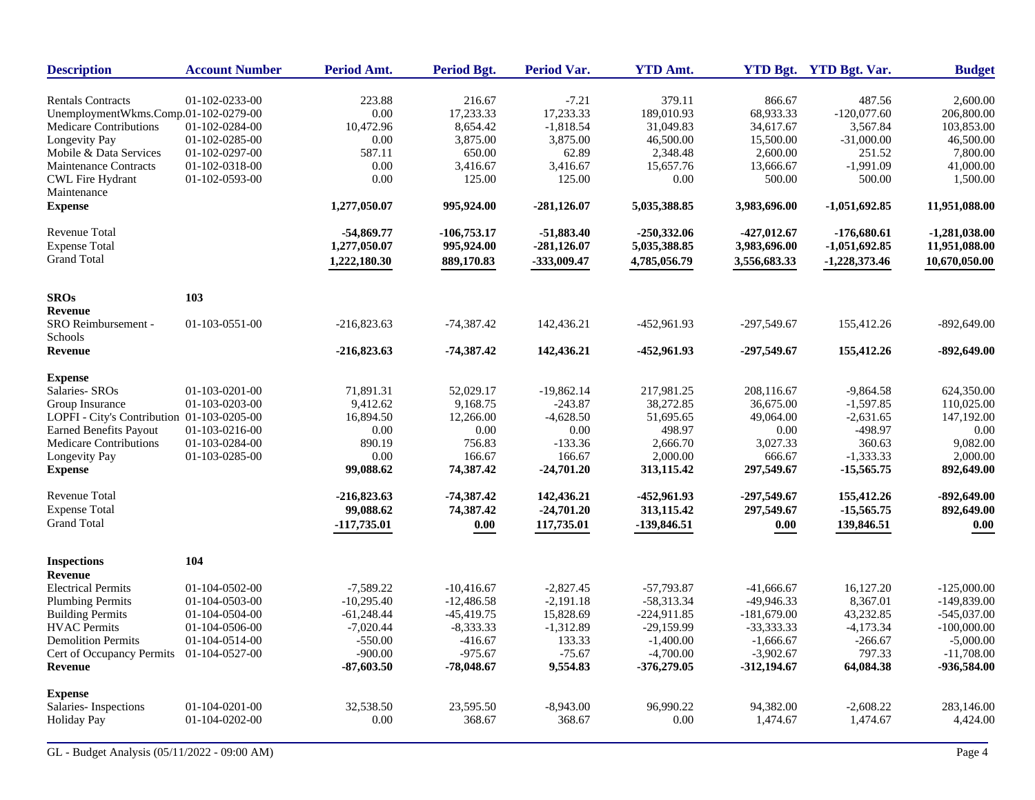| <b>Description</b>                         | <b>Account Number</b> | Period Amt.   | <b>Period Bgt.</b> | <b>Period Var.</b> | <b>YTD Amt.</b> |               | YTD Bgt. YTD Bgt. Var. | <b>Budget</b>   |
|--------------------------------------------|-----------------------|---------------|--------------------|--------------------|-----------------|---------------|------------------------|-----------------|
| <b>Rentals Contracts</b>                   | 01-102-0233-00        | 223.88        | 216.67             | $-7.21$            | 379.11          | 866.67        | 487.56                 | 2,600.00        |
| UnemploymentWkms.Comp.01-102-0279-00       |                       | 0.00          | 17,233.33          | 17,233.33          | 189,010.93      | 68,933.33     | $-120,077.60$          | 206,800.00      |
| Medicare Contributions                     | 01-102-0284-00        | 10,472.96     | 8,654.42           | $-1,818.54$        | 31,049.83       | 34,617.67     | 3,567.84               | 103,853.00      |
| Longevity Pay                              | 01-102-0285-00        | 0.00          | 3,875.00           | 3,875.00           | 46,500.00       | 15,500.00     | $-31,000.00$           | 46,500.00       |
| Mobile & Data Services                     | 01-102-0297-00        | 587.11        | 650.00             | 62.89              | 2,348.48        | 2,600.00      | 251.52                 | 7,800.00        |
| <b>Maintenance Contracts</b>               | 01-102-0318-00        | $0.00\,$      | 3,416.67           | 3,416.67           | 15,657.76       | 13,666.67     | $-1,991.09$            | 41,000.00       |
| <b>CWL Fire Hydrant</b><br>Maintenance     | 01-102-0593-00        | 0.00          | 125.00             | 125.00             | 0.00            | 500.00        | 500.00                 | 1,500.00        |
| <b>Expense</b>                             |                       | 1,277,050.07  | 995,924.00         | $-281,126.07$      | 5,035,388.85    | 3,983,696.00  | $-1,051,692.85$        | 11,951,088.00   |
| Revenue Total                              |                       | $-54,869.77$  | $-106,753.17$      | $-51,883.40$       | $-250,332.06$   | $-427,012.67$ | $-176,680.61$          | $-1,281,038.00$ |
| <b>Expense Total</b>                       |                       | 1,277,050.07  | 995,924.00         | $-281,126.07$      | 5,035,388.85    | 3,983,696.00  | $-1,051,692.85$        | 11,951,088.00   |
| <b>Grand Total</b>                         |                       | 1,222,180.30  | 889,170.83         | -333,009.47        | 4,785,056.79    | 3,556,683.33  | $-1,228,373.46$        | 10,670,050.00   |
| <b>SROs</b>                                | 103                   |               |                    |                    |                 |               |                        |                 |
| <b>Revenue</b>                             |                       |               |                    |                    |                 |               |                        |                 |
| SRO Reimbursement -<br>Schools             | 01-103-0551-00        | $-216,823.63$ | $-74,387.42$       | 142,436.21         | -452,961.93     | $-297,549.67$ | 155,412.26             | $-892,649.00$   |
| <b>Revenue</b>                             |                       | $-216,823.63$ | $-74,387.42$       | 142,436.21         | -452,961.93     | $-297,549.67$ | 155,412.26             | $-892,649.00$   |
| <b>Expense</b>                             |                       |               |                    |                    |                 |               |                        |                 |
| Salaries- SROs                             | 01-103-0201-00        | 71,891.31     | 52,029.17          | $-19,862.14$       | 217,981.25      | 208,116.67    | $-9,864.58$            | 624,350.00      |
| Group Insurance                            | 01-103-0203-00        | 9,412.62      | 9.168.75           | $-243.87$          | 38,272.85       | 36,675.00     | $-1,597.85$            | 110,025.00      |
| LOPFI - City's Contribution 01-103-0205-00 |                       | 16,894.50     | 12,266.00          | $-4,628.50$        | 51,695.65       | 49,064.00     | $-2,631.65$            | 147,192.00      |
| <b>Earned Benefits Payout</b>              | 01-103-0216-00        | $0.00\,$      | 0.00               | $0.00\,$           | 498.97          | 0.00          | -498.97                | 0.00            |
| <b>Medicare Contributions</b>              | 01-103-0284-00        | 890.19        | 756.83             | $-133.36$          | 2,666.70        | 3,027.33      | 360.63                 | 9,082.00        |
| Longevity Pay                              | 01-103-0285-00        | 0.00          | 166.67             | 166.67             | 2,000.00        | 666.67        | $-1,333.33$            | 2,000.00        |
| <b>Expense</b>                             |                       | 99,088.62     | 74,387.42          | $-24,701.20$       | 313,115.42      | 297,549.67    | $-15,565.75$           | 892,649.00      |
| Revenue Total                              |                       | $-216,823.63$ | -74,387.42         | 142,436.21         | -452,961.93     | $-297,549.67$ | 155,412.26             | $-892,649.00$   |
| <b>Expense Total</b>                       |                       | 99,088.62     | 74,387.42          | $-24,701.20$       | 313,115.42      | 297,549.67    | $-15,565.75$           | 892,649.00      |
| <b>Grand Total</b>                         |                       | -117,735.01   | 0.00               | 117,735.01         | -139,846.51     | 0.00          | 139,846.51             | $0.00\,$        |
| <b>Inspections</b>                         | 104                   |               |                    |                    |                 |               |                        |                 |
| <b>Revenue</b>                             |                       |               |                    |                    |                 |               |                        |                 |
| <b>Electrical Permits</b>                  | 01-104-0502-00        | $-7,589.22$   | $-10,416.67$       | $-2,827.45$        | -57,793.87      | $-41,666.67$  | 16,127.20              | $-125,000.00$   |
| <b>Plumbing Permits</b>                    | 01-104-0503-00        | $-10,295.40$  | $-12,486.58$       | $-2,191.18$        | $-58,313.34$    | -49,946.33    | 8,367.01               | $-149,839.00$   |
| <b>Building Permits</b>                    | 01-104-0504-00        | $-61,248.44$  | $-45,419.75$       | 15,828.69          | $-224,911.85$   | $-181,679.00$ | 43,232.85              | $-545,037.00$   |
| <b>HVAC</b> Permits                        | 01-104-0506-00        | $-7,020.44$   | $-8,333.33$        | $-1,312.89$        | -29,159.99      | $-33,333,33$  | $-4,173.34$            | $-100,000.00$   |
| <b>Demolition Permits</b>                  | 01-104-0514-00        | $-550.00$     | $-416.67$          | 133.33             | $-1,400.00$     | $-1,666.67$   | $-266.67$              | $-5,000.00$     |
| Cert of Occupancy Permits                  | 01-104-0527-00        | $-900.00$     | $-975.67$          | $-75.67$           | $-4,700.00$     | $-3,902.67$   | 797.33                 | $-11,708.00$    |
| <b>Revenue</b>                             |                       | $-87,603.50$  | $-78,048.67$       | 9,554.83           | $-376,279.05$   | $-312,194.67$ | 64,084.38              | -936,584.00     |
| <b>Expense</b>                             |                       |               |                    |                    |                 |               |                        |                 |
| Salaries-Inspections                       | 01-104-0201-00        | 32,538.50     | 23,595.50          | $-8,943.00$        | 96.990.22       | 94,382.00     | $-2,608.22$            | 283,146.00      |
| <b>Holiday Pay</b>                         | 01-104-0202-00        | 0.00          | 368.67             | 368.67             | 0.00            | 1,474.67      | 1,474.67               | 4,424.00        |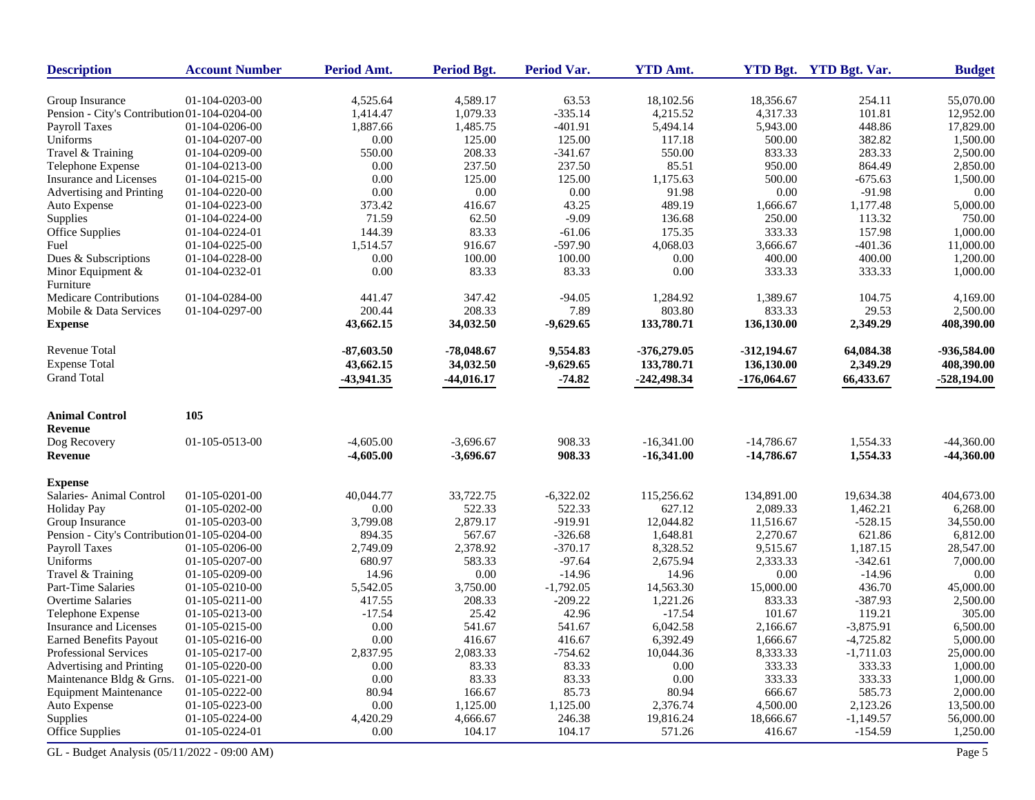| <b>Description</b>                           | <b>Account Number</b> | Period Amt.  | Period Bgt.  | Period Var. | <b>YTD Amt.</b> |               | YTD Bgt. YTD Bgt. Var. | <b>Budget</b> |
|----------------------------------------------|-----------------------|--------------|--------------|-------------|-----------------|---------------|------------------------|---------------|
| Group Insurance                              | 01-104-0203-00        | 4,525.64     | 4,589.17     | 63.53       | 18,102.56       | 18,356.67     | 254.11                 | 55,070.00     |
| Pension - City's Contribution 01-104-0204-00 |                       | 1,414.47     | 1,079.33     | $-335.14$   | 4,215.52        | 4,317.33      | 101.81                 | 12,952.00     |
| Payroll Taxes                                | 01-104-0206-00        | 1,887.66     | 1,485.75     | $-401.91$   | 5,494.14        | 5,943.00      | 448.86                 | 17,829.00     |
| Uniforms                                     | 01-104-0207-00        | 0.00         | 125.00       | 125.00      | 117.18          | 500.00        | 382.82                 | 1,500.00      |
| Travel & Training                            | 01-104-0209-00        | 550.00       | 208.33       | $-341.67$   | 550.00          | 833.33        | 283.33                 | 2,500.00      |
| Telephone Expense                            | 01-104-0213-00        | 0.00         | 237.50       | 237.50      | 85.51           | 950.00        | 864.49                 | 2,850.00      |
| Insurance and Licenses                       | 01-104-0215-00        | 0.00         | 125.00       | 125.00      | 1,175.63        | 500.00        | $-675.63$              | 1,500.00      |
| Advertising and Printing                     | 01-104-0220-00        | $0.00\,$     | 0.00         | 0.00        | 91.98           | $0.00\,$      | $-91.98$               | 0.00          |
| Auto Expense                                 | 01-104-0223-00        | 373.42       | 416.67       | 43.25       | 489.19          | 1,666.67      | 1,177.48               | 5,000.00      |
| Supplies                                     | 01-104-0224-00        | 71.59        | 62.50        | $-9.09$     | 136.68          | 250.00        | 113.32                 | 750.00        |
| Office Supplies                              | 01-104-0224-01        | 144.39       | 83.33        | $-61.06$    | 175.35          | 333.33        | 157.98                 | 1,000.00      |
| Fuel                                         | 01-104-0225-00        | 1,514.57     | 916.67       | $-597.90$   | 4,068.03        | 3,666.67      | $-401.36$              | 11,000.00     |
| Dues & Subscriptions                         | 01-104-0228-00        | 0.00         | 100.00       | 100.00      | 0.00            | 400.00        | 400.00                 | 1,200.00      |
| Minor Equipment $&$<br>Furniture             | 01-104-0232-01        | 0.00         | 83.33        | 83.33       | 0.00            | 333.33        | 333.33                 | 1,000.00      |
| <b>Medicare Contributions</b>                | 01-104-0284-00        | 441.47       | 347.42       | $-94.05$    | 1,284.92        | 1,389.67      | 104.75                 | 4,169.00      |
| Mobile & Data Services                       | 01-104-0297-00        | 200.44       | 208.33       | 7.89        | 803.80          | 833.33        | 29.53                  | 2,500.00      |
| <b>Expense</b>                               |                       | 43,662.15    | 34,032.50    | $-9,629.65$ | 133,780.71      | 136,130.00    | 2,349.29               | 408,390.00    |
| Revenue Total                                |                       | $-87,603.50$ | $-78,048.67$ | 9,554.83    | $-376,279.05$   | $-312,194.67$ | 64,084.38              | -936,584.00   |
| <b>Expense Total</b>                         |                       | 43,662.15    | 34,032.50    | $-9,629.65$ | 133,780.71      | 136,130.00    | 2,349.29               | 408,390.00    |
| <b>Grand Total</b>                           |                       | -43,941.35   | $-44,016.17$ | $-74.82$    | $-242,498.34$   | $-176,064.67$ | 66,433.67              | $-528,194.00$ |
| <b>Animal Control</b>                        | 105                   |              |              |             |                 |               |                        |               |
| <b>Revenue</b>                               |                       |              |              |             |                 |               |                        |               |
| Dog Recovery                                 | 01-105-0513-00        | $-4,605.00$  | $-3,696.67$  | 908.33      | $-16,341.00$    | $-14,786.67$  | 1,554.33               | $-44,360.00$  |
| <b>Revenue</b>                               |                       | $-4,605.00$  | $-3,696.67$  | 908.33      | $-16,341.00$    | $-14,786.67$  | 1,554.33               | $-44,360.00$  |
| <b>Expense</b>                               |                       |              |              |             |                 |               |                        |               |
| Salaries-Animal Control                      | 01-105-0201-00        | 40,044.77    | 33,722.75    | $-6,322.02$ | 115,256.62      | 134,891.00    | 19,634.38              | 404,673.00    |
| <b>Holiday Pay</b>                           | 01-105-0202-00        | 0.00         | 522.33       | 522.33      | 627.12          | 2,089.33      | 1,462.21               | 6,268.00      |
| Group Insurance                              | 01-105-0203-00        | 3,799.08     | 2,879.17     | $-919.91$   | 12,044.82       | 11,516.67     | $-528.15$              | 34,550.00     |
| Pension - City's Contribution 01-105-0204-00 |                       | 894.35       | 567.67       | $-326.68$   | 1,648.81        | 2,270.67      | 621.86                 | 6,812.00      |
| <b>Payroll Taxes</b>                         | 01-105-0206-00        | 2,749.09     | 2,378.92     | $-370.17$   | 8,328.52        | 9,515.67      | 1,187.15               | 28,547.00     |
| Uniforms                                     | 01-105-0207-00        | 680.97       | 583.33       | $-97.64$    | 2,675.94        | 2,333.33      | $-342.61$              | 7,000.00      |
| Travel & Training                            | 01-105-0209-00        | 14.96        | 0.00         | $-14.96$    | 14.96           | 0.00          | $-14.96$               | 0.00          |
| Part-Time Salaries                           | 01-105-0210-00        | 5,542.05     | 3,750.00     | $-1,792.05$ | 14,563.30       | 15,000.00     | 436.70                 | 45,000.00     |
| Overtime Salaries                            | 01-105-0211-00        | 417.55       | 208.33       | $-209.22$   | 1,221.26        | 833.33        | $-387.93$              | 2,500.00      |
| Telephone Expense                            | 01-105-0213-00        | $-17.54$     | 25.42        | 42.96       | $-17.54$        | 101.67        | 119.21                 | 305.00        |
| <b>Insurance and Licenses</b>                | 01-105-0215-00        | 0.00         | 541.67       | 541.67      | 6,042.58        | 2,166.67      | $-3,875.91$            | 6,500.00      |
| <b>Earned Benefits Payout</b>                | 01-105-0216-00        | 0.00         | 416.67       | 416.67      | 6,392.49        | 1,666.67      | $-4,725.82$            | 5,000.00      |
| Professional Services                        | 01-105-0217-00        | 2,837.95     | 2,083.33     | $-754.62$   | 10,044.36       | 8,333.33      | $-1,711.03$            | 25,000.00     |
| Advertising and Printing                     | 01-105-0220-00        | $0.00\,$     | 83.33        | 83.33       | 0.00            | 333.33        | 333.33                 | 1,000.00      |
| Maintenance Bldg & Grns.                     | 01-105-0221-00        | 0.00         | 83.33        | 83.33       | 0.00            | 333.33        | 333.33                 | 1,000.00      |
| <b>Equipment Maintenance</b>                 | 01-105-0222-00        | 80.94        | 166.67       | 85.73       | 80.94           | 666.67        | 585.73                 | 2,000.00      |
| Auto Expense                                 | 01-105-0223-00        | $0.00\,$     | 1,125.00     | 1,125.00    | 2,376.74        | 4,500.00      | 2,123.26               | 13,500.00     |
| Supplies                                     | 01-105-0224-00        | 4,420.29     | 4,666.67     | 246.38      | 19,816.24       | 18,666.67     | $-1,149.57$            | 56,000.00     |
| Office Supplies                              | 01-105-0224-01        | 0.00         | 104.17       | 104.17      | 571.26          | 416.67        | $-154.59$              | 1,250.00      |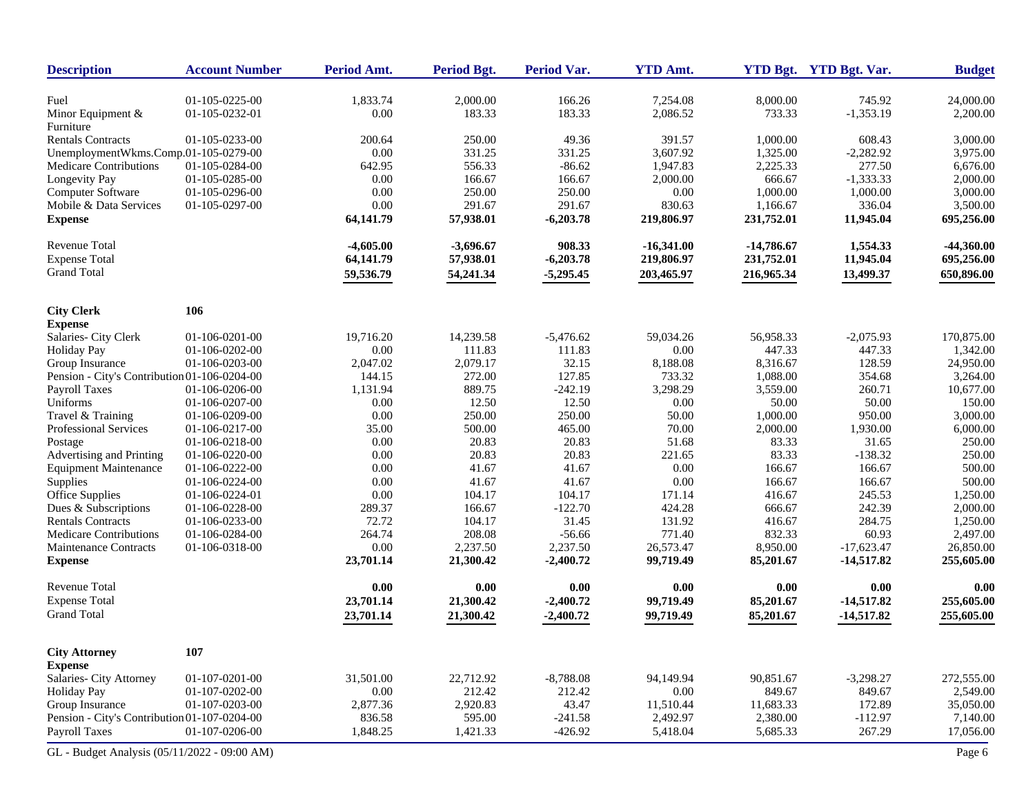| <b>Description</b>                           | <b>Account Number</b> | Period Amt.           | <b>Period Bgt.</b>    | <b>Period Var.</b>      | <b>YTD Amt.</b>        |                       | YTD Bgt. YTD Bgt. Var.       | <b>Budget</b>           |
|----------------------------------------------|-----------------------|-----------------------|-----------------------|-------------------------|------------------------|-----------------------|------------------------------|-------------------------|
| Fuel                                         | 01-105-0225-00        | 1,833.74              | 2,000.00              | 166.26                  | 7,254.08               | 8,000.00              | 745.92                       | 24,000.00               |
| Minor Equipment &<br>Furniture               | 01-105-0232-01        | 0.00                  | 183.33                | 183.33                  | 2,086.52               | 733.33                | $-1,353.19$                  | 2,200.00                |
| <b>Rentals Contracts</b>                     | 01-105-0233-00        | 200.64                | 250.00                | 49.36                   | 391.57                 | 1,000.00              | 608.43                       | 3,000.00                |
| UnemploymentWkms.Comp.01-105-0279-00         |                       | 0.00                  | 331.25                | 331.25                  | 3,607.92               | 1,325.00              | $-2,282.92$                  | 3,975.00                |
| <b>Medicare Contributions</b>                | 01-105-0284-00        | 642.95                | 556.33                | $-86.62$                | 1,947.83               | 2,225.33              | 277.50                       | 6,676.00                |
| <b>Longevity Pay</b>                         | 01-105-0285-00        | 0.00                  | 166.67                | 166.67                  | 2,000.00               | 666.67                | $-1,333.33$                  | 2,000.00                |
| Computer Software                            | 01-105-0296-00        | 0.00                  | 250.00                | 250.00                  | 0.00                   | 1,000.00              | 1,000.00                     | 3,000.00                |
| Mobile & Data Services                       | 01-105-0297-00        | 0.00                  | 291.67                | 291.67                  | 830.63                 | 1,166.67              | 336.04                       | 3,500.00                |
| <b>Expense</b>                               |                       | 64,141.79             | 57,938.01             | $-6,203.78$             | 219,806.97             | 231,752.01            | 11,945.04                    | 695,256.00              |
| <b>Revenue Total</b>                         |                       | $-4,605.00$           | $-3,696.67$           | 908.33                  | $-16,341.00$           | $-14,786.67$          | 1,554.33                     | $-44,360.00$            |
| <b>Expense Total</b>                         |                       | 64,141.79             | 57,938.01             | $-6,203.78$             | 219,806.97             | 231,752.01            | 11,945.04                    | 695,256.00              |
| <b>Grand Total</b>                           |                       | 59,536.79             | 54,241.34             | $-5,295.45$             | 203,465.97             | 216,965.34            | 13,499.37                    | 650,896.00              |
| <b>City Clerk</b>                            | 106                   |                       |                       |                         |                        |                       |                              |                         |
| <b>Expense</b>                               |                       |                       |                       |                         |                        |                       |                              |                         |
| Salaries- City Clerk                         | 01-106-0201-00        | 19,716.20             | 14,239.58             | $-5,476.62$             | 59,034.26              | 56,958.33             | $-2,075.93$                  | 170,875.00              |
| <b>Holiday Pay</b>                           | 01-106-0202-00        | 0.00                  | 111.83                | 111.83                  | 0.00                   | 447.33                | 447.33                       | 1,342.00                |
| Group Insurance                              | 01-106-0203-00        | 2,047.02              | 2,079.17              | 32.15                   | 8,188.08               | 8,316.67              | 128.59                       | 24,950.00               |
| Pension - City's Contribution 01-106-0204-00 |                       | 144.15                | 272.00                | 127.85                  | 733.32                 | 1,088.00              | 354.68                       | 3,264.00                |
| <b>Payroll Taxes</b>                         | 01-106-0206-00        | 1,131.94              | 889.75                | $-242.19$               | 3,298.29               | 3,559.00              | 260.71                       | 10,677.00               |
| Uniforms                                     | 01-106-0207-00        | 0.00                  | 12.50                 | 12.50                   | 0.00                   | 50.00                 | 50.00                        | 150.00                  |
| Travel & Training                            | 01-106-0209-00        | 0.00                  | 250.00                | 250.00                  | 50.00                  | 1,000.00              | 950.00                       | 3,000.00                |
| Professional Services                        | 01-106-0217-00        | 35.00                 | 500.00                | 465.00                  | 70.00                  | 2,000.00              | 1,930.00                     | 6,000.00                |
| Postage                                      | 01-106-0218-00        | 0.00                  | 20.83                 | 20.83                   | 51.68                  | 83.33                 | 31.65                        | 250.00                  |
| Advertising and Printing                     | 01-106-0220-00        | 0.00                  | 20.83                 | 20.83                   | 221.65                 | 83.33                 | $-138.32$                    | 250.00                  |
| <b>Equipment Maintenance</b>                 | 01-106-0222-00        | 0.00                  | 41.67                 | 41.67                   | 0.00                   | 166.67                | 166.67                       | 500.00                  |
| Supplies                                     | 01-106-0224-00        | 0.00                  | 41.67                 | 41.67                   | 0.00                   | 166.67                | 166.67                       | 500.00                  |
| <b>Office Supplies</b>                       | 01-106-0224-01        | 0.00                  | 104.17                | 104.17                  | 171.14                 | 416.67                | 245.53                       | 1,250.00                |
| Dues & Subscriptions                         | 01-106-0228-00        | 289.37                | 166.67                | $-122.70$               | 424.28                 | 666.67                | 242.39                       | 2,000.00                |
| <b>Rentals Contracts</b>                     | 01-106-0233-00        | 72.72                 | 104.17                | 31.45                   | 131.92                 | 416.67                | 284.75                       | 1,250.00                |
| <b>Medicare Contributions</b>                | 01-106-0284-00        | 264.74                | 208.08                | $-56.66$                | 771.40                 | 832.33                | 60.93                        | 2,497.00                |
| Maintenance Contracts<br><b>Expense</b>      | 01-106-0318-00        | $0.00\,$<br>23,701.14 | 2,237.50<br>21,300.42 | 2,237.50<br>$-2,400.72$ | 26,573.47<br>99,719.49 | 8,950.00<br>85,201.67 | $-17,623.47$<br>$-14,517.82$ | 26,850.00<br>255,605.00 |
| <b>Revenue Total</b>                         |                       | 0.00                  | 0.00                  | 0.00                    | 0.00                   | 0.00                  | 0.00                         | 0.00                    |
| <b>Expense Total</b>                         |                       | 23,701.14             | 21,300.42             | $-2,400.72$             | 99,719.49              | 85,201.67             | $-14,517.82$                 | 255,605.00              |
| <b>Grand Total</b>                           |                       | 23,701.14             | 21,300.42             | $-2,400.72$             | 99,719.49              | 85,201.67             | $-14,517.82$                 | 255,605.00              |
|                                              |                       |                       |                       |                         |                        |                       |                              |                         |
| <b>City Attorney</b><br><b>Expense</b>       | 107                   |                       |                       |                         |                        |                       |                              |                         |
| Salaries- City Attorney                      | 01-107-0201-00        | 31,501.00             | 22,712.92             | $-8,788.08$             | 94,149.94              | 90,851.67             | $-3,298.27$                  | 272,555.00              |
| <b>Holiday Pay</b>                           | 01-107-0202-00        | $0.00\,$              | 212.42                | 212.42                  | $0.00\,$               | 849.67                | 849.67                       | 2,549.00                |
| Group Insurance                              | 01-107-0203-00        | 2,877.36              | 2,920.83              | 43.47                   | 11,510.44              | 11,683.33             | 172.89                       | 35,050.00               |
| Pension - City's Contribution 01-107-0204-00 |                       | 836.58                | 595.00                | $-241.58$               | 2,492.97               | 2,380.00              | $-112.97$                    | 7,140.00                |
| Payroll Taxes                                | 01-107-0206-00        | 1,848.25              | 1,421.33              | $-426.92$               | 5,418.04               | 5,685.33              | 267.29                       | 17,056.00               |
| GL - Budget Analysis (05/11/2022 - 09:00 AM) |                       |                       |                       |                         |                        |                       |                              | Page 6                  |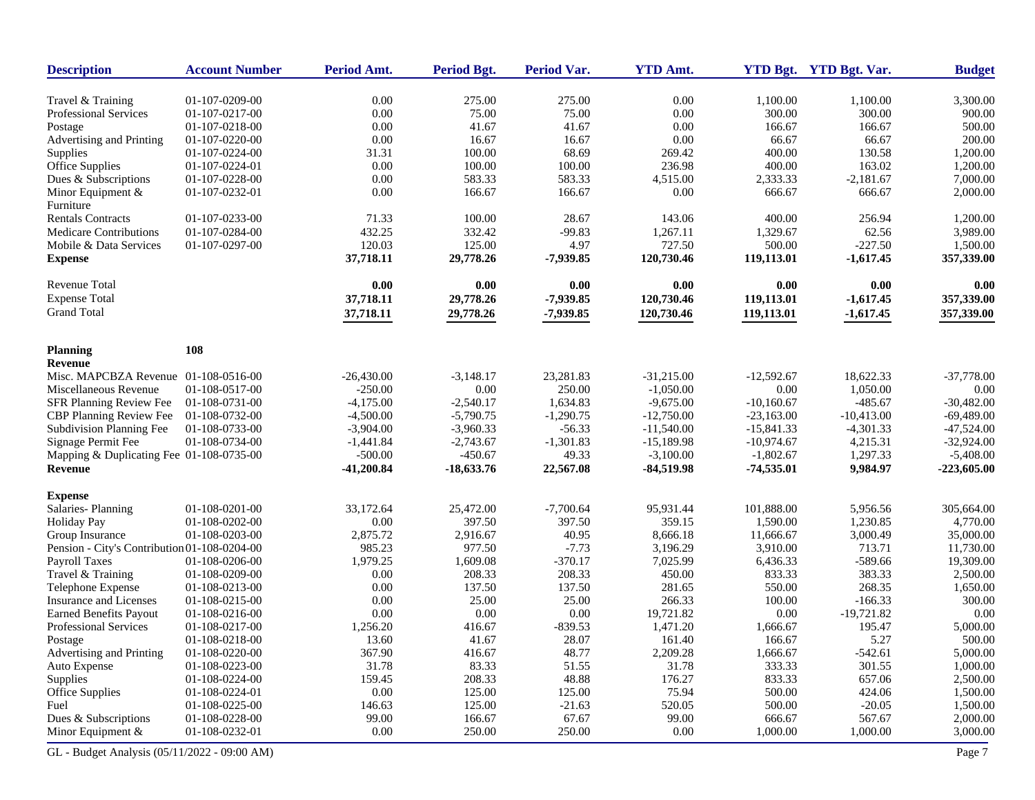| <b>Description</b>                           | <b>Account Number</b> | Period Amt.  | Period Bgt.  | Period Var. | <b>YTD Amt.</b> |              | YTD Bgt. YTD Bgt. Var. | <b>Budget</b> |
|----------------------------------------------|-----------------------|--------------|--------------|-------------|-----------------|--------------|------------------------|---------------|
| Travel & Training                            | 01-107-0209-00        | 0.00         | 275.00       | 275.00      | 0.00            | 1,100.00     | 1,100.00               | 3,300.00      |
| Professional Services                        | 01-107-0217-00        | 0.00         | 75.00        | 75.00       | $0.00\,$        | 300.00       | 300.00                 | 900.00        |
| Postage                                      | 01-107-0218-00        | 0.00         | 41.67        | 41.67       | 0.00            | 166.67       | 166.67                 | 500.00        |
| Advertising and Printing                     | 01-107-0220-00        | 0.00         | 16.67        | 16.67       | 0.00            | 66.67        | 66.67                  | 200.00        |
| Supplies                                     | 01-107-0224-00        | 31.31        | 100.00       | 68.69       | 269.42          | 400.00       | 130.58                 | 1,200.00      |
| Office Supplies                              | 01-107-0224-01        | 0.00         | 100.00       | 100.00      | 236.98          | 400.00       | 163.02                 | 1,200.00      |
| Dues & Subscriptions                         | 01-107-0228-00        | 0.00         | 583.33       | 583.33      | 4,515.00        | 2,333.33     | $-2,181.67$            | 7,000.00      |
| Minor Equipment &<br>Furniture               | 01-107-0232-01        | 0.00         | 166.67       | 166.67      | 0.00            | 666.67       | 666.67                 | 2,000.00      |
| <b>Rentals Contracts</b>                     | 01-107-0233-00        | 71.33        | 100.00       | 28.67       | 143.06          | 400.00       | 256.94                 | 1,200.00      |
| <b>Medicare Contributions</b>                | 01-107-0284-00        | 432.25       | 332.42       | $-99.83$    | 1,267.11        | 1,329.67     | 62.56                  | 3,989.00      |
| Mobile & Data Services                       | 01-107-0297-00        | 120.03       | 125.00       | 4.97        | 727.50          | 500.00       | $-227.50$              | 1,500.00      |
| <b>Expense</b>                               |                       | 37,718.11    | 29,778.26    | $-7,939.85$ | 120,730.46      | 119,113.01   | $-1,617.45$            | 357,339.00    |
| <b>Revenue Total</b>                         |                       | 0.00         | 0.00         | 0.00        | 0.00            | 0.00         | 0.00                   | 0.00          |
| <b>Expense Total</b>                         |                       | 37,718.11    | 29,778.26    | $-7,939.85$ | 120,730.46      | 119,113.01   | $-1,617.45$            | 357,339.00    |
| <b>Grand Total</b>                           |                       | 37,718.11    | 29,778.26    | $-7,939.85$ | 120,730.46      | 119,113.01   | $-1,617.45$            | 357,339.00    |
| Planning                                     | 108                   |              |              |             |                 |              |                        |               |
| <b>Revenue</b>                               |                       |              |              |             |                 |              |                        |               |
| Misc. MAPCBZA Revenue 01-108-0516-00         |                       | $-26,430.00$ | $-3,148.17$  | 23,281.83   | $-31,215.00$    | $-12,592.67$ | 18.622.33              | $-37,778.00$  |
| Miscellaneous Revenue                        | 01-108-0517-00        | $-250.00$    | 0.00         | 250.00      | $-1,050.00$     | 0.00         | 1,050.00               | 0.00          |
| SFR Planning Review Fee                      | 01-108-0731-00        | $-4,175.00$  | $-2,540.17$  | 1,634.83    | $-9,675.00$     | $-10,160.67$ | $-485.67$              | $-30,482.00$  |
| CBP Planning Review Fee                      | 01-108-0732-00        | $-4,500.00$  | $-5,790.75$  | $-1,290.75$ | $-12,750.00$    | $-23,163.00$ | $-10,413.00$           | $-69,489.00$  |
| Subdivision Planning Fee                     | 01-108-0733-00        | $-3,904.00$  | $-3,960.33$  | $-56.33$    | $-11,540.00$    | $-15,841.33$ | $-4,301.33$            | $-47,524.00$  |
| Signage Permit Fee                           | 01-108-0734-00        | $-1,441.84$  | $-2,743.67$  | $-1,301.83$ | $-15,189.98$    | $-10,974.67$ | 4,215.31               | $-32,924.00$  |
| Mapping & Duplicating Fee 01-108-0735-00     |                       | $-500.00$    | $-450.67$    | 49.33       | $-3,100.00$     | $-1,802.67$  | 1,297.33               | $-5,408.00$   |
| Revenue                                      |                       | $-41,200.84$ | $-18,633.76$ | 22,567.08   | $-84,519.98$    | $-74,535.01$ | 9,984.97               | -223,605.00   |
| <b>Expense</b>                               |                       |              |              |             |                 |              |                        |               |
| Salaries-Planning                            | 01-108-0201-00        | 33,172.64    | 25,472.00    | $-7,700.64$ | 95,931.44       | 101,888.00   | 5,956.56               | 305,664.00    |
| <b>Holiday Pay</b>                           | 01-108-0202-00        | 0.00         | 397.50       | 397.50      | 359.15          | 1,590.00     | 1,230.85               | 4,770.00      |
| Group Insurance                              | 01-108-0203-00        | 2,875.72     | 2,916.67     | 40.95       | 8,666.18        | 11,666.67    | 3,000.49               | 35,000.00     |
| Pension - City's Contribution 01-108-0204-00 |                       | 985.23       | 977.50       | $-7.73$     | 3,196.29        | 3,910.00     | 713.71                 | 11,730.00     |
| <b>Payroll Taxes</b>                         | 01-108-0206-00        | 1,979.25     | 1,609.08     | $-370.17$   | 7,025.99        | 6,436.33     | $-589.66$              | 19,309.00     |
| Travel & Training                            | 01-108-0209-00        | 0.00         | 208.33       | 208.33      | 450.00          | 833.33       | 383.33                 | 2,500.00      |
| Telephone Expense                            | 01-108-0213-00        | 0.00         | 137.50       | 137.50      | 281.65          | 550.00       | 268.35                 | 1,650.00      |
| Insurance and Licenses                       | 01-108-0215-00        | 0.00         | 25.00        | 25.00       | 266.33          | 100.00       | $-166.33$              | 300.00        |
| Earned Benefits Payout                       | 01-108-0216-00        | 0.00         | 0.00         | 0.00        | 19,721.82       | 0.00         | $-19,721.82$           | 0.00          |
| Professional Services                        | 01-108-0217-00        | 1,256.20     | 416.67       | $-839.53$   | 1,471.20        | 1,666.67     | 195.47                 | 5,000.00      |
| Postage                                      | 01-108-0218-00        | 13.60        | 41.67        | 28.07       | 161.40          | 166.67       | 5.27                   | 500.00        |
| Advertising and Printing                     | 01-108-0220-00        | 367.90       | 416.67       | 48.77       | 2,209.28        | 1,666.67     | $-542.61$              | 5,000.00      |
| Auto Expense                                 | 01-108-0223-00        | 31.78        | 83.33        | 51.55       | 31.78           | 333.33       | 301.55                 | 1,000.00      |
| Supplies                                     | 01-108-0224-00        | 159.45       | 208.33       | 48.88       | 176.27          | 833.33       | 657.06                 | 2,500.00      |
| Office Supplies                              | 01-108-0224-01        | $0.00\,$     | 125.00       | 125.00      | 75.94           | 500.00       | 424.06                 | 1,500.00      |
| Fuel                                         | 01-108-0225-00        | 146.63       | 125.00       | $-21.63$    | 520.05          | 500.00       | $-20.05$               | 1,500.00      |
| Dues & Subscriptions                         | 01-108-0228-00        | 99.00        | 166.67       | 67.67       | 99.00           | 666.67       | 567.67                 | 2,000.00      |
| Minor Equipment &                            | 01-108-0232-01        | $0.00\,$     | 250.00       | 250.00      | 0.00            | 1,000.00     | 1,000.00               | 3,000.00      |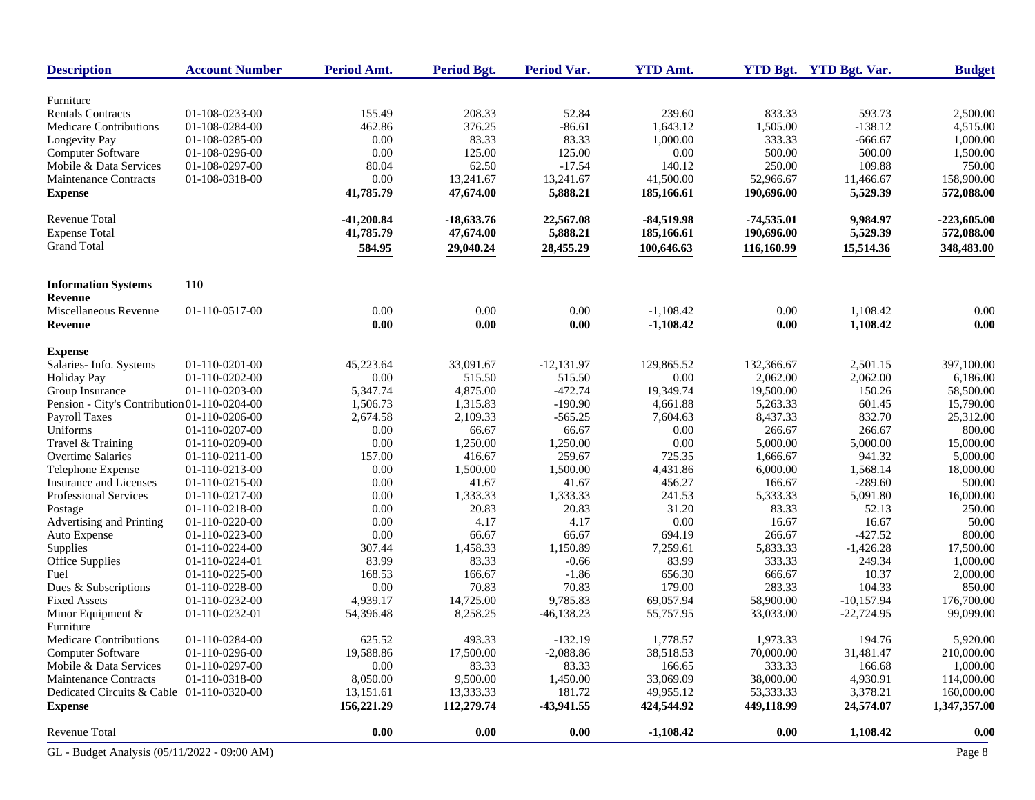| <b>Description</b>                           | <b>Account Number</b> | Period Amt.  | Period Bgt.  | <b>Period Var.</b> | <b>YTD Amt.</b> |              | YTD Bgt. YTD Bgt. Var. | <b>Budget</b> |
|----------------------------------------------|-----------------------|--------------|--------------|--------------------|-----------------|--------------|------------------------|---------------|
| Furniture                                    |                       |              |              |                    |                 |              |                        |               |
| <b>Rentals Contracts</b>                     | 01-108-0233-00        | 155.49       | 208.33       | 52.84              | 239.60          | 833.33       | 593.73                 | 2,500.00      |
| <b>Medicare Contributions</b>                | 01-108-0284-00        | 462.86       | 376.25       | $-86.61$           | 1,643.12        | 1,505.00     | $-138.12$              | 4,515.00      |
| Longevity Pay                                | 01-108-0285-00        | 0.00         | 83.33        | 83.33              | 1,000.00        | 333.33       | $-666.67$              | 1,000.00      |
| Computer Software                            | 01-108-0296-00        | 0.00         | 125.00       | 125.00             | 0.00            | 500.00       | 500.00                 | 1,500.00      |
| Mobile & Data Services                       | 01-108-0297-00        | 80.04        | 62.50        | $-17.54$           | 140.12          | 250.00       | 109.88                 | 750.00        |
| Maintenance Contracts                        | 01-108-0318-00        | 0.00         | 13,241.67    | 13,241.67          | 41,500.00       | 52,966.67    | 11,466.67              | 158,900.00    |
| <b>Expense</b>                               |                       | 41,785.79    | 47,674.00    | 5,888.21           | 185,166.61      | 190,696.00   | 5,529.39               | 572,088.00    |
| Revenue Total                                |                       | $-41,200.84$ | $-18,633.76$ | 22,567.08          | $-84,519.98$    | $-74,535.01$ | 9,984.97               | $-223,605.00$ |
| <b>Expense Total</b>                         |                       | 41,785.79    | 47,674.00    | 5,888.21           | 185,166.61      | 190,696.00   | 5,529.39               | 572,088.00    |
| <b>Grand Total</b>                           |                       | 584.95       | 29,040.24    | 28,455.29          | 100,646.63      | 116,160.99   | 15,514.36              | 348,483.00    |
| <b>Information Systems</b>                   | <b>110</b>            |              |              |                    |                 |              |                        |               |
| <b>Revenue</b>                               |                       |              |              |                    |                 |              |                        |               |
| Miscellaneous Revenue                        | 01-110-0517-00        | 0.00         | 0.00         | 0.00               | $-1,108.42$     | 0.00         | 1,108.42               | 0.00          |
| Revenue                                      |                       | 0.00         | 0.00         | 0.00               | $-1,108.42$     | $0.00\,$     | 1,108.42               | 0.00          |
| <b>Expense</b>                               |                       |              |              |                    |                 |              |                        |               |
| Salaries-Info. Systems                       | 01-110-0201-00        | 45,223.64    | 33,091.67    | $-12,131.97$       | 129,865.52      | 132,366.67   | 2,501.15               | 397,100.00    |
| <b>Holiday Pay</b>                           | 01-110-0202-00        | 0.00         | 515.50       | 515.50             | 0.00            | 2,062.00     | 2,062.00               | 6,186.00      |
| Group Insurance                              | 01-110-0203-00        | 5,347.74     | 4,875.00     | $-472.74$          | 19,349.74       | 19,500.00    | 150.26                 | 58,500.00     |
| Pension - City's Contribution 01-110-0204-00 |                       | 1,506.73     | 1,315.83     | $-190.90$          | 4,661.88        | 5,263.33     | 601.45                 | 15,790.00     |
| <b>Payroll Taxes</b>                         | 01-110-0206-00        | 2,674.58     | 2,109.33     | $-565.25$          | 7,604.63        | 8,437.33     | 832.70                 | 25,312.00     |
| Uniforms                                     | 01-110-0207-00        | 0.00         | 66.67        | 66.67              | 0.00            | 266.67       | 266.67                 | 800.00        |
| Travel & Training                            | 01-110-0209-00        | 0.00         | 1,250.00     | 1,250.00           | 0.00            | 5,000.00     | 5,000.00               | 15,000.00     |
| Overtime Salaries                            | 01-110-0211-00        | 157.00       | 416.67       | 259.67             | 725.35          | 1,666.67     | 941.32                 | 5,000.00      |
| Telephone Expense                            | 01-110-0213-00        | 0.00         | 1,500.00     | 1,500.00           | 4,431.86        | 6,000.00     | 1,568.14               | 18,000.00     |
| Insurance and Licenses                       | 01-110-0215-00        | 0.00         | 41.67        | 41.67              | 456.27          | 166.67       | $-289.60$              | 500.00        |
| Professional Services                        | 01-110-0217-00        | 0.00         | 1,333.33     | 1,333.33           | 241.53          | 5,333.33     | 5,091.80               | 16,000.00     |
| Postage                                      | 01-110-0218-00        | 0.00         | 20.83        | 20.83              | 31.20           | 83.33        | 52.13                  | 250.00        |
| Advertising and Printing                     | 01-110-0220-00        | 0.00         | 4.17         | 4.17               | 0.00            | 16.67        | 16.67                  | 50.00         |
| Auto Expense                                 | 01-110-0223-00        | 0.00         | 66.67        | 66.67              | 694.19          | 266.67       | $-427.52$              | 800.00        |
| Supplies                                     | 01-110-0224-00        | 307.44       | 1,458.33     | 1,150.89           | 7,259.61        | 5,833.33     | $-1,426.28$            | 17,500.00     |
| Office Supplies                              | 01-110-0224-01        | 83.99        | 83.33        | $-0.66$            | 83.99           | 333.33       | 249.34                 | 1,000.00      |
| Fuel                                         | 01-110-0225-00        | 168.53       | 166.67       | $-1.86$            | 656.30          | 666.67       | 10.37                  | 2,000.00      |
| Dues & Subscriptions                         | 01-110-0228-00        | 0.00         | 70.83        | 70.83              | 179.00          | 283.33       | 104.33                 | 850.00        |
| <b>Fixed Assets</b>                          | 01-110-0232-00        | 4,939.17     | 14,725.00    | 9,785.83           | 69,057.94       | 58,900.00    | $-10,157.94$           | 176,700.00    |
| Minor Equipment $&$                          | 01-110-0232-01        | 54,396.48    | 8,258.25     | $-46,138.23$       | 55,757.95       | 33,033.00    | $-22,724.95$           | 99,099.00     |
| Furniture                                    |                       |              |              |                    |                 |              |                        |               |
| <b>Medicare Contributions</b>                | 01-110-0284-00        | 625.52       | 493.33       | $-132.19$          | 1,778.57        | 1,973.33     | 194.76                 | 5,920.00      |
| Computer Software                            | 01-110-0296-00        | 19,588.86    | 17,500.00    | $-2,088.86$        | 38,518.53       | 70,000.00    | 31,481.47              | 210,000.00    |
| Mobile & Data Services                       | 01-110-0297-00        | 0.00         | 83.33        | 83.33              | 166.65          | 333.33       | 166.68                 | 1,000.00      |
| <b>Maintenance Contracts</b>                 | 01-110-0318-00        | 8,050.00     | 9,500.00     | 1,450.00           | 33,069.09       | 38,000.00    | 4,930.91               | 114,000.00    |
| Dedicated Circuits & Cable 01-110-0320-00    |                       | 13,151.61    | 13,333.33    | 181.72             | 49,955.12       | 53,333.33    | 3,378.21               | 160,000.00    |
| <b>Expense</b>                               |                       | 156,221.29   | 112,279.74   | $-43,941.55$       | 424,544.92      | 449,118.99   | 24,574.07              | 1,347,357.00  |
| Revenue Total                                |                       | 0.00         | 0.00         | 0.00               | $-1,108.42$     | 0.00         | 1,108.42               | 0.00          |
| GL - Budget Analysis (05/11/2022 - 09:00 AM) |                       |              |              |                    |                 |              |                        | Page 8        |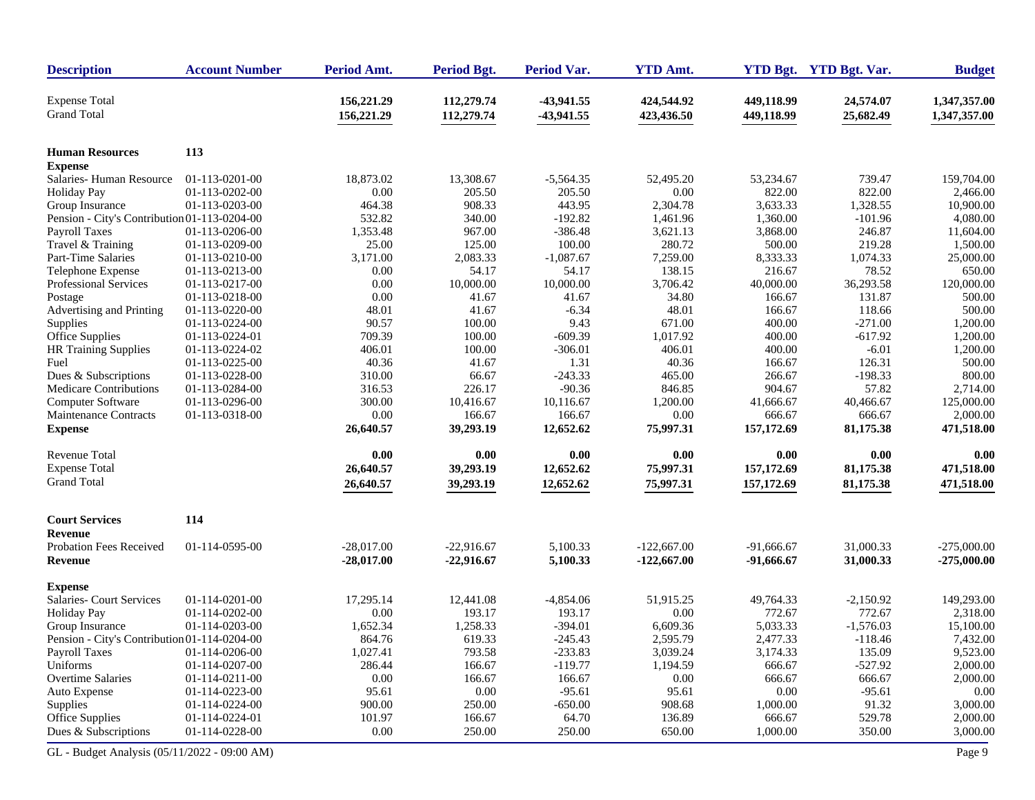| <b>Description</b>                           | <b>Account Number</b> | Period Amt.              | <b>Period Bgt.</b>       | <b>Period Var.</b>         | <b>YTD Amt.</b>          |                          | YTD Bgt. YTD Bgt. Var. | <b>Budget</b>                |
|----------------------------------------------|-----------------------|--------------------------|--------------------------|----------------------------|--------------------------|--------------------------|------------------------|------------------------------|
| <b>Expense Total</b><br><b>Grand Total</b>   |                       | 156,221.29<br>156,221.29 | 112,279.74<br>112,279.74 | $-43,941.55$<br>-43,941.55 | 424,544.92<br>423,436.50 | 449,118.99<br>449,118.99 | 24,574.07<br>25,682.49 | 1,347,357.00<br>1,347,357.00 |
| <b>Human Resources</b>                       | 113                   |                          |                          |                            |                          |                          |                        |                              |
| <b>Expense</b>                               |                       |                          |                          |                            |                          |                          |                        |                              |
| Salaries - Human Resource                    | 01-113-0201-00        | 18,873.02                | 13,308.67                | $-5,564.35$                | 52,495.20                | 53,234.67                | 739.47                 | 159,704.00                   |
| <b>Holiday Pay</b>                           | 01-113-0202-00        | $0.00\,$                 | 205.50                   | 205.50                     | 0.00                     | 822.00                   | 822.00                 | 2.466.00                     |
| Group Insurance                              | 01-113-0203-00        | 464.38                   | 908.33                   | 443.95                     | 2,304.78                 | 3,633.33                 | 1,328.55               | 10,900.00                    |
| Pension - City's Contribution 01-113-0204-00 |                       | 532.82                   | 340.00                   | $-192.82$                  | 1,461.96                 | 1,360.00                 | $-101.96$              | 4,080.00                     |
| Payroll Taxes                                | 01-113-0206-00        | 1,353.48                 | 967.00                   | $-386.48$                  | 3,621.13                 | 3,868.00                 | 246.87                 | 11,604.00                    |
| Travel & Training                            | 01-113-0209-00        | 25.00                    | 125.00                   | 100.00                     | 280.72                   | 500.00                   | 219.28                 | 1,500.00                     |
| Part-Time Salaries                           | 01-113-0210-00        | 3,171.00                 | 2,083.33                 | $-1,087.67$                | 7,259.00                 | 8,333.33                 | 1,074.33               | 25,000.00                    |
| Telephone Expense                            | 01-113-0213-00        | 0.00                     | 54.17                    | 54.17                      | 138.15                   | 216.67                   | 78.52                  | 650.00                       |
| Professional Services                        | 01-113-0217-00        | 0.00                     | 10,000.00                | 10,000.00                  | 3,706.42                 | 40,000.00                | 36,293.58              | 120,000.00                   |
| Postage                                      | 01-113-0218-00        | 0.00                     | 41.67                    | 41.67                      | 34.80                    | 166.67                   | 131.87                 | 500.00                       |
| Advertising and Printing                     | 01-113-0220-00        | 48.01                    | 41.67                    | $-6.34$                    | 48.01                    | 166.67                   | 118.66                 | 500.00                       |
| Supplies                                     | 01-113-0224-00        | 90.57                    | 100.00                   | 9.43                       | 671.00                   | 400.00                   | $-271.00$              | 1,200.00                     |
| Office Supplies                              | 01-113-0224-01        | 709.39                   | 100.00                   | $-609.39$                  | 1,017.92                 | 400.00                   | $-617.92$              | 1,200.00                     |
| HR Training Supplies                         | 01-113-0224-02        | 406.01                   | 100.00                   | $-306.01$                  | 406.01                   | 400.00                   | $-6.01$                | 1,200.00                     |
| Fuel                                         | 01-113-0225-00        | 40.36                    | 41.67                    | 1.31                       | 40.36                    | 166.67                   | 126.31                 | 500.00                       |
| Dues & Subscriptions                         | 01-113-0228-00        | 310.00                   | 66.67                    | $-243.33$                  | 465.00                   | 266.67                   | $-198.33$              | 800.00                       |
| Medicare Contributions                       | 01-113-0284-00        | 316.53                   | 226.17                   | $-90.36$                   | 846.85                   | 904.67                   | 57.82                  | 2,714.00                     |
| Computer Software                            | 01-113-0296-00        | 300.00                   | 10,416.67                | 10,116.67                  | 1,200.00                 | 41,666.67                | 40,466.67              | 125,000.00                   |
| <b>Maintenance Contracts</b>                 | 01-113-0318-00        | 0.00                     | 166.67                   | 166.67                     | 0.00                     | 666.67                   | 666.67                 | 2,000.00                     |
| <b>Expense</b>                               |                       | 26,640.57                | 39,293.19                | 12,652.62                  | 75,997.31                | 157,172.69               | 81,175.38              | 471,518.00                   |
| <b>Revenue Total</b>                         |                       | 0.00                     | 0.00                     | $0.00\,$                   | 0.00                     | 0.00                     | 0.00                   | 0.00                         |
| <b>Expense Total</b>                         |                       | 26,640.57                | 39,293.19                | 12,652.62                  | 75,997.31                | 157,172.69               | 81,175.38              | 471,518.00                   |
| <b>Grand Total</b>                           |                       | 26,640.57                | 39,293.19                | 12,652.62                  | 75,997.31                | 157,172.69               | 81,175.38              | 471,518.00                   |
| <b>Court Services</b>                        | 114                   |                          |                          |                            |                          |                          |                        |                              |
| <b>Revenue</b>                               |                       |                          |                          |                            |                          |                          |                        |                              |
| Probation Fees Received                      | 01-114-0595-00        | $-28,017.00$             | $-22,916.67$             | 5,100.33                   | $-122,667.00$            | $-91,666.67$             | 31,000.33              | $-275,000.00$                |
| Revenue                                      |                       | $-28,017.00$             | $-22,916.67$             | 5,100.33                   | $-122,667.00$            | $-91,666.67$             | 31,000.33              | $-275,000.00$                |
| <b>Expense</b>                               |                       |                          |                          |                            |                          |                          |                        |                              |
| Salaries- Court Services                     | 01-114-0201-00        | 17,295.14                | 12,441.08                | $-4,854.06$                | 51,915.25                | 49,764.33                | $-2,150.92$            | 149,293.00                   |
| <b>Holiday Pay</b>                           | 01-114-0202-00        | 0.00                     | 193.17                   | 193.17                     | 0.00                     | 772.67                   | 772.67                 | 2,318.00                     |
| Group Insurance                              | 01-114-0203-00        | 1,652.34                 | 1,258.33                 | $-394.01$                  | 6,609.36                 | 5,033.33                 | $-1,576.03$            | 15,100.00                    |
| Pension - City's Contribution 01-114-0204-00 |                       | 864.76                   | 619.33                   | $-245.43$                  | 2,595.79                 | 2,477.33                 | $-118.46$              | 7,432.00                     |
| <b>Payroll Taxes</b>                         | 01-114-0206-00        | 1,027.41                 | 793.58                   | $-233.83$                  | 3,039.24                 | 3,174.33                 | 135.09                 | 9,523.00                     |
| Uniforms                                     | 01-114-0207-00        | 286.44                   | 166.67                   | $-119.77$                  | 1,194.59                 | 666.67                   | $-527.92$              | 2,000.00                     |
| Overtime Salaries                            | 01-114-0211-00        | $0.00\,$                 | 166.67                   | 166.67                     | 0.00                     | 666.67                   | 666.67                 | 2,000.00                     |
| Auto Expense                                 | 01-114-0223-00        | 95.61                    | $0.00\,$                 | $-95.61$                   | 95.61                    | 0.00                     | $-95.61$               | 0.00                         |
| Supplies                                     | 01-114-0224-00        | 900.00                   | 250.00                   | $-650.00$                  | 908.68                   | 1,000.00                 | 91.32                  | 3,000.00                     |
| Office Supplies                              | 01-114-0224-01        | 101.97                   | 166.67                   | 64.70                      | 136.89                   | 666.67                   | 529.78                 | 2,000.00                     |
| Dues & Subscriptions                         | 01-114-0228-00        | $0.00\,$                 | 250.00                   | 250.00                     | 650.00                   | 1,000.00                 | 350.00                 | 3,000.00                     |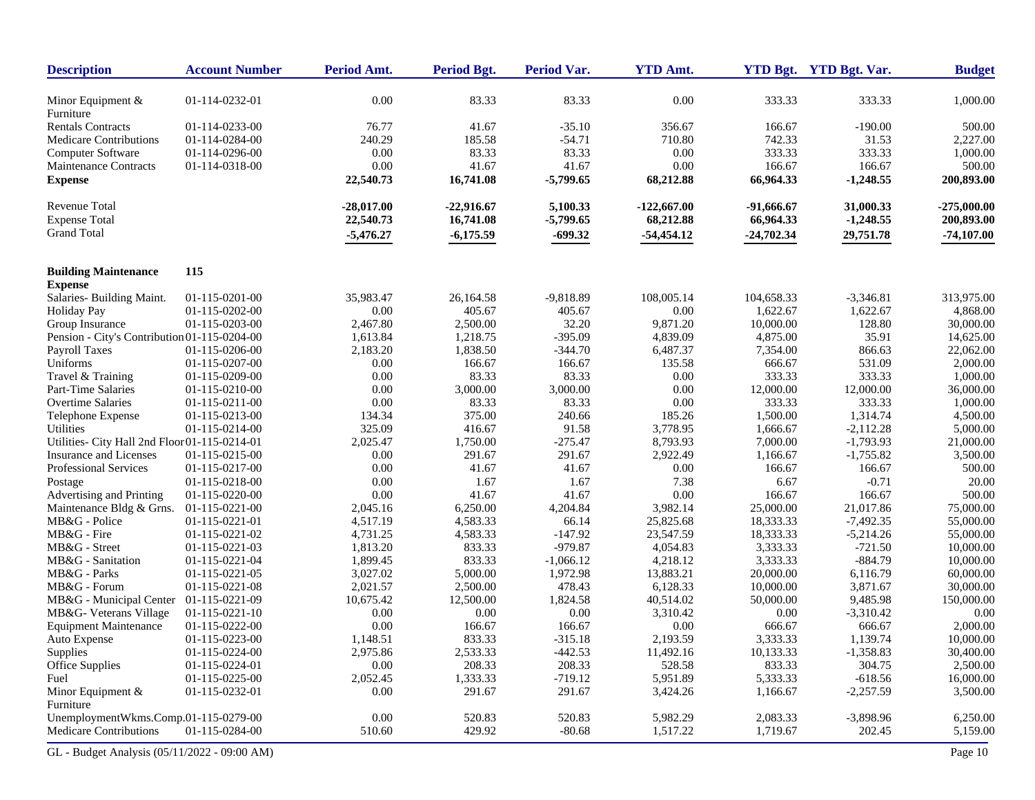| <b>Description</b>                            | <b>Account Number</b> | Period Amt.          | <b>Period Bgt.</b>   | Period Var. | <b>YTD Amt.</b>      |                      | YTD Bgt. YTD Bgt. Var. | <b>Budget</b>          |
|-----------------------------------------------|-----------------------|----------------------|----------------------|-------------|----------------------|----------------------|------------------------|------------------------|
| Minor Equipment $\&$                          | 01-114-0232-01        | 0.00                 | 83.33                | 83.33       | 0.00                 | 333.33               | 333.33                 | 1,000.00               |
| Furniture                                     |                       |                      |                      |             |                      |                      |                        |                        |
| <b>Rentals Contracts</b>                      | 01-114-0233-00        | 76.77                | 41.67                | $-35.10$    | 356.67               | 166.67               | $-190.00$              | 500.00                 |
| <b>Medicare Contributions</b>                 | 01-114-0284-00        | 240.29               | 185.58               | $-54.71$    | 710.80               | 742.33               | 31.53                  | 2,227.00               |
| Computer Software                             | 01-114-0296-00        | 0.00                 | 83.33                | 83.33       | 0.00                 | 333.33               | 333.33                 | 1,000.00               |
| <b>Maintenance Contracts</b>                  | 01-114-0318-00        | 0.00                 | 41.67                | 41.67       | 0.00                 | 166.67               | 166.67                 | 500.00                 |
| <b>Expense</b>                                |                       | 22,540.73            | 16,741.08            | $-5,799.65$ | 68,212.88            | 66,964.33            | $-1,248.55$            | 200,893.00             |
| Revenue Total                                 |                       | $-28,017.00$         | $-22,916.67$         | 5,100.33    | $-122,667.00$        | -91,666.67           | 31,000.33              | $-275,000.00$          |
| <b>Expense Total</b>                          |                       | 22,540.73            | 16,741.08            | $-5,799.65$ | 68,212.88            | 66,964.33            | $-1,248.55$            | 200,893.00             |
| <b>Grand Total</b>                            |                       | $-5,476.27$          | $-6,175.59$          | $-699.32$   | $-54,454.12$         | $-24,702.34$         | 29,751.78              | $-74,107.00$           |
| <b>Building Maintenance</b>                   | 115                   |                      |                      |             |                      |                      |                        |                        |
| <b>Expense</b><br>Salaries- Building Maint.   | 01-115-0201-00        | 35,983.47            | 26,164.58            | $-9,818.89$ | 108,005.14           | 104,658.33           | $-3,346.81$            | 313,975.00             |
|                                               | 01-115-0202-00        | 0.00                 | 405.67               | 405.67      | 0.00                 | 1,622.67             | 1,622.67               | 4,868.00               |
| <b>Holiday Pay</b>                            | 01-115-0203-00        | 2,467.80             | 2,500.00             | 32.20       | 9,871.20             | 10,000.00            | 128.80                 | 30,000.00              |
| Group Insurance                               |                       |                      |                      | $-395.09$   |                      |                      | 35.91                  |                        |
| Pension - City's Contribution 01-115-0204-00  | 01-115-0206-00        | 1,613.84<br>2,183.20 | 1,218.75<br>1,838.50 | $-344.70$   | 4,839.09<br>6,487.37 | 4,875.00<br>7,354.00 | 866.63                 | 14,625.00<br>22,062.00 |
| Payroll Taxes                                 | 01-115-0207-00        |                      | 166.67               |             |                      |                      |                        |                        |
| Uniforms                                      |                       | 0.00                 |                      | 166.67      | 135.58               | 666.67               | 531.09                 | 2,000.00               |
| Travel & Training                             | 01-115-0209-00        | 0.00                 | 83.33                | 83.33       | 0.00                 | 333.33               | 333.33                 | 1,000.00               |
| Part-Time Salaries                            | 01-115-0210-00        | 0.00                 | 3,000.00             | 3,000.00    | 0.00                 | 12,000.00            | 12,000.00              | 36,000.00              |
| <b>Overtime Salaries</b>                      | 01-115-0211-00        | 0.00                 | 83.33                | 83.33       | 0.00                 | 333.33               | 333.33                 | 1,000.00               |
| Telephone Expense                             | 01-115-0213-00        | 134.34               | 375.00               | 240.66      | 185.26               | 1,500.00             | 1,314.74               | 4,500.00               |
| Utilities                                     | 01-115-0214-00        | 325.09               | 416.67               | 91.58       | 3,778.95             | 1,666.67             | $-2,112.28$            | 5,000.00               |
| Utilities- City Hall 2nd Floor 01-115-0214-01 |                       | 2,025.47             | 1,750.00             | $-275.47$   | 8,793.93             | 7,000.00             | $-1,793.93$            | 21,000.00              |
| Insurance and Licenses                        | 01-115-0215-00        | 0.00                 | 291.67               | 291.67      | 2,922.49             | 1,166.67             | $-1,755.82$            | 3,500.00               |
| Professional Services                         | 01-115-0217-00        | 0.00                 | 41.67                | 41.67       | 0.00                 | 166.67               | 166.67                 | 500.00                 |
| Postage                                       | 01-115-0218-00        | 0.00                 | 1.67                 | 1.67        | 7.38                 | 6.67                 | $-0.71$                | 20.00                  |
| Advertising and Printing                      | 01-115-0220-00        | 0.00                 | 41.67                | 41.67       | 0.00                 | 166.67               | 166.67                 | 500.00                 |
| Maintenance Bldg & Grns.                      | 01-115-0221-00        | 2,045.16             | 6,250.00             | 4,204.84    | 3,982.14             | 25,000.00            | 21,017.86              | 75,000.00              |
| MB&G - Police                                 | 01-115-0221-01        | 4,517.19             | 4,583.33             | 66.14       | 25,825.68            | 18,333.33            | $-7,492.35$            | 55,000.00              |
| MB&G - Fire                                   | 01-115-0221-02        | 4,731.25             | 4,583.33             | $-147.92$   | 23,547.59            | 18,333.33            | $-5,214.26$            | 55,000.00              |
| MB&G - Street                                 | 01-115-0221-03        | 1,813.20             | 833.33               | $-979.87$   | 4,054.83             | 3,333.33             | $-721.50$              | 10,000.00              |
| MB&G - Sanitation                             | 01-115-0221-04        | 1,899.45             | 833.33               | $-1,066.12$ | 4,218.12             | 3,333.33             | $-884.79$              | 10,000.00              |
| MB&G - Parks                                  | 01-115-0221-05        | 3,027.02             | 5,000.00             | 1,972.98    | 13,883.21            | 20,000.00            | 6,116.79               | 60,000.00              |
| MB&G - Forum                                  | 01-115-0221-08        | 2,021.57             | 2,500.00             | 478.43      | 6,128.33             | 10,000.00            | 3,871.67               | 30,000.00              |
| MB&G - Municipal Center                       | 01-115-0221-09        | 10,675.42            | 12,500.00            | 1,824.58    | 40,514.02            | 50,000.00            | 9,485.98               | 150,000.00             |
| MB&G- Veterans Village                        | 01-115-0221-10        | 0.00                 | 0.00                 | 0.00        | 3,310.42             | 0.00                 | $-3,310.42$            | 0.00                   |
| <b>Equipment Maintenance</b>                  | 01-115-0222-00        | 0.00                 | 166.67               | 166.67      | 0.00                 | 666.67               | 666.67                 | 2,000.00               |
| Auto Expense                                  | 01-115-0223-00        | 1,148.51             | 833.33               | $-315.18$   | 2,193.59             | 3,333.33             | 1,139.74               | 10,000.00              |
| Supplies                                      | 01-115-0224-00        | 2,975.86             | 2,533.33             | $-442.53$   | 11,492.16            | 10,133.33            | $-1,358.83$            | 30,400.00              |
| Office Supplies                               | 01-115-0224-01        | 0.00                 | 208.33               | 208.33      | 528.58               | 833.33               | 304.75                 | 2,500.00               |
| Fuel                                          | 01-115-0225-00        | 2,052.45             | 1,333.33             | $-719.12$   | 5,951.89             | 5,333.33             | $-618.56$              | 16,000.00              |
| Minor Equipment $&$                           | 01-115-0232-01        | 0.00                 | 291.67               | 291.67      | 3,424.26             | 1,166.67             | $-2,257.59$            | 3,500.00               |
| Furniture                                     |                       |                      |                      |             |                      |                      |                        |                        |
| UnemploymentWkms.Comp.01-115-0279-00          |                       | $0.00\,$             | 520.83               | 520.83      | 5,982.29             | 2,083.33             | $-3,898.96$            | 6,250.00               |
| Medicare Contributions                        | 01-115-0284-00        | 510.60               | 429.92               | $-80.68$    | 1,517.22             | 1,719.67             | 202.45                 | 5,159.00               |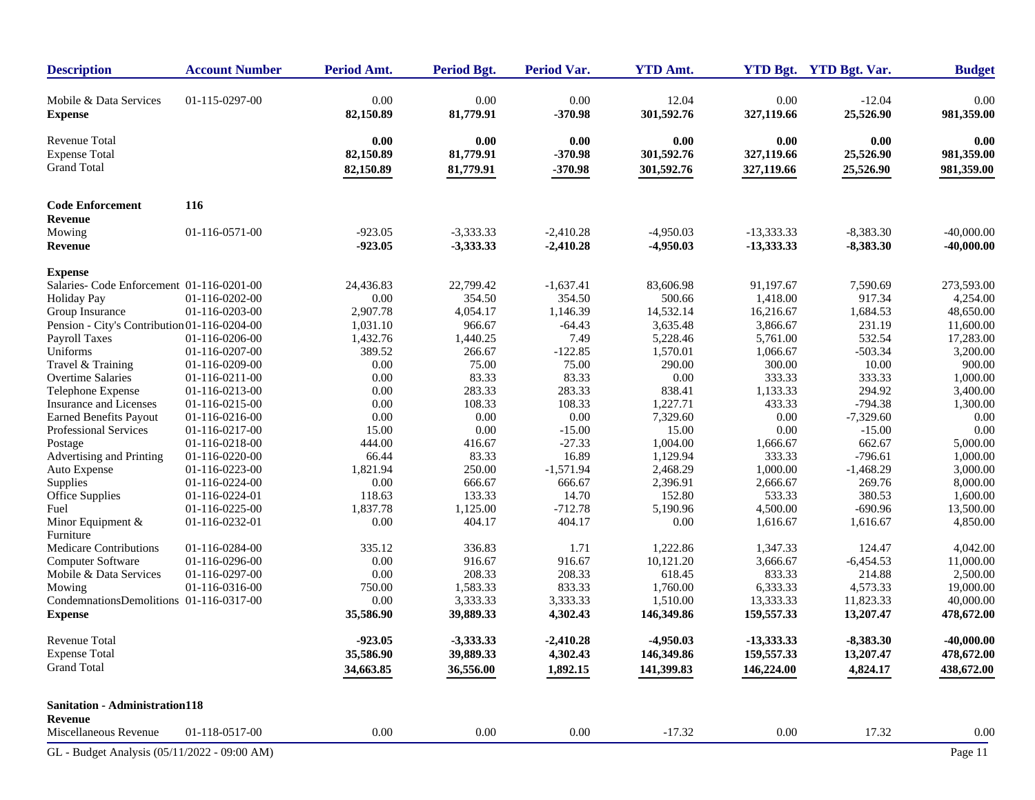| <b>Description</b>                                          | <b>Account Number</b> | Period Amt.                    | <b>Period Bgt.</b>             | Period Var.                    | <b>YTD Amt.</b>                  |                                  | YTD Bgt. YTD Bgt. Var.         | <b>Budget</b>                    |
|-------------------------------------------------------------|-----------------------|--------------------------------|--------------------------------|--------------------------------|----------------------------------|----------------------------------|--------------------------------|----------------------------------|
| Mobile & Data Services<br><b>Expense</b>                    | 01-115-0297-00        | 0.00<br>82,150.89              | 0.00<br>81,779.91              | 0.00<br>$-370.98$              | 12.04<br>301,592.76              | 0.00<br>327,119.66               | $-12.04$<br>25,526.90          | 0.00<br>981,359.00               |
| Revenue Total<br><b>Expense Total</b><br><b>Grand Total</b> |                       | 0.00<br>82,150.89<br>82,150.89 | 0.00<br>81,779.91<br>81,779.91 | 0.00<br>$-370.98$<br>$-370.98$ | 0.00<br>301,592.76<br>301,592.76 | 0.00<br>327,119.66<br>327,119.66 | 0.00<br>25,526.90<br>25,526.90 | 0.00<br>981,359.00<br>981,359.00 |
| <b>Code Enforcement</b>                                     | 116                   |                                |                                |                                |                                  |                                  |                                |                                  |
| <b>Revenue</b>                                              |                       |                                |                                |                                |                                  |                                  |                                |                                  |
| Mowing                                                      | 01-116-0571-00        | $-923.05$                      | $-3,333.33$                    | $-2,410.28$                    | $-4,950.03$                      | $-13,333.33$                     | $-8,383.30$                    | $-40,000.00$                     |
| Revenue                                                     |                       | $-923.05$                      | $-3,333.33$                    | $-2,410.28$                    | $-4,950.03$                      | $-13,333.33$                     | $-8,383.30$                    | $-40,000.00$                     |
|                                                             |                       |                                |                                |                                |                                  |                                  |                                |                                  |
| <b>Expense</b>                                              |                       |                                |                                |                                |                                  |                                  |                                |                                  |
| Salaries- Code Enforcement 01-116-0201-00                   |                       | 24,436.83                      | 22,799.42                      | $-1,637.41$                    | 83,606.98                        | 91,197.67                        | 7,590.69                       | 273,593.00                       |
| <b>Holiday Pay</b>                                          | 01-116-0202-00        | 0.00                           | 354.50                         | 354.50                         | 500.66                           | 1,418.00                         | 917.34                         | 4,254.00                         |
| Group Insurance                                             | 01-116-0203-00        | 2,907.78                       | 4,054.17                       | 1,146.39                       | 14,532.14                        | 16,216.67                        | 1,684.53                       | 48,650.00                        |
| Pension - City's Contribution 01-116-0204-00                |                       | 1,031.10                       | 966.67                         | $-64.43$                       | 3,635.48                         | 3,866.67                         | 231.19                         | 11,600.00                        |
| Payroll Taxes                                               | 01-116-0206-00        | 1,432.76                       | 1,440.25                       | 7.49                           | 5,228.46                         | 5,761.00                         | 532.54                         | 17,283.00                        |
| Uniforms                                                    | 01-116-0207-00        | 389.52                         | 266.67                         | $-122.85$                      | 1,570.01                         | 1,066.67                         | $-503.34$                      | 3,200.00                         |
| Travel & Training                                           | 01-116-0209-00        | 0.00                           | 75.00                          | 75.00                          | 290.00                           | 300.00                           | 10.00                          | 900.00                           |
| Overtime Salaries                                           | 01-116-0211-00        | 0.00                           | 83.33                          | 83.33                          | 0.00                             | 333.33                           | 333.33                         | 1,000.00                         |
| Telephone Expense                                           | 01-116-0213-00        | 0.00                           | 283.33                         | 283.33                         | 838.41                           | 1,133.33                         | 294.92                         | 3,400.00                         |
| Insurance and Licenses                                      | 01-116-0215-00        | 0.00                           | 108.33                         | 108.33                         | 1,227.71                         | 433.33                           | $-794.38$                      | 1,300.00                         |
| <b>Earned Benefits Payout</b>                               | 01-116-0216-00        | 0.00                           | 0.00                           | $0.00\,$                       | 7,329.60                         | 0.00                             | $-7,329.60$                    | 0.00                             |
| Professional Services                                       | 01-116-0217-00        | 15.00                          | 0.00                           | $-15.00$                       | 15.00                            | 0.00                             | $-15.00$                       | 0.00                             |
| Postage                                                     | 01-116-0218-00        | 444.00                         | 416.67                         | $-27.33$                       | 1,004.00                         | 1,666.67                         | 662.67                         | 5,000.00                         |
| Advertising and Printing                                    | 01-116-0220-00        | 66.44                          | 83.33                          | 16.89                          | 1,129.94                         | 333.33                           | $-796.61$                      | 1,000.00                         |
| Auto Expense                                                | 01-116-0223-00        | 1,821.94                       | 250.00                         | $-1,571.94$                    | 2,468.29                         | 1,000.00                         | $-1,468.29$                    | 3,000.00                         |
| Supplies                                                    | 01-116-0224-00        | 0.00                           | 666.67                         | 666.67                         | 2,396.91                         | 2,666.67                         | 269.76                         | 8,000.00                         |
| Office Supplies                                             | 01-116-0224-01        | 118.63                         | 133.33                         | 14.70                          | 152.80                           | 533.33                           | 380.53                         | 1,600.00                         |
| Fuel                                                        | 01-116-0225-00        | 1,837.78                       | 1,125.00                       | $-712.78$                      | 5,190.96                         | 4,500.00                         | $-690.96$                      | 13,500.00                        |
| Minor Equipment &                                           | 01-116-0232-01        | 0.00                           | 404.17                         | 404.17                         | 0.00                             | 1,616.67                         | 1,616.67                       | 4,850.00                         |
| Furniture                                                   |                       |                                |                                |                                |                                  |                                  |                                |                                  |
| Medicare Contributions                                      | 01-116-0284-00        | 335.12                         | 336.83                         | 1.71                           | 1,222.86                         | 1,347.33                         | 124.47                         | 4,042.00                         |
| Computer Software                                           | 01-116-0296-00        | 0.00                           | 916.67                         | 916.67                         | 10,121.20                        | 3,666.67                         | $-6,454.53$                    | 11,000.00                        |
| Mobile & Data Services                                      | 01-116-0297-00        | 0.00                           | 208.33                         | 208.33                         | 618.45                           | 833.33                           | 214.88                         | 2,500.00                         |
| Mowing                                                      | 01-116-0316-00        | 750.00                         | 1,583.33                       | 833.33                         | 1,760.00                         | 6,333.33                         | 4,573.33                       | 19,000.00                        |
| CondemnationsDemolitions 01-116-0317-00                     |                       | $0.00\,$                       | 3,333.33                       | 3,333.33                       | 1,510.00                         | 13,333.33                        | 11,823.33                      | 40,000.00                        |
| <b>Expense</b>                                              |                       | 35,586.90                      | 39,889.33                      | 4,302.43                       | 146,349.86                       | 159,557.33                       | 13,207.47                      | 478,672.00                       |
| <b>Revenue Total</b>                                        |                       | $-923.05$                      |                                |                                | $-4,950.03$                      |                                  |                                | $-40,000.00$                     |
|                                                             |                       |                                | $-3,333.33$                    | $-2,410.28$                    |                                  | $-13,333.33$                     | $-8,383.30$                    |                                  |
| <b>Expense Total</b>                                        |                       | 35,586.90                      | 39,889.33                      | 4,302.43                       | 146,349.86                       | 159,557.33                       | 13,207.47                      | 478,672.00                       |
| <b>Grand Total</b>                                          |                       | 34,663.85                      | 36,556.00                      | 1,892.15                       | 141,399.83                       | 146,224.00                       | 4,824.17                       | 438,672.00                       |
| <b>Sanitation - Administration118</b>                       |                       |                                |                                |                                |                                  |                                  |                                |                                  |
| Revenue                                                     |                       |                                |                                |                                |                                  |                                  |                                |                                  |
| Miscellaneous Revenue                                       | 01-118-0517-00        | $0.00\,$                       | $0.00\,$                       | $0.00\,$                       | $-17.32$                         | $0.00\,$                         | 17.32                          | 0.00                             |
| GL - Budget Analysis (05/11/2022 - 09:00 AM)                |                       |                                |                                |                                |                                  |                                  |                                | Page 11                          |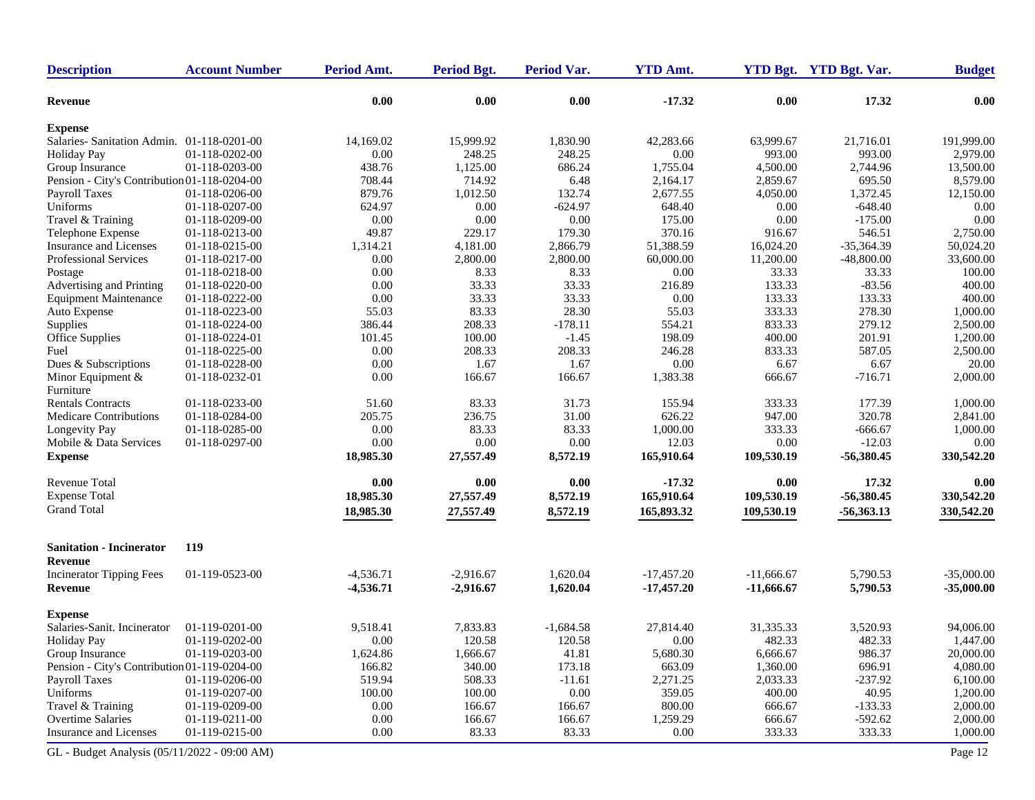| <b>Description</b>                                        | <b>Account Number</b> | Period Amt. | <b>Period Bgt.</b> | Period Var.     | <b>YTD Amt.</b>  |              | YTD Bgt. YTD Bgt. Var. | <b>Budget</b> |
|-----------------------------------------------------------|-----------------------|-------------|--------------------|-----------------|------------------|--------------|------------------------|---------------|
| <b>Revenue</b>                                            |                       | 0.00        | 0.00               | 0.00            | $-17.32$         | 0.00         | 17.32                  | 0.00          |
| <b>Expense</b>                                            |                       |             |                    |                 |                  |              |                        |               |
| Salaries-Sanitation Admin. 01-118-0201-00                 |                       | 14,169.02   | 15,999.92          | 1,830.90        | 42,283.66        | 63,999.67    | 21,716.01              | 191,999.00    |
| <b>Holiday Pay</b>                                        | 01-118-0202-00        | 0.00        | 248.25             | 248.25          | 0.00             | 993.00       | 993.00                 | 2,979.00      |
| Group Insurance                                           | 01-118-0203-00        | 438.76      | 1,125.00           | 686.24          | 1,755.04         | 4,500.00     | 2,744.96               | 13,500.00     |
| Pension - City's Contribution 01-118-0204-00              |                       | 708.44      | 714.92             | 6.48            | 2,164.17         | 2,859.67     | 695.50                 | 8,579.00      |
| Payroll Taxes                                             | 01-118-0206-00        | 879.76      | 1,012.50           | 132.74          | 2,677.55         | 4,050.00     | 1,372.45               | 12,150.00     |
| Uniforms                                                  | 01-118-0207-00        | 624.97      | 0.00               | $-624.97$       | 648.40           | 0.00         | $-648.40$              | 0.00          |
| Travel & Training                                         | 01-118-0209-00        | 0.00        | 0.00               | 0.00            | 175.00           | 0.00         | $-175.00$              | 0.00          |
| Telephone Expense                                         | 01-118-0213-00        | 49.87       | 229.17             | 179.30          | 370.16           | 916.67       | 546.51                 | 2,750.00      |
| Insurance and Licenses                                    | 01-118-0215-00        | 1,314.21    | 4,181.00           | 2,866.79        | 51,388.59        | 16,024.20    | $-35,364.39$           | 50,024.20     |
| Professional Services                                     | 01-118-0217-00        | 0.00        | 2,800.00           | 2,800.00        | 60,000.00        | 11,200.00    | $-48,800.00$           | 33,600.00     |
| Postage                                                   | 01-118-0218-00        | 0.00        | 8.33               | 8.33            | 0.00             | 33.33        | 33.33                  | 100.00        |
| Advertising and Printing                                  | 01-118-0220-00        | 0.00        | 33.33              | 33.33           | 216.89           | 133.33       | $-83.56$               | 400.00        |
| <b>Equipment Maintenance</b>                              | 01-118-0222-00        | 0.00        | 33.33              | 33.33           | 0.00             | 133.33       | 133.33                 | 400.00        |
| Auto Expense                                              | 01-118-0223-00        | 55.03       | 83.33              | 28.30           | 55.03            | 333.33       | 278.30                 | 1,000.00      |
| Supplies                                                  | 01-118-0224-00        | 386.44      | 208.33             | $-178.11$       | 554.21           | 833.33       | 279.12                 | 2,500.00      |
| Office Supplies                                           | 01-118-0224-01        | 101.45      | 100.00             | $-1.45$         | 198.09           | 400.00       | 201.91                 | 1,200.00      |
| Fuel                                                      | 01-118-0225-00        | 0.00        | 208.33             | 208.33          | 246.28           | 833.33       | 587.05                 | 2,500.00      |
| Dues & Subscriptions                                      | 01-118-0228-00        | 0.00        | 1.67               | 1.67            | 0.00             | 6.67         | 6.67                   | 20.00         |
| Minor Equipment &                                         | 01-118-0232-01        | 0.00        | 166.67             | 166.67          | 1,383.38         | 666.67       | $-716.71$              | 2,000.00      |
| Furniture                                                 |                       |             |                    |                 |                  |              |                        |               |
|                                                           | 01-118-0233-00        |             |                    |                 |                  |              |                        |               |
| <b>Rentals Contracts</b><br><b>Medicare Contributions</b> |                       | 51.60       | 83.33              | 31.73           | 155.94           | 333.33       | 177.39                 | 1,000.00      |
|                                                           | 01-118-0284-00        | 205.75      | 236.75             | 31.00           | 626.22           | 947.00       | 320.78                 | 2,841.00      |
| Longevity Pay                                             | 01-118-0285-00        | 0.00        | 83.33              | 83.33           | 1,000.00         | 333.33       | $-666.67$              | 1,000.00      |
| Mobile & Data Services                                    | 01-118-0297-00        | 0.00        | 0.00               | $0.00\,$        | 12.03            | 0.00         | $-12.03$               | 0.00          |
| <b>Expense</b>                                            |                       | 18,985.30   | 27,557.49          | 8,572.19        | 165,910.64       | 109,530.19   | $-56,380.45$           | 330,542.20    |
| <b>Revenue Total</b>                                      |                       | 0.00        | 0.00               | 0.00            | $-17.32$         | 0.00         | 17.32                  | 0.00          |
| <b>Expense Total</b>                                      |                       | 18,985.30   | 27,557.49          | 8,572.19        | 165,910.64       | 109,530.19   | $-56,380.45$           | 330,542.20    |
| <b>Grand Total</b>                                        |                       | 18,985.30   | 27,557.49          | 8,572.19        | 165,893.32       | 109,530.19   | $-56,363.13$           | 330,542.20    |
| <b>Sanitation - Incinerator</b>                           | 119                   |             |                    |                 |                  |              |                        |               |
| Revenue                                                   |                       |             |                    |                 |                  |              |                        |               |
| <b>Incinerator Tipping Fees</b>                           | 01-119-0523-00        | $-4,536.71$ | $-2,916.67$        | 1,620.04        | $-17,457.20$     | $-11,666.67$ | 5,790.53               | $-35,000.00$  |
| Revenue                                                   |                       | $-4,536.71$ | $-2,916.67$        | 1,620.04        | $-17,457.20$     | $-11,666.67$ | 5,790.53               | $-35,000.00$  |
| <b>Expense</b>                                            |                       |             |                    |                 |                  |              |                        |               |
| Salaries-Sanit. Incinerator                               | 01-119-0201-00        | 9,518.41    | 7,833.83           | $-1.684.58$     | 27.814.40        | 31,335.33    | 3,520.93               | 94,006.00     |
| <b>Holiday Pay</b>                                        | 01-119-0202-00        | 0.00        | 120.58             | 120.58          | 0.00             | 482.33       | 482.33                 | 1,447.00      |
| Group Insurance                                           | 01-119-0203-00        | 1,624.86    | 1,666.67           | 41.81           | 5,680.30         | 6,666.67     | 986.37                 | 20,000.00     |
| Pension - City's Contribution 01-119-0204-00              |                       | 166.82      | 340.00             | 173.18          | 663.09           | 1,360.00     | 696.91                 | 4,080.00      |
| Payroll Taxes                                             | 01-119-0206-00        | 519.94      | 508.33             | $-11.61$        | 2,271.25         | 2,033.33     | $-237.92$              | 6,100.00      |
| Uniforms                                                  | 01-119-0207-00        | 100.00      | 100.00             | 0.00            | 359.05           | 400.00       | 40.95                  | 1,200.00      |
| Travel & Training                                         | 01-119-0209-00        | 0.00        | 166.67             | 166.67          | 800.00           | 666.67       | $-133.33$              | 2,000.00      |
| Overtime Salaries                                         | 01-119-0211-00        |             |                    |                 |                  |              |                        |               |
| Insurance and Licenses                                    | 01-119-0215-00        | 0.00        | 166.67<br>83.33    | 166.67<br>83.33 | 1,259.29<br>0.00 | 666.67       | $-592.62$<br>333.33    | 2,000.00      |
|                                                           |                       | 0.00        |                    |                 |                  | 333.33       |                        | 1,000.00      |
| GL - Budget Analysis (05/11/2022 - 09:00 AM)              |                       |             |                    |                 |                  |              |                        | Page 12       |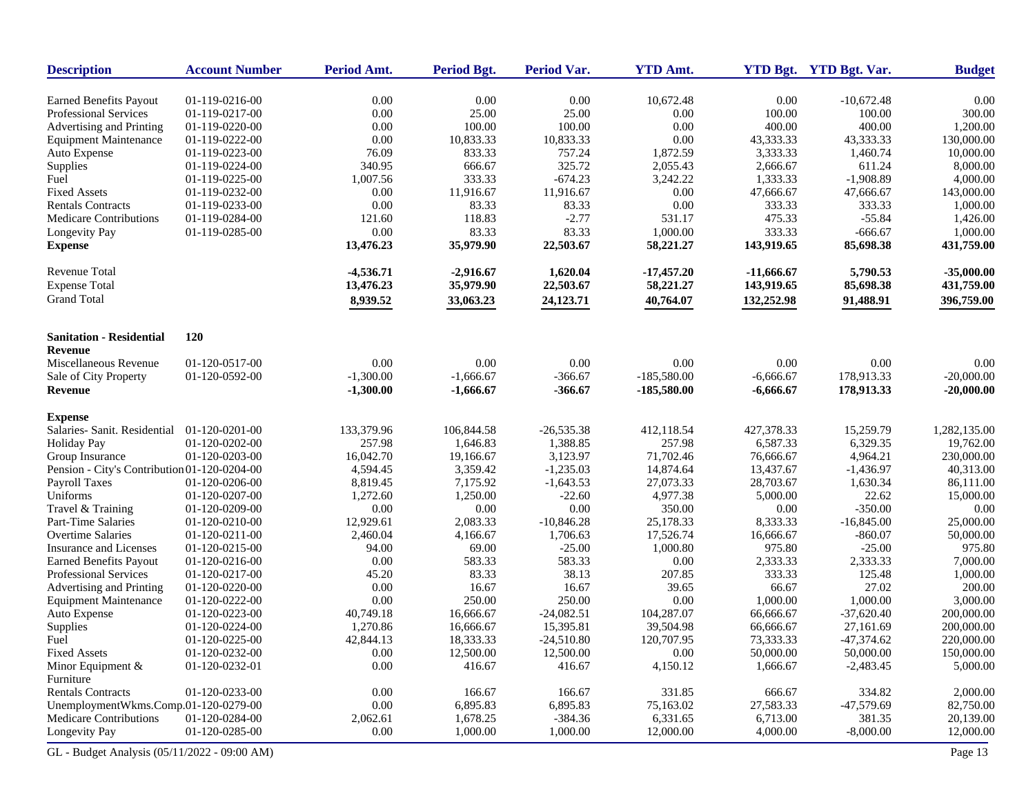| <b>Description</b>                             | <b>Account Number</b>            | Period Amt.      | <b>Period Bgt.</b>   | <b>Period Var.</b>    | <b>YTD Amt.</b>       |                      | YTD Bgt. YTD Bgt. Var. | <b>Budget</b>          |
|------------------------------------------------|----------------------------------|------------------|----------------------|-----------------------|-----------------------|----------------------|------------------------|------------------------|
| <b>Earned Benefits Payout</b>                  | 01-119-0216-00                   | 0.00             | 0.00                 | 0.00                  | 10,672.48             | 0.00                 | $-10,672.48$           | 0.00                   |
| Professional Services                          | 01-119-0217-00                   | 0.00             | 25.00                | 25.00                 | 0.00                  | 100.00               | 100.00                 | 300.00                 |
| Advertising and Printing                       | 01-119-0220-00                   | 0.00             | 100.00               | 100.00                | 0.00                  | 400.00               | 400.00                 | 1,200.00               |
| <b>Equipment Maintenance</b>                   | 01-119-0222-00                   | 0.00             | 10,833.33            | 10,833.33             | 0.00                  | 43,333.33            | 43,333.33              | 130,000.00             |
| Auto Expense                                   | 01-119-0223-00                   | 76.09            | 833.33               | 757.24                | 1,872.59              | 3,333.33             | 1,460.74               | 10,000.00              |
| Supplies                                       | 01-119-0224-00                   | 340.95           | 666.67               | 325.72                | 2,055.43              | 2,666.67             | 611.24                 | 8,000.00               |
| Fuel                                           | 01-119-0225-00                   | 1,007.56         | 333.33               | $-674.23$             | 3,242.22              | 1,333.33             | $-1,908.89$            | 4,000.00               |
| <b>Fixed Assets</b>                            | 01-119-0232-00                   | 0.00             | 11,916.67            | 11,916.67             | 0.00                  | 47,666.67            | 47,666.67              | 143,000.00             |
| <b>Rentals Contracts</b>                       | 01-119-0233-00                   | 0.00             | 83.33                | 83.33                 | 0.00                  | 333.33               | 333.33                 | 1,000.00               |
| <b>Medicare Contributions</b>                  | 01-119-0284-00                   | 121.60           | 118.83               | $-2.77$               | 531.17                | 475.33               | $-55.84$               | 1,426.00               |
| Longevity Pay                                  | 01-119-0285-00                   | 0.00             | 83.33                | 83.33                 | 1,000.00              | 333.33               | $-666.67$              | 1,000.00               |
| <b>Expense</b>                                 |                                  | 13,476.23        | 35,979.90            | 22,503.67             | 58,221.27             | 143,919.65           | 85,698.38              | 431,759.00             |
| Revenue Total                                  |                                  | $-4,536.71$      | $-2,916.67$          | 1,620.04              | $-17,457.20$          | $-11,666.67$         | 5,790.53               | $-35,000.00$           |
| <b>Expense Total</b>                           |                                  | 13,476.23        | 35,979.90            | 22,503.67             | 58,221.27             | 143,919.65           | 85,698.38              | 431,759.00             |
| <b>Grand Total</b>                             |                                  | 8,939.52         | 33,063.23            | 24,123.71             | 40,764.07             | 132,252.98           | 91,488.91              | 396,759.00             |
| <b>Sanitation - Residential</b>                | <b>120</b>                       |                  |                      |                       |                       |                      |                        |                        |
| <b>Revenue</b>                                 |                                  |                  |                      |                       |                       |                      |                        |                        |
| Miscellaneous Revenue                          | 01-120-0517-00                   | 0.00             | 0.00                 | 0.00                  | 0.00                  | 0.00                 | 0.00                   | 0.00                   |
| Sale of City Property                          | 01-120-0592-00                   | $-1,300.00$      | $-1,666.67$          | $-366.67$             | $-185,580.00$         | $-6,666.67$          | 178,913.33             | $-20,000.00$           |
| <b>Revenue</b>                                 |                                  | $-1,300.00$      | $-1,666.67$          | $-366.67$             | $-185,580.00$         | $-6,666.67$          | 178,913.33             | $-20,000.00$           |
| <b>Expense</b>                                 |                                  |                  |                      |                       |                       |                      |                        |                        |
| Salaries- Sanit. Residential                   | 01-120-0201-00                   | 133,379.96       | 106,844.58           | $-26,535.38$          | 412,118.54            | 427,378.33           | 15,259.79              | 1,282,135.00           |
| <b>Holiday Pay</b>                             | 01-120-0202-00                   | 257.98           | 1,646.83             | 1,388.85              | 257.98                | 6,587.33             | 6,329.35               | 19,762.00              |
| Group Insurance                                | 01-120-0203-00                   | 16,042.70        | 19,166.67            | 3,123.97              | 71,702.46             | 76,666.67            | 4,964.21               | 230,000.00             |
| Pension - City's Contribution 01-120-0204-00   |                                  | 4,594.45         | 3,359.42             | $-1,235.03$           | 14,874.64             | 13,437.67            | $-1,436.97$            | 40,313.00              |
| Payroll Taxes                                  | 01-120-0206-00                   | 8,819.45         | 7,175.92             | $-1,643.53$           | 27,073.33             | 28,703.67            | 1,630.34               | 86,111.00              |
| Uniforms                                       | 01-120-0207-00                   | 1,272.60         | 1,250.00             | $-22.60$              | 4,977.38              | 5,000.00             | 22.62                  | 15,000.00              |
| Travel & Training                              | 01-120-0209-00                   | 0.00             | 0.00                 | 0.00                  | 350.00                | 0.00                 | $-350.00$              | 0.00                   |
| Part-Time Salaries                             | 01-120-0210-00                   | 12,929.61        | 2,083.33             | $-10,846.28$          | 25,178.33             | 8,333.33             | $-16,845.00$           | 25,000.00              |
| <b>Overtime Salaries</b>                       | 01-120-0211-00                   | 2,460.04         | 4,166.67             | 1,706.63              | 17,526.74             | 16,666.67            | $-860.07$              | 50,000.00              |
| Insurance and Licenses                         | 01-120-0215-00                   | 94.00            | 69.00                | $-25.00$              | 1,000.80              | 975.80               | $-25.00$               | 975.80                 |
| <b>Earned Benefits Payout</b>                  | 01-120-0216-00                   | 0.00             | 583.33               | 583.33                | 0.00                  | 2,333.33             | 2,333.33               | 7,000.00               |
| Professional Services                          | 01-120-0217-00                   | 45.20            | 83.33                | 38.13                 | 207.85                | 333.33               | 125.48                 | 1,000.00               |
| Advertising and Printing                       | 01-120-0220-00                   | 0.00             | 16.67                | 16.67                 | 39.65                 | 66.67                | 27.02                  | 200.00                 |
| <b>Equipment Maintenance</b>                   | 01-120-0222-00                   | 0.00             | 250.00               | 250.00                | 0.00                  | 1,000.00             | 1,000.00               | 3,000.00               |
| Auto Expense                                   | 01-120-0223-00                   | 40,749.18        | 16,666.67            | $-24,082.51$          | 104,287.07            | 66,666.67            | $-37,620.40$           | 200,000.00             |
| Supplies                                       | 01-120-0224-00                   | 1,270.86         | 16,666.67            | 15,395.81             | 39,504.98             | 66,666.67            | 27,161.69              | 200,000.00             |
| Fuel                                           | 01-120-0225-00                   | 42,844.13        | 18,333.33            | $-24,510.80$          | 120,707.95            | 73,333.33            | $-47,374.62$           | 220,000.00             |
| <b>Fixed Assets</b>                            | 01-120-0232-00                   | 0.00             | 12,500.00            | 12,500.00             | $0.00\,$              | 50,000.00            | 50,000.00              | 150,000.00             |
| Minor Equipment &                              | 01-120-0232-01                   | 0.00             | 416.67               | 416.67                | 4,150.12              | 1,666.67             | $-2,483.45$            | 5,000.00               |
| Furniture                                      |                                  |                  |                      |                       |                       |                      |                        |                        |
| <b>Rentals Contracts</b>                       | 01-120-0233-00                   | 0.00             | 166.67               | 166.67                | 331.85                | 666.67               | 334.82                 | 2,000.00               |
| UnemploymentWkms.Comp.01-120-0279-00           |                                  | $0.00\,$         | 6,895.83             | 6,895.83              | 75,163.02             | 27,583.33            | $-47,579.69$           | 82,750.00              |
| Medicare Contributions<br><b>Longevity Pay</b> | 01-120-0284-00<br>01-120-0285-00 | 2,062.61<br>0.00 | 1,678.25<br>1,000.00 | $-384.36$<br>1,000.00 | 6,331.65<br>12,000.00 | 6,713.00<br>4,000.00 | 381.35<br>$-8,000.00$  | 20,139.00<br>12,000.00 |
| GL - Budget Analysis (05/11/2022 - 09:00 AM)   |                                  |                  |                      |                       |                       |                      |                        | Page 13                |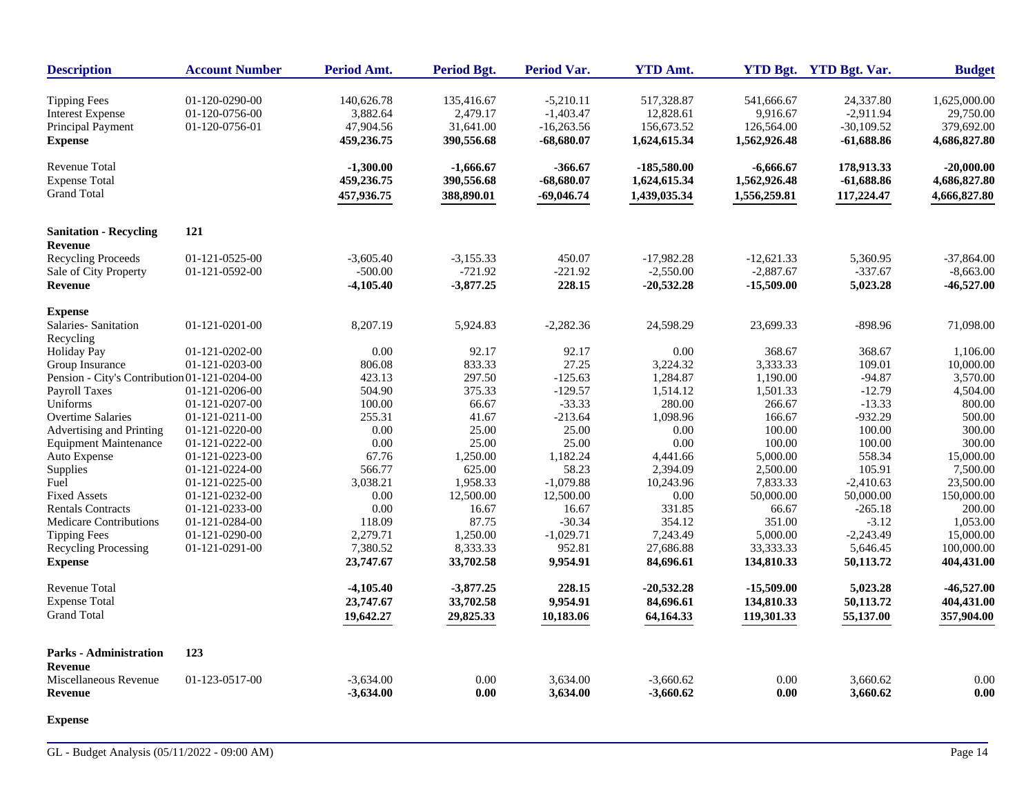| <b>Description</b>                                                                    | <b>Account Number</b>                              | Period Amt.                                       | Period Bgt.                                       | <b>Period Var.</b>                                         | <b>YTD Amt.</b>                                       |                                                      | YTD Bgt. YTD Bgt. Var.                                   | <b>Budget</b>                                           |
|---------------------------------------------------------------------------------------|----------------------------------------------------|---------------------------------------------------|---------------------------------------------------|------------------------------------------------------------|-------------------------------------------------------|------------------------------------------------------|----------------------------------------------------------|---------------------------------------------------------|
| <b>Tipping Fees</b><br><b>Interest Expense</b><br>Principal Payment<br><b>Expense</b> | 01-120-0290-00<br>01-120-0756-00<br>01-120-0756-01 | 140,626.78<br>3,882.64<br>47,904.56<br>459,236.75 | 135,416.67<br>2,479.17<br>31,641.00<br>390,556.68 | $-5,210.11$<br>$-1,403.47$<br>$-16,263.56$<br>$-68,680.07$ | 517,328.87<br>12,828.61<br>156,673.52<br>1,624,615.34 | 541,666.67<br>9,916.67<br>126,564.00<br>1,562,926.48 | 24,337.80<br>$-2,911.94$<br>$-30,109.52$<br>$-61,688.86$ | 1,625,000.00<br>29,750.00<br>379,692.00<br>4,686,827.80 |
| <b>Revenue Total</b><br><b>Expense Total</b><br><b>Grand Total</b>                    |                                                    | $-1,300.00$<br>459,236.75<br>457,936.75           | $-1,666.67$<br>390,556.68<br>388,890.01           | $-366.67$<br>$-68,680.07$<br>$-69,046.74$                  | $-185,580.00$<br>1,624,615.34<br>1,439,035.34         | $-6,666.67$<br>1,562,926.48<br>1,556,259.81          | 178,913.33<br>$-61,688.86$<br>117,224.47                 | $-20,000.00$<br>4,686,827.80<br>4,666,827.80            |
| <b>Sanitation - Recycling</b><br><b>Revenue</b>                                       | 121                                                |                                                   |                                                   |                                                            |                                                       |                                                      |                                                          |                                                         |
| <b>Recycling Proceeds</b><br>Sale of City Property<br><b>Revenue</b>                  | 01-121-0525-00<br>01-121-0592-00                   | $-3,605.40$<br>$-500.00$<br>$-4,105.40$           | $-3,155.33$<br>$-721.92$<br>$-3,877.25$           | 450.07<br>$-221.92$<br>228.15                              | $-17,982.28$<br>$-2,550.00$<br>$-20,532.28$           | $-12,621.33$<br>$-2,887.67$<br>$-15,509.00$          | 5,360.95<br>$-337.67$<br>5,023.28                        | $-37,864.00$<br>$-8,663.00$<br>$-46,527.00$             |
| <b>Expense</b>                                                                        |                                                    |                                                   |                                                   |                                                            |                                                       |                                                      |                                                          |                                                         |
| Salaries-Sanitation<br>Recycling                                                      | 01-121-0201-00                                     | 8,207.19                                          | 5,924.83                                          | $-2,282.36$                                                | 24,598.29                                             | 23,699.33                                            | $-898.96$                                                | 71,098.00                                               |
| <b>Holiday Pay</b>                                                                    | 01-121-0202-00                                     | 0.00                                              | 92.17                                             | 92.17                                                      | 0.00                                                  | 368.67                                               | 368.67                                                   | 1,106.00                                                |
| Group Insurance                                                                       | 01-121-0203-00                                     | 806.08                                            | 833.33                                            | 27.25                                                      | 3,224.32                                              | 3,333.33                                             | 109.01                                                   | 10,000.00                                               |
| Pension - City's Contribution 01-121-0204-00                                          |                                                    | 423.13                                            | 297.50                                            | $-125.63$                                                  | 1,284.87                                              | 1,190.00                                             | $-94.87$                                                 | 3,570.00                                                |
| <b>Payroll Taxes</b>                                                                  | 01-121-0206-00                                     | 504.90                                            | 375.33                                            | $-129.57$                                                  | 1,514.12                                              | 1,501.33                                             | $-12.79$                                                 | 4,504.00                                                |
| Uniforms                                                                              | 01-121-0207-00                                     | 100.00                                            | 66.67                                             | $-33.33$                                                   | 280.00                                                | 266.67                                               | $-13.33$                                                 | 800.00                                                  |
| <b>Overtime Salaries</b>                                                              | 01-121-0211-00                                     | 255.31                                            | 41.67                                             | $-213.64$                                                  | 1,098.96                                              | 166.67                                               | $-932.29$                                                | 500.00                                                  |
| Advertising and Printing                                                              | 01-121-0220-00                                     | 0.00                                              | 25.00                                             | 25.00                                                      | 0.00                                                  | 100.00                                               | 100.00                                                   | 300.00                                                  |
| <b>Equipment Maintenance</b>                                                          | 01-121-0222-00                                     | 0.00                                              | 25.00                                             | 25.00                                                      | 0.00                                                  | 100.00                                               | 100.00                                                   | 300.00                                                  |
| Auto Expense                                                                          | 01-121-0223-00<br>01-121-0224-00                   | 67.76<br>566.77                                   | 1,250.00<br>625.00                                | 1,182.24<br>58.23                                          | 4,441.66<br>2,394.09                                  | 5,000.00<br>2,500.00                                 | 558.34<br>105.91                                         | 15,000.00<br>7,500.00                                   |
| Supplies<br>Fuel                                                                      |                                                    | 3,038.21                                          | 1,958.33                                          | $-1,079.88$                                                |                                                       | 7,833.33                                             |                                                          |                                                         |
| <b>Fixed Assets</b>                                                                   | 01-121-0225-00<br>01-121-0232-00                   | 0.00                                              | 12,500.00                                         | 12,500.00                                                  | 10,243.96<br>0.00                                     | 50,000.00                                            | $-2,410.63$<br>50,000.00                                 | 23,500.00<br>150,000.00                                 |
| <b>Rentals Contracts</b>                                                              | 01-121-0233-00                                     | 0.00                                              | 16.67                                             | 16.67                                                      | 331.85                                                | 66.67                                                | $-265.18$                                                | 200.00                                                  |
| <b>Medicare Contributions</b>                                                         | 01-121-0284-00                                     | 118.09                                            | 87.75                                             | $-30.34$                                                   | 354.12                                                | 351.00                                               | $-3.12$                                                  | 1,053.00                                                |
| <b>Tipping Fees</b>                                                                   | 01-121-0290-00                                     | 2,279.71                                          | 1,250.00                                          | $-1,029.71$                                                | 7,243.49                                              | 5,000.00                                             | $-2,243.49$                                              | 15,000.00                                               |
| Recycling Processing                                                                  | 01-121-0291-00                                     | 7,380.52                                          | 8,333.33                                          | 952.81                                                     | 27,686.88                                             | 33,333.33                                            | 5,646.45                                                 | 100,000.00                                              |
| <b>Expense</b>                                                                        |                                                    | 23,747.67                                         | 33,702.58                                         | 9,954.91                                                   | 84,696.61                                             | 134,810.33                                           | 50,113.72                                                | 404,431.00                                              |
| Revenue Total                                                                         |                                                    | $-4,105.40$                                       | $-3,877.25$                                       | 228.15                                                     | $-20,532,28$                                          | $-15,509.00$                                         | 5,023.28                                                 | $-46,527.00$                                            |
| <b>Expense Total</b>                                                                  |                                                    | 23,747.67                                         | 33,702.58                                         | 9,954.91                                                   | 84,696.61                                             | 134,810.33                                           | 50,113.72                                                | 404,431.00                                              |
| <b>Grand Total</b>                                                                    |                                                    | 19,642.27                                         | 29,825.33                                         | 10,183.06                                                  | 64,164.33                                             | 119,301.33                                           | 55,137.00                                                | 357,904.00                                              |
| <b>Parks - Administration</b>                                                         | 123                                                |                                                   |                                                   |                                                            |                                                       |                                                      |                                                          |                                                         |
| <b>Revenue</b>                                                                        |                                                    |                                                   |                                                   |                                                            |                                                       |                                                      |                                                          |                                                         |
| Miscellaneous Revenue<br><b>Revenue</b>                                               | 01-123-0517-00                                     | $-3,634.00$<br>$-3,634.00$                        | 0.00<br>0.00                                      | 3,634.00<br>3,634.00                                       | $-3,660.62$<br>$-3,660.62$                            | 0.00<br>0.00                                         | 3,660.62<br>3,660.62                                     | 0.00<br>0.00                                            |

**Expense**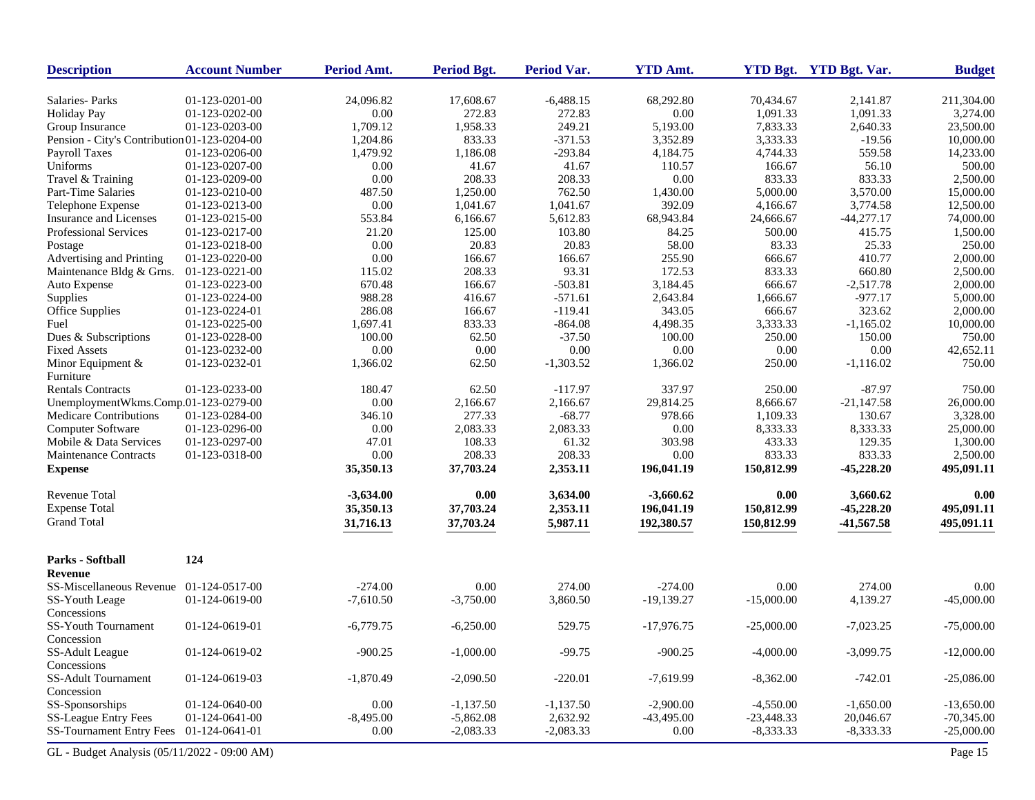| <b>Description</b>                           | <b>Account Number</b> | Period Amt.       | <b>Period Bgt.</b>  | <b>Period Var.</b> | <b>YTD Amt.</b>    |                      | YTD Bgt. YTD Bgt. Var. | <b>Budget</b>          |
|----------------------------------------------|-----------------------|-------------------|---------------------|--------------------|--------------------|----------------------|------------------------|------------------------|
| Salaries-Parks                               | 01-123-0201-00        | 24,096.82         | 17,608.67           | $-6,488.15$        | 68,292.80          | 70,434.67            | 2.141.87               | 211,304.00             |
| <b>Holiday Pay</b>                           | 01-123-0202-00        | $0.00\,$          | 272.83              | 272.83             | 0.00               | 1,091.33             | 1,091.33               | 3,274.00               |
| Group Insurance                              | 01-123-0203-00        | 1,709.12          | 1,958.33            | 249.21             | 5,193.00           | 7,833.33             | 2,640.33               | 23,500.00              |
| Pension - City's Contribution 01-123-0204-00 |                       | 1,204.86          | 833.33              | $-371.53$          | 3,352.89           | 3,333.33             | $-19.56$               | 10,000.00              |
| Payroll Taxes                                | 01-123-0206-00        | 1,479.92          | 1,186.08            | $-293.84$          | 4,184.75           | 4,744.33             | 559.58                 | 14,233.00              |
| Uniforms                                     | 01-123-0207-00        | 0.00              | 41.67               | 41.67              | 110.57             | 166.67               | 56.10                  | 500.00                 |
| Travel & Training                            | 01-123-0209-00        | 0.00              | 208.33              | 208.33             | 0.00               | 833.33               | 833.33                 | 2,500.00               |
| Part-Time Salaries                           | 01-123-0210-00        | 487.50            | 1,250.00            | 762.50             | 1,430.00           | 5,000.00             | 3,570.00               | 15,000.00              |
| Telephone Expense                            | 01-123-0213-00        | 0.00              | 1,041.67            | 1,041.67           | 392.09             | 4,166.67             | 3,774.58               | 12,500.00              |
| Insurance and Licenses                       | 01-123-0215-00        | 553.84            | 6,166.67            | 5,612.83           | 68,943.84          | 24,666.67            | $-44,277.17$           | 74,000.00              |
| <b>Professional Services</b>                 | 01-123-0217-00        | 21.20             | 125.00              | 103.80             | 84.25              | 500.00               | 415.75                 | 1,500.00               |
| Postage                                      | 01-123-0218-00        | 0.00              | 20.83               | 20.83              | 58.00              | 83.33                | 25.33                  | 250.00                 |
| Advertising and Printing                     | 01-123-0220-00        | 0.00              | 166.67              | 166.67             | 255.90             | 666.67               | 410.77                 | 2,000.00               |
| Maintenance Bldg & Grns.                     | 01-123-0221-00        | 115.02            | 208.33              | 93.31              | 172.53             | 833.33               | 660.80                 | 2,500.00               |
| Auto Expense                                 | 01-123-0223-00        | 670.48            | 166.67              | $-503.81$          | 3,184.45           | 666.67               | $-2,517.78$            | 2,000.00               |
| Supplies                                     | 01-123-0224-00        | 988.28            | 416.67              | $-571.61$          | 2,643.84           | 1,666.67             | $-977.17$              | 5,000.00               |
| Office Supplies                              | 01-123-0224-01        | 286.08            | 166.67              | $-119.41$          | 343.05             | 666.67               | 323.62                 | 2,000.00               |
| Fuel                                         | 01-123-0225-00        | 1,697.41          | 833.33              | $-864.08$          | 4,498.35           | 3,333.33             | $-1,165.02$            | 10,000.00              |
| Dues & Subscriptions                         | 01-123-0228-00        | 100.00            | 62.50               | $-37.50$           | 100.00             | 250.00               | 150.00                 | 750.00                 |
| <b>Fixed Assets</b>                          | 01-123-0232-00        | 0.00              | 0.00                | 0.00               | 0.00               | 0.00                 | 0.00                   | 42,652.11              |
| Minor Equipment $&$                          | 01-123-0232-01        | 1,366.02          | 62.50               | $-1,303.52$        | 1,366.02           | 250.00               | $-1,116.02$            | 750.00                 |
| Furniture                                    |                       |                   |                     |                    |                    |                      |                        |                        |
| <b>Rentals Contracts</b>                     |                       | 180.47            |                     | $-117.97$          | 337.97             | 250.00               |                        | 750.00                 |
|                                              | 01-123-0233-00        | 0.00              | 62.50               |                    | 29,814.25          |                      | $-87.97$               |                        |
| UnemploymentWkms.Comp.01-123-0279-00         |                       |                   | 2,166.67            | 2,166.67           |                    | 8,666.67             | $-21,147.58$           | 26,000.00              |
| <b>Medicare Contributions</b>                | 01-123-0284-00        | 346.10            | 277.33              | $-68.77$           | 978.66<br>0.00     | 1,109.33             | 130.67                 | 3,328.00               |
| Computer Software                            | 01-123-0296-00        | 0.00              | 2,083.33            | 2,083.33           |                    | 8,333.33             | 8,333.33               | 25,000.00              |
| Mobile & Data Services                       | 01-123-0297-00        | 47.01             | 108.33              | 61.32              | 303.98             | 433.33               | 129.35                 | 1,300.00               |
| Maintenance Contracts<br><b>Expense</b>      | 01-123-0318-00        | 0.00<br>35,350.13 | 208.33<br>37,703.24 | 208.33<br>2,353.11 | 0.00<br>196,041.19 | 833.33<br>150,812.99 | 833.33<br>$-45,228.20$ | 2,500.00<br>495,091.11 |
| Revenue Total                                |                       | $-3,634.00$       | 0.00                | 3,634.00           | $-3,660.62$        | 0.00                 | 3,660.62               | 0.00                   |
| <b>Expense Total</b>                         |                       |                   |                     | 2,353.11           |                    |                      |                        |                        |
| <b>Grand Total</b>                           |                       | 35,350.13         | 37,703.24           |                    | 196,041.19         | 150,812.99           | $-45,228.20$           | 495,091.11             |
|                                              |                       | 31,716.13         | 37,703.24           | 5,987.11           | 192,380.57         | 150,812.99           | $-41,567.58$           | 495,091.11             |
| Parks - Softball                             | 124                   |                   |                     |                    |                    |                      |                        |                        |
| Revenue                                      |                       |                   |                     |                    |                    |                      |                        |                        |
| SS-Miscellaneous Revenue                     | 01-124-0517-00        | $-274.00$         | 0.00                | 274.00             | $-274.00$          | 0.00                 | 274.00                 | 0.00                   |
| SS-Youth Leage                               | 01-124-0619-00        | $-7,610.50$       | $-3,750.00$         | 3,860.50           | $-19,139.27$       | $-15,000.00$         | 4,139.27               | $-45,000.00$           |
| Concessions                                  |                       |                   |                     |                    |                    |                      |                        |                        |
| SS-Youth Tournament                          | 01-124-0619-01        | $-6,779.75$       | $-6,250.00$         | 529.75             | $-17,976.75$       | $-25,000.00$         | $-7,023.25$            | $-75,000.00$           |
| Concession                                   |                       |                   |                     |                    |                    |                      |                        |                        |
| SS-Adult League                              | 01-124-0619-02        | $-900.25$         | $-1,000.00$         | $-99.75$           | $-900.25$          | $-4,000.00$          | $-3,099.75$            | $-12,000.00$           |
| Concessions                                  |                       |                   |                     |                    |                    |                      |                        |                        |
| SS-Adult Tournament                          | 01-124-0619-03        | $-1,870.49$       | $-2,090.50$         | $-220.01$          | $-7,619.99$        | $-8,362.00$          | $-742.01$              | $-25,086.00$           |
| Concession                                   |                       |                   |                     |                    |                    |                      |                        |                        |
| SS-Sponsorships                              | 01-124-0640-00        | 0.00              | $-1,137.50$         | $-1,137.50$        | $-2,900.00$        | $-4,550.00$          | $-1,650.00$            | $-13,650.00$           |
| SS-League Entry Fees                         | 01-124-0641-00        | $-8,495.00$       | $-5,862.08$         | 2,632.92           | $-43,495.00$       | $-23,448.33$         | 20,046.67              | $-70,345.00$           |
| SS-Tournament Entry Fees 01-124-0641-01      |                       | 0.00              | $-2,083.33$         | $-2,083.33$        | $0.00\,$           | $-8,333.33$          | $-8,333.33$            | $-25,000.00$           |
|                                              |                       |                   |                     |                    |                    |                      |                        |                        |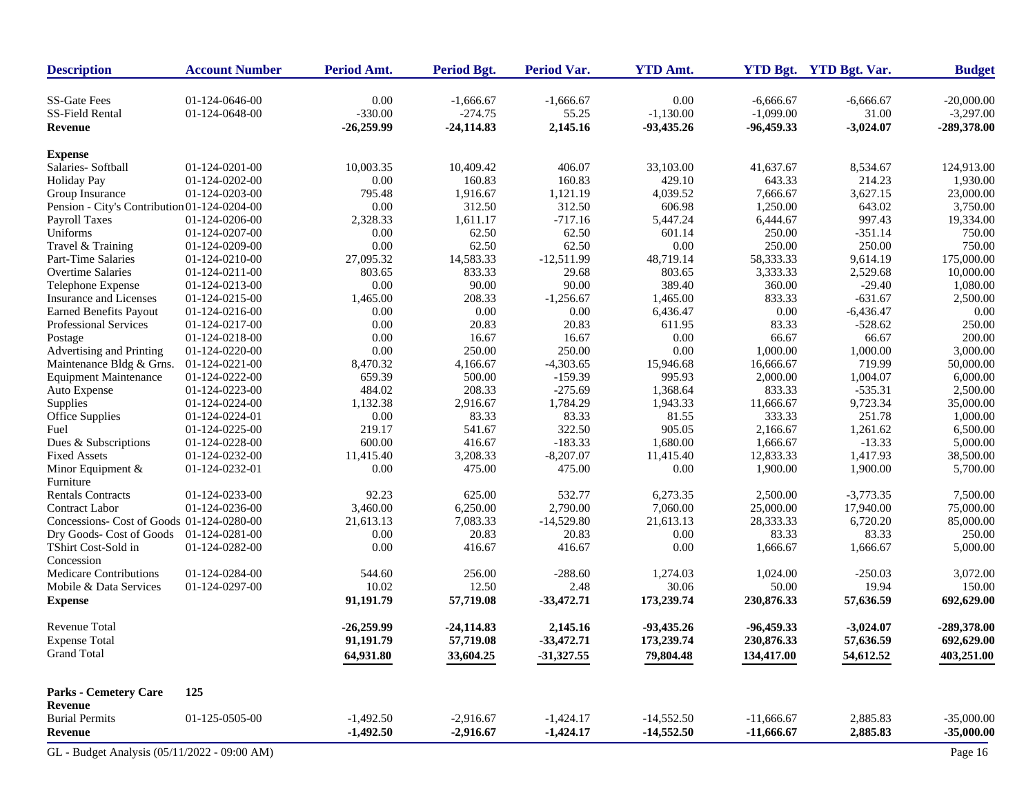| <b>Description</b>                           | <b>Account Number</b> | Period Amt.  | <b>Period Bgt.</b> | Period Var.  | <b>YTD Amt.</b> |              | YTD Bgt. YTD Bgt. Var. | <b>Budget</b> |
|----------------------------------------------|-----------------------|--------------|--------------------|--------------|-----------------|--------------|------------------------|---------------|
| <b>SS-Gate Fees</b>                          | 01-124-0646-00        | 0.00         | $-1,666.67$        | $-1,666.67$  | 0.00            | $-6,666.67$  | $-6,666.67$            | $-20,000.00$  |
| SS-Field Rental                              | 01-124-0648-00        | $-330.00$    | $-274.75$          | 55.25        | $-1,130.00$     | $-1,099.00$  | 31.00                  | $-3,297.00$   |
| <b>Revenue</b>                               |                       | $-26,259.99$ | $-24,114.83$       | 2,145.16     | $-93,435.26$    | -96,459.33   | $-3,024.07$            | -289,378.00   |
| <b>Expense</b>                               |                       |              |                    |              |                 |              |                        |               |
| Salaries-Softball                            | 01-124-0201-00        | 10,003.35    | 10,409.42          | 406.07       | 33,103.00       | 41,637.67    | 8,534.67               | 124,913.00    |
| <b>Holiday Pay</b>                           | 01-124-0202-00        | 0.00         | 160.83             | 160.83       | 429.10          | 643.33       | 214.23                 | 1,930.00      |
| Group Insurance                              | 01-124-0203-00        | 795.48       | 1,916.67           | 1,121.19     | 4,039.52        | 7,666.67     | 3,627.15               | 23,000.00     |
| Pension - City's Contribution 01-124-0204-00 |                       | 0.00         | 312.50             | 312.50       | 606.98          | 1,250.00     | 643.02                 | 3,750.00      |
| Payroll Taxes                                | 01-124-0206-00        | 2,328.33     | 1,611.17           | $-717.16$    | 5,447.24        | 6,444.67     | 997.43                 | 19,334.00     |
| Uniforms                                     | 01-124-0207-00        | 0.00         | 62.50              | 62.50        | 601.14          | 250.00       | $-351.14$              | 750.00        |
| Travel & Training                            | 01-124-0209-00        | 0.00         | 62.50              | 62.50        | 0.00            | 250.00       | 250.00                 | 750.00        |
| Part-Time Salaries                           | 01-124-0210-00        | 27,095.32    | 14,583.33          | $-12,511.99$ | 48,719.14       | 58,333.33    | 9,614.19               | 175,000.00    |
| <b>Overtime Salaries</b>                     | 01-124-0211-00        | 803.65       | 833.33             | 29.68        | 803.65          | 3,333.33     | 2,529.68               | 10,000.00     |
| Telephone Expense                            | 01-124-0213-00        | 0.00         | 90.00              | 90.00        | 389.40          | 360.00       | $-29.40$               | 1,080.00      |
| Insurance and Licenses                       | 01-124-0215-00        | 1,465.00     | 208.33             | $-1,256.67$  | 1,465.00        | 833.33       | $-631.67$              | 2,500.00      |
| <b>Earned Benefits Payout</b>                | 01-124-0216-00        | 0.00         | 0.00               | 0.00         | 6,436.47        | 0.00         | $-6,436.47$            | 0.00          |
| Professional Services                        | 01-124-0217-00        | 0.00         | 20.83              | 20.83        | 611.95          | 83.33        | $-528.62$              | 250.00        |
| Postage                                      | 01-124-0218-00        | 0.00         | 16.67              | 16.67        | 0.00            | 66.67        | 66.67                  | 200.00        |
| Advertising and Printing                     | 01-124-0220-00        | 0.00         | 250.00             | 250.00       | 0.00            | 1,000.00     | 1,000.00               | 3,000.00      |
| Maintenance Bldg & Grns.                     | 01-124-0221-00        | 8,470.32     | 4,166.67           | $-4,303.65$  | 15,946.68       | 16,666.67    | 719.99                 | 50,000.00     |
| <b>Equipment Maintenance</b>                 | 01-124-0222-00        | 659.39       | 500.00             | $-159.39$    | 995.93          | 2,000.00     | 1,004.07               | 6,000.00      |
| Auto Expense                                 | 01-124-0223-00        | 484.02       | 208.33             | $-275.69$    | 1,368.64        | 833.33       | $-535.31$              | 2,500.00      |
| Supplies                                     | 01-124-0224-00        | 1,132.38     | 2,916.67           | 1,784.29     | 1,943.33        | 11,666.67    | 9,723.34               | 35,000.00     |
| Office Supplies                              | 01-124-0224-01        | 0.00         | 83.33              | 83.33        | 81.55           | 333.33       | 251.78                 | 1,000.00      |
| Fuel                                         | 01-124-0225-00        | 219.17       | 541.67             | 322.50       | 905.05          | 2,166.67     | 1,261.62               | 6,500.00      |
| Dues & Subscriptions                         | 01-124-0228-00        | 600.00       | 416.67             | $-183.33$    | 1,680.00        | 1,666.67     | $-13.33$               | 5,000.00      |
| <b>Fixed Assets</b>                          | 01-124-0232-00        | 11,415.40    | 3,208.33           | $-8,207.07$  | 11,415.40       | 12,833.33    | 1,417.93               | 38,500.00     |
| Minor Equipment $&$                          | 01-124-0232-01        | 0.00         | 475.00             | 475.00       | 0.00            | 1,900.00     | 1,900.00               | 5,700.00      |
| Furniture                                    |                       |              |                    |              |                 |              |                        |               |
| <b>Rentals Contracts</b>                     | 01-124-0233-00        | 92.23        | 625.00             | 532.77       | 6,273.35        | 2,500.00     | $-3,773.35$            | 7,500.00      |
| <b>Contract Labor</b>                        | 01-124-0236-00        | 3,460.00     | 6,250.00           | 2,790.00     | 7,060.00        | 25,000.00    | 17,940.00              | 75,000.00     |
| Concessions- Cost of Goods 01-124-0280-00    |                       | 21,613.13    | 7,083.33           | $-14,529.80$ | 21,613.13       | 28,333.33    | 6,720.20               | 85,000.00     |
| Dry Goods- Cost of Goods                     | 01-124-0281-00        | 0.00         | 20.83              | 20.83        | 0.00            | 83.33        | 83.33                  | 250.00        |
| TShirt Cost-Sold in                          | 01-124-0282-00        | 0.00         | 416.67             | 416.67       | 0.00            | 1,666.67     | 1,666.67               | 5,000.00      |
| Concession                                   |                       |              |                    |              |                 |              |                        |               |
| <b>Medicare Contributions</b>                | 01-124-0284-00        | 544.60       | 256.00             | $-288.60$    | 1,274.03        | 1,024.00     | $-250.03$              | 3,072.00      |
| Mobile & Data Services                       | 01-124-0297-00        | 10.02        | 12.50              | 2.48         | 30.06           | 50.00        | 19.94                  | 150.00        |
| <b>Expense</b>                               |                       | 91,191.79    | 57,719.08          | $-33,472.71$ | 173,239.74      | 230,876.33   | 57,636.59              | 692,629.00    |
| <b>Revenue Total</b>                         |                       | $-26,259.99$ | $-24,114.83$       | 2,145.16     | $-93,435,26$    | -96,459.33   | $-3,024.07$            | -289,378.00   |
| <b>Expense Total</b>                         |                       | 91.191.79    | 57,719.08          | $-33,472.71$ | 173,239.74      | 230,876.33   | 57,636.59              | 692,629.00    |
| <b>Grand Total</b>                           |                       | 64,931.80    | 33,604.25          | $-31,327.55$ | 79,804.48       | 134,417.00   | 54,612.52              | 403,251.00    |
|                                              |                       |              |                    |              |                 |              |                        |               |
| <b>Parks - Cemetery Care</b>                 | 125                   |              |                    |              |                 |              |                        |               |
| Revenue<br><b>Burial Permits</b>             |                       |              |                    |              |                 |              |                        | $-35,000.00$  |
|                                              | 01-125-0505-00        | $-1,492.50$  | $-2,916.67$        | $-1,424.17$  | $-14,552.50$    | $-11,666.67$ | 2,885.83               |               |
| Revenue                                      |                       | $-1,492.50$  | $-2,916.67$        | $-1,424.17$  | $-14,552.50$    | $-11,666.67$ | 2,885.83               | $-35,000.00$  |
| GL - Budget Analysis (05/11/2022 - 09:00 AM) |                       |              |                    |              |                 |              |                        | Page 16       |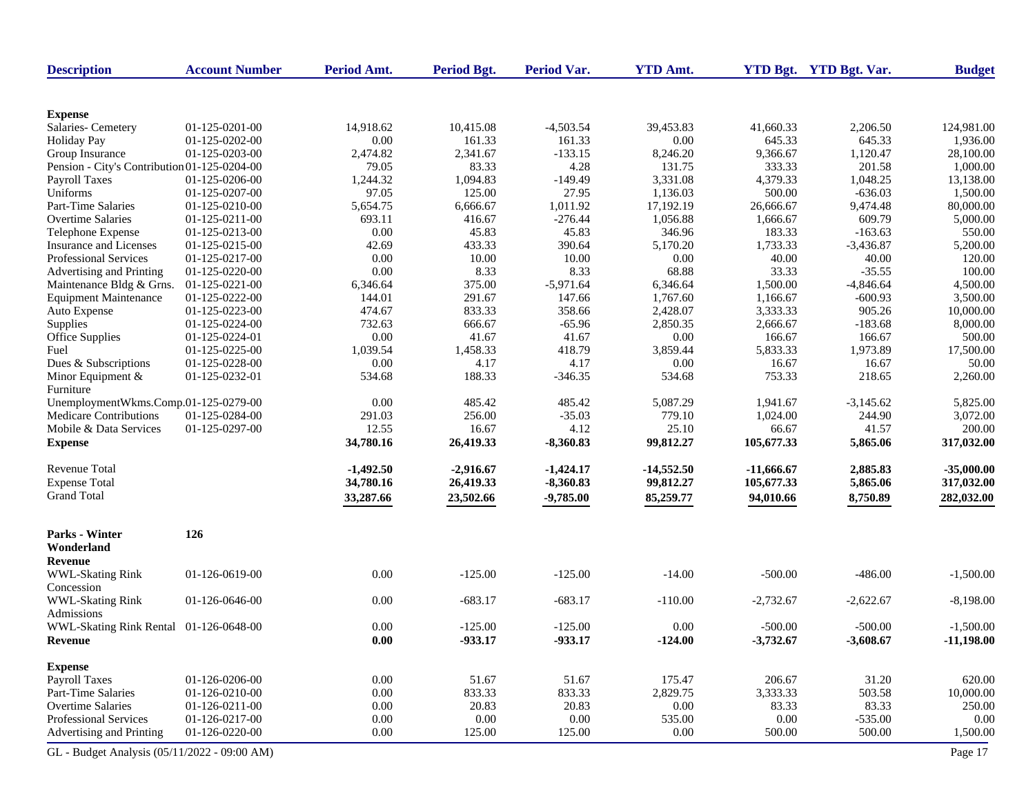| <b>Description</b>                           | <b>Account Number</b> | Period Amt.         | <b>Period Bgt.</b> | <b>Period Var.</b> | <b>YTD Amt.</b> |              | YTD Bgt. YTD Bgt. Var. | <b>Budget</b> |
|----------------------------------------------|-----------------------|---------------------|--------------------|--------------------|-----------------|--------------|------------------------|---------------|
|                                              |                       |                     |                    |                    |                 |              |                        |               |
| <b>Expense</b>                               |                       |                     |                    |                    |                 |              |                        |               |
| Salaries- Cemetery                           | 01-125-0201-00        | 14,918.62           | 10,415.08          | $-4,503.54$        | 39,453.83       | 41,660.33    | 2,206.50               | 124,981.00    |
| <b>Holiday Pay</b>                           | 01-125-0202-00        | 0.00                | 161.33             | 161.33             | 0.00            | 645.33       | 645.33                 | 1,936.00      |
| Group Insurance                              | 01-125-0203-00        | 2,474.82            | 2,341.67           | $-133.15$          | 8,246.20        | 9,366.67     | 1,120.47               | 28,100.00     |
| Pension - City's Contribution 01-125-0204-00 |                       | 79.05               | 83.33              | 4.28               | 131.75          | 333.33       | 201.58                 | 1,000.00      |
| Payroll Taxes                                | 01-125-0206-00        | 1,244.32            | 1,094.83           | $-149.49$          | 3,331.08        | 4,379.33     | 1,048.25               | 13,138.00     |
| Uniforms                                     | 01-125-0207-00        | 97.05               | 125.00             | 27.95              | 1,136.03        | 500.00       | $-636.03$              | 1,500.00      |
| Part-Time Salaries                           | 01-125-0210-00        | 5,654.75            | 6,666.67           | 1,011.92           | 17,192.19       | 26,666.67    | 9,474.48               | 80,000.00     |
| <b>Overtime Salaries</b>                     | 01-125-0211-00        | 693.11              | 416.67             | $-276.44$          | 1,056.88        | 1,666.67     | 609.79                 | 5,000.00      |
| Telephone Expense                            | 01-125-0213-00        | 0.00                | 45.83              | 45.83              | 346.96          | 183.33       | $-163.63$              | 550.00        |
| Insurance and Licenses                       | 01-125-0215-00        | 42.69               | 433.33             | 390.64             | 5,170.20        | 1,733.33     | $-3,436.87$            | 5,200.00      |
| <b>Professional Services</b>                 | 01-125-0217-00        | 0.00                | 10.00              | 10.00              | 0.00            | 40.00        | 40.00                  | 120.00        |
| Advertising and Printing                     | 01-125-0220-00        | 0.00                | 8.33               | 8.33               | 68.88           | 33.33        | $-35.55$               | 100.00        |
| Maintenance Bldg & Grns.                     | 01-125-0221-00        | 6,346.64            | 375.00             | $-5,971.64$        | 6,346.64        | 1,500.00     | $-4,846.64$            | 4,500.00      |
| <b>Equipment Maintenance</b>                 | 01-125-0222-00        | 144.01              | 291.67             | 147.66             | 1,767.60        | 1,166.67     | $-600.93$              | 3,500.00      |
| Auto Expense                                 | 01-125-0223-00        | 474.67              | 833.33             | 358.66             | 2,428.07        | 3,333.33     | 905.26                 | 10,000.00     |
| Supplies                                     | 01-125-0224-00        | 732.63              | 666.67             | $-65.96$           | 2,850.35        | 2,666.67     | $-183.68$              | 8,000.00      |
| Office Supplies                              | 01-125-0224-01        | 0.00                | 41.67              | 41.67              | 0.00            | 166.67       | 166.67                 | 500.00        |
| Fuel                                         | 01-125-0225-00        | 1,039.54            | 1,458.33           | 418.79             | 3,859.44        | 5,833.33     | 1,973.89               | 17,500.00     |
| Dues & Subscriptions                         | 01-125-0228-00        | 0.00                | 4.17               | 4.17               | 0.00            | 16.67        | 16.67                  | 50.00         |
| Minor Equipment &<br>Furniture               | 01-125-0232-01        | 534.68              | 188.33             | $-346.35$          | 534.68          | 753.33       | 218.65                 | 2,260.00      |
| UnemploymentWkms.Comp.01-125-0279-00         |                       | 0.00                | 485.42             | 485.42             | 5,087.29        | 1,941.67     | $-3,145.62$            | 5,825.00      |
| Medicare Contributions                       | 01-125-0284-00        | 291.03              | 256.00             | $-35.03$           | 779.10          | 1,024.00     | 244.90                 | 3,072.00      |
| Mobile & Data Services                       | 01-125-0297-00        | 12.55               | 16.67              | 4.12               | 25.10           | 66.67        | 41.57                  | 200.00        |
| <b>Expense</b>                               |                       | 34,780.16           | 26,419.33          | $-8,360.83$        | 99,812.27       | 105,677.33   | 5,865.06               | 317,032.00    |
| <b>Revenue Total</b>                         |                       | $-1,492.50$         | $-2,916.67$        | $-1,424.17$        | $-14,552.50$    | $-11,666.67$ | 2,885.83               | $-35,000.00$  |
| <b>Expense Total</b>                         |                       | 34,780.16           | 26,419.33          | $-8,360.83$        | 99,812.27       | 105,677.33   | 5,865.06               | 317,032.00    |
| <b>Grand Total</b>                           |                       |                     |                    |                    |                 |              |                        |               |
|                                              |                       | 33,287.66           | 23,502.66          | $-9,785.00$        | 85,259.77       | 94,010.66    | 8,750.89               | 282,032.00    |
| Parks - Winter<br>Wonderland                 | 126                   |                     |                    |                    |                 |              |                        |               |
| Revenue                                      |                       |                     |                    |                    |                 |              |                        |               |
| <b>WWL-Skating Rink</b>                      | 01-126-0619-00        | 0.00                | $-125.00$          | $-125.00$          | $-14.00$        | $-500.00$    | $-486.00$              | $-1,500.00$   |
| Concession                                   |                       |                     |                    |                    |                 |              |                        |               |
| <b>WWL-Skating Rink</b><br>Admissions        | 01-126-0646-00        | 0.00                | $-683.17$          | $-683.17$          | $-110.00$       | $-2,732.67$  | $-2,622.67$            | $-8,198.00$   |
| WWL-Skating Rink Rental 01-126-0648-00       |                       | 0.00                | $-125.00$          | $-125.00$          | 0.00            | $-500.00$    | $-500.00$              | $-1,500.00$   |
| Revenue                                      |                       | $\boldsymbol{0.00}$ | $-933.17$          | $-933.17$          | $-124.00$       | $-3,732.67$  | $-3,608.67$            | $-11,198.00$  |
|                                              |                       |                     |                    |                    |                 |              |                        |               |
| <b>Expense</b>                               |                       |                     |                    |                    |                 |              |                        |               |
| <b>Payroll Taxes</b>                         | 01-126-0206-00        | 0.00                | 51.67              | 51.67              | 175.47          | 206.67       | 31.20                  | 620.00        |
| Part-Time Salaries                           | 01-126-0210-00        | 0.00                | 833.33             | 833.33             | 2,829.75        | 3,333.33     | 503.58                 | 10,000.00     |
| Overtime Salaries                            | 01-126-0211-00        | 0.00                | 20.83              | 20.83              | 0.00            | 83.33        | 83.33                  | 250.00        |
| <b>Professional Services</b>                 | 01-126-0217-00        | 0.00                | 0.00               | $0.00\,$           | 535.00          | 0.00         | $-535.00$              | 0.00          |
| Advertising and Printing                     | 01-126-0220-00        | 0.00                | 125.00             | 125.00             | 0.00            | 500.00       | 500.00                 | 1,500.00      |
| GL - Budget Analysis (05/11/2022 - 09:00 AM) |                       |                     |                    |                    |                 |              |                        | Page 17       |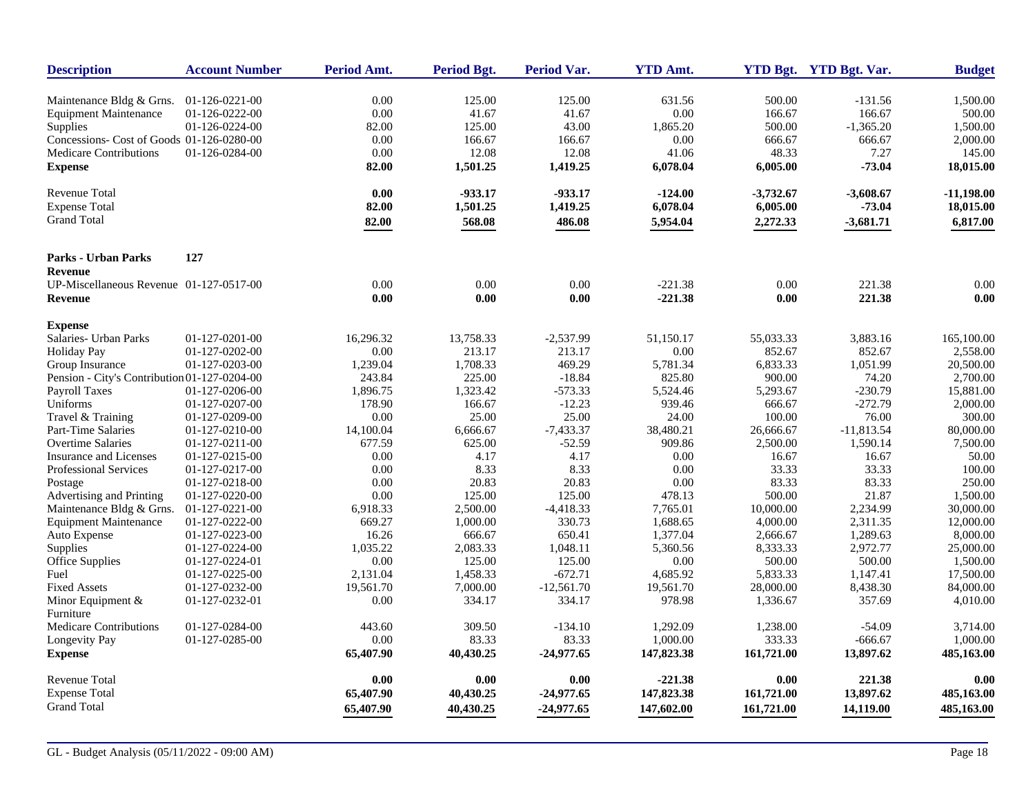| Maintenance Bldg & Grns.<br>$01-126-0221-00$<br><b>Equipment Maintenance</b><br>01-126-0222-00<br>01-126-0224-00<br>Supplies<br>Concessions- Cost of Goods 01-126-0280-00<br><b>Medicare Contributions</b><br>01-126-0284-00<br><b>Expense</b> | $0.00\,$<br>$0.00\,$<br>82.00<br>0.00<br>0.00<br>82.00<br>0.00<br>82.00<br>82.00 | 125.00<br>41.67<br>125.00<br>166.67<br>12.08<br>1,501.25<br>$-933.17$ | 125.00<br>41.67<br>43.00<br>166.67<br>12.08<br>1,419.25 | 631.56<br>0.00<br>1,865.20<br>0.00<br>41.06<br>6,078.04 | 500.00<br>166.67<br>500.00<br>666.67<br>48.33<br>6,005.00 | $-131.56$<br>166.67<br>$-1,365.20$<br>666.67<br>7.27 | 1,500.00<br>500.00<br>1,500.00<br>2,000.00<br>145.00 |
|------------------------------------------------------------------------------------------------------------------------------------------------------------------------------------------------------------------------------------------------|----------------------------------------------------------------------------------|-----------------------------------------------------------------------|---------------------------------------------------------|---------------------------------------------------------|-----------------------------------------------------------|------------------------------------------------------|------------------------------------------------------|
|                                                                                                                                                                                                                                                |                                                                                  |                                                                       |                                                         |                                                         |                                                           |                                                      |                                                      |
|                                                                                                                                                                                                                                                |                                                                                  |                                                                       |                                                         |                                                         |                                                           |                                                      |                                                      |
|                                                                                                                                                                                                                                                |                                                                                  |                                                                       |                                                         |                                                         |                                                           |                                                      |                                                      |
|                                                                                                                                                                                                                                                |                                                                                  |                                                                       |                                                         |                                                         |                                                           |                                                      |                                                      |
|                                                                                                                                                                                                                                                |                                                                                  |                                                                       |                                                         |                                                         |                                                           |                                                      |                                                      |
|                                                                                                                                                                                                                                                |                                                                                  |                                                                       |                                                         |                                                         |                                                           | $-73.04$                                             | 18,015.00                                            |
| <b>Revenue Total</b>                                                                                                                                                                                                                           |                                                                                  |                                                                       | $-933.17$                                               | $-124.00$                                               | $-3,732.67$                                               | $-3,608.67$                                          | $-11,198.00$                                         |
| <b>Expense Total</b>                                                                                                                                                                                                                           |                                                                                  | 1,501.25                                                              | 1,419.25                                                | 6,078.04                                                | 6,005.00                                                  | $-73.04$                                             | 18,015.00                                            |
| <b>Grand Total</b>                                                                                                                                                                                                                             |                                                                                  | 568.08                                                                | 486.08                                                  | 5,954.04                                                | 2,272.33                                                  | $-3,681.71$                                          | 6,817.00                                             |
| 127<br><b>Parks - Urban Parks</b>                                                                                                                                                                                                              |                                                                                  |                                                                       |                                                         |                                                         |                                                           |                                                      |                                                      |
| <b>Revenue</b>                                                                                                                                                                                                                                 |                                                                                  |                                                                       |                                                         |                                                         |                                                           |                                                      |                                                      |
| UP-Miscellaneous Revenue 01-127-0517-00                                                                                                                                                                                                        | 0.00                                                                             | 0.00                                                                  | 0.00                                                    | $-221.38$                                               | 0.00                                                      | 221.38                                               | 0.00                                                 |
| <b>Revenue</b>                                                                                                                                                                                                                                 | 0.00                                                                             | 0.00                                                                  | 0.00                                                    | $-221.38$                                               | 0.00                                                      | 221.38                                               | 0.00                                                 |
| <b>Expense</b>                                                                                                                                                                                                                                 |                                                                                  |                                                                       |                                                         |                                                         |                                                           |                                                      |                                                      |
| Salaries- Urban Parks<br>01-127-0201-00                                                                                                                                                                                                        | 16,296.32                                                                        | 13,758.33                                                             | $-2,537.99$                                             | 51,150.17                                               | 55,033.33                                                 | 3,883.16                                             | 165,100.00                                           |
| 01-127-0202-00<br>Holiday Pay                                                                                                                                                                                                                  | $0.00\,$                                                                         | 213.17                                                                | 213.17                                                  | 0.00                                                    | 852.67                                                    | 852.67                                               | 2,558.00                                             |
| Group Insurance<br>01-127-0203-00                                                                                                                                                                                                              | 1,239.04                                                                         | 1,708.33                                                              | 469.29                                                  | 5,781.34                                                | 6,833.33                                                  | 1,051.99                                             | 20,500.00                                            |
| Pension - City's Contribution 01-127-0204-00                                                                                                                                                                                                   | 243.84                                                                           | 225.00                                                                | $-18.84$                                                | 825.80                                                  | 900.00                                                    | 74.20                                                | 2,700.00                                             |
| <b>Payroll Taxes</b><br>01-127-0206-00                                                                                                                                                                                                         | 1,896.75                                                                         | 1,323.42                                                              | $-573.33$                                               | 5,524.46                                                | 5,293.67                                                  | $-230.79$                                            | 15,881.00                                            |
| Uniforms<br>01-127-0207-00                                                                                                                                                                                                                     | 178.90                                                                           | 166.67                                                                | $-12.23$                                                | 939.46                                                  | 666.67                                                    | $-272.79$                                            | 2,000.00                                             |
| Travel & Training<br>01-127-0209-00                                                                                                                                                                                                            | 0.00                                                                             | 25.00                                                                 | 25.00                                                   | 24.00                                                   | 100.00                                                    | 76.00                                                | 300.00                                               |
| Part-Time Salaries<br>01-127-0210-00                                                                                                                                                                                                           | 14,100.04                                                                        | 6,666.67                                                              | $-7,433.37$                                             | 38,480.21                                               | 26,666.67                                                 | $-11,813.54$                                         | 80,000.00                                            |
| <b>Overtime Salaries</b><br>01-127-0211-00                                                                                                                                                                                                     | 677.59                                                                           | 625.00                                                                | $-52.59$                                                | 909.86                                                  | 2,500.00                                                  | 1,590.14                                             | 7,500.00                                             |
| <b>Insurance and Licenses</b><br>01-127-0215-00                                                                                                                                                                                                | 0.00                                                                             | 4.17                                                                  | 4.17                                                    | 0.00                                                    | 16.67                                                     | 16.67                                                | 50.00                                                |
| <b>Professional Services</b><br>01-127-0217-00                                                                                                                                                                                                 | 0.00                                                                             | 8.33                                                                  | 8.33                                                    | 0.00                                                    | 33.33                                                     | 33.33                                                | 100.00                                               |
| Postage<br>01-127-0218-00                                                                                                                                                                                                                      | 0.00                                                                             | 20.83                                                                 | 20.83                                                   | 0.00                                                    | 83.33                                                     | 83.33                                                | 250.00                                               |
| Advertising and Printing<br>01-127-0220-00                                                                                                                                                                                                     | 0.00                                                                             | 125.00                                                                | 125.00                                                  | 478.13                                                  | 500.00                                                    | 21.87                                                | 1,500.00                                             |
| Maintenance Bldg & Grns.<br>01-127-0221-00                                                                                                                                                                                                     | 6,918.33                                                                         | 2,500.00                                                              | $-4,418.33$                                             | 7,765.01                                                | 10,000.00                                                 | 2,234.99                                             | 30,000.00                                            |
| <b>Equipment Maintenance</b><br>01-127-0222-00                                                                                                                                                                                                 | 669.27                                                                           | 1,000.00                                                              | 330.73                                                  | 1,688.65                                                | 4,000.00                                                  | 2,311.35                                             | 12,000.00                                            |
| Auto Expense<br>01-127-0223-00                                                                                                                                                                                                                 | 16.26                                                                            | 666.67                                                                | 650.41                                                  | 1,377.04                                                | 2,666.67                                                  | 1,289.63                                             | 8,000.00                                             |
| Supplies<br>01-127-0224-00                                                                                                                                                                                                                     | 1,035.22                                                                         | 2,083.33                                                              | 1,048.11                                                | 5,360.56                                                | 8,333.33                                                  | 2,972.77                                             | 25,000.00                                            |
| Office Supplies<br>01-127-0224-01                                                                                                                                                                                                              | $0.00\,$                                                                         | 125.00                                                                | 125.00                                                  | 0.00                                                    | 500.00                                                    | 500.00                                               | 1,500.00                                             |
| Fuel<br>01-127-0225-00                                                                                                                                                                                                                         | 2,131.04                                                                         | 1,458.33                                                              | $-672.71$                                               | 4,685.92                                                | 5,833.33                                                  | 1,147.41                                             | 17,500.00                                            |
| 01-127-0232-00<br><b>Fixed Assets</b>                                                                                                                                                                                                          | 19,561.70                                                                        | 7,000.00                                                              | $-12,561.70$                                            | 19,561.70                                               | 28,000.00                                                 | 8,438.30                                             | 84,000.00                                            |
| Minor Equipment &<br>01-127-0232-01                                                                                                                                                                                                            | 0.00                                                                             | 334.17                                                                | 334.17                                                  | 978.98                                                  | 1,336.67                                                  | 357.69                                               | 4,010.00                                             |
| Furniture                                                                                                                                                                                                                                      |                                                                                  |                                                                       |                                                         |                                                         |                                                           |                                                      |                                                      |
| <b>Medicare Contributions</b><br>01-127-0284-00                                                                                                                                                                                                | 443.60                                                                           | 309.50                                                                | $-134.10$                                               | 1.292.09                                                | 1,238.00                                                  | $-54.09$                                             | 3,714.00                                             |
| Longevity Pay<br>01-127-0285-00                                                                                                                                                                                                                | 0.00                                                                             | 83.33                                                                 | 83.33                                                   | 1,000.00                                                | 333.33                                                    | $-666.67$                                            | 1,000.00                                             |
| <b>Expense</b>                                                                                                                                                                                                                                 | 65,407.90                                                                        | 40,430.25                                                             | $-24,977.65$                                            | 147,823.38                                              | 161,721.00                                                | 13,897.62                                            | 485,163.00                                           |
| <b>Revenue Total</b>                                                                                                                                                                                                                           | 0.00                                                                             | 0.00                                                                  | 0.00                                                    | $-221.38$                                               | 0.00                                                      | 221.38                                               | 0.00                                                 |
| <b>Expense Total</b>                                                                                                                                                                                                                           | 65,407.90                                                                        | 40,430.25                                                             | $-24,977.65$                                            | 147,823.38                                              | 161,721.00                                                | 13,897.62                                            | 485,163.00                                           |
| <b>Grand Total</b>                                                                                                                                                                                                                             | 65,407.90                                                                        | 40,430.25                                                             | $-24,977.65$                                            | 147,602.00                                              | 161,721.00                                                | 14,119.00                                            | 485,163.00                                           |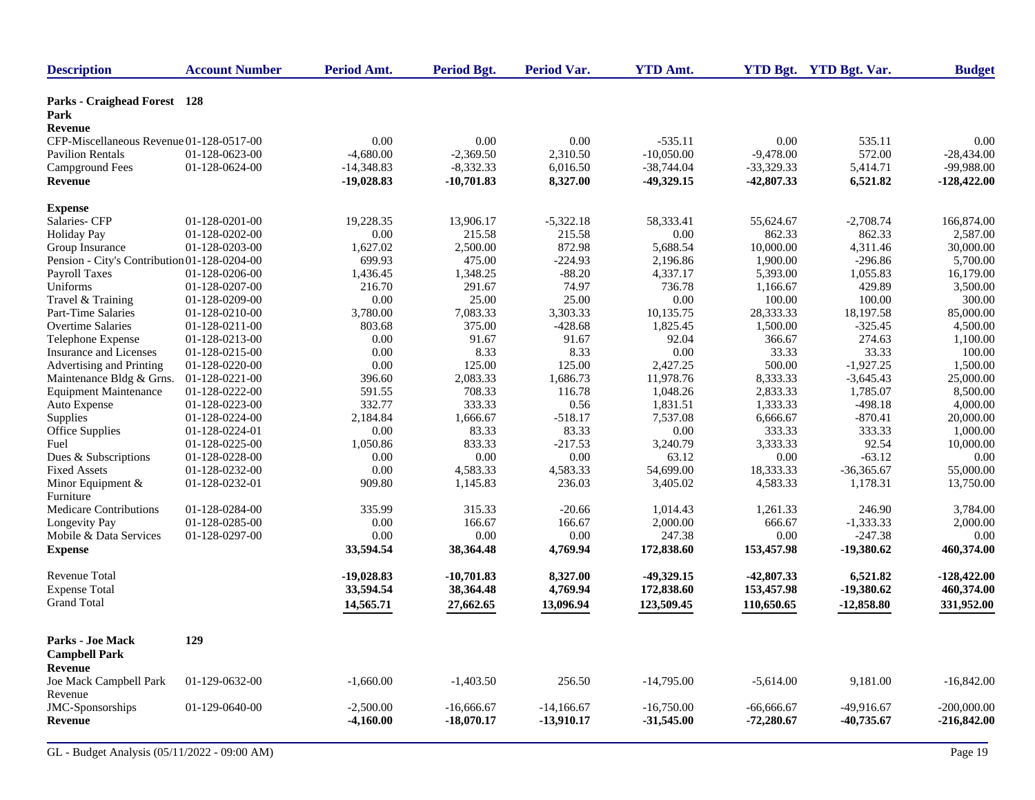| <b>Description</b>                           | <b>Account Number</b> | Period Amt.  | <b>Period Bgt.</b> | Period Var.  | <b>YTD Amt.</b> |              | YTD Bgt. YTD Bgt. Var. | <b>Budget</b> |
|----------------------------------------------|-----------------------|--------------|--------------------|--------------|-----------------|--------------|------------------------|---------------|
| <b>Parks - Craighead Forest</b> 128<br>Park  |                       |              |                    |              |                 |              |                        |               |
| Revenue                                      |                       |              |                    |              |                 |              |                        |               |
| CFP-Miscellaneous Revenue 01-128-0517-00     |                       | 0.00         | 0.00               | $0.00\,$     | $-535.11$       | 0.00         | 535.11                 | 0.00          |
| <b>Pavilion Rentals</b>                      | 01-128-0623-00        | $-4,680.00$  | $-2,369.50$        | 2,310.50     | $-10,050.00$    | $-9,478.00$  | 572.00                 | $-28,434.00$  |
| <b>Campground Fees</b>                       | 01-128-0624-00        | $-14,348.83$ | $-8,332.33$        | 6,016.50     | $-38,744.04$    | $-33,329.33$ | 5,414.71               | -99,988.00    |
| Revenue                                      |                       | $-19,028.83$ | $-10,701.83$       | 8,327.00     | $-49,329.15$    | $-42,807.33$ | 6,521.82               | $-128,422.00$ |
| <b>Expense</b>                               |                       |              |                    |              |                 |              |                        |               |
| Salaries- CFP                                | 01-128-0201-00        | 19,228.35    | 13,906.17          | $-5,322.18$  | 58,333.41       | 55,624.67    | $-2,708.74$            | 166,874.00    |
| <b>Holiday Pay</b>                           | 01-128-0202-00        | $0.00\,$     | 215.58             | 215.58       | 0.00            | 862.33       | 862.33                 | 2,587.00      |
| Group Insurance                              | 01-128-0203-00        | 1,627.02     | 2,500.00           | 872.98       | 5,688.54        | 10,000.00    | 4,311.46               | 30,000.00     |
| Pension - City's Contribution 01-128-0204-00 |                       | 699.93       | 475.00             | $-224.93$    | 2,196.86        | 1,900.00     | $-296.86$              | 5,700.00      |
| <b>Payroll Taxes</b>                         | 01-128-0206-00        | 1,436.45     | 1,348.25           | $-88.20$     | 4,337.17        | 5,393.00     | 1,055.83               | 16,179.00     |
| Uniforms                                     | 01-128-0207-00        | 216.70       | 291.67             | 74.97        | 736.78          | 1,166.67     | 429.89                 | 3,500.00      |
| Travel & Training                            | 01-128-0209-00        | 0.00         | 25.00              | 25.00        | 0.00            | 100.00       | 100.00                 | 300.00        |
| Part-Time Salaries                           | 01-128-0210-00        | 3,780.00     | 7,083.33           | 3,303.33     | 10,135.75       | 28,333.33    | 18,197.58              | 85,000.00     |
| <b>Overtime Salaries</b>                     | 01-128-0211-00        | 803.68       | 375.00             | $-428.68$    | 1,825.45        | 1,500.00     | $-325.45$              | 4,500.00      |
| Telephone Expense                            | 01-128-0213-00        | 0.00         | 91.67              | 91.67        | 92.04           | 366.67       | 274.63                 | 1,100.00      |
| Insurance and Licenses                       | 01-128-0215-00        | 0.00         | 8.33               | 8.33         | 0.00            | 33.33        | 33.33                  | 100.00        |
| Advertising and Printing                     | 01-128-0220-00        | 0.00         | 125.00             | 125.00       | 2,427.25        | 500.00       | $-1,927.25$            | 1,500.00      |
| Maintenance Bldg & Grns.                     | 01-128-0221-00        | 396.60       | 2,083.33           | 1,686.73     | 11,978.76       | 8,333.33     | $-3.645.43$            | 25,000.00     |
| <b>Equipment Maintenance</b>                 | 01-128-0222-00        | 591.55       | 708.33             | 116.78       | 1,048.26        | 2,833.33     | 1,785.07               | 8,500.00      |
| Auto Expense                                 | 01-128-0223-00        | 332.77       | 333.33             | 0.56         | 1,831.51        | 1,333.33     | $-498.18$              | 4,000.00      |
| Supplies                                     | 01-128-0224-00        | 2,184.84     | 1,666.67           | $-518.17$    | 7,537.08        | 6,666.67     | $-870.41$              | 20,000.00     |
| Office Supplies                              | 01-128-0224-01        | 0.00         | 83.33              | 83.33        | 0.00            | 333.33       | 333.33                 | 1,000.00      |
| Fuel                                         | 01-128-0225-00        | 1,050.86     | 833.33             | $-217.53$    | 3,240.79        | 3,333.33     | 92.54                  | 10,000.00     |
| Dues & Subscriptions                         | 01-128-0228-00        | 0.00         | 0.00               | 0.00         | 63.12           | 0.00         | $-63.12$               | 0.00          |
| <b>Fixed Assets</b>                          | 01-128-0232-00        | $0.00\,$     | 4,583.33           | 4,583.33     | 54,699.00       | 18,333.33    | $-36,365.67$           | 55,000.00     |
| Minor Equipment &                            | 01-128-0232-01        | 909.80       | 1,145.83           | 236.03       | 3,405.02        | 4,583.33     | 1,178.31               | 13,750.00     |
| Furniture                                    |                       |              |                    |              |                 |              |                        |               |
| Medicare Contributions                       | 01-128-0284-00        | 335.99       | 315.33             | $-20.66$     | 1,014.43        | 1,261.33     | 246.90                 | 3,784.00      |
| Longevity Pay                                | 01-128-0285-00        | 0.00         | 166.67             | 166.67       | 2,000.00        | 666.67       | $-1,333.33$            | 2,000.00      |
| Mobile & Data Services                       | 01-128-0297-00        | 0.00         | 0.00               | 0.00         | 247.38          | 0.00         | $-247.38$              | 0.00          |
| <b>Expense</b>                               |                       | 33,594.54    | 38,364.48          | 4,769.94     | 172,838.60      | 153,457.98   | $-19,380.62$           | 460,374.00    |
| Revenue Total                                |                       | $-19,028.83$ | $-10,701.83$       | 8,327.00     | $-49,329.15$    | $-42,807.33$ | 6,521.82               | $-128,422.00$ |
| <b>Expense Total</b>                         |                       | 33,594.54    | 38,364.48          | 4,769.94     | 172,838.60      | 153,457.98   | $-19,380.62$           | 460,374.00    |
| <b>Grand Total</b>                           |                       |              |                    |              |                 |              |                        |               |
|                                              |                       | 14,565.71    | 27,662.65          | 13,096.94    | 123,509.45      | 110,650.65   | $-12,858.80$           | 331,952.00    |
| Parks - Joe Mack<br><b>Campbell Park</b>     | 129                   |              |                    |              |                 |              |                        |               |
| Revenue<br>Joe Mack Campbell Park            | 01-129-0632-00        | $-1,660.00$  | $-1,403.50$        | 256.50       | $-14,795.00$    | $-5,614.00$  | 9,181.00               | $-16,842.00$  |
| Revenue                                      |                       |              |                    |              |                 |              |                        |               |
| JMC-Sponsorships                             | 01-129-0640-00        | $-2,500.00$  | $-16,666.67$       | $-14,166.67$ | $-16,750.00$    | $-66,666.67$ | -49,916.67             | $-200,000.00$ |
| Revenue                                      |                       | $-4,160.00$  | $-18,070.17$       | $-13,910.17$ | $-31,545.00$    | $-72,280.67$ | $-40,735.67$           | $-216,842.00$ |
|                                              |                       |              |                    |              |                 |              |                        |               |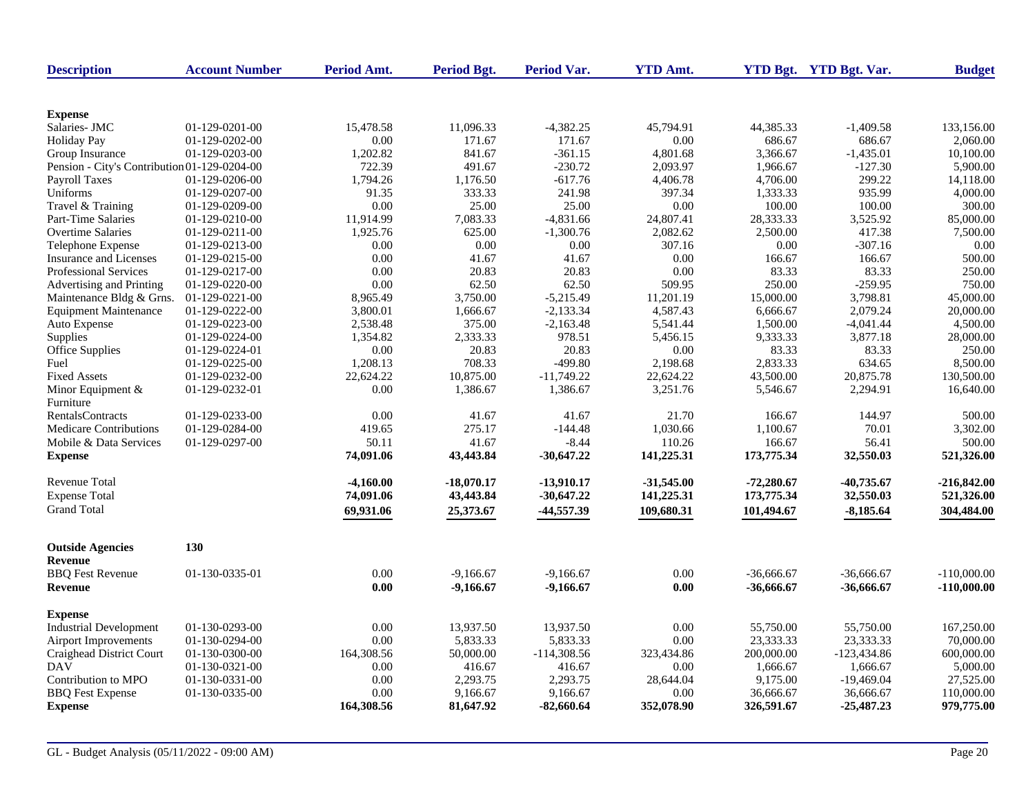| <b>Description</b>                           | <b>Account Number</b> | Period Amt. | Period Bgt.  | <b>Period Var.</b> | <b>YTD Amt.</b> |              | YTD Bgt. YTD Bgt. Var. | <b>Budget</b> |
|----------------------------------------------|-----------------------|-------------|--------------|--------------------|-----------------|--------------|------------------------|---------------|
|                                              |                       |             |              |                    |                 |              |                        |               |
| <b>Expense</b>                               |                       |             |              |                    |                 |              |                        |               |
| Salaries- JMC                                | 01-129-0201-00        | 15,478.58   | 11,096.33    | $-4,382.25$        | 45,794.91       | 44,385.33    | $-1,409.58$            | 133.156.00    |
| <b>Holiday Pay</b>                           | 01-129-0202-00        | 0.00        | 171.67       | 171.67             | 0.00            | 686.67       | 686.67                 | 2,060.00      |
| Group Insurance                              | 01-129-0203-00        | 1,202.82    | 841.67       | $-361.15$          | 4,801.68        | 3,366.67     | $-1,435.01$            | 10,100.00     |
| Pension - City's Contribution 01-129-0204-00 |                       | 722.39      | 491.67       | $-230.72$          | 2,093.97        | 1.966.67     | $-127.30$              | 5,900.00      |
| Payroll Taxes                                | 01-129-0206-00        | 1,794.26    | 1,176.50     | $-617.76$          | 4,406.78        | 4,706.00     | 299.22                 | 14.118.00     |
| Uniforms                                     | 01-129-0207-00        | 91.35       | 333.33       | 241.98             | 397.34          | 1,333.33     | 935.99                 | 4,000.00      |
| Travel & Training                            | 01-129-0209-00        | 0.00        | 25.00        | 25.00              | 0.00            | 100.00       | 100.00                 | 300.00        |
| Part-Time Salaries                           | 01-129-0210-00        | 11,914.99   | 7,083.33     | $-4,831.66$        | 24,807.41       | 28,333.33    | 3,525.92               | 85,000.00     |
| <b>Overtime Salaries</b>                     | 01-129-0211-00        | 1,925.76    | 625.00       | $-1,300.76$        | 2,082.62        | 2,500.00     | 417.38                 | 7,500.00      |
| Telephone Expense                            | 01-129-0213-00        | $0.00\,$    | 0.00         | 0.00               | 307.16          | 0.00         | $-307.16$              | 0.00          |
| Insurance and Licenses                       | 01-129-0215-00        | 0.00        | 41.67        | 41.67              | 0.00            | 166.67       | 166.67                 | 500.00        |
| <b>Professional Services</b>                 | 01-129-0217-00        | 0.00        | 20.83        | 20.83              | 0.00            | 83.33        | 83.33                  | 250.00        |
| Advertising and Printing                     | 01-129-0220-00        | 0.00        | 62.50        | 62.50              | 509.95          | 250.00       | $-259.95$              | 750.00        |
| Maintenance Bldg & Grns.                     | 01-129-0221-00        | 8,965.49    | 3,750.00     | $-5,215.49$        | 11,201.19       | 15,000.00    | 3,798.81               | 45,000.00     |
| <b>Equipment Maintenance</b>                 | 01-129-0222-00        | 3,800.01    | 1,666.67     | $-2,133.34$        | 4,587.43        | 6,666.67     | 2,079.24               | 20,000.00     |
| Auto Expense                                 | 01-129-0223-00        | 2,538.48    | 375.00       | $-2,163.48$        | 5,541.44        | 1,500.00     | $-4,041.44$            | 4,500.00      |
| Supplies                                     | 01-129-0224-00        | 1,354.82    | 2,333.33     | 978.51             | 5,456.15        | 9,333.33     | 3,877.18               | 28,000.00     |
| Office Supplies                              | 01-129-0224-01        | 0.00        | 20.83        | 20.83              | 0.00            | 83.33        | 83.33                  | 250.00        |
| Fuel                                         | 01-129-0225-00        | 1,208.13    | 708.33       | $-499.80$          | 2,198.68        | 2.833.33     | 634.65                 | 8,500.00      |
| <b>Fixed Assets</b>                          | 01-129-0232-00        | 22,624.22   | 10,875.00    | $-11,749.22$       | 22,624.22       | 43,500.00    | 20,875.78              | 130,500.00    |
| Minor Equipment $&$                          | 01-129-0232-01        | 0.00        | 1,386.67     | 1,386.67           | 3,251.76        | 5,546.67     | 2,294.91               | 16,640.00     |
| Furniture                                    |                       |             |              |                    |                 |              |                        |               |
| <b>RentalsContracts</b>                      | 01-129-0233-00        | 0.00        | 41.67        | 41.67              | 21.70           | 166.67       | 144.97                 | 500.00        |
| <b>Medicare Contributions</b>                | 01-129-0284-00        | 419.65      | 275.17       | $-144.48$          | 1,030.66        | 1,100.67     | 70.01                  | 3.302.00      |
| Mobile & Data Services                       | 01-129-0297-00        | 50.11       | 41.67        | $-8.44$            | 110.26          | 166.67       | 56.41                  | 500.00        |
| <b>Expense</b>                               |                       | 74,091.06   | 43,443.84    | $-30,647.22$       | 141,225.31      | 173,775.34   | 32,550.03              | 521,326.00    |
| <b>Revenue Total</b>                         |                       | $-4,160.00$ | $-18,070.17$ | -13,910.17         | $-31,545.00$    | $-72,280.67$ | -40,735.67             | $-216,842.00$ |
| <b>Expense Total</b>                         |                       | 74,091.06   | 43,443.84    | $-30,647,22$       | 141,225.31      | 173,775.34   | 32,550.03              | 521,326.00    |
| <b>Grand Total</b>                           |                       | 69,931.06   | 25,373.67    | -44,557.39         | 109,680.31      | 101,494.67   | $-8,185.64$            | 304,484.00    |
| <b>Outside Agencies</b>                      | 130                   |             |              |                    |                 |              |                        |               |
| <b>Revenue</b>                               |                       |             |              |                    |                 |              |                        |               |
| <b>BBO</b> Fest Revenue                      | 01-130-0335-01        | 0.00        | $-9.166.67$  | $-9.166.67$        | 0.00            | $-36,666,67$ | $-36,666,67$           | $-110,000,00$ |
| <b>Revenue</b>                               |                       | 0.00        |              | $-9,166.67$        | 0.00            |              |                        |               |
|                                              |                       |             | $-9,166.67$  |                    |                 | $-36,666.67$ | -36,666.67             | $-110,000.00$ |
| <b>Expense</b>                               |                       |             |              |                    |                 |              |                        |               |
| <b>Industrial Development</b>                | 01-130-0293-00        | 0.00        | 13,937.50    | 13,937.50          | 0.00            | 55,750.00    | 55,750.00              | 167,250.00    |
| Airport Improvements                         | 01-130-0294-00        | 0.00        | 5,833.33     | 5,833.33           | 0.00            | 23,333.33    | 23,333.33              | 70,000.00     |
| Craighead District Court                     | 01-130-0300-00        | 164,308.56  | 50,000.00    | $-114,308.56$      | 323,434.86      | 200,000.00   | $-123,434.86$          | 600,000.00    |
| <b>DAV</b>                                   | 01-130-0321-00        | 0.00        | 416.67       | 416.67             | 0.00            | 1,666.67     | 1,666.67               | 5,000.00      |
| Contribution to MPO                          | 01-130-0331-00        | 0.00        | 2,293.75     | 2,293.75           | 28,644.04       | 9,175.00     | $-19,469.04$           | 27,525.00     |
| <b>BBQ</b> Fest Expense                      | 01-130-0335-00        | 0.00        | 9,166.67     | 9,166.67           | 0.00            | 36,666.67    | 36,666.67              | 110,000.00    |
| <b>Expense</b>                               |                       | 164,308.56  | 81,647.92    | $-82,660.64$       | 352,078.90      | 326,591.67   | $-25,487,23$           | 979,775.00    |
|                                              |                       |             |              |                    |                 |              |                        |               |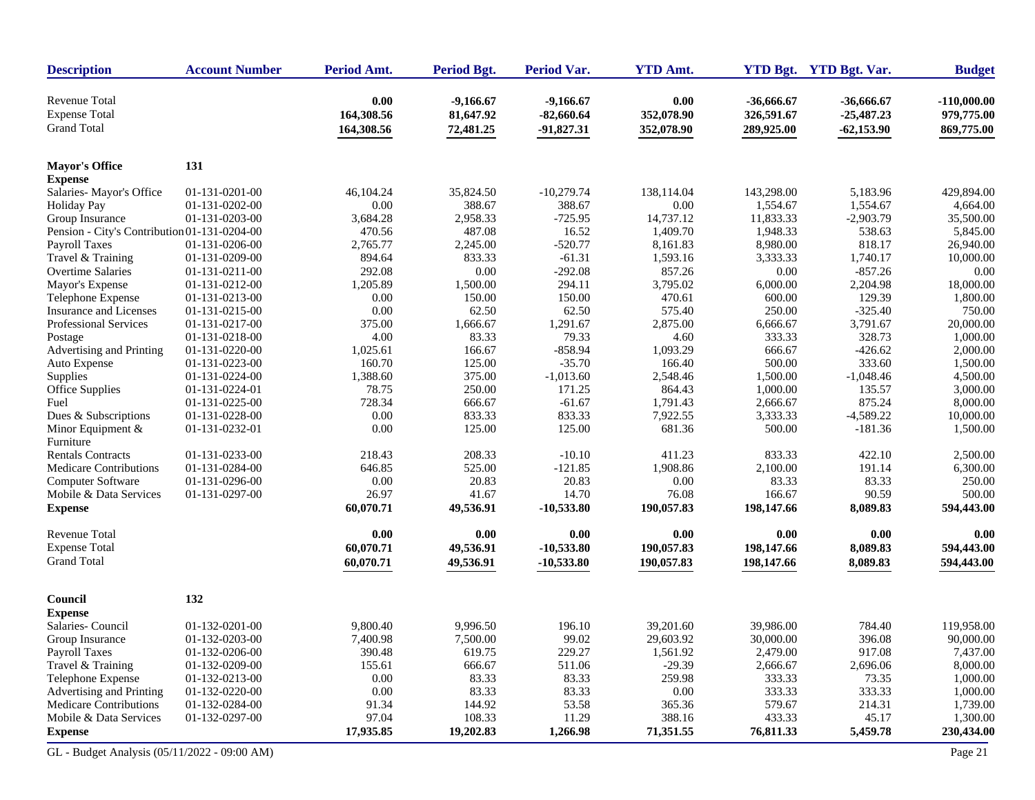| <b>Description</b>                           | <b>Account Number</b> | Period Amt. | <b>Period Bgt.</b> | Period Var.  | <b>YTD Amt.</b> |            | YTD Bgt. YTD Bgt. Var. | <b>Budget</b> |
|----------------------------------------------|-----------------------|-------------|--------------------|--------------|-----------------|------------|------------------------|---------------|
| <b>Revenue Total</b>                         |                       | 0.00        | $-9,166.67$        | $-9,166.67$  | 0.00            | -36,666.67 | $-36,666.67$           | $-110,000.00$ |
| <b>Expense Total</b>                         |                       | 164,308.56  | 81,647.92          | $-82,660.64$ | 352,078.90      | 326,591.67 | $-25,487.23$           | 979,775.00    |
| <b>Grand Total</b>                           |                       | 164,308.56  | 72,481.25          | $-91,827.31$ | 352,078.90      | 289,925.00 | $-62,153.90$           | 869,775.00    |
| <b>Mayor's Office</b>                        | 131                   |             |                    |              |                 |            |                        |               |
| <b>Expense</b>                               |                       |             |                    |              |                 |            |                        |               |
| Salaries-Mayor's Office                      | 01-131-0201-00        | 46,104.24   | 35,824.50          | $-10,279.74$ | 138,114.04      | 143,298.00 | 5,183.96               | 429,894.00    |
| <b>Holiday Pay</b>                           | 01-131-0202-00        | 0.00        | 388.67             | 388.67       | 0.00            | 1,554.67   | 1,554.67               | 4,664.00      |
| Group Insurance                              | 01-131-0203-00        | 3,684.28    | 2,958.33           | $-725.95$    | 14,737.12       | 11,833.33  | $-2,903.79$            | 35,500.00     |
| Pension - City's Contribution 01-131-0204-00 |                       | 470.56      | 487.08             | 16.52        | 1,409.70        | 1,948.33   | 538.63                 | 5,845.00      |
| Payroll Taxes                                | 01-131-0206-00        | 2,765.77    | 2,245.00           | $-520.77$    | 8,161.83        | 8,980.00   | 818.17                 | 26,940.00     |
| Travel & Training                            | 01-131-0209-00        | 894.64      | 833.33             | $-61.31$     | 1,593.16        | 3,333.33   | 1,740.17               | 10,000.00     |
| Overtime Salaries                            | 01-131-0211-00        | 292.08      | $0.00\,$           | $-292.08$    | 857.26          | 0.00       | $-857.26$              | 0.00          |
| Mayor's Expense                              | 01-131-0212-00        | 1,205.89    | 1,500.00           | 294.11       | 3,795.02        | 6,000.00   | 2,204.98               | 18,000.00     |
| Telephone Expense                            | 01-131-0213-00        | 0.00        | 150.00             | 150.00       | 470.61          | 600.00     | 129.39                 | 1,800.00      |
| Insurance and Licenses                       | 01-131-0215-00        | 0.00        | 62.50              | 62.50        | 575.40          | 250.00     | $-325.40$              | 750.00        |
| Professional Services                        | 01-131-0217-00        | 375.00      | 1,666.67           | 1,291.67     | 2,875.00        | 6,666.67   | 3,791.67               | 20,000.00     |
| Postage                                      | 01-131-0218-00        | 4.00        | 83.33              | 79.33        | 4.60            | 333.33     | 328.73                 | 1,000.00      |
| Advertising and Printing                     | 01-131-0220-00        | 1,025.61    | 166.67             | $-858.94$    | 1,093.29        | 666.67     | $-426.62$              | 2,000.00      |
| Auto Expense                                 | 01-131-0223-00        | 160.70      | 125.00             | $-35.70$     | 166.40          | 500.00     | 333.60                 | 1,500.00      |
| Supplies                                     | 01-131-0224-00        | 1,388.60    | 375.00             | $-1,013.60$  | 2,548.46        | 1,500.00   | $-1,048.46$            | 4,500.00      |
| Office Supplies                              | 01-131-0224-01        | 78.75       | 250.00             | 171.25       | 864.43          | 1,000.00   | 135.57                 | 3,000.00      |
| Fuel                                         | 01-131-0225-00        | 728.34      | 666.67             | $-61.67$     | 1,791.43        | 2,666.67   | 875.24                 | 8,000.00      |
| Dues & Subscriptions                         | 01-131-0228-00        | 0.00        | 833.33             | 833.33       | 7,922.55        | 3,333.33   | $-4,589.22$            | 10,000.00     |
| Minor Equipment $&$<br>Furniture             | 01-131-0232-01        | 0.00        | 125.00             | 125.00       | 681.36          | 500.00     | $-181.36$              | 1,500.00      |
| <b>Rentals Contracts</b>                     | 01-131-0233-00        | 218.43      | 208.33             | $-10.10$     | 411.23          | 833.33     | 422.10                 | 2,500.00      |
| <b>Medicare Contributions</b>                | 01-131-0284-00        | 646.85      | 525.00             | $-121.85$    | 1,908.86        | 2,100.00   | 191.14                 | 6,300.00      |
| Computer Software                            | 01-131-0296-00        | 0.00        | 20.83              | 20.83        | 0.00            | 83.33      | 83.33                  | 250.00        |
| Mobile & Data Services                       | 01-131-0297-00        | 26.97       | 41.67              | 14.70        | 76.08           | 166.67     | 90.59                  | 500.00        |
| <b>Expense</b>                               |                       | 60,070.71   | 49,536.91          | $-10,533.80$ | 190,057.83      | 198,147.66 | 8,089.83               | 594,443.00    |
| <b>Revenue Total</b>                         |                       | 0.00        | 0.00               | 0.00         | 0.00            | 0.00       | 0.00                   | 0.00          |
| <b>Expense Total</b>                         |                       | 60,070.71   | 49,536.91          | $-10,533.80$ | 190,057.83      | 198,147.66 | 8,089.83               | 594,443.00    |
| <b>Grand Total</b>                           |                       | 60,070.71   | 49,536.91          | $-10,533.80$ | 190,057.83      | 198,147.66 | 8,089.83               | 594,443.00    |
| Council                                      | 132                   |             |                    |              |                 |            |                        |               |
| <b>Expense</b>                               |                       |             |                    |              |                 |            |                        |               |
| Salaries- Council                            | 01-132-0201-00        | 9.800.40    | 9,996.50           | 196.10       | 39,201.60       | 39,986.00  | 784.40                 | 119,958.00    |
| Group Insurance                              | 01-132-0203-00        | 7,400.98    | 7,500.00           | 99.02        | 29,603.92       | 30,000.00  | 396.08                 | 90,000.00     |
| Payroll Taxes                                | 01-132-0206-00        | 390.48      | 619.75             | 229.27       | 1,561.92        | 2,479.00   | 917.08                 | 7,437.00      |
| Travel & Training                            | 01-132-0209-00        | 155.61      | 666.67             | 511.06       | $-29.39$        | 2,666.67   | 2,696.06               | 8,000.00      |
| Telephone Expense                            | 01-132-0213-00        | 0.00        | 83.33              | 83.33        | 259.98          | 333.33     | 73.35                  | 1,000.00      |
| Advertising and Printing                     | 01-132-0220-00        | 0.00        | 83.33              | 83.33        | $0.00\,$        | 333.33     | 333.33                 | 1,000.00      |
| Medicare Contributions                       | 01-132-0284-00        | 91.34       | 144.92             | 53.58        | 365.36          | 579.67     | 214.31                 | 1,739.00      |
| Mobile & Data Services                       | 01-132-0297-00        | 97.04       | 108.33             | 11.29        | 388.16          | 433.33     | 45.17                  | 1,300.00      |
| <b>Expense</b>                               |                       | 17,935.85   | 19,202.83          | 1,266.98     | 71,351.55       | 76,811.33  | 5,459.78               | 230,434.00    |
| GL - Budget Analysis (05/11/2022 - 09:00 AM) |                       |             |                    |              |                 |            |                        | Page 21       |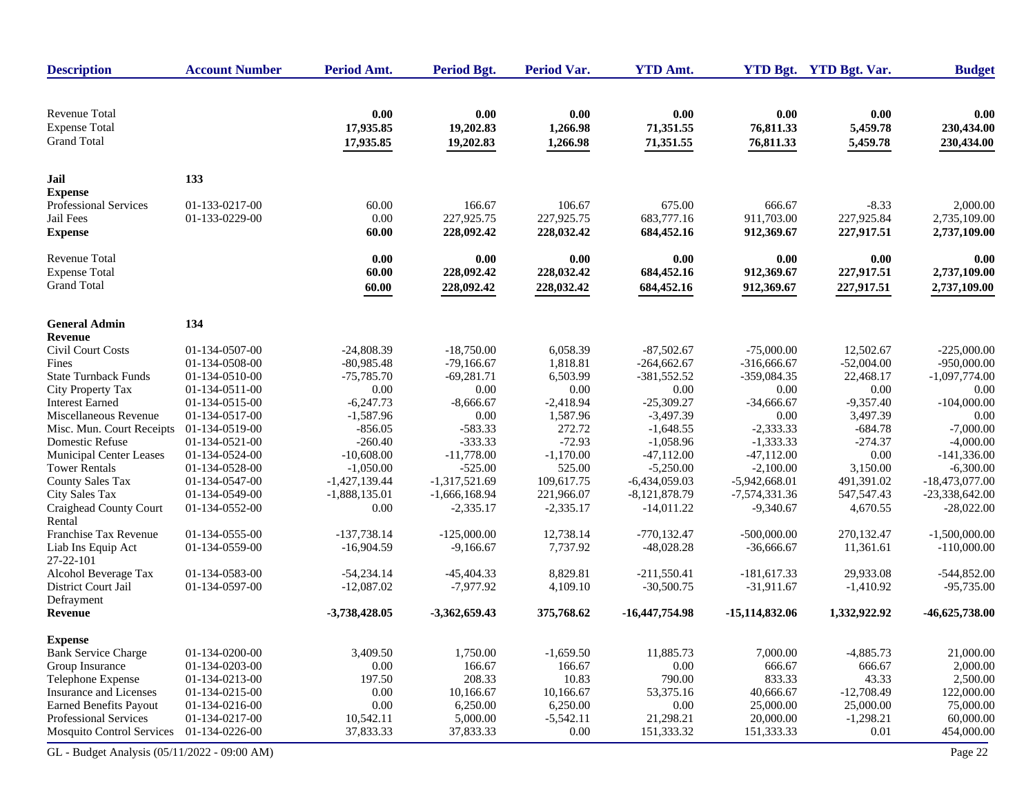| <b>Description</b>                                                 | <b>Account Number</b> | Period Amt.                    | <b>Period Bgt.</b>             | <b>Period Var.</b>           | <b>YTD Amt.</b>                |                                | YTD Bgt. YTD Bgt. Var.       | <b>Budget</b>                    |
|--------------------------------------------------------------------|-----------------------|--------------------------------|--------------------------------|------------------------------|--------------------------------|--------------------------------|------------------------------|----------------------------------|
| <b>Revenue Total</b><br><b>Expense Total</b><br><b>Grand Total</b> |                       | 0.00<br>17,935.85<br>17,935.85 | 0.00<br>19,202.83<br>19,202.83 | 0.00<br>1,266.98<br>1,266.98 | 0.00<br>71,351.55<br>71,351.55 | 0.00<br>76,811.33<br>76,811.33 | 0.00<br>5,459.78<br>5,459.78 | 0.00<br>230,434.00<br>230,434.00 |
| Jail                                                               | 133                   |                                |                                |                              |                                |                                |                              |                                  |
| <b>Expense</b>                                                     |                       |                                |                                |                              |                                |                                |                              |                                  |
| Professional Services                                              | 01-133-0217-00        | 60.00                          | 166.67                         | 106.67                       | 675.00                         | 666.67                         | $-8.33$                      | 2,000.00                         |
| Jail Fees                                                          | 01-133-0229-00        | 0.00                           | 227,925.75                     | 227,925.75                   | 683,777.16                     | 911,703.00                     | 227,925.84                   | 2,735,109.00                     |
| <b>Expense</b>                                                     |                       | 60.00                          | 228,092.42                     | 228,032.42                   | 684,452.16                     | 912,369.67                     | 227,917.51                   | 2,737,109.00                     |
| <b>Revenue Total</b>                                               |                       | 0.00                           | 0.00                           | 0.00                         | 0.00                           | 0.00                           | 0.00                         | 0.00                             |
| <b>Expense Total</b>                                               |                       | 60.00                          | 228,092.42                     | 228,032.42                   | 684,452.16                     | 912,369.67                     | 227,917.51                   | 2,737,109.00                     |
| <b>Grand Total</b>                                                 |                       | 60.00                          | 228,092.42                     | 228,032.42                   | 684,452.16                     | 912,369.67                     | 227,917.51                   | 2,737,109.00                     |
| <b>General Admin</b>                                               | 134                   |                                |                                |                              |                                |                                |                              |                                  |
| Revenue                                                            |                       |                                |                                |                              |                                |                                |                              |                                  |
| <b>Civil Court Costs</b>                                           | 01-134-0507-00        | $-24,808.39$                   | $-18,750.00$                   | 6,058.39                     | $-87,502.67$                   | $-75,000.00$                   | 12,502.67                    | $-225,000.00$                    |
| Fines                                                              | 01-134-0508-00        | $-80,985.48$                   | $-79,166.67$                   | 1,818.81                     | $-264,662.67$                  | $-316,666.67$                  | $-52,004.00$                 | $-950,000.00$                    |
| <b>State Turnback Funds</b>                                        | 01-134-0510-00        | $-75.785.70$                   | $-69,281.71$                   | 6,503.99                     | $-381,552.52$                  | $-359,084.35$                  | 22,468.17                    | $-1,097,774.00$                  |
| City Property Tax                                                  | 01-134-0511-00        | 0.00                           | 0.00                           | 0.00                         | 0.00                           | 0.00                           | 0.00                         | 0.00                             |
| <b>Interest Earned</b>                                             | 01-134-0515-00        | $-6,247.73$                    | $-8,666.67$                    | $-2,418.94$                  | $-25,309.27$                   | $-34,666.67$                   | $-9,357.40$                  | $-104,000.00$                    |
| Miscellaneous Revenue                                              | 01-134-0517-00        | $-1,587.96$                    | 0.00                           | 1,587.96                     | $-3,497.39$                    | 0.00                           | 3,497.39                     | 0.00                             |
| Misc. Mun. Court Receipts                                          | 01-134-0519-00        | $-856.05$                      | $-583.33$                      | 272.72                       | $-1,648.55$                    | $-2,333.33$                    | $-684.78$                    | $-7,000.00$                      |
| Domestic Refuse                                                    | 01-134-0521-00        | $-260.40$                      | $-333.33$                      | $-72.93$                     | $-1,058.96$                    | $-1,333.33$                    | $-274.37$                    | $-4,000.00$                      |
| <b>Municipal Center Leases</b>                                     | 01-134-0524-00        | $-10,608.00$                   | $-11,778.00$                   | $-1,170.00$                  | $-47,112.00$                   | $-47,112.00$                   | 0.00                         | $-141,336.00$                    |
| <b>Tower Rentals</b>                                               | 01-134-0528-00        | $-1,050.00$                    | $-525.00$                      | 525.00                       | $-5,250.00$                    | $-2,100.00$                    | 3,150.00                     | $-6,300.00$                      |
| <b>County Sales Tax</b>                                            | 01-134-0547-00        | $-1,427,139.44$                | $-1,317,521.69$                | 109,617.75                   | $-6,434,059.03$                | $-5,942,668.01$                | 491,391.02                   | $-18,473,077.00$                 |
| City Sales Tax                                                     | 01-134-0549-00        | $-1,888,135.01$                | $-1,666,168.94$                | 221,966.07                   | $-8,121,878.79$                | $-7,574,331.36$                | 547,547.43                   | $-23,338,642.00$                 |
| Craighead County Court<br>Rental                                   | 01-134-0552-00        | 0.00                           | $-2,335.17$                    | $-2,335.17$                  | $-14,011.22$                   | $-9,340.67$                    | 4,670.55                     | $-28,022.00$                     |
| Franchise Tax Revenue                                              | 01-134-0555-00        | $-137,738.14$                  | $-125,000.00$                  | 12,738.14                    | $-770, 132.47$                 | $-500,000.00$                  | 270,132.47                   | $-1,500,000.00$                  |
| Liab Ins Equip Act<br>27-22-101                                    | 01-134-0559-00        | $-16,904.59$                   | $-9,166.67$                    | 7,737.92                     | $-48,028.28$                   | $-36,666.67$                   | 11,361.61                    | $-110,000.00$                    |
| Alcohol Beverage Tax                                               | 01-134-0583-00        | $-54,234.14$                   | $-45,404.33$                   | 8,829.81                     | $-211,550.41$                  | $-181,617.33$                  | 29,933.08                    | $-544,852.00$                    |
| District Court Jail<br>Defrayment                                  | 01-134-0597-00        | $-12,087.02$                   | $-7,977.92$                    | 4,109.10                     | $-30,500.75$                   | $-31,911.67$                   | $-1,410.92$                  | $-95,735.00$                     |
| Revenue                                                            |                       | $-3,738,428.05$                | $-3,362,659.43$                | 375,768.62                   | $-16,447,754.98$               | $-15,114,832.06$               | 1,332,922.92                 | $-46,625,738.00$                 |
| <b>Expense</b>                                                     |                       |                                |                                |                              |                                |                                |                              |                                  |
| <b>Bank Service Charge</b>                                         | 01-134-0200-00        | 3,409.50                       | 1,750.00                       | $-1,659.50$                  | 11,885.73                      | 7,000.00                       | $-4,885.73$                  | 21,000.00                        |
| Group Insurance                                                    | 01-134-0203-00        | 0.00                           | 166.67                         | 166.67                       | 0.00                           | 666.67                         | 666.67                       | 2,000.00                         |
| Telephone Expense                                                  | 01-134-0213-00        | 197.50                         | 208.33                         | 10.83                        | 790.00                         | 833.33                         | 43.33                        | 2,500.00                         |
| Insurance and Licenses                                             | 01-134-0215-00        | 0.00                           | 10,166.67                      | 10,166.67                    | 53,375.16                      | 40,666.67                      | $-12,708.49$                 | 122,000.00                       |
| <b>Earned Benefits Payout</b>                                      | 01-134-0216-00        | 0.00                           | 6,250.00                       | 6,250.00                     | 0.00                           | 25,000.00                      | 25,000.00                    | 75,000.00                        |
| Professional Services                                              | 01-134-0217-00        | 10,542.11                      | 5,000.00                       | $-5,542.11$                  | 21,298.21                      | 20,000.00                      | $-1,298.21$                  | 60,000.00                        |
| <b>Mosquito Control Services</b>                                   | 01-134-0226-00        | 37,833.33                      | 37,833.33                      | 0.00                         | 151,333.32                     | 151,333.33                     | 0.01                         | 454,000.00                       |
| GL - Budget Analysis (05/11/2022 - 09:00 AM)                       |                       |                                |                                |                              |                                |                                |                              | Page 22                          |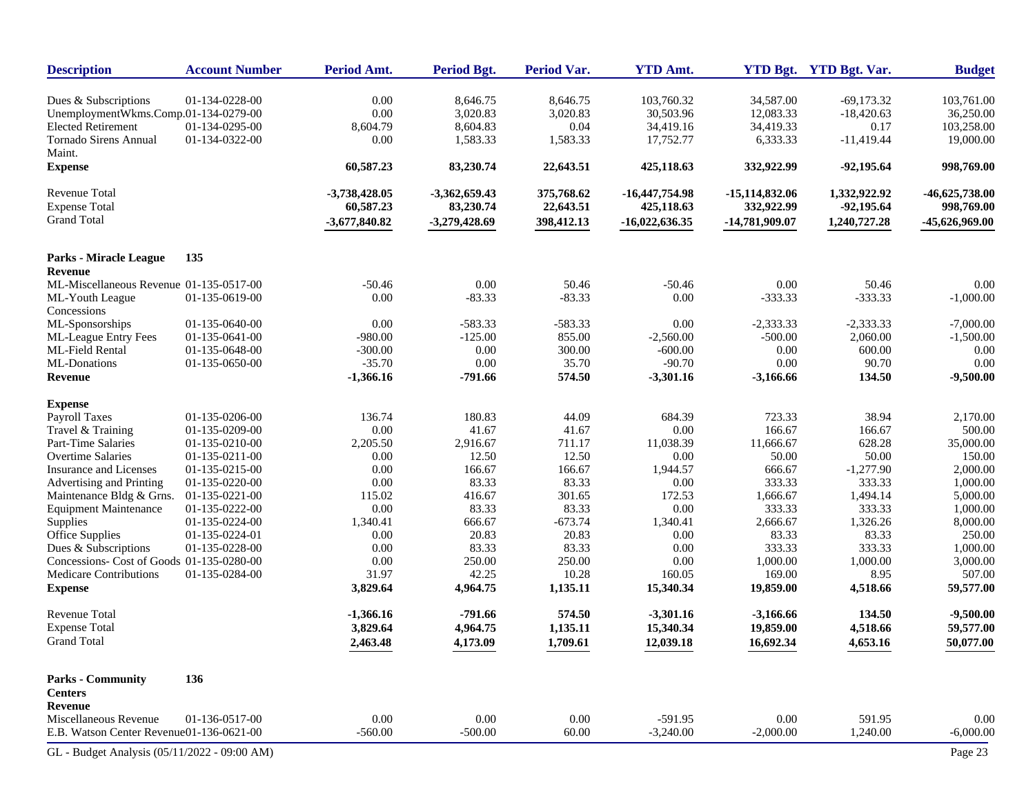| <b>Description</b>                              | <b>Account Number</b> | Period Amt.       | <b>Period Bgt.</b> | <b>Period Var.</b> | <b>YTD Amt.</b>     |                     | YTD Bgt. YTD Bgt. Var. | <b>Budget</b>       |
|-------------------------------------------------|-----------------------|-------------------|--------------------|--------------------|---------------------|---------------------|------------------------|---------------------|
| Dues & Subscriptions                            | 01-134-0228-00        | 0.00              | 8.646.75           | 8,646.75           | 103,760.32          | 34.587.00           | $-69,173.32$           | 103,761.00          |
| UnemploymentWkms.Comp.01-134-0279-00            |                       | $0.00\,$          | 3,020.83           | 3,020.83           | 30,503.96           | 12,083.33           | $-18,420.63$           | 36,250.00           |
| <b>Elected Retirement</b>                       | 01-134-0295-00        | 8,604.79          | 8,604.83           | 0.04               | 34,419.16           | 34,419.33           | 0.17                   | 103,258.00          |
| <b>Tornado Sirens Annual</b>                    | 01-134-0322-00        | 0.00              | 1,583.33           | 1,583.33           | 17,752.77           | 6,333.33            | $-11,419.44$           | 19,000.00           |
| Maint.                                          |                       |                   |                    |                    |                     |                     |                        |                     |
| <b>Expense</b>                                  |                       | 60,587.23         | 83,230.74          | 22,643.51          | 425,118.63          | 332,922.99          | $-92,195.64$           | 998,769.00          |
| <b>Revenue Total</b>                            |                       | $-3,738,428.05$   | $-3,362,659.43$    | 375,768.62         | $-16,447,754.98$    | $-15,114,832.06$    | 1,332,922.92           | $-46,625,738.00$    |
| <b>Expense Total</b>                            |                       | 60,587.23         | 83,230.74          | 22,643.51          | 425,118.63          | 332,922.99          | $-92,195.64$           | 998,769.00          |
| <b>Grand Total</b>                              |                       | $-3,677,840.82$   | $-3,279,428.69$    | 398,412.13         | $-16,022,636.35$    | -14,781,909.07      | 1,240,727.28           | -45,626,969.00      |
|                                                 | 135                   |                   |                    |                    |                     |                     |                        |                     |
| Parks - Miracle League<br>Revenue               |                       |                   |                    |                    |                     |                     |                        |                     |
| ML-Miscellaneous Revenue 01-135-0517-00         |                       | $-50.46$          | 0.00               | 50.46              | $-50.46$            | 0.00                | 50.46                  | 0.00                |
| ML-Youth League                                 | 01-135-0619-00        | 0.00              | $-83.33$           | $-83.33$           | 0.00                | $-333.33$           | $-333.33$              | $-1,000.00$         |
| Concessions                                     |                       |                   |                    |                    |                     |                     |                        |                     |
| ML-Sponsorships                                 | 01-135-0640-00        | 0.00              | $-583.33$          | $-583.33$          | 0.00                | $-2,333.33$         | $-2,333.33$            | $-7,000.00$         |
| <b>ML-League Entry Fees</b>                     | 01-135-0641-00        | $-980.00$         | $-125.00$          | 855.00             | $-2,560.00$         | $-500.00$           | 2,060.00               | $-1,500.00$         |
| ML-Field Rental                                 | 01-135-0648-00        | $-300.00$         | 0.00               | 300.00             | $-600.00$           | 0.00                | 600.00                 | 0.00                |
| ML-Donations                                    | 01-135-0650-00        | $-35.70$          | 0.00               | 35.70              | $-90.70$            | 0.00                | 90.70                  | 0.00                |
| Revenue                                         |                       | $-1,366.16$       | $-791.66$          | 574.50             | $-3,301.16$         | $-3,166.66$         | 134.50                 | $-9,500.00$         |
| <b>Expense</b>                                  |                       |                   |                    |                    |                     |                     |                        |                     |
| <b>Payroll Taxes</b>                            | 01-135-0206-00        | 136.74            | 180.83             | 44.09              | 684.39              | 723.33              | 38.94                  | 2,170.00            |
| Travel & Training                               | 01-135-0209-00        | 0.00              | 41.67              | 41.67              | 0.00                | 166.67              | 166.67                 | 500.00              |
| Part-Time Salaries                              | 01-135-0210-00        | 2,205.50          | 2,916.67           | 711.17             | 11,038.39           | 11,666.67           | 628.28                 | 35,000.00           |
| <b>Overtime Salaries</b>                        | 01-135-0211-00        | 0.00              | 12.50              | 12.50              | 0.00                | 50.00               | 50.00                  | 150.00              |
| Insurance and Licenses                          | 01-135-0215-00        | 0.00              | 166.67             | 166.67             | 1,944.57            | 666.67              | $-1,277.90$            | 2,000.00            |
| Advertising and Printing                        | 01-135-0220-00        | 0.00              | 83.33              | 83.33              | 0.00                | 333.33              | 333.33                 | 1,000.00            |
| Maintenance Bldg & Grns.                        | 01-135-0221-00        | 115.02            | 416.67             | 301.65             | 172.53              | 1,666.67            | 1,494.14               | 5,000.00            |
| <b>Equipment Maintenance</b>                    | 01-135-0222-00        | 0.00              | 83.33              | 83.33              | 0.00                | 333.33              | 333.33                 | 1,000.00            |
| Supplies                                        | 01-135-0224-00        | 1,340.41          | 666.67             | $-673.74$          | 1,340.41            | 2,666.67            | 1,326.26               | 8,000.00            |
| Office Supplies                                 | 01-135-0224-01        | 0.00              | 20.83              | 20.83              | 0.00                | 83.33               | 83.33                  | 250.00              |
| Dues & Subscriptions                            | 01-135-0228-00        | 0.00              | 83.33              | 83.33              | 0.00                | 333.33              | 333.33                 | 1,000.00            |
| Concessions- Cost of Goods 01-135-0280-00       |                       | 0.00              | 250.00             | 250.00             | 0.00                | 1,000.00            | 1,000.00               | 3,000.00            |
| <b>Medicare Contributions</b><br><b>Expense</b> | 01-135-0284-00        | 31.97<br>3,829.64 | 42.25<br>4,964.75  | 10.28<br>1,135.11  | 160.05<br>15,340.34 | 169.00<br>19,859.00 | 8.95<br>4,518.66       | 507.00<br>59,577.00 |
| Revenue Total                                   |                       | $-1,366.16$       | $-791.66$          | 574.50             | $-3,301.16$         | $-3,166.66$         | 134.50                 | $-9,500.00$         |
| <b>Expense Total</b>                            |                       | 3,829.64          | 4,964.75           | 1,135.11           | 15,340.34           | 19,859.00           | 4,518.66               | 59,577.00           |
| <b>Grand Total</b>                              |                       |                   |                    |                    |                     |                     | 4,653.16               |                     |
|                                                 |                       | 2,463.48          | 4,173.09           | 1,709.61           | 12,039.18           | 16,692.34           |                        | 50,077.00           |
| <b>Parks - Community</b>                        | 136                   |                   |                    |                    |                     |                     |                        |                     |
| <b>Centers</b>                                  |                       |                   |                    |                    |                     |                     |                        |                     |
| Revenue                                         |                       |                   |                    |                    |                     |                     |                        |                     |
| Miscellaneous Revenue                           | 01-136-0517-00        | $0.00\,$          | 0.00               | 0.00               | $-591.95$           | $0.00\,$            | 591.95                 | 0.00                |
| E.B. Watson Center Revenue01-136-0621-00        |                       | $-560.00$         | $-500.00$          | 60.00              | $-3,240.00$         | $-2,000.00$         | 1,240.00               | $-6,000.00$         |
| GL - Budget Analysis (05/11/2022 - 09:00 AM)    |                       |                   |                    |                    |                     |                     |                        | Page 23             |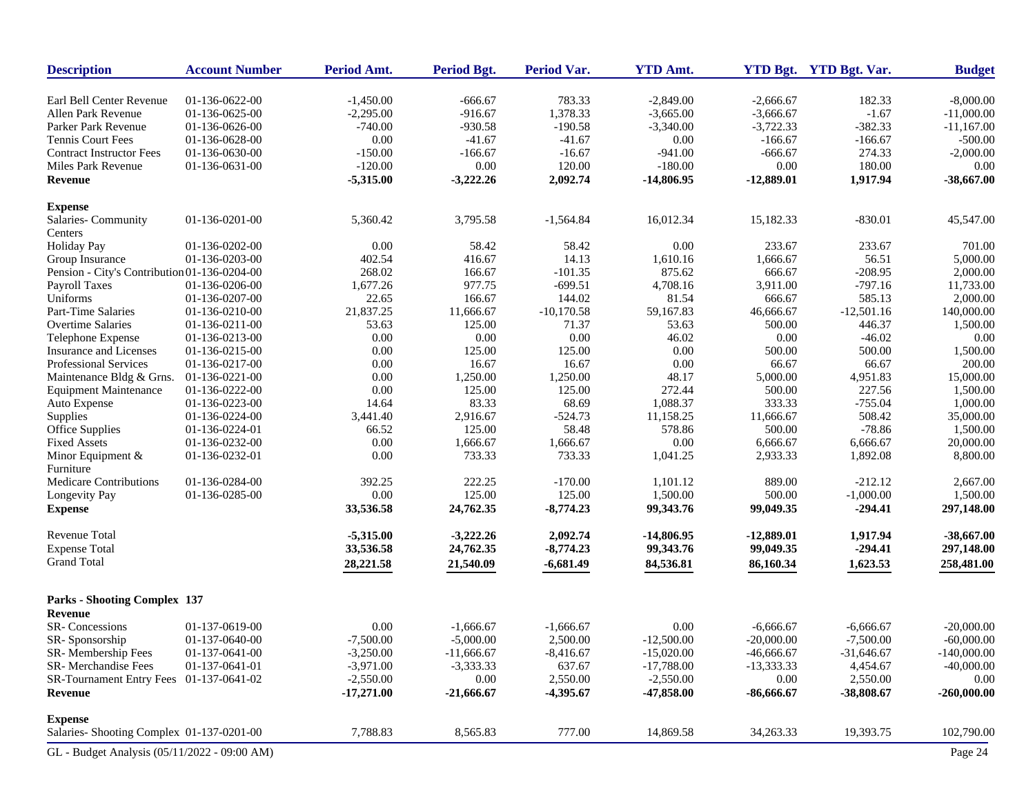| <b>Description</b>                           | <b>Account Number</b> | Period Amt.  | <b>Period Bgt.</b>         | Period Var.             | <b>YTD Amt.</b> |              | YTD Bgt. YTD Bgt. Var. | <b>Budget</b> |
|----------------------------------------------|-----------------------|--------------|----------------------------|-------------------------|-----------------|--------------|------------------------|---------------|
| Earl Bell Center Revenue                     | 01-136-0622-00        | $-1,450.00$  | -666.67                    | 783.33                  | $-2,849.00$     | $-2,666.67$  | 182.33                 | $-8,000.00$   |
| Allen Park Revenue                           | 01-136-0625-00        | $-2,295.00$  | $-916.67$                  | 1,378.33                | $-3,665.00$     | $-3,666.67$  | $-1.67$                | $-11,000.00$  |
| Parker Park Revenue                          | 01-136-0626-00        | $-740.00$    | $-930.58$                  | $-190.58$               | $-3,340.00$     | $-3,722.33$  | $-382.33$              | $-11,167.00$  |
| <b>Tennis Court Fees</b>                     | 01-136-0628-00        | 0.00         | $-41.67$                   | $-41.67$                | 0.00            | $-166.67$    | $-166.67$              | $-500.00$     |
| <b>Contract Instructor Fees</b>              | 01-136-0630-00        | $-150.00$    | $-166.67$                  | $-16.67$                | $-941.00$       | $-666.67$    | 274.33                 | $-2,000.00$   |
| Miles Park Revenue                           | 01-136-0631-00        | $-120.00$    | 0.00                       | 120.00                  | $-180.00$       | 0.00         | 180.00                 | 0.00          |
| <b>Revenue</b>                               |                       | $-5,315.00$  | $-3,222.26$                | 2,092.74                | $-14,806.95$    | $-12,889.01$ | 1,917.94               | $-38,667.00$  |
| <b>Expense</b>                               |                       |              |                            |                         |                 |              |                        |               |
| Salaries- Community                          | 01-136-0201-00        | 5,360.42     | 3,795.58                   | $-1,564.84$             | 16,012.34       | 15,182.33    | $-830.01$              | 45,547.00     |
| Centers                                      |                       |              |                            |                         |                 |              |                        |               |
| <b>Holiday Pay</b>                           | 01-136-0202-00        | 0.00         | 58.42                      | 58.42                   | 0.00            | 233.67       | 233.67                 | 701.00        |
| Group Insurance                              | 01-136-0203-00        | 402.54       | 416.67                     | 14.13                   | 1,610.16        | 1,666.67     | 56.51                  | 5,000.00      |
| Pension - City's Contribution 01-136-0204-00 |                       | 268.02       | 166.67                     | $-101.35$               | 875.62          | 666.67       | $-208.95$              | 2,000.00      |
| Payroll Taxes                                | 01-136-0206-00        | 1,677.26     | 977.75                     | $-699.51$               | 4,708.16        | 3,911.00     | $-797.16$              | 11,733.00     |
| Uniforms                                     | 01-136-0207-00        | 22.65        | 166.67                     | 144.02                  | 81.54           | 666.67       | 585.13                 | 2,000.00      |
| Part-Time Salaries                           | 01-136-0210-00        | 21,837.25    | 11,666.67                  | $-10,170.58$            | 59,167.83       | 46,666.67    | $-12,501.16$           | 140,000.00    |
| <b>Overtime Salaries</b>                     | 01-136-0211-00        | 53.63        | 125.00                     | 71.37                   | 53.63           | 500.00       | 446.37                 | 1,500.00      |
| Telephone Expense                            | 01-136-0213-00        | 0.00         | 0.00                       | 0.00                    | 46.02           | 0.00         | $-46.02$               | 0.00          |
| <b>Insurance and Licenses</b>                | 01-136-0215-00        | 0.00         | 125.00                     | 125.00                  | 0.00            | 500.00       | 500.00                 | 1,500.00      |
| Professional Services                        | 01-136-0217-00        | 0.00         | 16.67                      | 16.67                   | 0.00            | 66.67        | 66.67                  | 200.00        |
| Maintenance Bldg & Grns.                     | 01-136-0221-00        | 0.00         | 1,250.00                   | 1,250.00                | 48.17           | 5,000.00     | 4,951.83               | 15,000.00     |
| <b>Equipment Maintenance</b>                 | 01-136-0222-00        | 0.00         | 125.00                     | 125.00                  | 272.44          | 500.00       | 227.56                 | 1,500.00      |
| Auto Expense                                 | 01-136-0223-00        | 14.64        | 83.33                      | 68.69                   | 1,088.37        | 333.33       | $-755.04$              | 1,000.00      |
| Supplies                                     | 01-136-0224-00        | 3,441.40     | 2,916.67                   | $-524.73$               | 11,158.25       | 11,666.67    | 508.42                 | 35,000.00     |
| Office Supplies                              | 01-136-0224-01        | 66.52        | 125.00                     | 58.48                   | 578.86          | 500.00       | $-78.86$               | 1,500.00      |
| <b>Fixed Assets</b>                          | 01-136-0232-00        | 0.00         | 1,666.67                   | 1,666.67                | 0.00            | 6,666.67     | 6,666.67               | 20,000.00     |
| Minor Equipment &                            | 01-136-0232-01        | 0.00         | 733.33                     | 733.33                  | 1,041.25        | 2,933.33     | 1,892.08               | 8,800.00      |
| Furniture                                    |                       |              |                            |                         |                 |              |                        |               |
| Medicare Contributions                       | 01-136-0284-00        | 392.25       | 222.25                     | $-170.00$               | 1,101.12        | 889.00       | $-212.12$              | 2,667.00      |
| Longevity Pay                                | 01-136-0285-00        | 0.00         | 125.00                     | 125.00                  | 1,500.00        | 500.00       | $-1,000.00$            | 1,500.00      |
| <b>Expense</b>                               |                       | 33,536.58    | 24,762.35                  | $-8,774.23$             | 99,343.76       | 99,049.35    | $-294.41$              | 297,148.00    |
|                                              |                       |              |                            |                         |                 |              |                        |               |
| <b>Revenue Total</b>                         |                       | $-5,315.00$  | $-3,222.26$                | 2,092.74                | $-14,806.95$    | $-12,889.01$ | 1,917.94               | $-38,667.00$  |
| <b>Expense Total</b>                         |                       | 33,536.58    | 24,762.35                  | $-8,774.23$             | 99,343.76       | 99,049.35    | $-294.41$              | 297,148.00    |
| <b>Grand Total</b>                           |                       | 28,221.58    | 21,540.09                  | $-6,681.49$             | 84,536.81       | 86,160.34    | 1,623.53               | 258,481.00    |
| <b>Parks - Shooting Complex 137</b>          |                       |              |                            |                         |                 |              |                        |               |
| Revenue                                      |                       |              |                            |                         |                 |              |                        |               |
|                                              |                       |              |                            |                         |                 | $-6.666.67$  | $-6.666.67$            |               |
| SR-Concessions                               | 01-137-0619-00        | 0.00         | $-1,666.67$<br>$-5,000.00$ | $-1,666.67$<br>2,500.00 | 0.00            |              |                        | $-20,000.00$  |
| SR-Sponsorship                               | 01-137-0640-00        | $-7,500.00$  |                            |                         | $-12,500.00$    | $-20,000.00$ | $-7,500.00$            | $-60,000.00$  |
| SR-Membership Fees                           | 01-137-0641-00        | $-3,250.00$  | $-11,666.67$               | $-8,416.67$             | $-15,020.00$    | $-46,666.67$ | $-31,646.67$           | $-140,000.00$ |
| SR-Merchandise Fees                          | 01-137-0641-01        | $-3,971.00$  | $-3,333.33$                | 637.67                  | $-17,788.00$    | $-13,333.33$ | 4,454.67               | $-40,000.00$  |
| SR-Tournament Entry Fees 01-137-0641-02      |                       | $-2,550.00$  | 0.00                       | 2,550.00                | $-2,550.00$     | 0.00         | 2,550.00               | 0.00          |
| Revenue                                      |                       | $-17,271.00$ | $-21,666.67$               | $-4,395.67$             | $-47,858.00$    | $-86,666.67$ | $-38,808.67$           | $-260,000.00$ |
| <b>Expense</b>                               |                       |              |                            |                         |                 |              |                        |               |
| Salaries- Shooting Complex 01-137-0201-00    |                       | 7,788.83     | 8,565.83                   | 777.00                  | 14,869.58       | 34,263.33    | 19,393.75              | 102,790.00    |
| GL - Budget Analysis (05/11/2022 - 09:00 AM) |                       |              |                            |                         |                 |              |                        | Page 24       |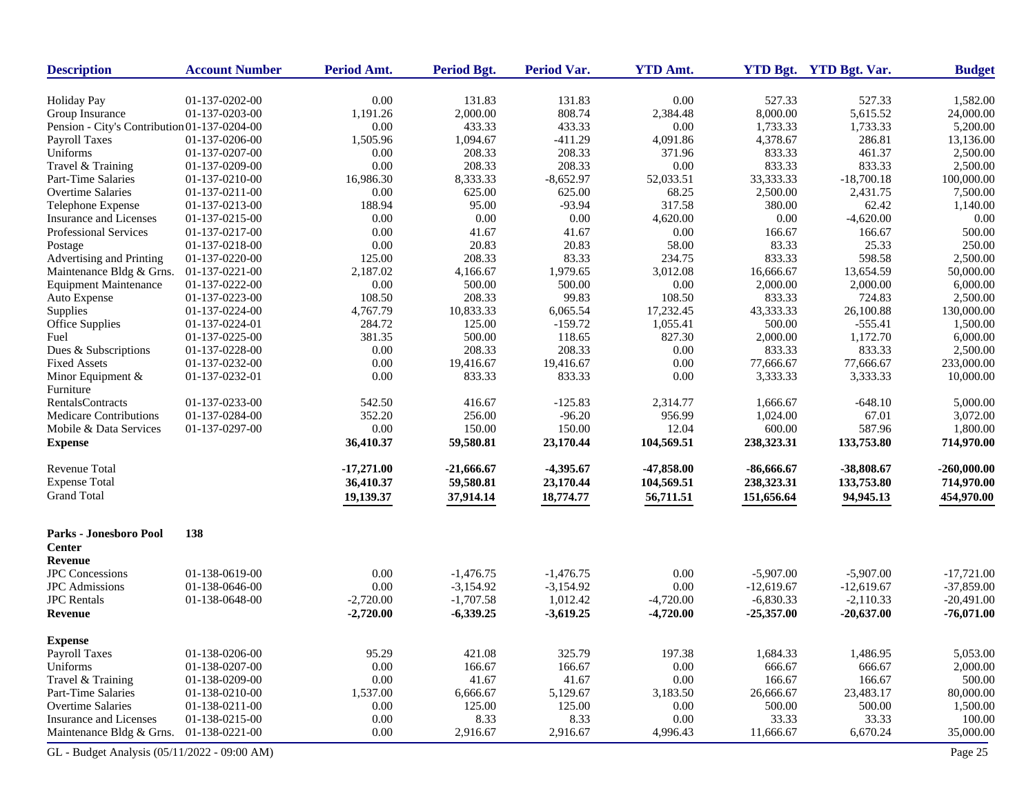| <b>Description</b>                           | <b>Account Number</b> | Period Amt.  | <b>Period Bgt.</b> | <b>Period Var.</b> | <b>YTD Amt.</b> |              | YTD Bgt. YTD Bgt. Var. | <b>Budget</b> |
|----------------------------------------------|-----------------------|--------------|--------------------|--------------------|-----------------|--------------|------------------------|---------------|
| <b>Holiday Pay</b>                           | 01-137-0202-00        | 0.00         | 131.83             | 131.83             | 0.00            | 527.33       | 527.33                 | 1,582.00      |
| Group Insurance                              | 01-137-0203-00        | 1,191.26     | 2,000.00           | 808.74             | 2,384.48        | 8,000.00     | 5,615.52               | 24,000.00     |
| Pension - City's Contribution 01-137-0204-00 |                       | 0.00         | 433.33             | 433.33             | 0.00            | 1,733.33     | 1,733.33               | 5,200.00      |
| Payroll Taxes                                | 01-137-0206-00        | 1,505.96     | 1,094.67           | $-411.29$          | 4,091.86        | 4,378.67     | 286.81                 | 13,136.00     |
| Uniforms                                     | 01-137-0207-00        | 0.00         | 208.33             | 208.33             | 371.96          | 833.33       | 461.37                 | 2,500.00      |
| Travel & Training                            | 01-137-0209-00        | 0.00         | 208.33             | 208.33             | 0.00            | 833.33       | 833.33                 | 2,500.00      |
| Part-Time Salaries                           | 01-137-0210-00        | 16,986.30    | 8,333.33           | $-8,652.97$        | 52,033.51       | 33,333.33    | $-18,700.18$           | 100,000.00    |
| Overtime Salaries                            | 01-137-0211-00        | 0.00         | 625.00             | 625.00             | 68.25           | 2,500.00     | 2,431.75               | 7,500.00      |
| Telephone Expense                            | 01-137-0213-00        | 188.94       | 95.00              | $-93.94$           | 317.58          | 380.00       | 62.42                  | 1,140.00      |
| Insurance and Licenses                       | 01-137-0215-00        | 0.00         | 0.00               | 0.00               | 4,620.00        | 0.00         | $-4,620.00$            | 0.00          |
| Professional Services                        | 01-137-0217-00        | 0.00         | 41.67              | 41.67              | 0.00            | 166.67       | 166.67                 | 500.00        |
| Postage                                      | 01-137-0218-00        | 0.00         | 20.83              | 20.83              | 58.00           | 83.33        | 25.33                  | 250.00        |
| Advertising and Printing                     | 01-137-0220-00        | 125.00       | 208.33             | 83.33              | 234.75          | 833.33       | 598.58                 | 2,500.00      |
| Maintenance Bldg & Grns.                     | 01-137-0221-00        | 2,187.02     | 4,166.67           | 1,979.65           | 3,012.08        | 16,666.67    | 13,654.59              | 50,000.00     |
| <b>Equipment Maintenance</b>                 | 01-137-0222-00        | 0.00         | 500.00             | 500.00             | 0.00            | 2,000.00     | 2,000.00               | 6,000.00      |
| Auto Expense                                 | 01-137-0223-00        | 108.50       | 208.33             | 99.83              | 108.50          | 833.33       | 724.83                 | 2,500.00      |
| Supplies                                     | 01-137-0224-00        | 4,767.79     | 10,833.33          | 6,065.54           | 17,232.45       | 43,333.33    | 26,100.88              | 130,000.00    |
| <b>Office Supplies</b>                       | 01-137-0224-01        | 284.72       | 125.00             | $-159.72$          | 1,055.41        | 500.00       | $-555.41$              | 1,500.00      |
| Fuel                                         | 01-137-0225-00        | 381.35       | 500.00             | 118.65             | 827.30          | 2,000.00     | 1,172.70               | 6,000.00      |
| Dues & Subscriptions                         | 01-137-0228-00        | 0.00         | 208.33             | 208.33             | 0.00            | 833.33       | 833.33                 | 2,500.00      |
| <b>Fixed Assets</b>                          | 01-137-0232-00        | 0.00         | 19,416.67          | 19,416.67          | 0.00            | 77,666.67    | 77,666.67              | 233,000.00    |
| Minor Equipment &                            | 01-137-0232-01        | 0.00         | 833.33             | 833.33             | 0.00            | 3,333.33     | 3,333.33               | 10,000.00     |
| Furniture                                    |                       |              |                    |                    |                 |              |                        |               |
| <b>RentalsContracts</b>                      | 01-137-0233-00        | 542.50       | 416.67             | $-125.83$          | 2,314.77        | 1,666.67     | $-648.10$              | 5,000.00      |
| <b>Medicare Contributions</b>                | 01-137-0284-00        | 352.20       | 256.00             | $-96.20$           | 956.99          | 1,024.00     | 67.01                  | 3,072.00      |
| Mobile & Data Services                       | 01-137-0297-00        | 0.00         | 150.00             | 150.00             | 12.04           | 600.00       | 587.96                 | 1,800.00      |
| <b>Expense</b>                               |                       | 36,410.37    | 59,580.81          | 23,170.44          | 104,569.51      | 238,323.31   | 133,753.80             | 714,970.00    |
| <b>Revenue Total</b>                         |                       | $-17,271.00$ | $-21,666.67$       | $-4,395.67$        | $-47,858.00$    | $-86,666.67$ | -38,808.67             | $-260,000.00$ |
| <b>Expense Total</b>                         |                       | 36,410.37    | 59,580.81          | 23,170.44          | 104,569.51      | 238,323.31   | 133,753.80             | 714,970.00    |
| <b>Grand Total</b>                           |                       | 19,139.37    | 37,914.14          | 18,774.77          | 56,711.51       | 151,656.64   | 94,945.13              | 454,970.00    |
| Parks - Jonesboro Pool<br><b>Center</b>      | 138                   |              |                    |                    |                 |              |                        |               |
| Revenue                                      |                       |              |                    |                    |                 |              |                        |               |
| <b>JPC</b> Concessions                       | 01-138-0619-00        | 0.00         | $-1,476.75$        | $-1,476.75$        | 0.00            | $-5,907.00$  | $-5,907.00$            | $-17,721.00$  |
| <b>JPC</b> Admissions                        | 01-138-0646-00        | 0.00         | $-3,154.92$        | $-3,154.92$        | 0.00            | $-12,619.67$ | $-12,619.67$           | $-37,859.00$  |
| <b>JPC</b> Rentals                           | 01-138-0648-00        | $-2,720.00$  | $-1,707.58$        | 1,012.42           | $-4,720.00$     | $-6,830.33$  | $-2,110.33$            | $-20,491.00$  |
| Revenue                                      |                       | $-2,720.00$  | $-6,339.25$        | $-3,619.25$        | $-4,720.00$     | $-25,357.00$ | $-20,637.00$           | $-76,071.00$  |
| <b>Expense</b>                               |                       |              |                    |                    |                 |              |                        |               |
| <b>Payroll Taxes</b>                         | 01-138-0206-00        | 95.29        | 421.08             | 325.79             | 197.38          | 1,684.33     | 1,486.95               | 5,053.00      |
| Uniforms                                     | 01-138-0207-00        | 0.00         | 166.67             | 166.67             | 0.00            | 666.67       | 666.67                 | 2,000.00      |
| Travel & Training                            | 01-138-0209-00        | 0.00         | 41.67              | 41.67              | 0.00            | 166.67       | 166.67                 | 500.00        |
| Part-Time Salaries                           | 01-138-0210-00        | 1,537.00     | 6,666.67           | 5,129.67           | 3,183.50        | 26,666.67    | 23,483.17              | 80,000.00     |
| <b>Overtime Salaries</b>                     | 01-138-0211-00        | 0.00         | 125.00             | 125.00             | 0.00            | 500.00       | 500.00                 | 1,500.00      |
| Insurance and Licenses                       | 01-138-0215-00        | 0.00         | 8.33               | 8.33               | 0.00            | 33.33        | 33.33                  | 100.00        |
| Maintenance Bldg & Grns.                     | 01-138-0221-00        | 0.00         | 2,916.67           | 2,916.67           | 4,996.43        | 11,666.67    | 6,670.24               | 35,000.00     |
| GL - Budget Analysis (05/11/2022 - 09:00 AM) |                       |              |                    |                    |                 |              |                        | Page 25       |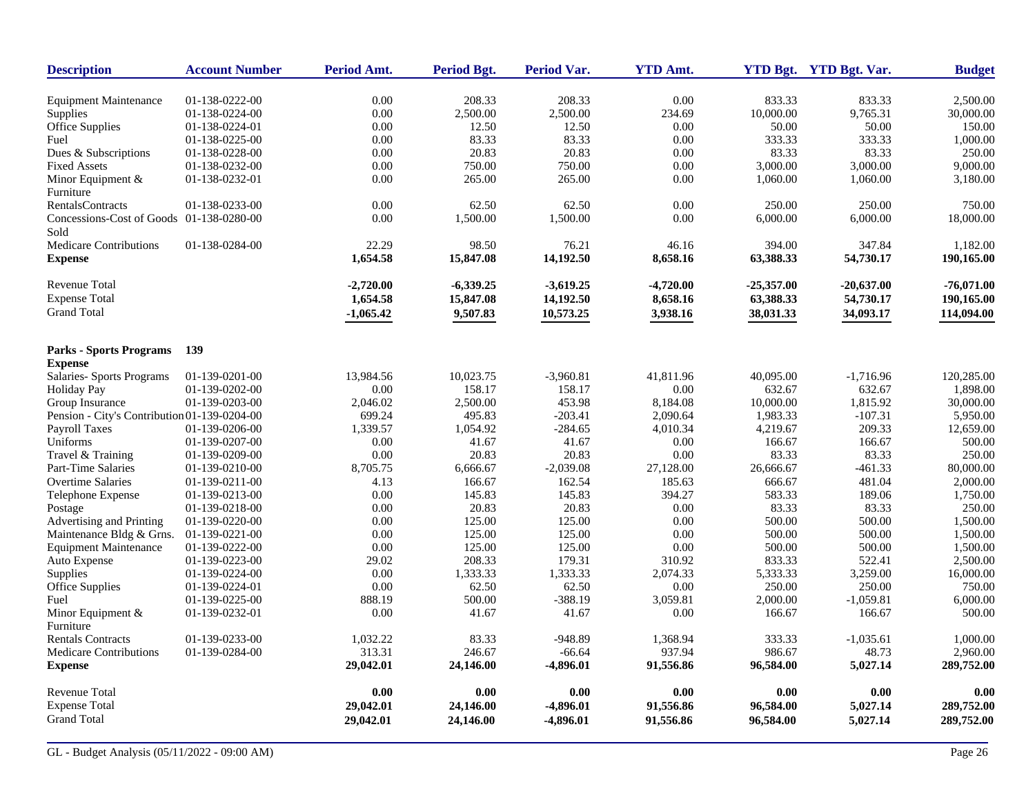| <b>Description</b>                               | <b>Account Number</b> | <b>Period Amt.</b> | <b>Period Bgt.</b> | <b>Period Var.</b> | <b>YTD Amt.</b> |              | YTD Bgt. YTD Bgt. Var. | <b>Budget</b> |
|--------------------------------------------------|-----------------------|--------------------|--------------------|--------------------|-----------------|--------------|------------------------|---------------|
| <b>Equipment Maintenance</b>                     | 01-138-0222-00        | 0.00               | 208.33             | 208.33             | 0.00            | 833.33       | 833.33                 | 2,500.00      |
| Supplies                                         | 01-138-0224-00        | 0.00               | 2,500.00           | 2,500.00           | 234.69          | 10,000.00    | 9,765.31               | 30,000.00     |
| Office Supplies                                  | 01-138-0224-01        | 0.00               | 12.50              | 12.50              | 0.00            | 50.00        | 50.00                  | 150.00        |
| Fuel                                             | 01-138-0225-00        | 0.00               | 83.33              | 83.33              | 0.00            | 333.33       | 333.33                 | 1,000.00      |
| Dues & Subscriptions                             | 01-138-0228-00        | 0.00               | 20.83              | 20.83              | 0.00            | 83.33        | 83.33                  | 250.00        |
| <b>Fixed Assets</b>                              | 01-138-0232-00        | 0.00               | 750.00             | 750.00             | 0.00            | 3,000.00     | 3,000.00               | 9,000.00      |
| Minor Equipment $&$<br>Furniture                 | 01-138-0232-01        | 0.00               | 265.00             | 265.00             | 0.00            | 1,060.00     | 1,060.00               | 3,180.00      |
| RentalsContracts                                 | 01-138-0233-00        | 0.00               | 62.50              | 62.50              | 0.00            | 250.00       | 250.00                 | 750.00        |
| Concessions-Cost of Goods 01-138-0280-00<br>Sold |                       | 0.00               | 1,500.00           | 1,500.00           | 0.00            | 6,000.00     | 6,000.00               | 18,000.00     |
| <b>Medicare Contributions</b>                    | 01-138-0284-00        | 22.29              | 98.50              | 76.21              | 46.16           | 394.00       | 347.84                 | 1,182.00      |
| <b>Expense</b>                                   |                       | 1,654.58           | 15,847.08          | 14,192.50          | 8,658.16        | 63,388.33    | 54,730.17              | 190,165.00    |
| <b>Revenue Total</b>                             |                       | -2,720.00          | $-6,339.25$        | $-3,619.25$        | $-4,720.00$     | $-25,357.00$ | $-20,637.00$           | $-76,071.00$  |
| <b>Expense Total</b>                             |                       | 1,654.58           | 15,847.08          | 14,192.50          | 8,658.16        | 63,388.33    | 54,730.17              | 190,165.00    |
| <b>Grand Total</b>                               |                       | $-1,065.42$        | 9,507.83           | 10,573.25          | 3,938.16        | 38,031.33    | 34,093.17              | 114,094.00    |
| <b>Parks - Sports Programs</b>                   | 139                   |                    |                    |                    |                 |              |                        |               |
| <b>Expense</b>                                   |                       |                    |                    |                    |                 |              |                        |               |
| Salaries- Sports Programs                        | 01-139-0201-00        | 13,984.56          | 10,023.75          | $-3,960.81$        | 41,811.96       | 40,095.00    | $-1,716.96$            | 120,285.00    |
| <b>Holiday Pay</b>                               | 01-139-0202-00        | 0.00               | 158.17             | 158.17             | 0.00            | 632.67       | 632.67                 | 1,898.00      |
| Group Insurance                                  | 01-139-0203-00        | 2.046.02           | 2,500.00           | 453.98             | 8.184.08        | 10,000.00    | 1,815.92               | 30,000.00     |
| Pension - City's Contribution 01-139-0204-00     |                       | 699.24             | 495.83             | $-203.41$          | 2,090.64        | 1,983.33     | $-107.31$              | 5,950.00      |
| <b>Payroll Taxes</b>                             | 01-139-0206-00        | 1,339.57           | 1,054.92           | $-284.65$          | 4,010.34        | 4,219.67     | 209.33                 | 12,659.00     |
| Uniforms                                         | 01-139-0207-00        | 0.00               | 41.67              | 41.67              | 0.00            | 166.67       | 166.67                 | 500.00        |
| Travel & Training                                | 01-139-0209-00        | 0.00               | 20.83              | 20.83              | 0.00            | 83.33        | 83.33                  | 250.00        |
| Part-Time Salaries                               | 01-139-0210-00        | 8,705.75           | 6,666.67           | $-2,039.08$        | 27,128.00       | 26,666.67    | $-461.33$              | 80,000.00     |
| <b>Overtime Salaries</b>                         | 01-139-0211-00        | 4.13               | 166.67             | 162.54             | 185.63          | 666.67       | 481.04                 | 2,000.00      |
| Telephone Expense                                | 01-139-0213-00        | 0.00               | 145.83             | 145.83             | 394.27          | 583.33       | 189.06                 | 1,750.00      |
| Postage                                          | 01-139-0218-00        | 0.00               | 20.83              | 20.83              | 0.00            | 83.33        | 83.33                  | 250.00        |
| Advertising and Printing                         | 01-139-0220-00        | 0.00               | 125.00             | 125.00             | 0.00            | 500.00       | 500.00                 | 1,500.00      |
| Maintenance Bldg & Grns.                         | 01-139-0221-00        | 0.00               | 125.00             | 125.00             | 0.00            | 500.00       | 500.00                 | 1,500.00      |
| <b>Equipment Maintenance</b>                     | 01-139-0222-00        | 0.00               | 125.00             | 125.00             | 0.00            | 500.00       | 500.00                 | 1,500.00      |
| Auto Expense                                     | 01-139-0223-00        | 29.02              | 208.33             | 179.31             | 310.92          | 833.33       | 522.41                 | 2,500.00      |
| Supplies                                         | 01-139-0224-00        | 0.00               | 1,333.33           | 1,333.33           | 2,074.33        | 5,333.33     | 3,259.00               | 16,000.00     |
| Office Supplies                                  | 01-139-0224-01        | 0.00               | 62.50              | 62.50              | 0.00            | 250.00       | 250.00                 | 750.00        |
| Fuel                                             | 01-139-0225-00        | 888.19             | 500.00             | $-388.19$          | 3,059.81        | 2,000.00     | $-1,059.81$            | 6,000.00      |
| Minor Equipment &<br>Furniture                   | 01-139-0232-01        | 0.00               | 41.67              | 41.67              | 0.00            | 166.67       | 166.67                 | 500.00        |
| <b>Rentals Contracts</b>                         | 01-139-0233-00        | 1,032.22           | 83.33              | $-948.89$          | 1,368.94        | 333.33       | $-1,035.61$            | 1,000.00      |
| <b>Medicare Contributions</b>                    | 01-139-0284-00        | 313.31             | 246.67             | $-66.64$           | 937.94          | 986.67       | 48.73                  | 2,960.00      |
| <b>Expense</b>                                   |                       | 29,042.01          | 24,146.00          | $-4,896.01$        | 91,556.86       | 96,584.00    | 5,027.14               | 289,752.00    |
| Revenue Total                                    |                       | 0.00               | 0.00               | 0.00               | 0.00            | 0.00         | 0.00                   | 0.00          |
| <b>Expense Total</b>                             |                       | 29,042.01          | 24,146.00          | $-4,896.01$        | 91,556.86       | 96,584.00    | 5,027.14               | 289,752.00    |
| <b>Grand Total</b>                               |                       | 29,042.01          | 24,146.00          | $-4,896.01$        | 91,556.86       | 96,584.00    | 5,027.14               | 289,752.00    |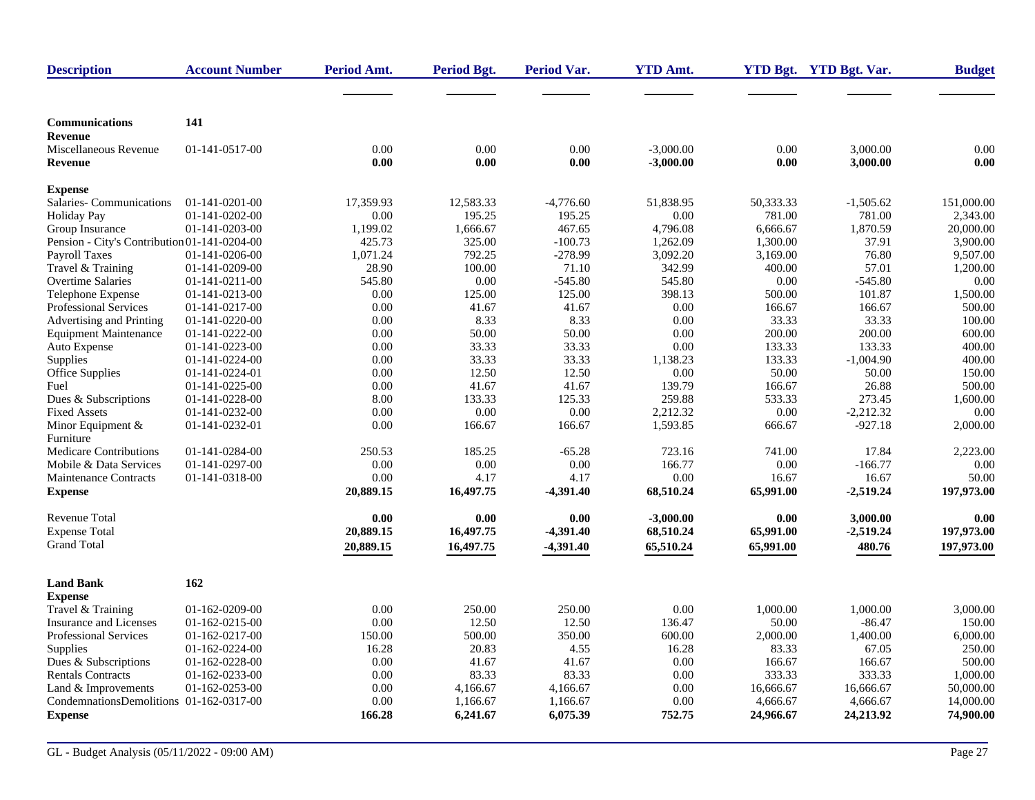| <b>Description</b>                           | <b>Account Number</b>            | Period Amt.  | <b>Period Bgt.</b> | <b>Period Var.</b> | <b>YTD Amt.</b>  |                 | YTD Bgt. YTD Bgt. Var. | <b>Budget</b>    |
|----------------------------------------------|----------------------------------|--------------|--------------------|--------------------|------------------|-----------------|------------------------|------------------|
|                                              |                                  |              |                    |                    |                  |                 |                        |                  |
| <b>Communications</b>                        | 141                              |              |                    |                    |                  |                 |                        |                  |
| Revenue<br>Miscellaneous Revenue             | 01-141-0517-00                   | 0.00         | 0.00               | 0.00               | $-3,000.00$      | 0.00            | 3,000.00               | 0.00             |
| Revenue                                      |                                  | 0.00         | 0.00               | 0.00               | $-3,000.00$      | 0.00            | 3,000.00               | 0.00             |
| <b>Expense</b>                               |                                  |              |                    |                    |                  |                 |                        |                  |
| <b>Salaries-Communications</b>               | $01-141-0201-00$                 | 17,359.93    | 12,583.33          | $-4,776.60$        | 51,838.95        | 50,333.33       | $-1,505.62$            | 151,000.00       |
| <b>Holiday Pay</b>                           | 01-141-0202-00                   | 0.00         | 195.25             | 195.25             | 0.00             | 781.00          | 781.00                 | 2,343.00         |
| Group Insurance                              | 01-141-0203-00                   | 1,199.02     | 1,666.67           | 467.65             | 4,796.08         | 6,666.67        | 1,870.59               | 20,000.00        |
| Pension - City's Contribution 01-141-0204-00 |                                  | 425.73       | 325.00             | $-100.73$          | 1,262.09         | 1,300.00        | 37.91                  | 3,900.00         |
| <b>Payroll Taxes</b>                         | 01-141-0206-00                   | 1,071.24     | 792.25             | $-278.99$          | 3,092.20         | 3,169.00        | 76.80                  | 9,507.00         |
| Travel & Training                            | 01-141-0209-00                   | 28.90        | 100.00             | 71.10              | 342.99           | 400.00          | 57.01                  | 1.200.00         |
| <b>Overtime Salaries</b>                     | $01-141-0211-00$                 | 545.80       | 0.00               | $-545.80$          | 545.80           | 0.00            | $-545.80$              | 0.00             |
| Telephone Expense                            | 01-141-0213-00                   | 0.00         | 125.00             | 125.00             | 398.13           | 500.00          | 101.87                 | 1,500.00         |
| <b>Professional Services</b>                 | 01-141-0217-00                   | 0.00         | 41.67              | 41.67              | 0.00             | 166.67          | 166.67                 | 500.00           |
| Advertising and Printing                     | 01-141-0220-00                   | 0.00         | 8.33               | 8.33               | 0.00             | 33.33           | 33.33                  | 100.00           |
| <b>Equipment Maintenance</b>                 | 01-141-0222-00                   | 0.00         | 50.00              | 50.00              | 0.00             | 200.00          | 200.00                 | 600.00           |
| Auto Expense                                 | 01-141-0223-00<br>01-141-0224-00 | 0.00         | 33.33              | 33.33              | 0.00             | 133.33          | 133.33                 | 400.00<br>400.00 |
| Supplies                                     |                                  | 0.00         | 33.33<br>12.50     | 33.33<br>12.50     | 1,138.23<br>0.00 | 133.33<br>50.00 | $-1,004.90$<br>50.00   | 150.00           |
| Office Supplies<br>Fuel                      | 01-141-0224-01<br>01-141-0225-00 | 0.00<br>0.00 | 41.67              | 41.67              | 139.79           | 166.67          | 26.88                  | 500.00           |
| Dues & Subscriptions                         | 01-141-0228-00                   | 8.00         | 133.33             | 125.33             | 259.88           | 533.33          | 273.45                 | 1,600.00         |
| <b>Fixed Assets</b>                          | 01-141-0232-00                   | 0.00         | 0.00               | 0.00               | 2,212.32         | 0.00            | $-2,212.32$            | 0.00             |
| Minor Equipment &                            | 01-141-0232-01                   | 0.00         | 166.67             | 166.67             | 1,593.85         | 666.67          | $-927.18$              | 2,000.00         |
| Furniture                                    |                                  |              |                    |                    |                  |                 |                        |                  |
| <b>Medicare Contributions</b>                | 01-141-0284-00                   | 250.53       | 185.25             | $-65.28$           | 723.16           | 741.00          | 17.84                  | 2,223.00         |
| Mobile & Data Services                       | 01-141-0297-00                   | 0.00         | 0.00               | 0.00               | 166.77           | 0.00            | $-166.77$              | 0.00             |
| <b>Maintenance Contracts</b>                 | 01-141-0318-00                   | 0.00         | 4.17               | 4.17               | 0.00             | 16.67           | 16.67                  | 50.00            |
| <b>Expense</b>                               |                                  | 20,889.15    | 16,497.75          | -4,391.40          | 68,510.24        | 65,991.00       | $-2,519.24$            | 197,973.00       |
| <b>Revenue Total</b>                         |                                  | 0.00         | 0.00               | 0.00               | $-3,000.00$      | 0.00            | 3,000.00               | 0.00             |
| <b>Expense Total</b>                         |                                  | 20,889.15    | 16,497.75          | $-4,391.40$        | 68,510.24        | 65,991.00       | $-2,519.24$            | 197,973.00       |
| <b>Grand Total</b>                           |                                  |              |                    |                    |                  |                 |                        |                  |
|                                              |                                  | 20,889.15    | 16,497.75          | $-4,391.40$        | 65,510.24        | 65,991.00       | 480.76                 | 197,973.00       |
| <b>Land Bank</b>                             | 162                              |              |                    |                    |                  |                 |                        |                  |
| <b>Expense</b>                               |                                  |              |                    |                    |                  |                 |                        |                  |
| Travel & Training                            | 01-162-0209-00                   | 0.00         | 250.00             | 250.00             | 0.00             | 1,000.00        | 1,000.00               | 3,000.00         |
| <b>Insurance and Licenses</b>                | 01-162-0215-00                   | 0.00         | 12.50              | 12.50              | 136.47           | 50.00           | $-86.47$               | 150.00           |
| <b>Professional Services</b>                 | 01-162-0217-00                   | 150.00       | 500.00             | 350.00             | 600.00           | 2,000.00        | 1,400.00               | 6,000.00         |
| Supplies                                     | 01-162-0224-00                   | 16.28        | 20.83              | 4.55               | 16.28            | 83.33           | 67.05                  | 250.00           |
| Dues & Subscriptions                         | 01-162-0228-00                   | 0.00         | 41.67              | 41.67              | 0.00             | 166.67          | 166.67                 | 500.00           |
| <b>Rentals Contracts</b>                     | 01-162-0233-00                   | 0.00         | 83.33              | 83.33              | 0.00             | 333.33          | 333.33                 | 1,000.00         |
| Land & Improvements                          | 01-162-0253-00                   | 0.00         | 4,166.67           | 4,166.67           | 0.00             | 16,666.67       | 16,666.67              | 50,000.00        |
| CondemnationsDemolitions 01-162-0317-00      |                                  | 0.00         | 1,166.67           | 1,166.67           | 0.00             | 4,666.67        | 4,666.67               | 14,000.00        |
| <b>Expense</b>                               |                                  | 166.28       | 6,241.67           | 6,075.39           | 752.75           | 24,966.67       | 24,213.92              | 74,900.00        |
|                                              |                                  |              |                    |                    |                  |                 |                        |                  |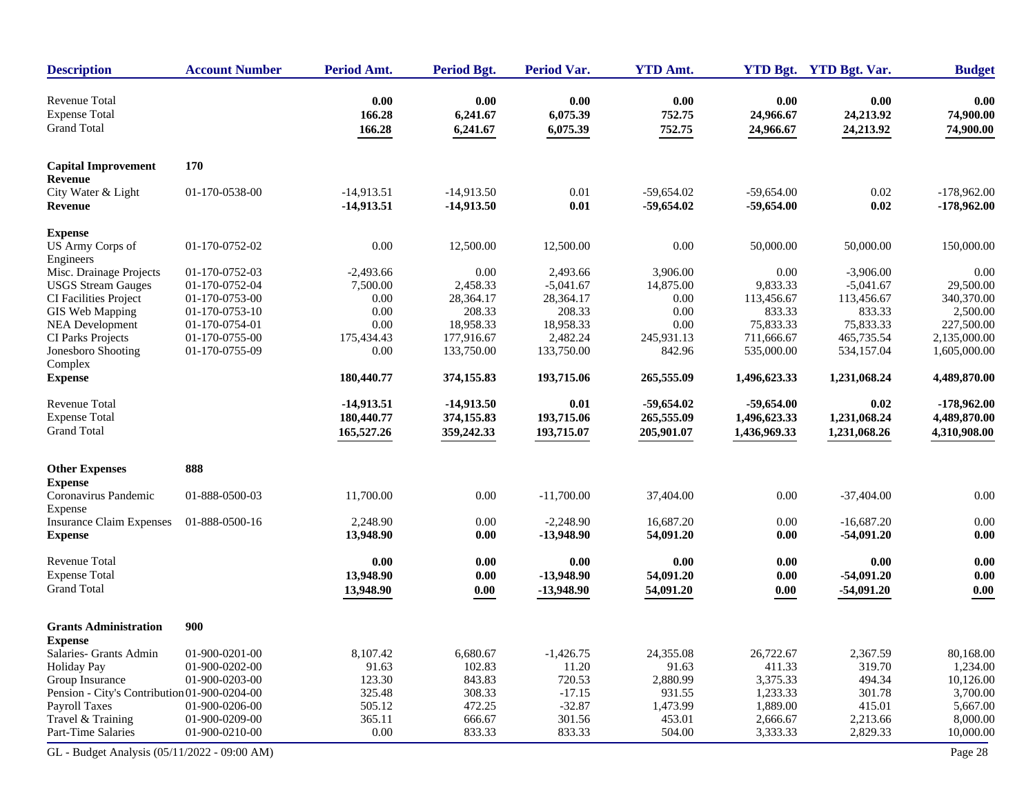| <b>Description</b>                           | <b>Account Number</b> | Period Amt.                  | <b>Period Bgt.</b>           | <b>Period Var.</b> | <b>YTD Amt.</b>              |                              | YTD Bgt. YTD Bgt. Var. | <b>Budget</b>                  |
|----------------------------------------------|-----------------------|------------------------------|------------------------------|--------------------|------------------------------|------------------------------|------------------------|--------------------------------|
| <b>Revenue Total</b><br><b>Expense Total</b> |                       | 0.00<br>166.28               | 0.00<br>6,241.67             | 0.00<br>6,075.39   | 0.00<br>752.75               | 0.00<br>24,966.67            | 0.00<br>24,213.92      | 0.00<br>74,900.00              |
| <b>Grand Total</b>                           |                       | 166.28                       | 6,241.67                     | 6,075.39           | 752.75                       | 24,966.67                    | 24,213.92              | 74,900.00                      |
| <b>Capital Improvement</b><br><b>Revenue</b> | 170                   |                              |                              |                    |                              |                              |                        |                                |
| City Water & Light<br>Revenue                | 01-170-0538-00        | $-14,913.51$<br>$-14,913.51$ | $-14,913.50$<br>$-14,913.50$ | 0.01<br>0.01       | $-59,654.02$<br>$-59,654.02$ | $-59,654.00$<br>$-59,654.00$ | 0.02<br>0.02           | $-178,962.00$<br>$-178,962.00$ |
| <b>Expense</b>                               |                       |                              |                              |                    |                              |                              |                        |                                |
| US Army Corps of<br>Engineers                | 01-170-0752-02        | $0.00\,$                     | 12,500.00                    | 12,500.00          | 0.00                         | 50,000.00                    | 50,000.00              | 150,000.00                     |
| Misc. Drainage Projects                      | 01-170-0752-03        | $-2,493.66$                  | 0.00                         | 2,493.66           | 3,906.00                     | 0.00                         | $-3,906.00$            | 0.00                           |
| <b>USGS</b> Stream Gauges                    | 01-170-0752-04        | 7,500.00                     | 2,458.33                     | $-5,041.67$        | 14,875.00                    | 9,833.33                     | $-5,041.67$            | 29,500.00                      |
| CI Facilities Project                        | 01-170-0753-00        | 0.00                         | 28,364.17                    | 28,364.17          | 0.00                         | 113,456.67                   | 113,456.67             | 340,370.00                     |
| GIS Web Mapping                              | 01-170-0753-10        | 0.00                         | 208.33                       | 208.33             | 0.00                         | 833.33                       | 833.33                 | 2,500.00                       |
| <b>NEA Development</b>                       | 01-170-0754-01        | 0.00                         | 18,958.33                    | 18,958.33          | 0.00                         | 75,833.33                    | 75,833.33              | 227,500.00                     |
| CI Parks Projects                            | 01-170-0755-00        | 175,434.43                   | 177,916.67                   | 2,482.24           | 245,931.13                   | 711,666.67                   | 465,735.54             | 2,135,000.00                   |
| Jonesboro Shooting<br>Complex                | 01-170-0755-09        | 0.00                         | 133,750.00                   | 133,750.00         | 842.96                       | 535,000.00                   | 534,157.04             | 1,605,000.00                   |
| <b>Expense</b>                               |                       | 180,440.77                   | 374,155.83                   | 193,715.06         | 265,555.09                   | 1,496,623.33                 | 1,231,068.24           | 4,489,870.00                   |
| Revenue Total                                |                       | $-14,913.51$                 | $-14,913.50$                 | 0.01               | $-59,654.02$                 | $-59,654.00$                 | 0.02                   | $-178,962.00$                  |
| <b>Expense Total</b>                         |                       | 180,440.77                   | 374,155.83                   | 193,715.06         | 265,555.09                   | 1,496,623.33                 | 1,231,068.24           | 4,489,870.00                   |
| <b>Grand Total</b>                           |                       | 165,527.26                   | 359,242.33                   | 193,715.07         | 205,901.07                   | 1,436,969.33                 | 1,231,068.26           | 4,310,908.00                   |
| <b>Other Expenses</b>                        | 888                   |                              |                              |                    |                              |                              |                        |                                |
| <b>Expense</b>                               |                       |                              |                              |                    |                              |                              |                        |                                |
| Coronavirus Pandemic<br>Expense              | 01-888-0500-03        | 11,700.00                    | 0.00                         | $-11,700.00$       | 37,404.00                    | $0.00\,$                     | $-37,404.00$           | $0.00\,$                       |
| <b>Insurance Claim Expenses</b>              | 01-888-0500-16        | 2,248.90                     | 0.00                         | $-2,248.90$        | 16,687.20                    | 0.00                         | $-16,687.20$           | 0.00                           |
| <b>Expense</b>                               |                       | 13,948.90                    | 0.00                         | $-13,948.90$       | 54,091.20                    | 0.00                         | $-54,091.20$           | 0.00                           |
| <b>Revenue Total</b>                         |                       | 0.00                         | 0.00                         | 0.00               | 0.00                         | 0.00                         | 0.00                   | $0.00\,$                       |
| <b>Expense Total</b>                         |                       | 13,948.90                    | 0.00                         | $-13,948.90$       | 54,091.20                    | 0.00                         | $-54,091.20$           | 0.00                           |
| <b>Grand Total</b>                           |                       | 13,948.90                    | 0.00                         | $-13,948.90$       | 54,091.20                    | 0.00                         | $-54,091.20$           | 0.00                           |
| <b>Grants Administration</b>                 | 900                   |                              |                              |                    |                              |                              |                        |                                |
| <b>Expense</b>                               |                       |                              |                              |                    |                              |                              |                        |                                |
| Salaries- Grants Admin                       | 01-900-0201-00        | 8,107.42                     | 6,680.67                     | $-1,426.75$        | 24,355.08                    | 26,722.67                    | 2,367.59               | 80,168.00                      |
| <b>Holiday Pay</b>                           | 01-900-0202-00        | 91.63                        | 102.83                       | 11.20              | 91.63                        | 411.33                       | 319.70                 | 1,234.00                       |
| Group Insurance                              | 01-900-0203-00        | 123.30                       | 843.83                       | 720.53             | 2,880.99                     | 3,375.33                     | 494.34                 | 10,126.00                      |
| Pension - City's Contribution 01-900-0204-00 |                       | 325.48                       | 308.33                       | $-17.15$           | 931.55                       | 1,233.33                     | 301.78                 | 3,700.00                       |
| Payroll Taxes                                | 01-900-0206-00        | 505.12                       | 472.25                       | $-32.87$           | 1,473.99                     | 1,889.00                     | 415.01                 | 5,667.00                       |
| Travel & Training                            | 01-900-0209-00        | 365.11                       | 666.67                       | 301.56             | 453.01                       | 2,666.67                     | 2,213.66               | 8,000.00                       |
| Part-Time Salaries                           | 01-900-0210-00        | $0.00\,$                     | 833.33                       | 833.33             | 504.00                       | 3,333.33                     | 2,829.33               | 10,000.00                      |
| GL - Budget Analysis (05/11/2022 - 09:00 AM) |                       |                              |                              |                    |                              |                              |                        | Page 28                        |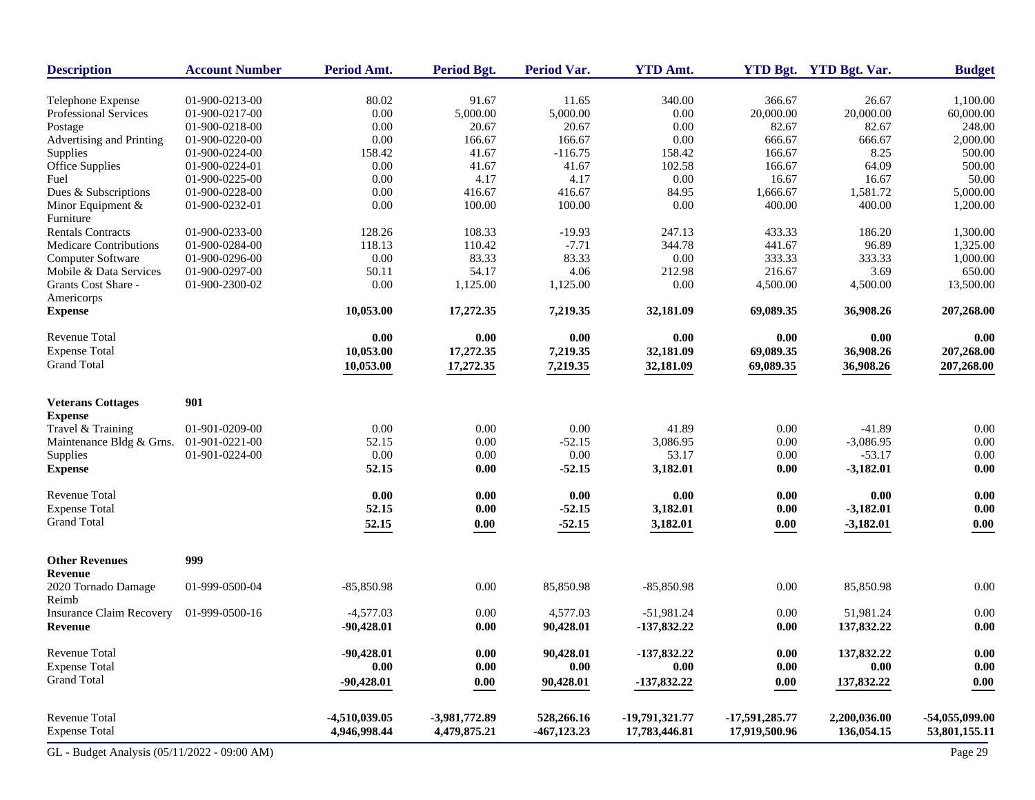| <b>Description</b>                           | <b>Account Number</b> | Period Amt.   | <b>Period Bgt.</b> | <b>Period Var.</b> | <b>YTD Amt.</b> |                     | YTD Bgt. YTD Bgt. Var. | <b>Budget</b>    |
|----------------------------------------------|-----------------------|---------------|--------------------|--------------------|-----------------|---------------------|------------------------|------------------|
| Telephone Expense                            | 01-900-0213-00        | 80.02         | 91.67              | 11.65              | 340.00          | 366.67              | 26.67                  | 1,100.00         |
| Professional Services                        | 01-900-0217-00        | 0.00          | 5,000.00           | 5,000.00           | 0.00            | 20,000.00           | 20,000.00              | 60,000.00        |
| Postage                                      | 01-900-0218-00        | 0.00          | 20.67              | 20.67              | 0.00            | 82.67               | 82.67                  | 248.00           |
| Advertising and Printing                     | 01-900-0220-00        | 0.00          | 166.67             | 166.67             | 0.00            | 666.67              | 666.67                 | 2,000.00         |
| Supplies                                     | 01-900-0224-00        | 158.42        | 41.67              | $-116.75$          | 158.42          | 166.67              | 8.25                   | 500.00           |
| Office Supplies                              | 01-900-0224-01        | 0.00          | 41.67              | 41.67              | 102.58          | 166.67              | 64.09                  | 500.00           |
| Fuel                                         | 01-900-0225-00        | 0.00          | 4.17               | 4.17               | 0.00            | 16.67               | 16.67                  | 50.00            |
| Dues & Subscriptions                         | 01-900-0228-00        | 0.00          | 416.67             | 416.67             | 84.95           | 1,666.67            | 1,581.72               | 5,000.00         |
| Minor Equipment &                            | 01-900-0232-01        | 0.00          | 100.00             | 100.00             | 0.00            | 400.00              | 400.00                 | 1,200.00         |
| Furniture                                    |                       |               |                    |                    |                 |                     |                        |                  |
| <b>Rentals Contracts</b>                     | 01-900-0233-00        | 128.26        | 108.33             | $-19.93$           | 247.13          | 433.33              | 186.20                 | 1,300.00         |
| <b>Medicare Contributions</b>                | 01-900-0284-00        | 118.13        | 110.42             | $-7.71$            | 344.78          | 441.67              | 96.89                  | 1,325.00         |
| Computer Software                            | 01-900-0296-00        | 0.00          | 83.33              | 83.33              | 0.00            | 333.33              | 333.33                 | 1,000.00         |
| Mobile & Data Services                       | 01-900-0297-00        | 50.11         | 54.17              | 4.06               | 212.98          | 216.67              | 3.69                   | 650.00           |
| Grants Cost Share -<br>Americorps            | 01-900-2300-02        | 0.00          | 1,125.00           | 1,125.00           | 0.00            | 4,500.00            | 4,500.00               | 13,500.00        |
| <b>Expense</b>                               |                       | 10,053.00     | 17,272.35          | 7,219.35           | 32,181.09       | 69,089.35           | 36,908.26              | 207,268.00       |
| <b>Revenue Total</b>                         |                       | 0.00          | 0.00               | 0.00               | 0.00            | 0.00                | 0.00                   | 0.00             |
| <b>Expense Total</b>                         |                       | 10,053.00     | 17,272.35          | 7,219.35           | 32,181.09       | 69,089.35           | 36,908.26              | 207,268.00       |
| <b>Grand Total</b>                           |                       | 10,053.00     | 17,272.35          | 7,219.35           | 32,181.09       | 69,089.35           | 36,908.26              | 207,268.00       |
|                                              |                       |               |                    |                    |                 |                     |                        |                  |
| <b>Veterans Cottages</b>                     | 901                   |               |                    |                    |                 |                     |                        |                  |
| <b>Expense</b>                               |                       |               |                    |                    |                 |                     |                        |                  |
| Travel & Training                            | 01-901-0209-00        | 0.00          | 0.00               | 0.00               | 41.89           | $0.00\,$            | $-41.89$               | $0.00\,$         |
| Maintenance Bldg & Grns.                     | 01-901-0221-00        | 52.15         | 0.00               | $-52.15$           | 3,086.95        | 0.00                | $-3,086.95$            | 0.00             |
| Supplies                                     | 01-901-0224-00        | 0.00          | 0.00               | 0.00               | 53.17           | 0.00                | $-53.17$               | $0.00\,$         |
| <b>Expense</b>                               |                       | 52.15         | 0.00               | $-52.15$           | 3,182.01        | 0.00                | $-3,182.01$            | 0.00             |
| <b>Revenue Total</b>                         |                       | 0.00          | 0.00               | 0.00               | 0.00            | 0.00                | 0.00                   | 0.00             |
| <b>Expense Total</b>                         |                       | 52.15         | 0.00               | $-52.15$           | 3,182.01        | 0.00                | $-3,182.01$            | $0.00\,$         |
| <b>Grand Total</b>                           |                       | 52.15         | 0.00               | $-52.15$           | 3,182.01        | $0.00\,$            | $-3,182.01$            | 0.00             |
|                                              |                       |               |                    |                    |                 |                     |                        |                  |
| <b>Other Revenues</b>                        | 999                   |               |                    |                    |                 |                     |                        |                  |
| Revenue                                      |                       |               |                    |                    |                 |                     |                        |                  |
| 2020 Tornado Damage                          | 01-999-0500-04        | $-85,850.98$  | 0.00               | 85,850.98          | $-85,850.98$    | 0.00                | 85,850.98              | 0.00             |
| Reimb                                        |                       |               |                    |                    |                 |                     |                        |                  |
| <b>Insurance Claim Recovery</b>              | 01-999-0500-16        | $-4,577.03$   | 0.00               | 4,577.03           | $-51,981.24$    | 0.00                | 51,981.24              | 0.00             |
| Revenue                                      |                       | $-90,428.01$  | 0.00               | 90,428.01          | -137,832.22     | 0.00                | 137,832.22             | 0.00             |
| Revenue Total                                |                       | $-90,428.01$  | 0.00               | 90,428.01          | -137,832.22     | $\boldsymbol{0.00}$ | 137,832.22             | 0.00             |
| <b>Expense Total</b>                         |                       | 0.00          | 0.00               | 0.00               | 0.00            | 0.00                | 0.00                   | 0.00             |
| <b>Grand Total</b>                           |                       | $-90,428.01$  | 0.00               | 90,428.01          | -137,832.22     | 0.00                | 137,832.22             | 0.00             |
|                                              |                       |               |                    |                    |                 |                     |                        |                  |
| Revenue Total                                |                       | -4,510,039.05 | -3,981,772.89      | 528,266.16         | -19,791,321.77  | -17,591,285.77      | 2,200,036.00           | $-54,055,099.00$ |
| <b>Expense Total</b>                         |                       | 4,946,998.44  | 4,479,875.21       | $-467, 123.23$     | 17,783,446.81   | 17,919,500.96       | 136,054.15             | 53,801,155.11    |
| GL - Budget Analysis (05/11/2022 - 09:00 AM) |                       |               |                    |                    |                 |                     |                        | Page 29          |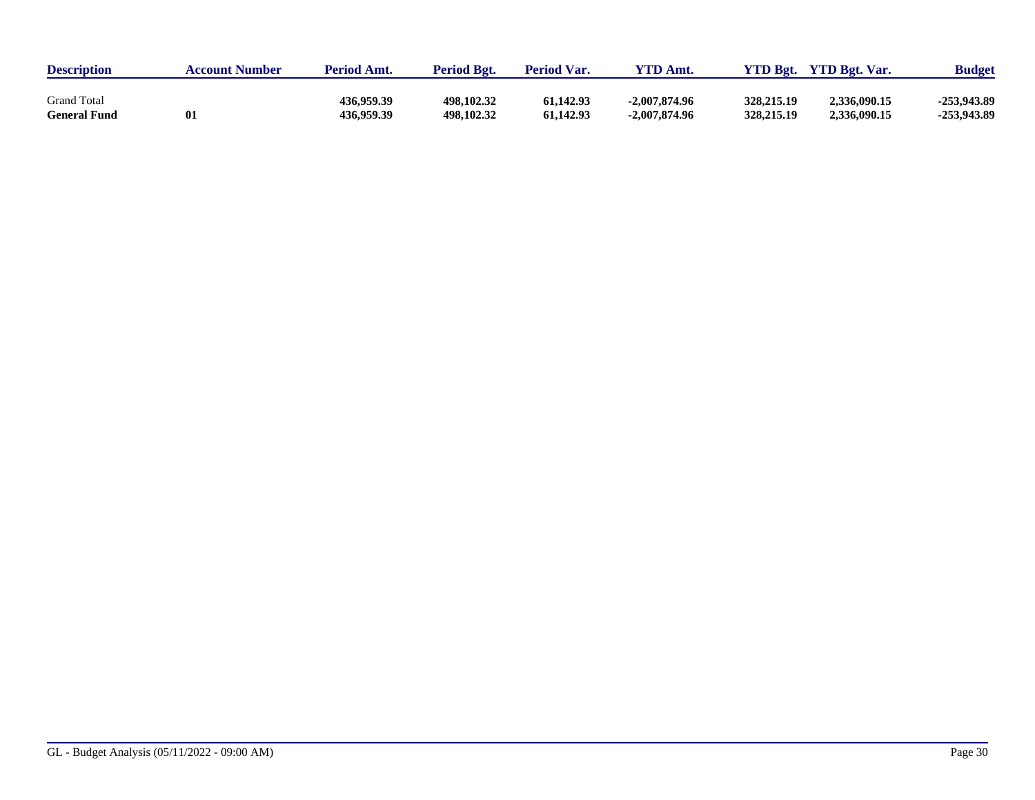| <b>Description</b>  | <b>Account Number</b> | <b>Period Amt.</b> | <b>Period Bgt.</b> | <b>Period Var.</b> | $VTD$ Amt.      | <b>YTD Bgt.</b> | <b>YTD Bgt. Var.</b> | <b>Budget</b> |
|---------------------|-----------------------|--------------------|--------------------|--------------------|-----------------|-----------------|----------------------|---------------|
| <b>Grand Total</b>  | 01                    | 436.959.39         | 498.102.32         | 61,142.93          | $-2.007,874.96$ | 328,215.19      | 2,336,090.15         | -253,943.89   |
| <b>General Fund</b> |                       | 436,959.39         | 498,102.32         | 61,142.93          | $-2,007,874.96$ | 328,215.19      | 2,336,090.15         | -253,943.89   |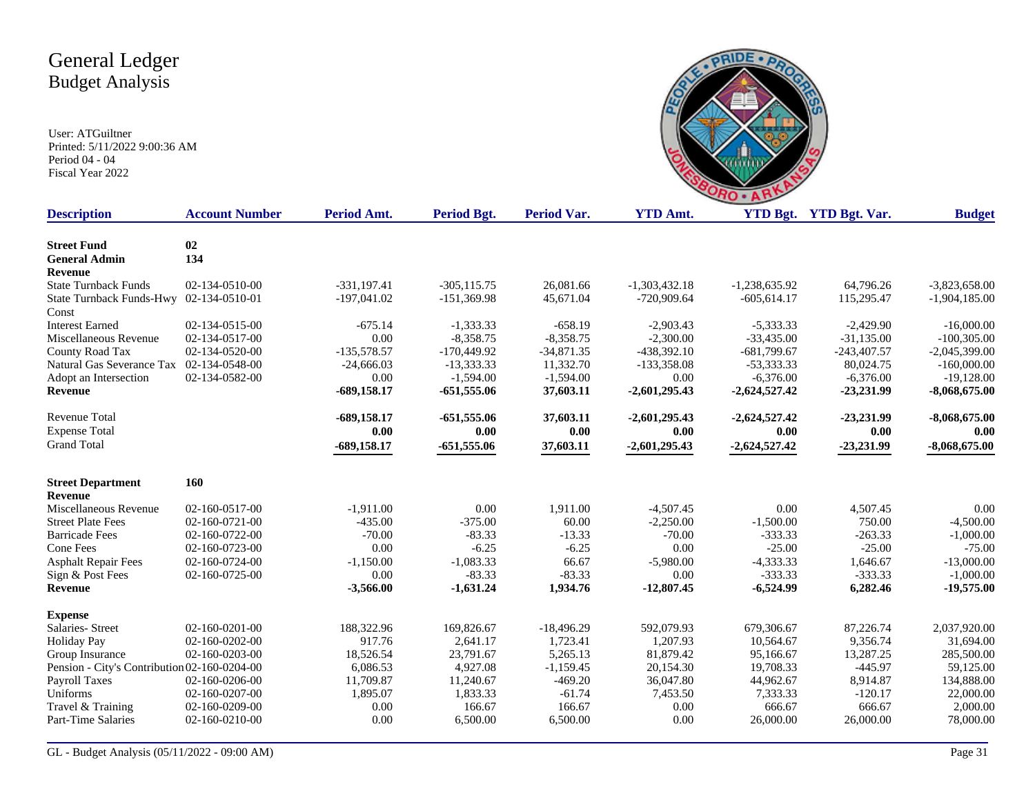

| <b>Description</b>                               | <b>Account Number</b> | Period Amt.    | Period Bgt.    | <b>Period Var.</b> | <b>YTD Amt.</b> |                 | YTD Bgt. YTD Bgt. Var. | <b>Budget</b>   |
|--------------------------------------------------|-----------------------|----------------|----------------|--------------------|-----------------|-----------------|------------------------|-----------------|
|                                                  |                       |                |                |                    |                 |                 |                        |                 |
| <b>Street Fund</b>                               | 02<br>134             |                |                |                    |                 |                 |                        |                 |
| <b>General Admin</b>                             |                       |                |                |                    |                 |                 |                        |                 |
| <b>Revenue</b><br><b>State Turnback Funds</b>    |                       | $-331, 197.41$ | $-305, 115.75$ | 26,081.66          | $-1,303,432.18$ | $-1,238,635.92$ | 64,796.26              | $-3,823,658.00$ |
|                                                  | 02-134-0510-00        |                |                |                    | $-720.909.64$   | $-605.614.17$   |                        |                 |
| State Turnback Funds-Hwy 02-134-0510-01<br>Const |                       | $-197,041.02$  | $-151,369.98$  | 45,671.04          |                 |                 | 115,295.47             | $-1,904,185.00$ |
| <b>Interest Earned</b>                           | 02-134-0515-00        | $-675.14$      | $-1,333,33$    | $-658.19$          | $-2,903.43$     | $-5,333.33$     | $-2.429.90$            | $-16,000.00$    |
| Miscellaneous Revenue                            | 02-134-0517-00        | 0.00           | $-8,358.75$    | $-8,358.75$        | $-2,300.00$     | $-33,435.00$    | $-31,135.00$           | $-100,305.00$   |
| County Road Tax                                  | 02-134-0520-00        | $-135,578.57$  | $-170,449.92$  | $-34,871.35$       | $-438,392.10$   | $-681,799.67$   | $-243,407.57$          | $-2,045,399.00$ |
| Natural Gas Severance Tax                        | 02-134-0548-00        | $-24,666.03$   | $-13,333.33$   | 11,332.70          | $-133,358.08$   | $-53,333.33$    | 80,024.75              | $-160,000.00$   |
| Adopt an Intersection                            | 02-134-0582-00        | 0.00           | $-1,594.00$    | $-1,594.00$        | 0.00            | $-6,376.00$     | $-6,376.00$            | $-19,128.00$    |
| Revenue                                          |                       | $-689,158.17$  | -651,555.06    | 37,603.11          | $-2,601,295.43$ | $-2,624,527.42$ | $-23,231.99$           | $-8,068,675,00$ |
| Revenue Total                                    |                       | $-689,158.17$  | $-651,555.06$  | 37,603.11          | $-2,601,295.43$ | $-2,624,527.42$ | $-23,231.99$           | $-8,068,675.00$ |
| <b>Expense Total</b>                             |                       | 0.00           | 0.00           | 0.00               | 0.00            | 0.00            | 0.00                   | 0.00            |
| <b>Grand Total</b>                               |                       | $-689,158.17$  | $-651,555.06$  | 37,603.11          | $-2,601,295.43$ | $-2,624,527.42$ | $-23,231.99$           | $-8,068,675.00$ |
| <b>Street Department</b>                         | 160                   |                |                |                    |                 |                 |                        |                 |
| <b>Revenue</b>                                   |                       |                |                |                    |                 |                 |                        |                 |
| Miscellaneous Revenue                            | 02-160-0517-00        | $-1,911.00$    | 0.00           | 1,911.00           | $-4,507.45$     | 0.00            | 4,507.45               | 0.00            |
| <b>Street Plate Fees</b>                         | 02-160-0721-00        | $-435.00$      | $-375.00$      | 60.00              | $-2,250.00$     | $-1,500.00$     | 750.00                 | $-4,500.00$     |
| <b>Barricade Fees</b>                            | 02-160-0722-00        | $-70.00$       | $-83.33$       | $-13.33$           | $-70.00$        | $-333.33$       | $-263.33$              | $-1,000.00$     |
| Cone Fees                                        | 02-160-0723-00        | 0.00           | $-6.25$        | $-6.25$            | 0.00            | $-25.00$        | $-25.00$               | $-75.00$        |
| <b>Asphalt Repair Fees</b>                       | 02-160-0724-00        | $-1,150.00$    | $-1,083.33$    | 66.67              | $-5,980.00$     | $-4,333.33$     | 1,646.67               | $-13,000.00$    |
| Sign & Post Fees                                 | 02-160-0725-00        | 0.00           | $-83.33$       | $-83.33$           | 0.00            | $-333.33$       | $-333.33$              | $-1,000.00$     |
| Revenue                                          |                       | $-3,566.00$    | $-1,631.24$    | 1,934.76           | $-12,807.45$    | $-6,524.99$     | 6,282.46               | $-19,575.00$    |
| <b>Expense</b>                                   |                       |                |                |                    |                 |                 |                        |                 |
| Salaries- Street                                 | 02-160-0201-00        | 188,322.96     | 169,826.67     | $-18,496.29$       | 592,079.93      | 679,306.67      | 87,226.74              | 2,037,920.00    |
| <b>Holiday Pay</b>                               | 02-160-0202-00        | 917.76         | 2,641.17       | 1,723.41           | 1,207.93        | 10,564.67       | 9,356.74               | 31,694.00       |
| Group Insurance                                  | 02-160-0203-00        | 18,526.54      | 23,791.67      | 5,265.13           | 81,879.42       | 95,166.67       | 13,287.25              | 285,500.00      |
| Pension - City's Contribution 02-160-0204-00     |                       | 6,086.53       | 4,927.08       | $-1,159.45$        | 20,154.30       | 19,708.33       | $-445.97$              | 59,125.00       |
| <b>Payroll Taxes</b>                             | 02-160-0206-00        | 11,709.87      | 11,240.67      | $-469.20$          | 36,047.80       | 44,962.67       | 8,914.87               | 134,888.00      |
| Uniforms                                         | 02-160-0207-00        | 1,895.07       | 1,833.33       | $-61.74$           | 7,453.50        | 7,333.33        | $-120.17$              | 22,000.00       |
| Travel & Training                                | 02-160-0209-00        | 0.00           | 166.67         | 166.67             | 0.00            | 666.67          | 666.67                 | 2,000.00        |
| <b>Part-Time Salaries</b>                        | 02-160-0210-00        | 0.00           | 6,500.00       | 6,500.00           | 0.00            | 26,000.00       | 26,000.00              | 78,000.00       |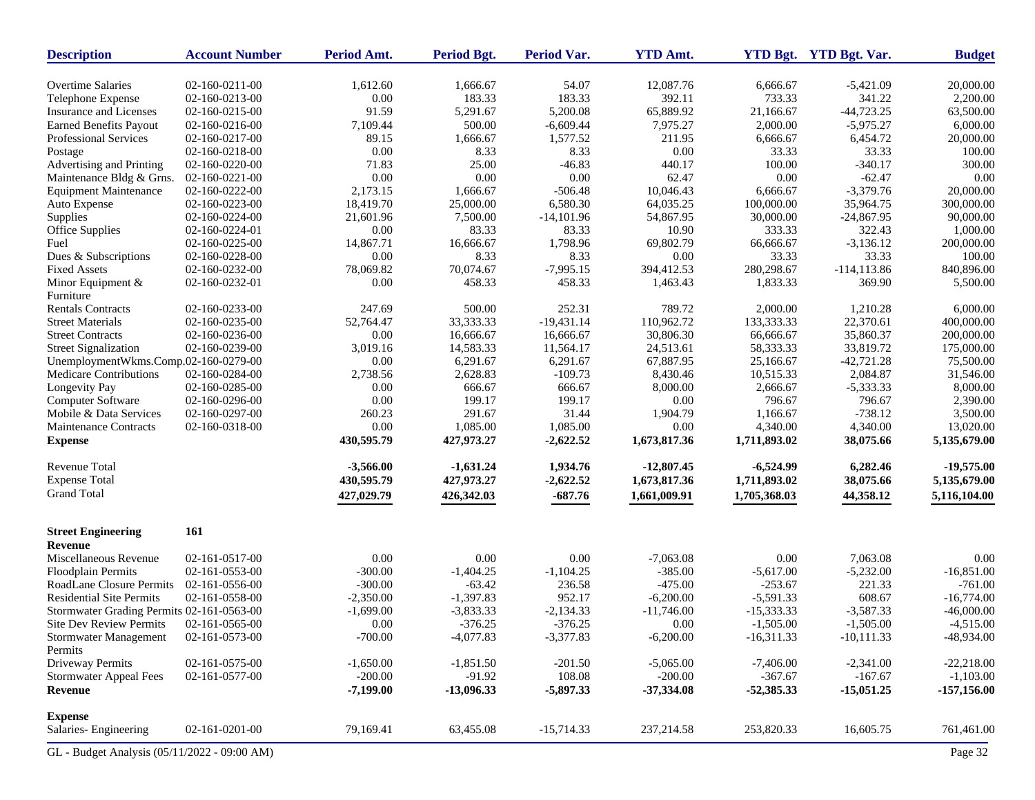| <b>Description</b>                           | <b>Account Number</b>            | Period Amt.    | <b>Period Bgt.</b> | <b>Period Var.</b> | <b>YTD Amt.</b>  |              | <b>YTD Bgt.</b> YTD Bgt. Var. | <b>Budget</b> |
|----------------------------------------------|----------------------------------|----------------|--------------------|--------------------|------------------|--------------|-------------------------------|---------------|
| <b>Overtime Salaries</b>                     | 02-160-0211-00                   | 1,612.60       | 1,666.67           | 54.07              | 12,087.76        | 6,666.67     | $-5,421.09$                   | 20,000.00     |
| Telephone Expense                            | 02-160-0213-00                   | 0.00           | 183.33             | 183.33             | 392.11           | 733.33       | 341.22                        | 2,200.00      |
| Insurance and Licenses                       | 02-160-0215-00                   | 91.59          | 5,291.67           | 5,200.08           | 65,889.92        | 21,166.67    | $-44,723.25$                  | 63,500.00     |
| <b>Earned Benefits Payout</b>                | 02-160-0216-00                   | 7,109.44       | 500.00             | $-6,609.44$        | 7,975.27         | 2,000.00     | $-5,975.27$                   | 6,000.00      |
| Professional Services                        | 02-160-0217-00                   | 89.15          | 1,666.67           | 1,577.52           | 211.95           | 6,666.67     | 6,454.72                      | 20,000.00     |
| Postage                                      | 02-160-0218-00                   | 0.00           | 8.33               | 8.33               | 0.00             | 33.33        | 33.33                         | 100.00        |
| Advertising and Printing                     | 02-160-0220-00                   | 71.83          | 25.00              | $-46.83$           | 440.17           | 100.00       | $-340.17$                     | 300.00        |
| Maintenance Bldg & Grns.                     | 02-160-0221-00                   | 0.00           | 0.00               | $0.00\,$           | 62.47            | 0.00         | $-62.47$                      | 0.00          |
| <b>Equipment Maintenance</b>                 | 02-160-0222-00                   | 2,173.15       | 1,666.67           | $-506.48$          | 10,046.43        | 6,666.67     | $-3,379.76$                   | 20,000.00     |
| Auto Expense                                 | 02-160-0223-00                   | 18,419.70      | 25,000.00          | 6,580.30           | 64,035.25        | 100,000.00   | 35,964.75                     | 300,000.00    |
| Supplies                                     | 02-160-0224-00                   | 21,601.96      | 7,500.00           | $-14,101.96$       | 54,867.95        | 30,000.00    | $-24,867.95$                  | 90,000.00     |
| Office Supplies                              | 02-160-0224-01                   | 0.00           | 83.33              | 83.33              | 10.90            | 333.33       | 322.43                        | 1,000.00      |
| Fuel                                         | 02-160-0225-00                   | 14,867.71      | 16,666.67          | 1,798.96           | 69,802.79        | 66,666.67    | $-3,136.12$                   | 200,000.00    |
| Dues & Subscriptions                         | 02-160-0228-00                   | 0.00           | 8.33               | 8.33               | 0.00             | 33.33        | 33.33                         | 100.00        |
| <b>Fixed Assets</b>                          | 02-160-0232-00                   | 78,069.82      | 70,074.67          | $-7,995.15$        | 394,412.53       | 280,298.67   | $-114, 113.86$                | 840,896.00    |
| Minor Equipment &<br>Furniture               | 02-160-0232-01                   | 0.00           | 458.33             | 458.33             | 1,463.43         | 1,833.33     | 369.90                        | 5,500.00      |
| <b>Rentals Contracts</b>                     | 02-160-0233-00                   | 247.69         | 500.00             | 252.31             | 789.72           | 2,000.00     | 1,210.28                      | 6,000.00      |
| <b>Street Materials</b>                      | 02-160-0235-00                   | 52,764.47      | 33,333.33          | $-19,431.14$       | 110,962.72       | 133,333.33   | 22,370.61                     | 400,000.00    |
| <b>Street Contracts</b>                      | 02-160-0236-00                   | 0.00           | 16,666.67          | 16,666.67          | 30,806.30        | 66,666.67    | 35,860.37                     | 200,000.00    |
| <b>Street Signalization</b>                  | 02-160-0239-00                   | 3,019.16       | 14,583.33          | 11,564.17          | 24,513.61        | 58,333.33    | 33,819.72                     | 175,000.00    |
| UnemploymentWkms.Comp.02-160-0279-00         |                                  | 0.00           | 6,291.67           | 6,291.67           | 67,887.95        | 25,166.67    | $-42,721.28$                  | 75,500.00     |
| Medicare Contributions                       | 02-160-0284-00                   | 2,738.56       | 2,628.83           | $-109.73$          | 8,430.46         | 10,515.33    | 2,084.87                      | 31,546.00     |
|                                              | 02-160-0285-00                   | 0.00           | 666.67             | 666.67             | 8,000.00         | 2,666.67     | $-5,333.33$                   | 8,000.00      |
| Longevity Pay<br>Computer Software           | 02-160-0296-00                   | 0.00           | 199.17             | 199.17             | 0.00             | 796.67       | 796.67                        | 2,390.00      |
| Mobile & Data Services                       |                                  |                | 291.67             | 31.44              |                  | 1,166.67     | $-738.12$                     | 3,500.00      |
| Maintenance Contracts                        | 02-160-0297-00<br>02-160-0318-00 | 260.23<br>0.00 | 1,085.00           | 1,085.00           | 1,904.79<br>0.00 | 4,340.00     | 4,340.00                      | 13,020.00     |
| <b>Expense</b>                               |                                  | 430,595.79     | 427,973.27         | $-2,622.52$        | 1,673,817.36     | 1,711,893.02 | 38,075.66                     | 5,135,679.00  |
| Revenue Total                                |                                  | $-3,566.00$    | $-1,631.24$        | 1,934.76           | $-12,807.45$     | $-6,524.99$  | 6,282.46                      | $-19,575.00$  |
| <b>Expense Total</b>                         |                                  | 430,595.79     | 427,973.27         | $-2,622.52$        | 1,673,817.36     | 1,711,893.02 | 38,075.66                     | 5,135,679.00  |
| <b>Grand Total</b>                           |                                  | 427,029.79     | 426,342.03         | $-687.76$          | 1,661,009.91     | 1,705,368.03 | 44,358.12                     | 5,116,104.00  |
| <b>Street Engineering</b><br>Revenue         | 161                              |                |                    |                    |                  |              |                               |               |
| Miscellaneous Revenue                        | 02-161-0517-00                   | 0.00           | 0.00               | 0.00               | $-7,063.08$      | 0.00         | 7,063.08                      | 0.00          |
| Floodplain Permits                           | 02-161-0553-00                   | $-300.00$      | $-1,404.25$        | $-1,104.25$        | $-385.00$        | $-5,617.00$  | $-5,232.00$                   | $-16,851.00$  |
| <b>RoadLane Closure Permits</b>              | 02-161-0556-00                   | $-300.00$      | $-63.42$           | 236.58             | $-475.00$        | $-253.67$    | 221.33                        | $-761.00$     |
| <b>Residential Site Permits</b>              | 02-161-0558-00                   | $-2,350.00$    | $-1,397.83$        | 952.17             | $-6,200.00$      | $-5,591.33$  | 608.67                        | $-16,774.00$  |
| Stormwater Grading Permits 02-161-0563-00    |                                  | $-1,699.00$    | $-3,833.33$        | $-2,134.33$        | $-11,746.00$     | $-15,333.33$ | $-3,587.33$                   | $-46,000.00$  |
| <b>Site Dev Review Permits</b>               | 02-161-0565-00                   | 0.00           | $-376.25$          | $-376.25$          | 0.00             | $-1,505.00$  | $-1,505.00$                   | $-4,515.00$   |
| <b>Stormwater Management</b>                 | 02-161-0573-00                   | $-700.00$      | $-4,077.83$        | $-3,377.83$        | $-6,200.00$      | $-16,311.33$ | $-10,111.33$                  | $-48,934.00$  |
| Permits                                      |                                  |                |                    |                    |                  |              |                               |               |
| Driveway Permits                             | 02-161-0575-00                   | $-1,650.00$    | $-1,851.50$        | $-201.50$          | $-5,065.00$      | $-7,406.00$  | $-2,341.00$                   | $-22,218.00$  |
| <b>Stormwater Appeal Fees</b>                | 02-161-0577-00                   | $-200.00$      | $-91.92$           | 108.08             | $-200.00$        | $-367.67$    | $-167.67$                     | $-1,103.00$   |
| Revenue                                      |                                  | $-7,199.00$    | $-13,096.33$       | $-5,897.33$        | $-37,334.08$     | $-52,385.33$ | $-15,051.25$                  | $-157,156.00$ |
| <b>Expense</b>                               |                                  |                |                    |                    |                  |              |                               |               |
| Salaries-Engineering                         | 02-161-0201-00                   | 79,169.41      | 63,455.08          | $-15,714.33$       | 237, 214.58      | 253,820.33   | 16,605.75                     | 761,461.00    |
| GL - Budget Analysis (05/11/2022 - 09:00 AM) |                                  |                |                    |                    |                  |              |                               | Page 32       |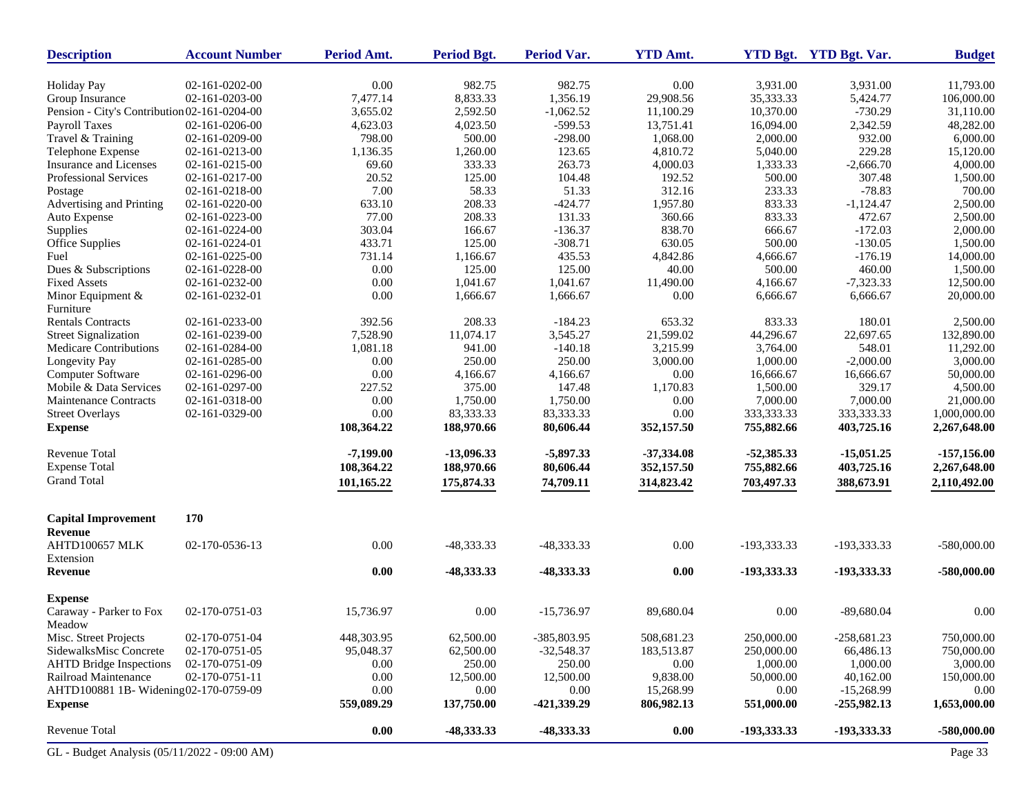| <b>Description</b>                           | <b>Account Number</b> | Period Amt. | <b>Period Bgt.</b> | Period Var.  | <b>YTD Amt.</b> |              | YTD Bgt. YTD Bgt. Var. | <b>Budget</b> |
|----------------------------------------------|-----------------------|-------------|--------------------|--------------|-----------------|--------------|------------------------|---------------|
| <b>Holiday Pay</b>                           | 02-161-0202-00        | 0.00        | 982.75             | 982.75       | 0.00            | 3,931.00     | 3,931.00               | 11,793.00     |
| Group Insurance                              | 02-161-0203-00        | 7,477.14    | 8,833.33           | 1,356.19     | 29,908.56       | 35,333.33    | 5,424.77               | 106,000.00    |
| Pension - City's Contribution 02-161-0204-00 |                       | 3,655.02    | 2,592.50           | $-1,062.52$  | 11,100.29       | 10,370.00    | $-730.29$              | 31,110.00     |
| Payroll Taxes                                | 02-161-0206-00        | 4,623.03    | 4,023.50           | $-599.53$    | 13,751.41       | 16,094.00    | 2,342.59               | 48,282.00     |
| Travel & Training                            | 02-161-0209-00        | 798.00      | 500.00             | $-298.00$    | 1,068.00        | 2,000.00     | 932.00                 | 6,000.00      |
| Telephone Expense                            | 02-161-0213-00        | 1,136.35    | 1,260.00           | 123.65       | 4,810.72        | 5,040.00     | 229.28                 | 15,120.00     |
| Insurance and Licenses                       | 02-161-0215-00        | 69.60       | 333.33             | 263.73       | 4,000.03        | 1,333.33     | $-2,666.70$            | 4,000.00      |
| Professional Services                        | 02-161-0217-00        | 20.52       | 125.00             | 104.48       | 192.52          | 500.00       | 307.48                 | 1,500.00      |
| Postage                                      | 02-161-0218-00        | 7.00        | 58.33              | 51.33        | 312.16          | 233.33       | $-78.83$               | 700.00        |
| Advertising and Printing                     | 02-161-0220-00        | 633.10      | 208.33             | $-424.77$    | 1,957.80        | 833.33       | $-1,124.47$            | 2,500.00      |
| Auto Expense                                 | 02-161-0223-00        | 77.00       | 208.33             | 131.33       | 360.66          | 833.33       | 472.67                 | 2,500.00      |
| Supplies                                     | 02-161-0224-00        | 303.04      | 166.67             | $-136.37$    | 838.70          | 666.67       | $-172.03$              | 2,000.00      |
| <b>Office Supplies</b>                       | 02-161-0224-01        | 433.71      | 125.00             | $-308.71$    | 630.05          | 500.00       | $-130.05$              | 1,500.00      |
| Fuel                                         | 02-161-0225-00        | 731.14      | 1,166.67           | 435.53       | 4,842.86        | 4,666.67     | $-176.19$              | 14,000.00     |
| Dues & Subscriptions                         | 02-161-0228-00        | 0.00        | 125.00             | 125.00       | 40.00           | 500.00       | 460.00                 | 1,500.00      |
| <b>Fixed Assets</b>                          | 02-161-0232-00        | 0.00        | 1,041.67           | 1,041.67     | 11,490.00       | 4,166.67     | $-7,323.33$            | 12,500.00     |
| Minor Equipment &                            | 02-161-0232-01        | 0.00        | 1,666.67           | 1,666.67     | 0.00            | 6,666.67     | 6,666.67               | 20,000.00     |
| Furniture                                    |                       |             |                    |              |                 |              |                        |               |
| <b>Rentals Contracts</b>                     | 02-161-0233-00        | 392.56      | 208.33             | $-184.23$    | 653.32          | 833.33       | 180.01                 | 2,500.00      |
| <b>Street Signalization</b>                  | 02-161-0239-00        | 7,528.90    | 11,074.17          | 3,545.27     | 21,599.02       | 44,296.67    | 22,697.65              | 132,890.00    |
| Medicare Contributions                       | 02-161-0284-00        | 1,081.18    | 941.00             | $-140.18$    | 3,215.99        | 3,764.00     | 548.01                 | 11,292.00     |
| Longevity Pay                                | 02-161-0285-00        | 0.00        | 250.00             | 250.00       | 3,000.00        | 1,000.00     | $-2,000.00$            | 3,000.00      |
| Computer Software                            | 02-161-0296-00        | 0.00        | 4,166.67           | 4,166.67     | 0.00            | 16,666.67    | 16,666.67              | 50,000.00     |
| Mobile & Data Services                       | 02-161-0297-00        | 227.52      | 375.00             | 147.48       | 1,170.83        | 1,500.00     | 329.17                 | 4,500.00      |
| <b>Maintenance Contracts</b>                 | 02-161-0318-00        | 0.00        | 1,750.00           | 1,750.00     | 0.00            | 7,000.00     | 7,000.00               | 21,000.00     |
| <b>Street Overlays</b>                       | 02-161-0329-00        | 0.00        | 83,333.33          | 83,333.33    | 0.00            | 333, 333. 33 | 333, 333. 33           | 1,000,000.00  |
| <b>Expense</b>                               |                       | 108,364.22  | 188,970.66         | 80,606.44    | 352,157.50      | 755,882.66   | 403,725.16             | 2,267,648.00  |
| <b>Revenue Total</b>                         |                       | $-7,199.00$ | $-13,096.33$       | $-5,897.33$  | $-37,334.08$    | $-52,385.33$ | $-15,051.25$           | $-157,156.00$ |
| <b>Expense Total</b>                         |                       | 108,364.22  | 188,970.66         | 80,606.44    | 352,157.50      | 755,882.66   | 403,725.16             | 2,267,648.00  |
| <b>Grand Total</b>                           |                       | 101,165.22  | 175,874.33         | 74,709.11    | 314,823.42      | 703,497.33   | 388,673.91             | 2,110,492.00  |
| <b>Capital Improvement</b>                   | 170                   |             |                    |              |                 |              |                        |               |
| Revenue                                      |                       |             |                    |              |                 |              |                        |               |
| AHTD100657 MLK<br>Extension                  | 02-170-0536-13        | 0.00        | -48,333.33         | -48,333.33   | 0.00            | -193,333.33  | -193,333.33            | $-580,000.00$ |
| Revenue                                      |                       | 0.00        | -48,333.33         | -48,333.33   | 0.00            | -193,333.33  | -193,333.33            | $-580,000.00$ |
| <b>Expense</b>                               |                       |             |                    |              |                 |              |                        |               |
| Caraway - Parker to Fox<br>Meadow            | 02-170-0751-03        | 15,736.97   | 0.00               | $-15,736.97$ | 89,680.04       | 0.00         | $-89,680.04$           | 0.00          |
| Misc. Street Projects                        | 02-170-0751-04        | 448,303.95  | 62,500.00          | -385,803.95  | 508,681.23      | 250,000.00   | $-258,681.23$          | 750,000.00    |
| SidewalksMisc Concrete                       | 02-170-0751-05        | 95,048.37   | 62,500.00          | $-32,548.37$ | 183,513.87      | 250,000.00   | 66,486.13              | 750,000.00    |
| <b>AHTD Bridge Inspections</b>               | 02-170-0751-09        | 0.00        | 250.00             | 250.00       | 0.00            | 1,000.00     | 1,000.00               | 3,000.00      |
| Railroad Maintenance                         | 02-170-0751-11        | 0.00        | 12,500.00          | 12,500.00    | 9,838.00        | 50,000.00    | 40,162.00              | 150,000.00    |
| AHTD100881 1B- Widening02-170-0759-09        |                       | 0.00        | 0.00               | 0.00         | 15,268.99       | 0.00         | $-15,268.99$           | 0.00          |
| <b>Expense</b>                               |                       | 559,089.29  | 137,750.00         | -421,339.29  | 806,982.13      | 551,000.00   | $-255,982.13$          | 1,653,000.00  |
| Revenue Total                                |                       | $0.00\,$    | -48,333.33         | -48,333.33   | 0.00            | -193,333.33  | -193,333.33            | $-580,000.00$ |
| GL - Budget Analysis (05/11/2022 - 09:00 AM) |                       |             |                    |              |                 |              |                        | Page 33       |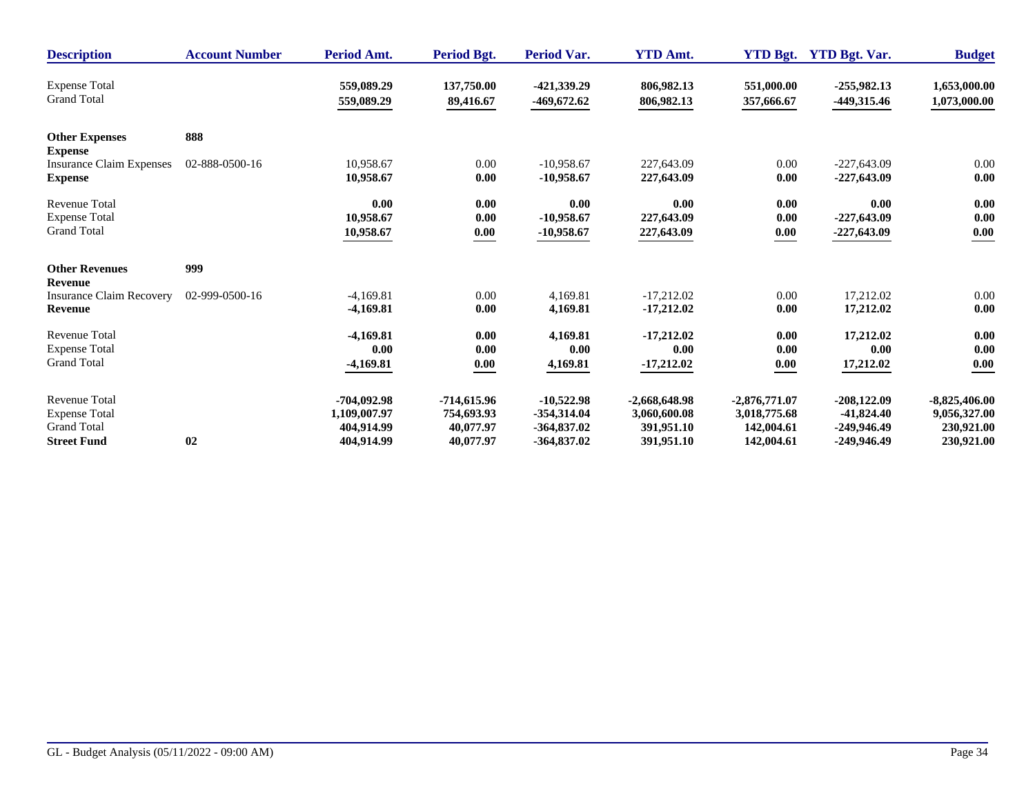| <b>Description</b>                      | <b>Account Number</b> | Period Amt.   | Period Bgt.   | <b>Period Var.</b> | <b>YTD Amt.</b> | <b>YTD Bgt.</b> | <b>YTD Bgt. Var.</b> | <b>Budget</b>   |
|-----------------------------------------|-----------------------|---------------|---------------|--------------------|-----------------|-----------------|----------------------|-----------------|
| <b>Expense Total</b>                    |                       | 559,089.29    | 137,750.00    | -421,339.29        | 806,982.13      | 551,000.00      | $-255,982.13$        | 1,653,000.00    |
| <b>Grand Total</b>                      |                       | 559,089.29    | 89,416.67     | -469,672.62        | 806,982.13      | 357,666.67      | -449,315.46          | 1,073,000.00    |
| <b>Other Expenses</b><br><b>Expense</b> | 888                   |               |               |                    |                 |                 |                      |                 |
| <b>Insurance Claim Expenses</b>         | 02-888-0500-16        | 10,958.67     | 0.00          | $-10.958.67$       | 227,643.09      | 0.00            | $-227,643.09$        | 0.00            |
| <b>Expense</b>                          |                       | 10,958.67     | 0.00          | $-10,958.67$       | 227,643.09      | 0.00            | $-227,643.09$        | 0.00            |
| <b>Revenue Total</b>                    |                       | 0.00          | 0.00          | 0.00               | 0.00            | 0.00            | 0.00                 | 0.00            |
| <b>Expense Total</b>                    |                       | 10,958.67     | 0.00          | $-10,958.67$       | 227,643.09      | 0.00            | $-227,643.09$        | 0.00            |
| <b>Grand Total</b>                      |                       | 10,958.67     | 0.00          | $-10,958.67$       | 227,643.09      | 0.00            | $-227,643.09$        | 0.00            |
| <b>Other Revenues</b><br><b>Revenue</b> | 999                   |               |               |                    |                 |                 |                      |                 |
| <b>Insurance Claim Recovery</b>         | 02-999-0500-16        | $-4,169.81$   | 0.00          | 4,169.81           | $-17.212.02$    | 0.00            | 17.212.02            | 0.00            |
| <b>Revenue</b>                          |                       | $-4,169.81$   | 0.00          | 4,169.81           | $-17,212.02$    | 0.00            | 17,212.02            | 0.00            |
| <b>Revenue Total</b>                    |                       | $-4,169.81$   | 0.00          | 4,169.81           | $-17,212.02$    | 0.00            | 17,212.02            | 0.00            |
| <b>Expense Total</b>                    |                       | 0.00          | 0.00          | 0.00               | 0.00            | 0.00            | 0.00                 | 0.00            |
| <b>Grand Total</b>                      |                       | $-4,169.81$   | 0.00          | 4,169.81           | $-17,212.02$    | 0.00            | 17,212.02            | 0.00            |
| <b>Revenue Total</b>                    | 02                    | $-704,092.98$ | $-714,615.96$ | $-10,522.98$       | $-2,668,648.98$ | $-2,876,771.07$ | $-208,122.09$        | $-8,825,406.00$ |
| <b>Expense Total</b>                    |                       | 1,109,007.97  | 754,693.93    | $-354,314.04$      | 3,060,600.08    | 3,018,775.68    | $-41,824.40$         | 9,056,327.00    |
| <b>Grand Total</b>                      |                       | 404.914.99    | 40,077.97     | $-364,837.02$      | 391,951.10      | 142,004.61      | $-249,946.49$        | 230,921.00      |
| <b>Street Fund</b>                      |                       | 404,914.99    | 40,077.97     | $-364,837.02$      | 391,951.10      | 142,004.61      | -249,946.49          | 230,921.00      |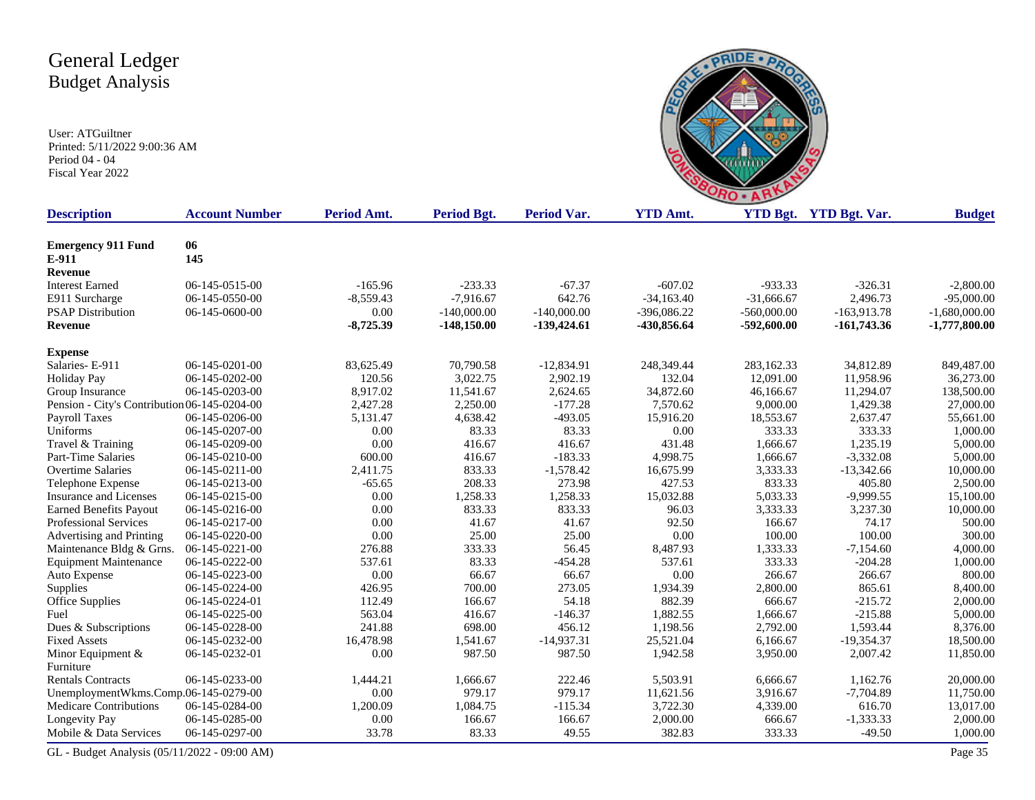User: ATGuiltner Printed: 5/11/2022 9:00:36 AM Period 04 - 04 Fiscal Year 2022



| <b>Description</b>                           | <b>Account Number</b> | Period Amt.    | <b>Period Bgt.</b> | <b>Period Var.</b>  | <b>YTD Amt.</b> |               | YTD Bgt. YTD Bgt. Var. | <b>Budget</b>   |
|----------------------------------------------|-----------------------|----------------|--------------------|---------------------|-----------------|---------------|------------------------|-----------------|
| <b>Emergency 911 Fund</b>                    | 06                    |                |                    |                     |                 |               |                        |                 |
| E-911                                        | 145                   |                |                    |                     |                 |               |                        |                 |
| Revenue                                      |                       |                |                    |                     |                 |               |                        |                 |
| <b>Interest Earned</b>                       | 06-145-0515-00        | $-165.96$      | $-233.33$          | $-67.37$            | $-607.02$       | $-933.33$     | $-326.31$              | $-2,800.00$     |
| E911 Surcharge                               | 06-145-0550-00        | $-8,559.43$    | $-7,916.67$        | 642.76              | $-34,163.40$    | $-31,666.67$  | 2,496.73               | $-95,000.00$    |
| <b>PSAP Distribution</b>                     | 06-145-0600-00        | 0.00           | $-140,000.00$      | $-140,000.00$       | $-396,086.22$   | $-560,000.00$ | $-163,913.78$          | $-1,680,000.00$ |
| <b>Revenue</b>                               |                       | $-8,725.39$    | $-148,150.00$      | $-139,424.61$       | -430,856.64     | $-592,600.00$ | $-161,743.36$          | $-1,777,800.00$ |
|                                              |                       |                |                    |                     |                 |               |                        |                 |
| <b>Expense</b>                               |                       |                |                    |                     |                 |               |                        |                 |
| Salaries-E-911                               | 06-145-0201-00        | 83,625.49      | 70,790.58          | $-12,834.91$        | 248,349.44      | 283,162.33    | 34,812.89              | 849,487.00      |
| <b>Holiday Pay</b>                           | 06-145-0202-00        | 120.56         | 3,022.75           | 2,902.19            | 132.04          | 12,091.00     | 11,958.96              | 36,273.00       |
| Group Insurance                              | 06-145-0203-00        | 8,917.02       | 11,541.67          | 2,624.65            | 34,872.60       | 46,166.67     | 11,294.07              | 138,500.00      |
| Pension - City's Contribution 06-145-0204-00 |                       | 2,427.28       | 2,250.00           | $-177.28$           | 7,570.62        | 9,000.00      | 1,429.38               | 27,000.00       |
| Payroll Taxes                                | 06-145-0206-00        | 5,131.47       | 4,638.42           | $-493.05$           | 15,916.20       | 18,553.67     | 2,637.47               | 55,661.00       |
| Uniforms                                     | 06-145-0207-00        | 0.00           | 83.33              | 83.33               | 0.00            | 333.33        | 333.33                 | 1,000.00        |
| Travel & Training                            | 06-145-0209-00        | 0.00<br>600.00 | 416.67<br>416.67   | 416.67<br>$-183.33$ | 431.48          | 1,666.67      | 1,235.19               | 5,000.00        |
| Part-Time Salaries                           | 06-145-0210-00        |                |                    |                     | 4,998.75        | 1,666.67      | $-3,332.08$            | 5,000.00        |
| <b>Overtime Salaries</b>                     | 06-145-0211-00        | 2,411.75       | 833.33             | $-1,578.42$         | 16,675.99       | 3,333.33      | $-13,342.66$           | 10,000.00       |
| Telephone Expense                            | 06-145-0213-00        | $-65.65$       | 208.33             | 273.98              | 427.53          | 833.33        | 405.80                 | 2,500.00        |
| <b>Insurance and Licenses</b>                | 06-145-0215-00        | 0.00           | 1,258.33           | 1,258.33            | 15,032.88       | 5,033.33      | $-9,999.55$            | 15,100.00       |
| <b>Earned Benefits Payout</b>                | 06-145-0216-00        | 0.00           | 833.33             | 833.33              | 96.03           | 3,333.33      | 3,237.30               | 10,000.00       |
| Professional Services                        | 06-145-0217-00        | 0.00           | 41.67              | 41.67               | 92.50           | 166.67        | 74.17                  | 500.00          |
| Advertising and Printing                     | 06-145-0220-00        | 0.00           | 25.00              | 25.00               | 0.00            | 100.00        | 100.00                 | 300.00          |
| Maintenance Bldg & Grns                      | 06-145-0221-00        | 276.88         | 333.33             | 56.45               | 8,487.93        | 1,333.33      | $-7,154.60$            | 4,000.00        |
| <b>Equipment Maintenance</b>                 | 06-145-0222-00        | 537.61         | 83.33              | $-454.28$           | 537.61          | 333.33        | $-204.28$              | 1,000.00        |
| Auto Expense                                 | 06-145-0223-00        | 0.00           | 66.67              | 66.67               | 0.00            | 266.67        | 266.67                 | 800.00          |
| Supplies                                     | 06-145-0224-00        | 426.95         | 700.00             | 273.05              | 1,934.39        | 2,800.00      | 865.61                 | 8,400.00        |
| Office Supplies                              | 06-145-0224-01        | 112.49         | 166.67             | 54.18               | 882.39          | 666.67        | $-215.72$              | 2,000.00        |
| Fuel                                         | 06-145-0225-00        | 563.04         | 416.67             | $-146.37$           | 1,882.55        | 1,666.67      | $-215.88$              | 5,000.00        |
| Dues & Subscriptions                         | 06-145-0228-00        | 241.88         | 698.00             | 456.12              | 1,198.56        | 2,792.00      | 1,593.44               | 8,376.00        |
| <b>Fixed Assets</b>                          | 06-145-0232-00        | 16,478.98      | 1,541.67           | $-14,937.31$        | 25,521.04       | 6,166.67      | $-19,354.37$           | 18,500.00       |
| Minor Equipment $&$                          | 06-145-0232-01        | 0.00           | 987.50             | 987.50              | 1,942.58        | 3,950.00      | 2,007.42               | 11,850.00       |
| Furniture                                    |                       |                |                    |                     |                 |               |                        |                 |
| <b>Rentals Contracts</b>                     | 06-145-0233-00        | 1,444.21       | 1,666.67           | 222.46              | 5,503.91        | 6,666.67      | 1.162.76               | 20,000.00       |
| UnemploymentWkms.Comp.06-145-0279-00         |                       | 0.00           | 979.17             | 979.17              | 11,621.56       | 3,916.67      | $-7,704.89$            | 11,750.00       |
| <b>Medicare Contributions</b>                | 06-145-0284-00        | 1,200.09       | 1,084.75           | $-115.34$           | 3,722.30        | 4,339.00      | 616.70                 | 13,017.00       |
| Longevity Pay                                | 06-145-0285-00        | 0.00           | 166.67             | 166.67              | 2,000.00        | 666.67        | $-1,333.33$            | 2,000.00        |
| Mobile & Data Services                       | 06-145-0297-00        | 33.78          | 83.33              | 49.55               | 382.83          | 333.33        | $-49.50$               | 1,000.00        |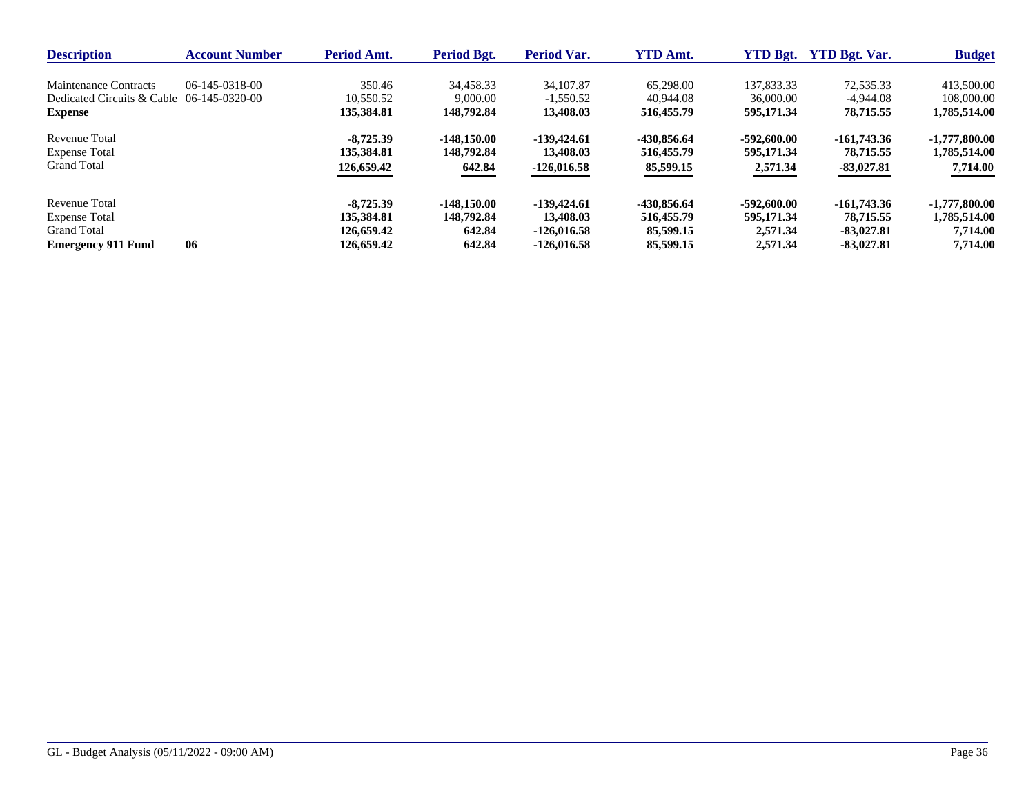| <b>Description</b>                        | <b>Account Number</b> | <b>Period Amt.</b> | Period Bgt.   | <b>Period Var.</b> | <b>YTD Amt.</b> | <b>YTD Bgt.</b> | <b>YTD Bgt. Var.</b> | <b>Budget</b>   |
|-------------------------------------------|-----------------------|--------------------|---------------|--------------------|-----------------|-----------------|----------------------|-----------------|
| Maintenance Contracts                     | 06-145-0318-00        | 350.46             | 34.458.33     | 34,107.87          | 65,298.00       | 137,833,33      | 72.535.33            | 413,500.00      |
| Dedicated Circuits & Cable 06-145-0320-00 |                       | 10.550.52          | 9,000.00      | $-1.550.52$        | 40.944.08       | 36,000.00       | $-4.944.08$          | 108,000.00      |
| <b>Expense</b>                            |                       | 135,384.81         | 148.792.84    | 13,408.03          | 516,455.79      | 595,171.34      | 78,715.55            | 1,785,514.00    |
| Revenue Total                             |                       | $-8.725.39$        | $-148.150.00$ | $-139,424.61$      | -430,856.64     | $-592,600,00$   | $-161,743,36$        | $-1,777,800.00$ |
| <b>Expense Total</b>                      |                       | 135,384.81         | 148,792.84    | 13,408.03          | 516,455.79      | 595,171,34      | 78,715.55            | 1,785,514.00    |
| <b>Grand Total</b>                        |                       | 126,659.42         | 642.84        | $-126,016.58$      | 85,599.15       | 2,571.34        | $-83,027.81$         | 7,714.00        |
| Revenue Total                             |                       | $-8,725,39$        | $-148.150.00$ | $-139,424.61$      | -430,856.64     | $-592,600.00$   | $-161,743,36$        | $-1,777,800.00$ |
| <b>Expense Total</b>                      |                       | 135,384.81         | 148,792.84    | 13,408.03          | 516,455.79      | 595,171,34      | 78,715.55            | 1,785,514.00    |
| <b>Grand Total</b>                        |                       | 126,659.42         | 642.84        | $-126.016.58$      | 85,599.15       | 2,571.34        | $-83.027.81$         | 7,714.00        |
| <b>Emergency 911 Fund</b>                 | 06                    | 126,659.42         | 642.84        | $-126,016.58$      | 85,599.15       | 2.571.34        | $-83.027.81$         | 7.714.00        |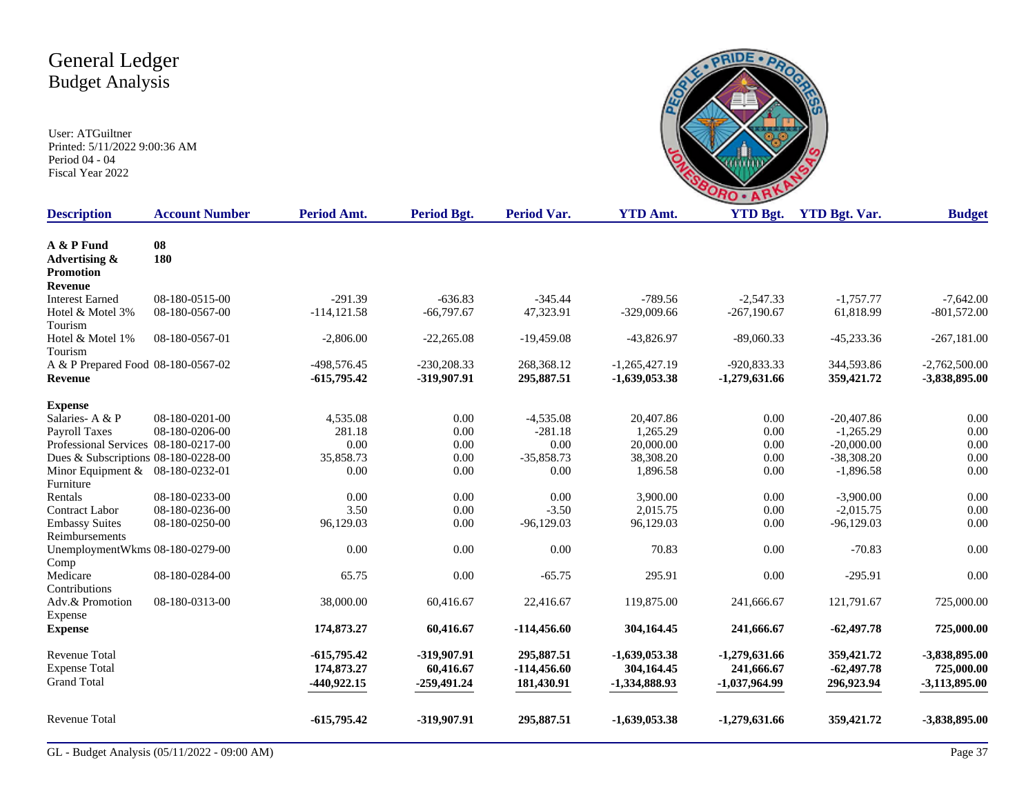

| <b>Description</b>                   | <b>Account Number</b> | <b>Period Amt.</b> | <b>Period Bgt.</b> | <b>Period Var.</b> | <b>YTD Amt.</b> | <b>YTD Bgt.</b> | <b>YTD Bgt. Var.</b> | <b>Budget</b>   |
|--------------------------------------|-----------------------|--------------------|--------------------|--------------------|-----------------|-----------------|----------------------|-----------------|
| A & P Fund                           | 08                    |                    |                    |                    |                 |                 |                      |                 |
| Advertising &                        | 180                   |                    |                    |                    |                 |                 |                      |                 |
| <b>Promotion</b>                     |                       |                    |                    |                    |                 |                 |                      |                 |
| Revenue                              |                       |                    |                    |                    |                 |                 |                      |                 |
| <b>Interest Earned</b>               | 08-180-0515-00        | $-291.39$          | $-636.83$          | $-345.44$          | $-789.56$       | $-2.547.33$     | $-1.757.77$          | $-7.642.00$     |
| Hotel & Motel 3%                     | 08-180-0567-00        | $-114, 121.58$     | $-66,797.67$       | 47,323.91          | $-329,009.66$   | $-267,190.67$   | 61,818.99            | $-801,572.00$   |
| Tourism                              |                       |                    |                    |                    |                 |                 |                      |                 |
| Hotel & Motel 1%                     | 08-180-0567-01        | $-2,806.00$        | $-22,265.08$       | $-19,459.08$       | $-43,826.97$    | $-89,060.33$    | $-45,233.36$         | $-267,181.00$   |
| Tourism                              |                       |                    |                    |                    |                 |                 |                      |                 |
| A & P Prepared Food 08-180-0567-02   |                       | -498,576.45        | $-230,208.33$      | 268,368.12         | $-1,265,427.19$ | -920,833.33     | 344,593.86           | $-2,762,500.00$ |
| Revenue                              |                       | $-615,795.42$      | -319,907.91        | 295,887.51         | $-1,639,053.38$ | $-1,279,631.66$ | 359,421.72           | -3,838,895.00   |
|                                      |                       |                    |                    |                    |                 |                 |                      |                 |
| <b>Expense</b>                       |                       |                    |                    |                    |                 |                 |                      |                 |
| Salaries-A & P                       | 08-180-0201-00        | 4,535.08           | 0.00               | $-4.535.08$        | 20,407.86       | 0.00            | $-20,407.86$         | 0.00            |
| Payroll Taxes                        | 08-180-0206-00        | 281.18             | 0.00               | $-281.18$          | 1.265.29        | 0.00            | $-1,265.29$          | 0.00            |
| Professional Services 08-180-0217-00 |                       | 0.00               | 0.00               | 0.00               | 20,000.00       | 0.00            | $-20,000.00$         | 0.00            |
| Dues & Subscriptions 08-180-0228-00  |                       | 35,858.73          | 0.00               | $-35,858.73$       | 38,308.20       | 0.00            | $-38,308.20$         | 0.00            |
| Minor Equipment & 08-180-0232-01     |                       | 0.00               | 0.00               | 0.00               | 1,896.58        | 0.00            | $-1,896.58$          | 0.00            |
| Furniture                            |                       |                    |                    |                    |                 |                 |                      |                 |
| Rentals                              | 08-180-0233-00        | 0.00               | $0.00\,$           | 0.00               | 3,900.00        | 0.00            | $-3,900.00$          | 0.00            |
| <b>Contract Labor</b>                | 08-180-0236-00        | 3.50               | 0.00               | $-3.50$            | 2,015.75        | 0.00            | $-2,015.75$          | 0.00            |
| <b>Embassy Suites</b>                | 08-180-0250-00        | 96,129.03          | 0.00               | $-96,129.03$       | 96,129.03       | 0.00            | $-96,129.03$         | 0.00            |
| Reimbursements                       |                       |                    |                    |                    |                 |                 |                      |                 |
| UnemploymentWkms 08-180-0279-00      |                       | 0.00               | 0.00               | 0.00               | 70.83           | 0.00            | $-70.83$             | 0.00            |
| Comp                                 |                       |                    |                    |                    |                 |                 |                      |                 |
| Medicare                             | 08-180-0284-00        | 65.75              | 0.00               | $-65.75$           | 295.91          | 0.00            | $-295.91$            | 0.00            |
| Contributions                        |                       |                    |                    |                    |                 |                 |                      |                 |
| Adv.& Promotion                      | 08-180-0313-00        | 38,000.00          | 60,416.67          | 22,416.67          | 119,875.00      | 241,666.67      | 121,791.67           | 725,000.00      |
| Expense                              |                       |                    |                    |                    |                 |                 |                      |                 |
| <b>Expense</b>                       |                       | 174,873.27         | 60,416.67          | $-114,456.60$      | 304,164.45      | 241,666.67      | $-62,497.78$         | 725,000.00      |
|                                      |                       |                    |                    |                    |                 |                 |                      |                 |
| <b>Revenue Total</b>                 |                       | $-615,795.42$      | -319,907.91        | 295,887.51         | $-1,639,053.38$ | $-1,279,631.66$ | 359,421.72           | -3,838,895.00   |
| <b>Expense Total</b>                 |                       | 174,873.27         | 60,416.67          | $-114,456.60$      | 304,164.45      | 241,666.67      | $-62,497.78$         | 725,000.00      |
| <b>Grand Total</b>                   |                       | $-440,922.15$      | $-259,491.24$      | 181,430.91         | -1,334,888.93   | $-1,037,964.99$ | 296,923.94           | $-3,113,895.00$ |
|                                      |                       |                    |                    |                    |                 |                 |                      |                 |
| <b>Revenue Total</b>                 |                       | $-615,795.42$      | -319,907.91        | 295,887.51         | $-1,639,053.38$ | $-1,279,631.66$ | 359,421.72           | -3,838,895.00   |
|                                      |                       |                    |                    |                    |                 |                 |                      |                 |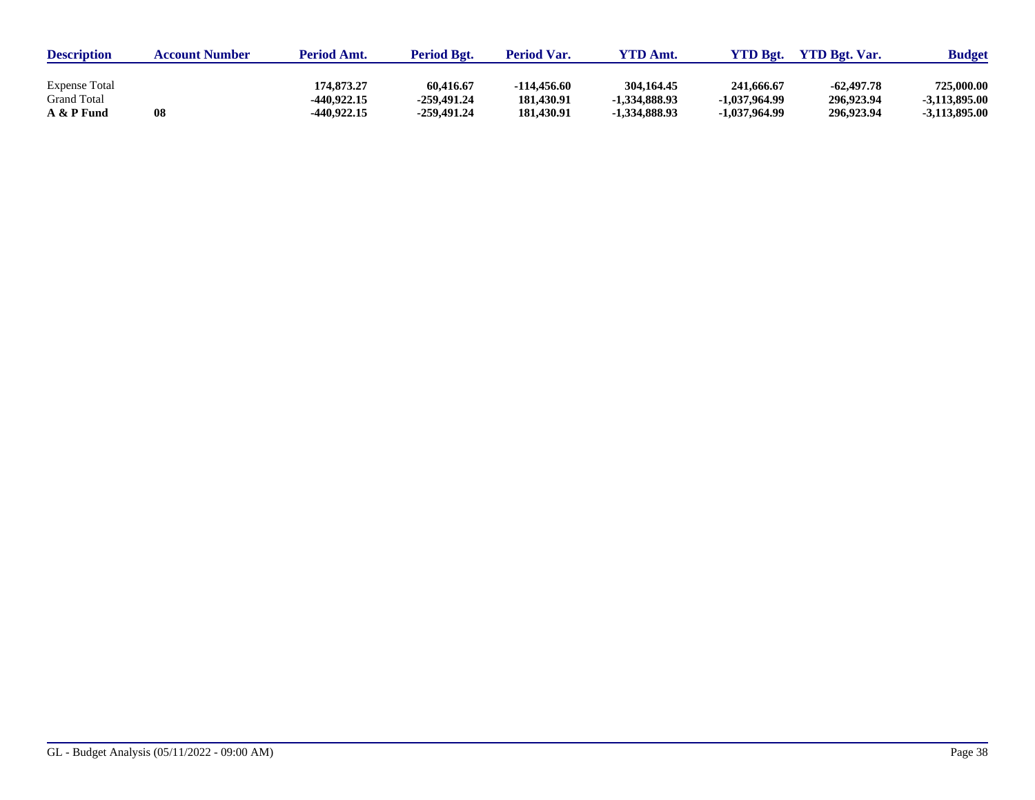| <b>Description</b>                         | <b>Account Number</b> | <b>Period Amt.</b>        | <b>Period Bgt.</b>       | <b>Period Var.</b>        | <b>YTD Amt.</b>               | <b>YTD Bgt.</b>             | <b>YTD Bgt. Var.</b>       | <b>Budget</b>                 |
|--------------------------------------------|-----------------------|---------------------------|--------------------------|---------------------------|-------------------------------|-----------------------------|----------------------------|-------------------------------|
| <b>Expense Total</b><br><b>Grand Total</b> |                       | 174.873.27<br>-440.922.15 | 60,416.67<br>-259.491.24 | -114.456.60<br>181,430.91 | 304, 164, 45<br>-1.334,888.93 | 241,666.67<br>-1.037.964.99 | $-62,497.78$<br>296,923.94 | 725,000.00<br>$-3.113.895.00$ |
| A & P Fund                                 | 08                    | -440,922.15               | -259.491.24              | 181.430.91                | -1.334,888.93                 | -1.037.964.99               | 296,923.94                 | $-3.113.895.00$               |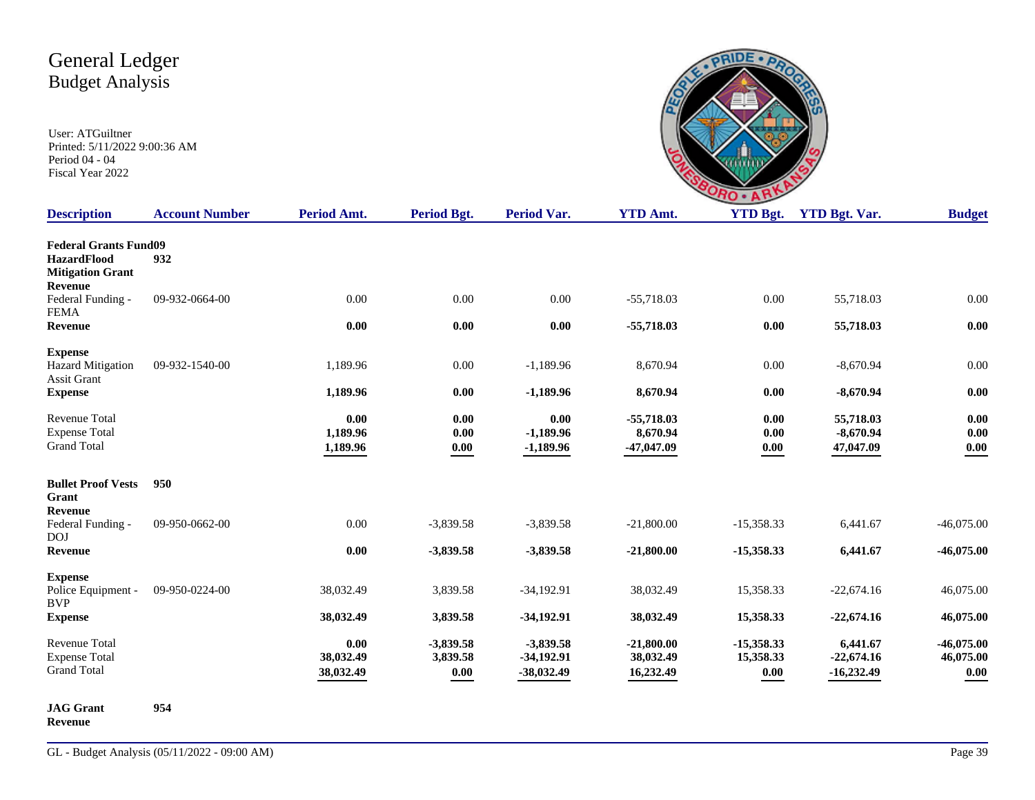User: ATGuiltner Printed: 5/11/2022 9:00:36 AM Period 04 - 04 Fiscal Year 2022

|                    | ÷           |       |
|--------------------|-------------|-------|
| $\triangle$ $\sim$ | VTD D.<br>◢ | VTD D |

| <b>Description</b>                                                                       | <b>Account Number</b> | <b>Period Amt.</b>             | Period Bgt.                     | <b>Period Var.</b>                          | <b>YTD Amt.</b>                          | <b>YTD Bgt.</b>                                  | <b>YTD Bgt. Var.</b>                     | <b>Budget</b>                         |
|------------------------------------------------------------------------------------------|-----------------------|--------------------------------|---------------------------------|---------------------------------------------|------------------------------------------|--------------------------------------------------|------------------------------------------|---------------------------------------|
| <b>Federal Grants Fund09</b><br><b>HazardFlood</b><br><b>Mitigation Grant</b><br>Revenue | 932                   |                                |                                 |                                             |                                          |                                                  |                                          |                                       |
| Federal Funding -<br><b>FEMA</b>                                                         | 09-932-0664-00        | 0.00                           | 0.00                            | 0.00                                        | $-55,718.03$                             | 0.00                                             | 55,718.03                                | 0.00                                  |
| Revenue                                                                                  |                       | 0.00                           | 0.00                            | 0.00                                        | $-55,718.03$                             | 0.00                                             | 55,718.03                                | 0.00                                  |
| <b>Expense</b><br><b>Hazard Mitigation</b><br><b>Assit Grant</b>                         | 09-932-1540-00        | 1,189.96                       | 0.00                            | $-1,189.96$                                 | 8,670.94                                 | 0.00                                             | $-8,670.94$                              | 0.00                                  |
| <b>Expense</b>                                                                           |                       | 1,189.96                       | 0.00                            | $-1,189.96$                                 | 8,670.94                                 | 0.00                                             | $-8,670.94$                              | 0.00                                  |
| <b>Revenue Total</b><br><b>Expense Total</b><br><b>Grand Total</b>                       |                       | 0.00<br>1,189.96<br>1,189.96   | 0.00<br>0.00<br>0.00            | 0.00<br>$-1,189.96$<br>$-1,189.96$          | $-55,718.03$<br>8,670.94<br>$-47,047.09$ | 0.00<br>0.00<br>$\boldsymbol{0.00}$              | 55,718.03<br>$-8,670.94$<br>47,047.09    | 0.00<br>0.00<br>$0.00\,$              |
| <b>Bullet Proof Vests</b><br>Grant<br><b>Revenue</b>                                     | 950                   |                                |                                 |                                             |                                          |                                                  |                                          |                                       |
| Federal Funding -                                                                        | 09-950-0662-00        | 0.00                           | $-3,839.58$                     | $-3,839.58$                                 | $-21,800.00$                             | $-15,358.33$                                     | 6,441.67                                 | $-46,075.00$                          |
| <b>DOJ</b><br>Revenue                                                                    |                       | 0.00                           | $-3,839.58$                     | $-3,839.58$                                 | $-21,800.00$                             | $-15,358.33$                                     | 6,441.67                                 | $-46,075.00$                          |
| <b>Expense</b><br>Police Equipment -<br><b>BVP</b>                                       | 09-950-0224-00        | 38,032.49                      | 3,839.58                        | $-34,192.91$                                | 38,032.49                                | 15,358.33                                        | $-22,674.16$                             | 46,075.00                             |
| <b>Expense</b>                                                                           |                       | 38,032.49                      | 3,839.58                        | $-34,192.91$                                | 38,032.49                                | 15,358.33                                        | $-22,674.16$                             | 46,075.00                             |
| <b>Revenue Total</b><br><b>Expense Total</b><br><b>Grand Total</b>                       |                       | 0.00<br>38,032.49<br>38,032.49 | $-3,839.58$<br>3,839.58<br>0.00 | $-3,839.58$<br>$-34,192.91$<br>$-38,032.49$ | $-21,800.00$<br>38,032.49<br>16,232.49   | $-15,358.33$<br>15,358.33<br>$\boldsymbol{0.00}$ | 6,441.67<br>$-22,674.16$<br>$-16,232.49$ | $-46,075.00$<br>46,075.00<br>$0.00\,$ |
| <b>JAG</b> Grant                                                                         | 954                   |                                |                                 |                                             |                                          |                                                  |                                          |                                       |

**Revenue**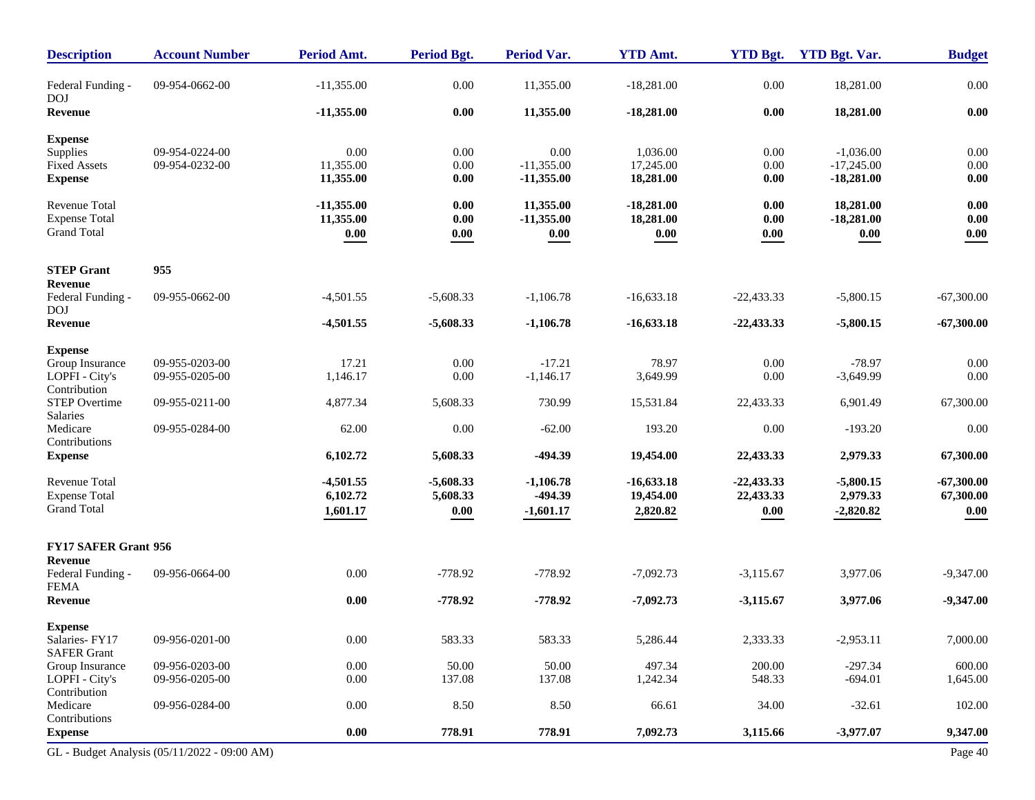| <b>Description</b>               | <b>Account Number</b>                        | Period Amt.  | Period Bgt. | <b>Period Var.</b> | <b>YTD Amt.</b> | <b>YTD Bgt.</b> | <b>YTD Bgt. Var.</b> | <b>Budget</b> |
|----------------------------------|----------------------------------------------|--------------|-------------|--------------------|-----------------|-----------------|----------------------|---------------|
| Federal Funding -<br><b>DOJ</b>  | 09-954-0662-00                               | $-11,355.00$ | 0.00        | 11,355.00          | $-18,281.00$    | 0.00            | 18,281.00            | $0.00\,$      |
| Revenue                          |                                              | $-11,355.00$ | 0.00        | 11,355.00          | $-18,281.00$    | 0.00            | 18,281.00            | $0.00\,$      |
| <b>Expense</b>                   |                                              |              |             |                    |                 |                 |                      |               |
| Supplies                         | 09-954-0224-00                               | 0.00         | 0.00        | 0.00               | 1,036.00        | 0.00            | $-1,036.00$          | 0.00          |
| <b>Fixed Assets</b>              | 09-954-0232-00                               | 11,355.00    | 0.00        | $-11,355.00$       | 17,245.00       | 0.00            | $-17,245.00$         | $0.00\,$      |
| <b>Expense</b>                   |                                              | 11,355.00    | 0.00        | $-11,355.00$       | 18,281.00       | 0.00            | $-18,281.00$         | 0.00          |
| Revenue Total                    |                                              | $-11,355.00$ | 0.00        | 11,355.00          | $-18,281.00$    | 0.00            | 18,281.00            | 0.00          |
| <b>Expense Total</b>             |                                              | 11,355.00    | 0.00        | $-11,355.00$       | 18,281.00       | 0.00            | $-18,281.00$         | 0.00          |
| <b>Grand Total</b>               |                                              | 0.00         | $0.00\,$    | 0.00               | 0.00            | 0.00            | 0.00                 | 0.00          |
| <b>STEP Grant</b>                | 955                                          |              |             |                    |                 |                 |                      |               |
| Revenue                          |                                              |              |             |                    |                 |                 |                      |               |
| Federal Funding -<br><b>DOJ</b>  | 09-955-0662-00                               | $-4,501.55$  | $-5,608.33$ | $-1,106.78$        | $-16,633.18$    | $-22,433.33$    | $-5,800.15$          | $-67,300.00$  |
| Revenue                          |                                              | $-4,501.55$  | $-5,608.33$ | $-1,106.78$        | $-16,633.18$    | $-22,433.33$    | $-5,800.15$          | $-67,300.00$  |
| <b>Expense</b>                   |                                              |              |             |                    |                 |                 |                      |               |
| Group Insurance                  | 09-955-0203-00                               | 17.21        | 0.00        | $-17.21$           | 78.97           | 0.00            | $-78.97$             | 0.00          |
| LOPFI - City's                   | 09-955-0205-00                               | 1,146.17     | 0.00        | $-1,146.17$        | 3,649.99        | 0.00            | $-3,649.99$          | 0.00          |
| Contribution                     |                                              |              |             |                    |                 |                 |                      |               |
| STEP Overtime                    | 09-955-0211-00                               | 4,877.34     | 5,608.33    | 730.99             | 15,531.84       | 22,433.33       | 6,901.49             | 67,300.00     |
| Salaries<br>Medicare             | 09-955-0284-00                               | 62.00        | 0.00        | $-62.00$           | 193.20          | 0.00            | $-193.20$            | 0.00          |
| Contributions                    |                                              |              |             |                    |                 |                 |                      |               |
| <b>Expense</b>                   |                                              | 6,102.72     | 5,608.33    | -494.39            | 19,454.00       | 22,433.33       | 2,979.33             | 67,300.00     |
| Revenue Total                    |                                              | $-4,501.55$  | $-5,608.33$ | $-1,106.78$        | $-16,633.18$    | $-22,433.33$    | $-5,800.15$          | $-67,300.00$  |
| <b>Expense Total</b>             |                                              | 6,102.72     | 5,608.33    | -494.39            | 19,454.00       | 22,433.33       | 2,979.33             | 67,300.00     |
| <b>Grand Total</b>               |                                              | 1,601.17     | $0.00\,$    | $-1,601.17$        | 2,820.82        | 0.00            | $-2,820.82$          | 0.00          |
| <b>FY17 SAFER Grant 956</b>      |                                              |              |             |                    |                 |                 |                      |               |
| Revenue                          |                                              |              |             |                    |                 |                 |                      |               |
| Federal Funding -<br><b>FEMA</b> | 09-956-0664-00                               | 0.00         | $-778.92$   | $-778.92$          | $-7,092.73$     | $-3,115.67$     | 3,977.06             | $-9,347.00$   |
| <b>Revenue</b>                   |                                              | $0.00\,$     | $-778.92$   | $-778.92$          | $-7,092.73$     | $-3,115.67$     | 3,977.06             | $-9,347.00$   |
| <b>Expense</b>                   |                                              |              |             |                    |                 |                 |                      |               |
| Salaries-FY17                    | 09-956-0201-00                               | $0.00\,$     | 583.33      | 583.33             | 5,286.44        | 2,333.33        | $-2,953.11$          | 7,000.00      |
| <b>SAFER Grant</b>               |                                              |              |             |                    |                 |                 |                      |               |
| Group Insurance                  | 09-956-0203-00                               | 0.00         | 50.00       | 50.00              | 497.34          | 200.00          | $-297.34$            | 600.00        |
| LOPFI - City's                   | 09-956-0205-00                               | 0.00         | 137.08      | 137.08             | 1,242.34        | 548.33          | $-694.01$            | 1,645.00      |
| Contribution                     |                                              |              |             |                    |                 |                 |                      |               |
| Medicare                         | 09-956-0284-00                               | $0.00\,$     | 8.50        | 8.50               | 66.61           | 34.00           | $-32.61$             | 102.00        |
| Contributions                    |                                              | 0.00         |             |                    |                 |                 |                      |               |
| <b>Expense</b>                   |                                              |              | 778.91      | 778.91             | 7,092.73        | 3,115.66        | $-3,977.07$          | 9,347.00      |
|                                  | GL - Budget Analysis (05/11/2022 - 09:00 AM) |              |             |                    |                 |                 |                      | Page 40       |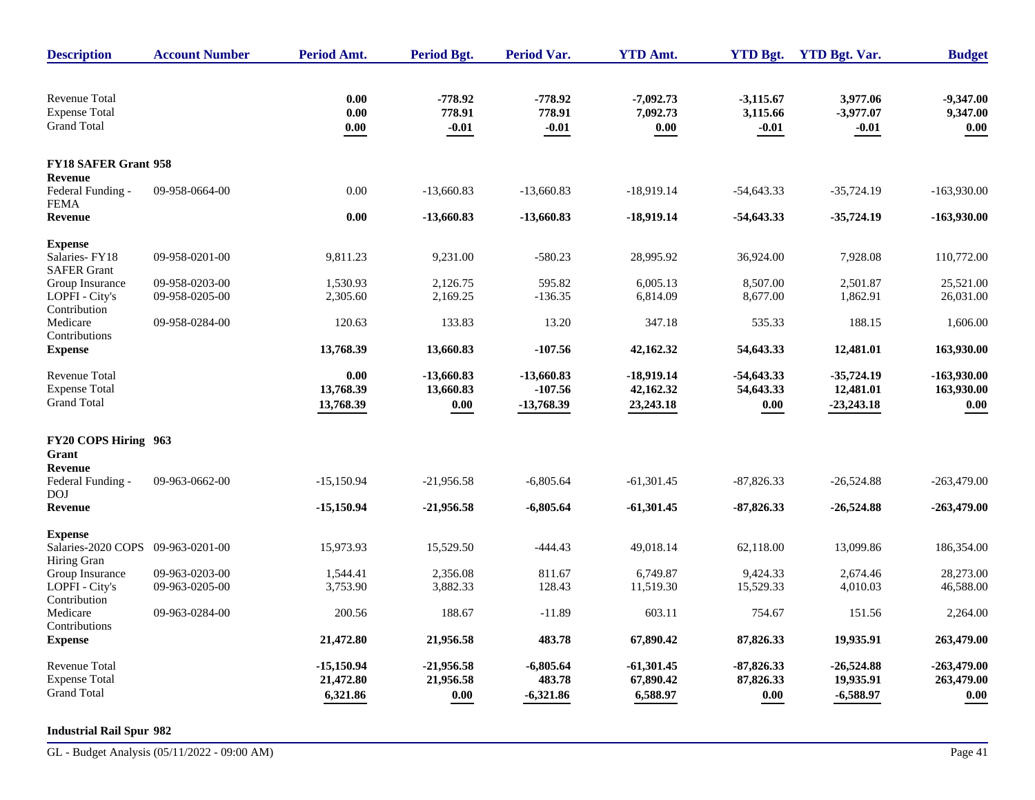| <b>Description</b>                                                 | <b>Account Number</b> | <b>Period Amt.</b>             | <b>Period Bgt.</b>                    | <b>Period Var.</b>                      | <b>YTD Amt.</b>                        | <b>YTD Bgt.</b>                       | <b>YTD Bgt. Var.</b>                      | <b>Budget</b>                     |
|--------------------------------------------------------------------|-----------------------|--------------------------------|---------------------------------------|-----------------------------------------|----------------------------------------|---------------------------------------|-------------------------------------------|-----------------------------------|
| <b>Revenue Total</b><br><b>Expense Total</b><br><b>Grand Total</b> |                       | 0.00<br>0.00<br>0.00           | $-778.92$<br>778.91<br>$-0.01$        | $-778.92$<br>778.91<br>$-0.01$          | $-7,092.73$<br>7,092.73<br>0.00        | $-3,115.67$<br>3,115.66<br>$-0.01$    | 3,977.06<br>$-3,977.07$<br>$-0.01$        | $-9,347.00$<br>9,347.00<br>0.00   |
| <b>FY18 SAFER Grant 958</b>                                        |                       |                                |                                       |                                         |                                        |                                       |                                           |                                   |
| <b>Revenue</b><br>Federal Funding -<br><b>FEMA</b>                 | 09-958-0664-00        | 0.00                           | $-13,660.83$                          | $-13,660.83$                            | $-18,919.14$                           | $-54,643.33$                          | $-35,724.19$                              | $-163,930.00$                     |
| Revenue                                                            |                       | 0.00                           | $-13,660.83$                          | $-13,660.83$                            | $-18,919.14$                           | $-54,643.33$                          | $-35,724.19$                              | $-163,930.00$                     |
| <b>Expense</b>                                                     |                       |                                |                                       |                                         |                                        |                                       |                                           |                                   |
| Salaries-FY18<br><b>SAFER Grant</b>                                | 09-958-0201-00        | 9,811.23                       | 9,231.00                              | $-580.23$                               | 28,995.92                              | 36,924.00                             | 7,928.08                                  | 110,772.00                        |
| Group Insurance                                                    | 09-958-0203-00        | 1,530.93                       | 2,126.75                              | 595.82                                  | 6,005.13                               | 8,507.00                              | 2,501.87                                  | 25,521.00                         |
| LOPFI - City's<br>Contribution                                     | 09-958-0205-00        | 2,305.60                       | 2,169.25                              | $-136.35$                               | 6,814.09                               | 8,677.00                              | 1,862.91                                  | 26,031.00                         |
| Medicare<br>Contributions                                          | 09-958-0284-00        | 120.63                         | 133.83                                | 13.20                                   | 347.18                                 | 535.33                                | 188.15                                    | 1,606.00                          |
| <b>Expense</b>                                                     |                       | 13,768.39                      | 13,660.83                             | $-107.56$                               | 42,162.32                              | 54,643.33                             | 12,481.01                                 | 163,930.00                        |
| Revenue Total<br><b>Expense Total</b><br><b>Grand Total</b>        |                       | 0.00<br>13,768.39<br>13,768.39 | $-13,660.83$<br>13,660.83<br>$0.00\,$ | $-13,660.83$<br>$-107.56$<br>-13,768.39 | $-18,919.14$<br>42,162.32<br>23,243.18 | $-54,643.33$<br>54,643.33<br>$0.00\,$ | $-35,724.19$<br>12,481.01<br>$-23,243.18$ | -163,930.00<br>163,930.00<br>0.00 |
|                                                                    |                       |                                |                                       |                                         |                                        |                                       |                                           |                                   |
| FY20 COPS Hiring 963<br>Grant                                      |                       |                                |                                       |                                         |                                        |                                       |                                           |                                   |
| <b>Revenue</b><br>Federal Funding -<br>DOJ                         | 09-963-0662-00        | $-15,150.94$                   | $-21,956.58$                          | $-6,805.64$                             | $-61,301.45$                           | $-87,826.33$                          | $-26,524.88$                              | $-263,479.00$                     |
| Revenue                                                            |                       | $-15,150.94$                   | $-21,956.58$                          | $-6,805.64$                             | $-61,301.45$                           | $-87,826.33$                          | $-26,524.88$                              | $-263,479.00$                     |
| <b>Expense</b>                                                     |                       |                                |                                       |                                         |                                        |                                       |                                           |                                   |
| Salaries-2020 COPS 09-963-0201-00<br>Hiring Gran                   |                       | 15,973.93                      | 15,529.50                             | $-444.43$                               | 49,018.14                              | 62,118.00                             | 13,099.86                                 | 186,354.00                        |
| Group Insurance                                                    | 09-963-0203-00        | 1.544.41                       | 2,356.08                              | 811.67                                  | 6.749.87                               | 9,424.33                              | 2,674.46                                  | 28.273.00                         |
| LOPFI - City's<br>Contribution                                     | 09-963-0205-00        | 3,753.90                       | 3,882.33                              | 128.43                                  | 11,519.30                              | 15,529.33                             | 4,010.03                                  | 46,588.00                         |
| Medicare<br>Contributions                                          | 09-963-0284-00        | 200.56                         | 188.67                                | $-11.89$                                | 603.11                                 | 754.67                                | 151.56                                    | 2,264.00                          |
| <b>Expense</b>                                                     |                       | 21,472.80                      | 21,956.58                             | 483.78                                  | 67,890.42                              | 87,826.33                             | 19,935.91                                 | 263,479.00                        |
| <b>Revenue Total</b><br><b>Expense Total</b>                       |                       | -15,150.94<br>21,472.80        | $-21,956.58$<br>21,956.58             | $-6,805.64$<br>483.78                   | $-61,301.45$<br>67,890.42              | $-87,826.33$<br>87,826.33             | $-26,524.88$<br>19,935.91                 | -263,479.00<br>263,479.00         |
| <b>Grand Total</b>                                                 |                       | 6,321.86                       | 0.00                                  | $-6,321.86$                             | 6,588.97                               | $0.00\,$                              | $-6,588.97$                               | 0.00                              |

#### **Industrial Rail Spur 982**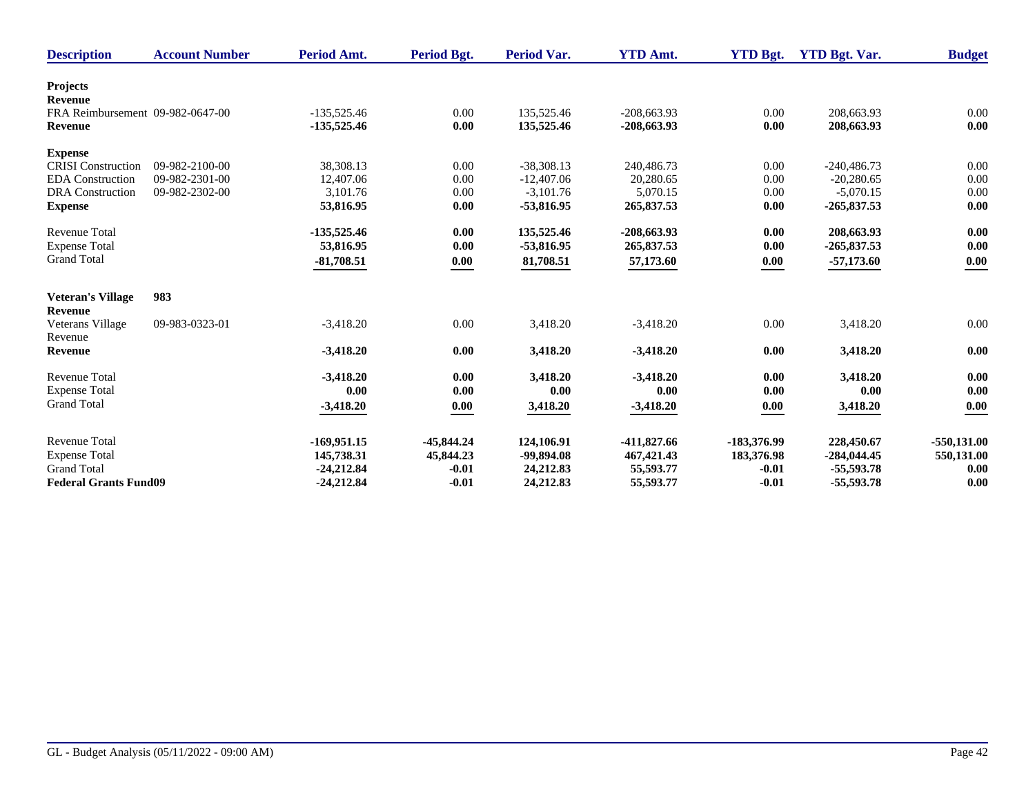| <b>Description</b>               | <b>Account Number</b> | Period Amt.   | Period Bgt.  | <b>Period Var.</b> | <b>YTD Amt.</b> | <b>YTD Bgt.</b> | <b>YTD Bgt. Var.</b> | <b>Budget</b>      |
|----------------------------------|-----------------------|---------------|--------------|--------------------|-----------------|-----------------|----------------------|--------------------|
| <b>Projects</b>                  |                       |               |              |                    |                 |                 |                      |                    |
| Revenue                          |                       |               |              |                    |                 |                 |                      |                    |
| FRA Reimbursement 09-982-0647-00 |                       | $-135,525.46$ | 0.00         | 135,525.46         | $-208,663.93$   | 0.00            | 208,663.93           | $0.00\,$           |
| Revenue                          |                       | $-135,525.46$ | 0.00         | 135,525.46         | $-208,663.93$   | 0.00            | 208,663.93           | 0.00               |
| <b>Expense</b>                   |                       |               |              |                    |                 |                 |                      |                    |
| <b>CRISI</b> Construction        | 09-982-2100-00        | 38,308.13     | 0.00         | $-38,308.13$       | 240,486.73      | 0.00            | $-240,486.73$        | 0.00               |
| <b>EDA</b> Construction          | 09-982-2301-00        | 12,407.06     | 0.00         | $-12,407.06$       | 20.280.65       | 0.00            | $-20.280.65$         | 0.00               |
| <b>DRA</b> Construction          | 09-982-2302-00        | 3.101.76      | 0.00         | $-3,101.76$        | 5,070.15        | 0.00            | $-5,070.15$          | 0.00               |
| <b>Expense</b>                   |                       | 53,816.95     | 0.00         | -53,816.95         | 265,837.53      | 0.00            | $-265,837.53$        | 0.00               |
| <b>Revenue Total</b>             |                       | $-135,525.46$ | 0.00         | 135,525.46         | $-208,663.93$   | 0.00            | 208,663.93           | 0.00               |
| <b>Expense Total</b>             |                       | 53,816.95     | 0.00         | -53,816.95         | 265,837.53      | 0.00            | $-265,837.53$        | 0.00               |
| <b>Grand Total</b>               |                       | $-81,708.51$  | 0.00         | 81,708.51          | 57,173.60       | 0.00            | $-57,173.60$         | $\underline{0.00}$ |
|                                  |                       |               |              |                    |                 |                 |                      |                    |
| <b>Veteran's Village</b>         | 983                   |               |              |                    |                 |                 |                      |                    |
| <b>Revenue</b>                   |                       |               |              |                    |                 |                 |                      |                    |
| Veterans Village<br>Revenue      | 09-983-0323-01        | $-3,418.20$   | 0.00         | 3,418.20           | $-3,418.20$     | 0.00            | 3,418.20             | 0.00               |
| <b>Revenue</b>                   |                       | $-3,418.20$   | 0.00         | 3,418.20           | $-3,418.20$     | 0.00            | 3,418.20             | 0.00               |
| <b>Revenue Total</b>             |                       | $-3,418.20$   | 0.00         | 3,418.20           | $-3,418.20$     | 0.00            | 3,418.20             | 0.00               |
| <b>Expense Total</b>             |                       | 0.00          | 0.00         | 0.00               | 0.00            | 0.00            | 0.00                 | 0.00               |
| <b>Grand Total</b>               |                       | $-3,418.20$   | 0.00         | 3,418.20           | $-3,418.20$     | 0.00            | 3,418.20             | 0.00               |
|                                  |                       |               |              |                    |                 |                 |                      |                    |
| <b>Revenue Total</b>             |                       | $-169,951.15$ | $-45,844.24$ | 124,106.91         | -411,827.66     | -183,376.99     | 228,450.67           | $-550,131.00$      |
| <b>Expense Total</b>             |                       | 145,738.31    | 45,844.23    | -99,894.08         | 467, 421. 43    | 183,376.98      | $-284,044.45$        | 550,131.00         |
| <b>Grand Total</b>               |                       | $-24,212.84$  | $-0.01$      | 24,212.83          | 55,593.77       | $-0.01$         | $-55,593.78$         | 0.00               |
| <b>Federal Grants Fund09</b>     |                       | $-24,212.84$  | $-0.01$      | 24,212.83          | 55,593.77       | $-0.01$         | $-55,593.78$         | 0.00               |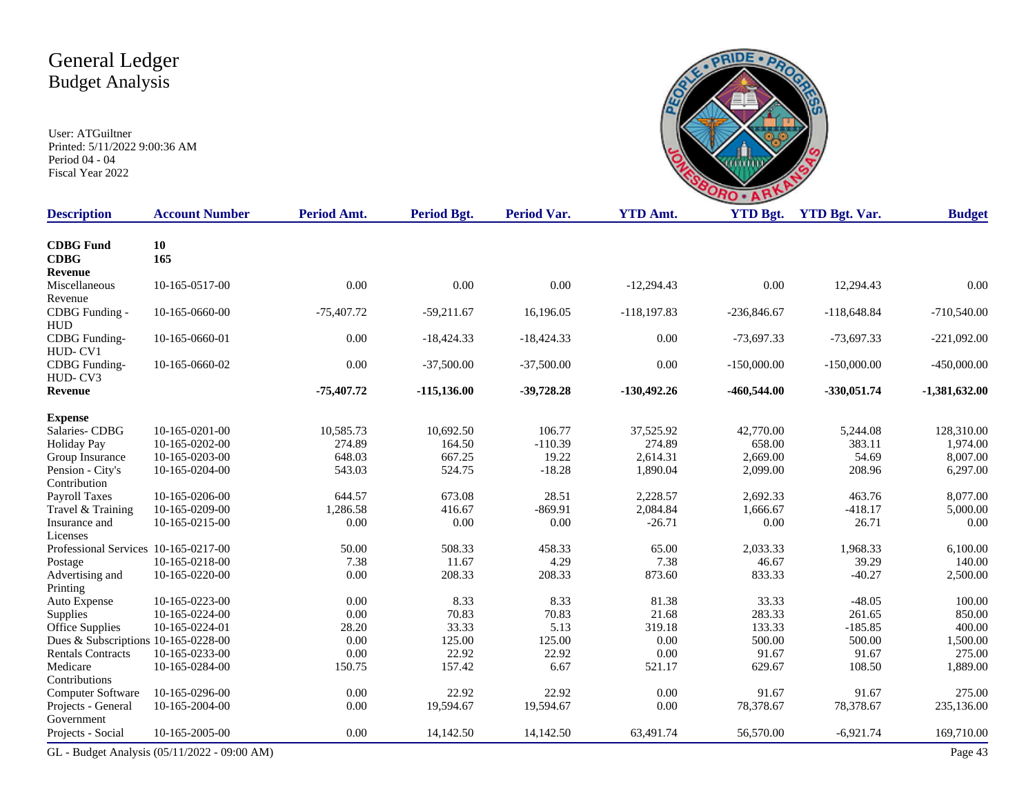

| <b>Description</b>                   | <b>Account Number</b>                        | Period Amt.  | Period Bgt.    | <b>Period Var.</b> | <b>YTD Amt.</b> | <b>YTD Bgt.</b> | <b>YTD Bgt. Var.</b> | <b>Budget</b>   |
|--------------------------------------|----------------------------------------------|--------------|----------------|--------------------|-----------------|-----------------|----------------------|-----------------|
| <b>CDBG</b> Fund<br><b>CDBG</b>      | 10<br>165                                    |              |                |                    |                 |                 |                      |                 |
| <b>Revenue</b>                       |                                              |              |                |                    |                 |                 |                      |                 |
| Miscellaneous                        | 10-165-0517-00                               | 0.00         | 0.00           | 0.00               | $-12,294.43$    | 0.00            | 12,294.43            | 0.00            |
| Revenue                              |                                              |              |                |                    |                 |                 |                      |                 |
| CDBG Funding -                       | 10-165-0660-00                               | $-75,407.72$ | $-59,211.67$   | 16,196.05          | $-118,197.83$   | $-236,846.67$   | $-118,648.84$        | $-710,540.00$   |
| <b>HUD</b>                           |                                              |              |                |                    |                 |                 |                      |                 |
| CDBG Funding-                        | 10-165-0660-01                               | 0.00         | $-18,424.33$   | $-18,424.33$       | 0.00            | $-73,697.33$    | $-73,697.33$         | $-221,092.00$   |
| HUD-CV1                              |                                              |              |                |                    |                 |                 |                      |                 |
| CDBG Funding-                        | 10-165-0660-02                               | 0.00         | $-37,500.00$   | $-37,500.00$       | 0.00            | $-150,000.00$   | $-150,000.00$        | $-450,000.00$   |
| HUD-CV3                              |                                              |              |                |                    |                 |                 |                      |                 |
| <b>Revenue</b>                       |                                              | -75,407.72   | $-115, 136.00$ | $-39,728.28$       | $-130,492.26$   | $-460,544.00$   | $-330,051.74$        | $-1,381,632.00$ |
| <b>Expense</b>                       |                                              |              |                |                    |                 |                 |                      |                 |
| Salaries-CDBG                        | 10-165-0201-00                               | 10,585.73    | 10,692.50      | 106.77             | 37,525.92       | 42,770.00       | 5,244.08             | 128,310.00      |
| <b>Holiday Pay</b>                   | 10-165-0202-00                               | 274.89       | 164.50         | $-110.39$          | 274.89          | 658.00          | 383.11               | 1,974.00        |
| Group Insurance                      | 10-165-0203-00                               | 648.03       | 667.25         | 19.22              | 2,614.31        | 2,669.00        | 54.69                | 8,007.00        |
| Pension - City's                     | 10-165-0204-00                               | 543.03       | 524.75         | $-18.28$           | 1,890.04        | 2,099.00        | 208.96               | 6,297.00        |
| Contribution                         |                                              |              |                |                    |                 |                 |                      |                 |
| <b>Payroll Taxes</b>                 | 10-165-0206-00                               | 644.57       | 673.08         | 28.51              | 2,228.57        | 2,692.33        | 463.76               | 8,077.00        |
| Travel & Training                    | 10-165-0209-00                               | 1,286.58     | 416.67         | $-869.91$          | 2,084.84        | 1,666.67        | $-418.17$            | 5,000.00        |
| Insurance and                        | 10-165-0215-00                               | 0.00         | 0.00           | 0.00               | $-26.71$        | 0.00            | 26.71                | 0.00            |
| Licenses                             |                                              |              |                |                    |                 |                 |                      |                 |
| Professional Services 10-165-0217-00 |                                              | 50.00        | 508.33         | 458.33             | 65.00           | 2,033.33        | 1,968.33             | 6,100.00        |
| Postage                              | 10-165-0218-00                               | 7.38         | 11.67          | 4.29               | 7.38            | 46.67           | 39.29                | 140.00          |
| Advertising and                      | 10-165-0220-00                               | 0.00         | 208.33         | 208.33             | 873.60          | 833.33          | $-40.27$             | 2,500.00        |
| Printing                             |                                              |              |                |                    |                 |                 |                      |                 |
| Auto Expense                         | 10-165-0223-00                               | 0.00         | 8.33           | 8.33               | 81.38           | 33.33           | $-48.05$             | 100.00          |
| Supplies                             | 10-165-0224-00                               | 0.00         | 70.83          | 70.83              | 21.68           | 283.33          | 261.65               | 850.00          |
| <b>Office Supplies</b>               | 10-165-0224-01                               | 28.20        | 33.33          | 5.13               | 319.18          | 133.33          | $-185.85$            | 400.00          |
| Dues & Subscriptions 10-165-0228-00  |                                              | 0.00         | 125.00         | 125.00             | $0.00\,$        | 500.00          | 500.00               | 1,500.00        |
| <b>Rentals Contracts</b>             | 10-165-0233-00                               | 0.00         | 22.92          | 22.92              | 0.00            | 91.67           | 91.67                | 275.00          |
| Medicare                             | 10-165-0284-00                               | 150.75       | 157.42         | 6.67               | 521.17          | 629.67          | 108.50               | 1,889.00        |
| Contributions                        |                                              |              |                |                    |                 |                 |                      |                 |
| Computer Software                    | 10-165-0296-00                               | 0.00         | 22.92          | 22.92              | 0.00            | 91.67           | 91.67                | 275.00          |
| Projects - General                   | 10-165-2004-00                               | 0.00         | 19,594.67      | 19,594.67          | 0.00            | 78,378.67       | 78,378.67            | 235,136.00      |
| Government                           |                                              |              |                |                    |                 |                 |                      |                 |
| Projects - Social                    | 10-165-2005-00                               | 0.00         | 14,142.50      | 14,142.50          | 63,491.74       | 56,570.00       | $-6,921.74$          | 169,710.00      |
|                                      | GL - Budget Analysis (05/11/2022 - 09:00 AM) |              |                |                    |                 |                 |                      | Page 43         |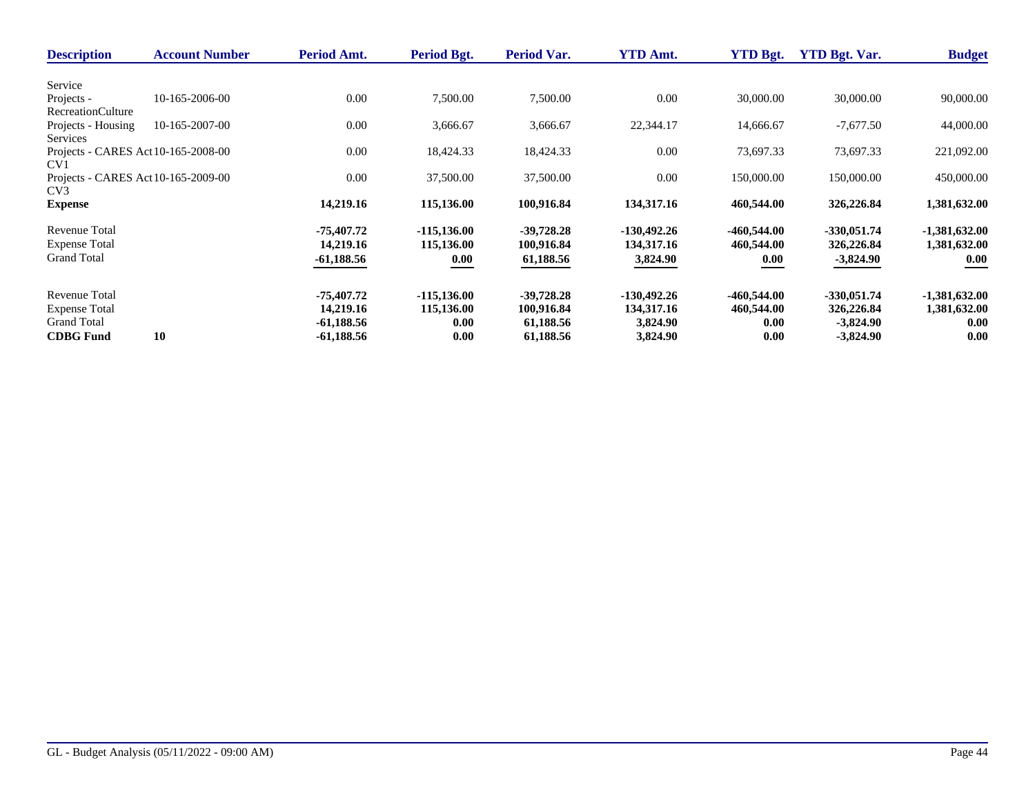| <b>Description</b>                  | <b>Account Number</b> | Period Amt.  | Period Bgt.    | Period Var.  | <b>YTD Amt.</b> | <b>YTD Bgt.</b> | <b>YTD Bgt. Var.</b> | <b>Budget</b>   |
|-------------------------------------|-----------------------|--------------|----------------|--------------|-----------------|-----------------|----------------------|-----------------|
|                                     |                       |              |                |              |                 |                 |                      |                 |
| Service                             |                       |              |                |              |                 |                 |                      |                 |
| Projects -                          | 10-165-2006-00        | 0.00         | 7,500.00       | 7,500.00     | 0.00            | 30,000.00       | 30,000.00            | 90,000.00       |
| <b>RecreationCulture</b>            |                       |              |                |              |                 |                 |                      |                 |
| Projects - Housing                  | 10-165-2007-00        | 0.00         | 3,666.67       | 3,666.67     | 22,344.17       | 14,666.67       | $-7,677.50$          | 44,000.00       |
| Services                            |                       |              |                |              |                 |                 |                      |                 |
| Projects - CARES Act 10-165-2008-00 |                       | 0.00         | 18,424.33      | 18,424.33    | 0.00            | 73,697.33       | 73,697.33            | 221,092.00      |
| CV <sub>1</sub>                     |                       |              |                |              |                 |                 |                      |                 |
| Projects - CARES Act 10-165-2009-00 |                       | 0.00         | 37,500.00      | 37,500.00    | 0.00            | 150,000.00      | 150,000.00           | 450,000.00      |
| CV <sub>3</sub>                     |                       |              |                |              |                 |                 |                      |                 |
| <b>Expense</b>                      |                       | 14,219.16    | 115,136.00     | 100,916.84   | 134,317.16      | 460,544.00      | 326,226.84           | 1,381,632.00    |
| Revenue Total                       |                       | -75,407.72   | $-115, 136.00$ | $-39,728.28$ | $-130,492.26$   | $-460,544.00$   | $-330,051.74$        | $-1,381,632.00$ |
| <b>Expense Total</b>                |                       | 14,219.16    | 115,136.00     | 100,916.84   | 134,317.16      | 460,544.00      | 326,226.84           | 1,381,632.00    |
| <b>Grand Total</b>                  |                       | -61,188.56   | 0.00           | 61,188.56    | 3,824.90        | 0.00            | $-3,824.90$          | 0.00            |
|                                     |                       |              |                |              |                 |                 |                      |                 |
| <b>Revenue Total</b>                |                       | -75,407.72   | $-115, 136.00$ | $-39,728.28$ | $-130,492.26$   | $-460,544.00$   | $-330,051.74$        | $-1,381,632.00$ |
| <b>Expense Total</b>                |                       | 14,219.16    | 115,136.00     | 100,916.84   | 134,317.16      | 460,544.00      | 326,226.84           | 1,381,632.00    |
| <b>Grand Total</b>                  |                       | $-61,188.56$ | 0.00           | 61,188.56    | 3,824.90        | 0.00            | $-3,824.90$          | 0.00            |
|                                     |                       |              |                |              |                 |                 |                      |                 |
| <b>CDBG</b> Fund                    | 10                    | $-61,188.56$ | 0.00           | 61,188.56    | 3,824.90        | 0.00            | $-3,824.90$          | 0.00            |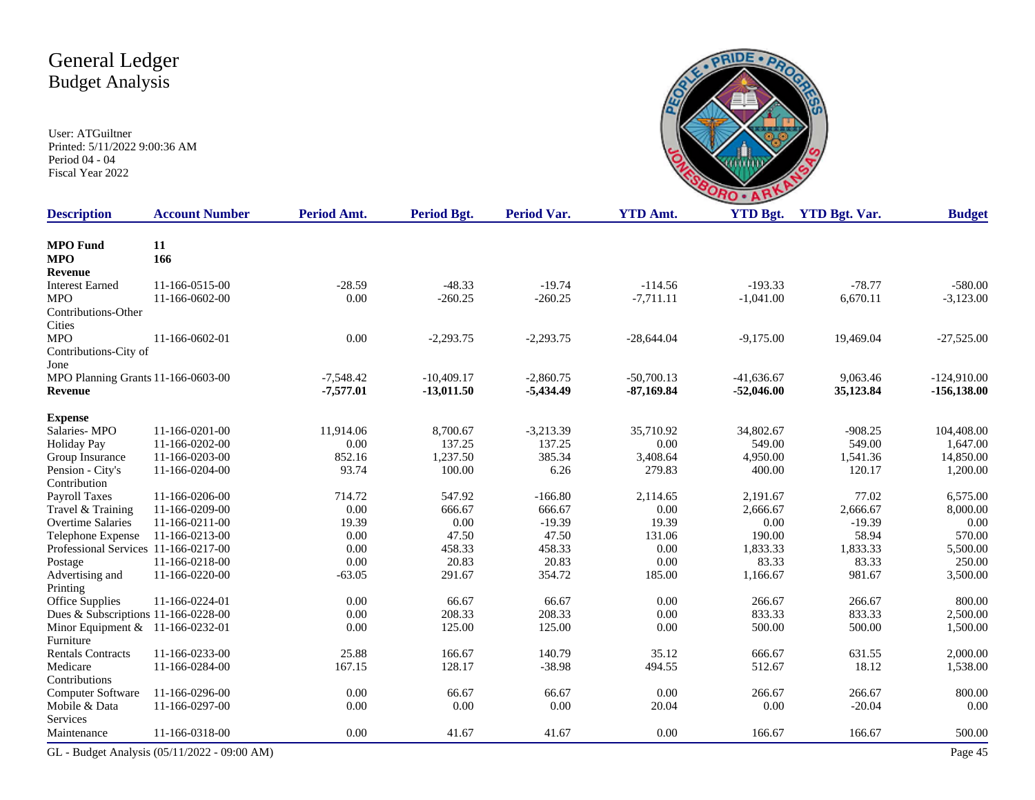

| <b>Description</b>                   | <b>Account Number</b>                        | Period Amt. | Period Bgt.  | <b>Period Var.</b> | <b>YTD Amt.</b> | <b>YTD Bgt.</b> | <b>YTD Bgt. Var.</b> | <b>Budget</b>  |
|--------------------------------------|----------------------------------------------|-------------|--------------|--------------------|-----------------|-----------------|----------------------|----------------|
| <b>MPO</b> Fund                      | 11                                           |             |              |                    |                 |                 |                      |                |
| <b>MPO</b>                           | 166                                          |             |              |                    |                 |                 |                      |                |
| Revenue                              |                                              |             |              |                    |                 |                 |                      |                |
| <b>Interest Earned</b>               | 11-166-0515-00                               | $-28.59$    | $-48.33$     | $-19.74$           | $-114.56$       | $-193.33$       | $-78.77$             | $-580.00$      |
| <b>MPO</b>                           | 11-166-0602-00                               | 0.00        | $-260.25$    | $-260.25$          | $-7,711.11$     | $-1,041.00$     | 6,670.11             | $-3,123.00$    |
| Contributions-Other                  |                                              |             |              |                    |                 |                 |                      |                |
| Cities                               |                                              |             |              |                    |                 |                 |                      |                |
| <b>MPO</b>                           | 11-166-0602-01                               | 0.00        | $-2,293.75$  | $-2,293.75$        | $-28,644.04$    | $-9,175.00$     | 19,469.04            | $-27,525.00$   |
| Contributions-City of                |                                              |             |              |                    |                 |                 |                      |                |
| Jone                                 |                                              |             |              |                    |                 |                 |                      |                |
| MPO Planning Grants 11-166-0603-00   |                                              | $-7,548.42$ | $-10,409.17$ | $-2,860.75$        | $-50,700,13$    | $-41,636.67$    | 9.063.46             | $-124.910.00$  |
| Revenue                              |                                              | $-7,577.01$ | $-13,011.50$ | $-5,434.49$        | $-87,169.84$    | $-52,046.00$    | 35,123.84            | $-156, 138.00$ |
| <b>Expense</b>                       |                                              |             |              |                    |                 |                 |                      |                |
| Salaries-MPO                         | 11-166-0201-00                               | 11,914.06   | 8,700.67     | $-3,213.39$        | 35,710.92       | 34,802.67       | $-908.25$            | 104,408.00     |
| <b>Holiday Pay</b>                   | 11-166-0202-00                               | 0.00        | 137.25       | 137.25             | 0.00            | 549.00          | 549.00               | 1,647.00       |
| Group Insurance                      | 11-166-0203-00                               | 852.16      | 1,237.50     | 385.34             | 3,408.64        | 4,950.00        | 1,541.36             | 14,850.00      |
| Pension - City's                     | 11-166-0204-00                               | 93.74       | 100.00       | 6.26               | 279.83          | 400.00          | 120.17               | 1,200.00       |
| Contribution                         |                                              |             |              |                    |                 |                 |                      |                |
| Payroll Taxes                        | 11-166-0206-00                               | 714.72      | 547.92       | $-166.80$          | 2,114.65        | 2,191.67        | 77.02                | 6,575.00       |
| Travel & Training                    | 11-166-0209-00                               | 0.00        | 666.67       | 666.67             | $0.00\,$        | 2,666.67        | 2,666.67             | 8,000.00       |
| <b>Overtime Salaries</b>             | 11-166-0211-00                               | 19.39       | 0.00         | $-19.39$           | 19.39           | 0.00            | $-19.39$             | 0.00           |
| Telephone Expense                    | 11-166-0213-00                               | 0.00        | 47.50        | 47.50              | 131.06          | 190.00          | 58.94                | 570.00         |
| Professional Services 11-166-0217-00 |                                              | 0.00        | 458.33       | 458.33             | 0.00            | 1,833.33        | 1,833.33             | 5,500.00       |
| Postage                              | 11-166-0218-00                               | 0.00        | 20.83        | 20.83              | 0.00            | 83.33           | 83.33                | 250.00         |
| Advertising and                      | 11-166-0220-00                               | $-63.05$    | 291.67       | 354.72             | 185.00          | 1,166.67        | 981.67               | 3,500.00       |
| Printing                             |                                              |             |              |                    |                 |                 |                      |                |
| Office Supplies                      | 11-166-0224-01                               | 0.00        | 66.67        | 66.67              | 0.00            | 266.67          | 266.67               | 800.00         |
| Dues & Subscriptions 11-166-0228-00  |                                              | 0.00        | 208.33       | 208.33             | 0.00            | 833.33          | 833.33               | 2,500.00       |
| Minor Equipment & 11-166-0232-01     |                                              | 0.00        | 125.00       | 125.00             | 0.00            | 500.00          | 500.00               | 1,500.00       |
| Furniture                            |                                              |             |              |                    |                 |                 |                      |                |
| <b>Rentals Contracts</b>             | 11-166-0233-00                               | 25.88       | 166.67       | 140.79             | 35.12           | 666.67          | 631.55               | 2,000.00       |
| Medicare                             | 11-166-0284-00                               | 167.15      | 128.17       | $-38.98$           | 494.55          | 512.67          | 18.12                | 1,538.00       |
| Contributions                        |                                              |             |              |                    |                 |                 |                      |                |
| Computer Software                    | 11-166-0296-00                               | 0.00        | 66.67        | 66.67              | 0.00            | 266.67          | 266.67               | 800.00         |
| Mobile & Data                        | 11-166-0297-00                               | 0.00        | 0.00         | 0.00               | 20.04           | 0.00            | $-20.04$             | 0.00           |
| Services                             |                                              |             |              |                    |                 |                 |                      |                |
| Maintenance                          | 11-166-0318-00                               | 0.00        | 41.67        | 41.67              | 0.00            | 166.67          | 166.67               | 500.00         |
|                                      | GL - Budget Analysis (05/11/2022 - 09:00 AM) |             |              |                    |                 |                 |                      | Page 45        |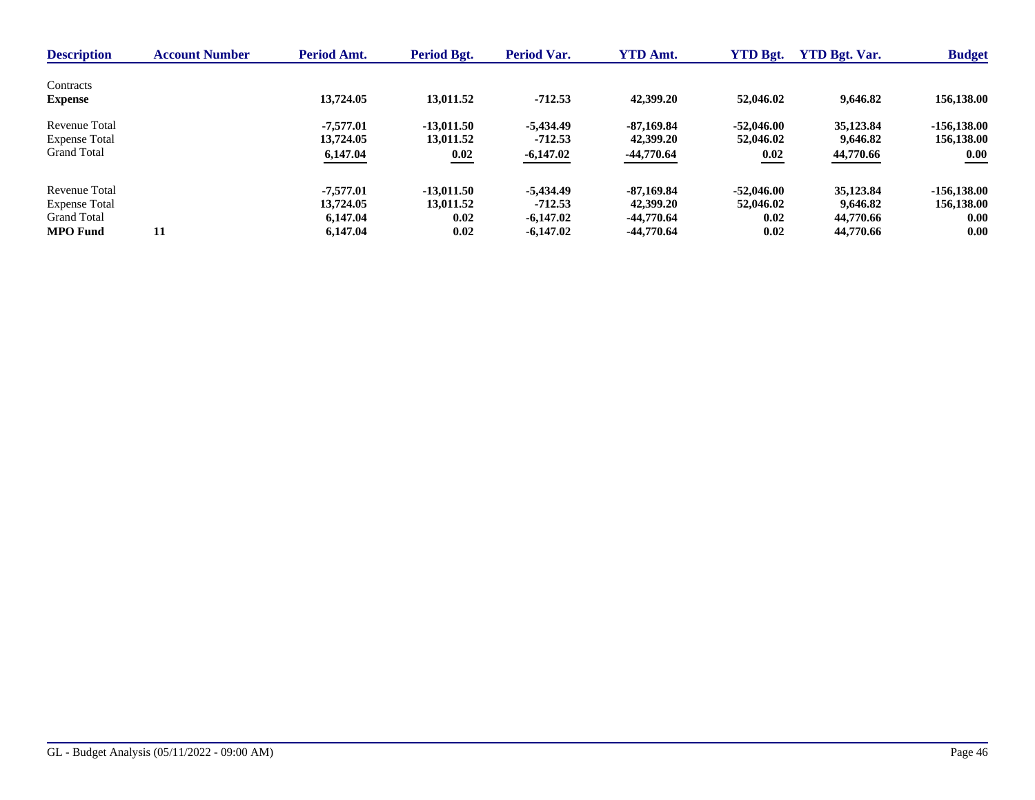| <b>Description</b>          | <b>Account Number</b> | Period Amt. | Period Bgt.  | Period Var. | <b>YTD Amt.</b> | <b>YTD Bgt.</b> | <b>YTD Bgt. Var.</b> | <b>Budget</b> |
|-----------------------------|-----------------------|-------------|--------------|-------------|-----------------|-----------------|----------------------|---------------|
| Contracts<br><b>Expense</b> |                       | 13,724.05   | 13,011.52    | $-712.53$   | 42,399.20       | 52,046.02       | 9,646.82             | 156,138.00    |
| Revenue Total               |                       | $-7.577.01$ | $-13.011.50$ | -5.434.49   | $-87,169.84$    | $-52,046,00$    | 35,123.84            | $-156.138.00$ |
| <b>Expense Total</b>        |                       | 13,724.05   | 13,011.52    | $-712.53$   | 42,399.20       | 52,046.02       | 9.646.82             | 156,138.00    |
| <b>Grand Total</b>          |                       | 6,147.04    | 0.02         | $-6,147.02$ | -44,770.64      | 0.02            | 44,770.66            | 0.00          |
| Revenue Total               | 11                    | $-7.577.01$ | $-13.011.50$ | -5.434.49   | $-87.169.84$    | $-52,046,00$    | 35,123.84            | $-156.138.00$ |
| <b>Expense Total</b>        |                       | 13,724.05   | 13,011.52    | $-712.53$   | 42,399.20       | 52,046.02       | 9,646.82             | 156,138.00    |
| <b>Grand Total</b>          |                       | 6.147.04    | 0.02         | $-6,147.02$ | -44,770.64      | 0.02            | 44,770.66            | 0.00          |
| <b>MPO</b> Fund             |                       | 6,147.04    | 0.02         | $-6,147.02$ | $-44,770.64$    | 0.02            | 44,770.66            | 0.00          |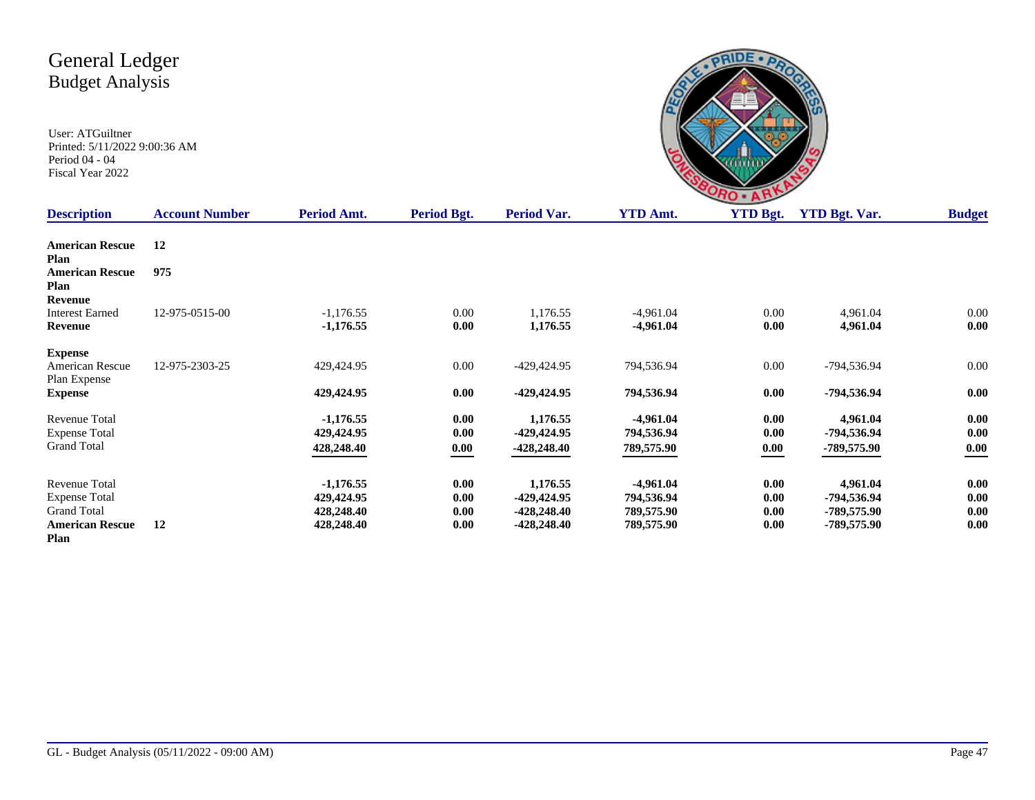

| <b>Description</b>     | <b>Account Number</b> | Period Amt. | Period Bgt. | <b>Period Var.</b> | <b>YTD Amt.</b> | <b>YTD Bgt.</b> | <b>YTD Bgt. Var.</b> | <b>Budget</b> |
|------------------------|-----------------------|-------------|-------------|--------------------|-----------------|-----------------|----------------------|---------------|
| <b>American Rescue</b> | 12                    |             |             |                    |                 |                 |                      |               |
| Plan                   |                       |             |             |                    |                 |                 |                      |               |
| <b>American Rescue</b> | 975                   |             |             |                    |                 |                 |                      |               |
| Plan                   |                       |             |             |                    |                 |                 |                      |               |
| Revenue                |                       |             |             |                    |                 |                 |                      |               |
| <b>Interest Earned</b> | 12-975-0515-00        | $-1,176.55$ | $0.00\,$    | 1,176.55           | $-4,961.04$     | 0.00            | 4,961.04             | 0.00          |
| Revenue                |                       | $-1,176.55$ | 0.00        | 1,176.55           | $-4,961.04$     | 0.00            | 4,961.04             | 0.00          |
| <b>Expense</b>         |                       |             |             |                    |                 |                 |                      |               |
| American Rescue        | 12-975-2303-25        | 429,424.95  | $0.00\,$    | $-429,424.95$      | 794,536.94      | 0.00            | -794,536.94          | 0.00          |
| Plan Expense           |                       |             |             |                    |                 |                 |                      |               |
| <b>Expense</b>         |                       | 429,424.95  | 0.00        | -429,424.95        | 794,536.94      | 0.00            | -794,536.94          | 0.00          |
| Revenue Total          |                       | $-1,176.55$ | 0.00        | 1,176.55           | $-4,961.04$     | 0.00            | 4,961.04             | 0.00          |
| <b>Expense Total</b>   |                       | 429,424.95  | 0.00        | -429,424.95        | 794,536.94      | 0.00            | -794,536.94          | 0.00          |
| <b>Grand Total</b>     |                       | 428,248.40  | 0.00        | $-428,248.40$      | 789,575.90      | 0.00            | -789,575.90          | 0.00          |
| Revenue Total          |                       | $-1,176.55$ | 0.00        | 1,176.55           | $-4,961.04$     | 0.00            | 4,961.04             | 0.00          |
| <b>Expense Total</b>   |                       | 429,424.95  | 0.00        | -429,424.95        | 794,536.94      | 0.00            | -794,536.94          | 0.00          |
| <b>Grand Total</b>     |                       | 428,248.40  | 0.00        | -428,248.40        | 789,575.90      | 0.00            | -789,575.90          | 0.00          |
| <b>American Rescue</b> | 12                    | 428,248.40  | 0.00        | -428,248.40        | 789,575.90      | 0.00            | -789,575.90          | 0.00          |
| Plan                   |                       |             |             |                    |                 |                 |                      |               |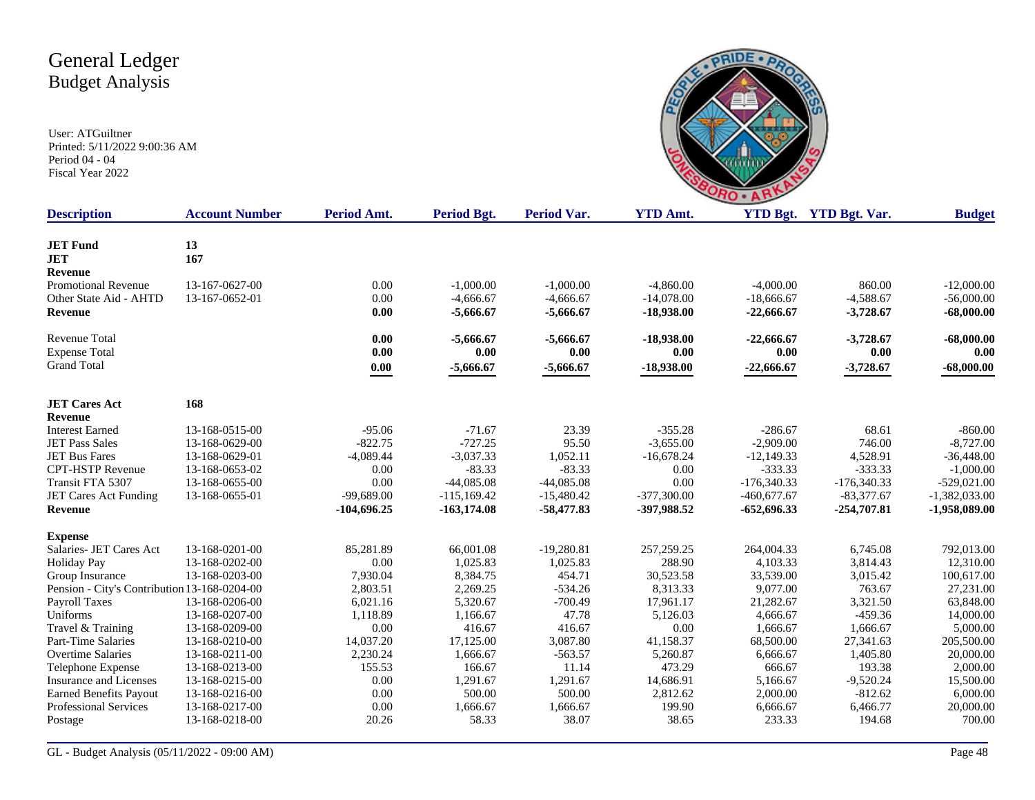

| <b>Description</b>                           | <b>Account Number</b> | <b>Period Amt.</b> | <b>Period Bgt.</b> | <b>Period Var.</b> | <b>YTD Amt.</b> |               | YTD Bgt. YTD Bgt. Var. | <b>Budget</b>   |
|----------------------------------------------|-----------------------|--------------------|--------------------|--------------------|-----------------|---------------|------------------------|-----------------|
|                                              |                       |                    |                    |                    |                 |               |                        |                 |
| <b>JET Fund</b>                              | 13                    |                    |                    |                    |                 |               |                        |                 |
| <b>JET</b>                                   | 167                   |                    |                    |                    |                 |               |                        |                 |
| Revenue                                      |                       |                    |                    |                    |                 |               |                        |                 |
| <b>Promotional Revenue</b>                   | 13-167-0627-00        | 0.00               | $-1,000.00$        | $-1,000.00$        | $-4.860.00$     | $-4,000.00$   | 860.00                 | $-12,000.00$    |
| Other State Aid - AHTD                       | 13-167-0652-01        | 0.00               | $-4,666.67$        | $-4,666.67$        | $-14,078.00$    | $-18,666.67$  | $-4,588.67$            | $-56,000.00$    |
| Revenue                                      |                       | 0.00               | $-5,666.67$        | $-5,666.67$        | $-18,938.00$    | $-22,666.67$  | $-3,728.67$            | $-68,000.00$    |
| <b>Revenue Total</b>                         |                       | 0.00               | $-5,666.67$        | $-5,666.67$        | $-18,938.00$    | $-22,666.67$  | $-3,728.67$            | $-68,000.00$    |
| <b>Expense Total</b>                         |                       | 0.00               | 0.00               | 0.00               | 0.00            | 0.00          | $0.00\,$               | 0.00            |
| <b>Grand Total</b>                           |                       | 0.00               | $-5,666.67$        | $-5,666.67$        | $-18,938.00$    | $-22,666.67$  | $-3,728.67$            | $-68,000.00$    |
| <b>JET Cares Act</b>                         | 168                   |                    |                    |                    |                 |               |                        |                 |
| <b>Revenue</b>                               |                       |                    |                    |                    |                 |               |                        |                 |
| <b>Interest Earned</b>                       | 13-168-0515-00        | $-95.06$           | $-71.67$           | 23.39              | $-355.28$       | $-286.67$     | 68.61                  | $-860.00$       |
| <b>JET Pass Sales</b>                        | 13-168-0629-00        | $-822.75$          | $-727.25$          | 95.50              | $-3,655.00$     | $-2,909.00$   | 746.00                 | $-8,727.00$     |
| <b>JET Bus Fares</b>                         | 13-168-0629-01        | $-4,089.44$        | $-3,037.33$        | 1,052.11           | $-16,678.24$    | $-12,149.33$  | 4,528.91               | $-36,448.00$    |
| <b>CPT-HSTP Revenue</b>                      | 13-168-0653-02        | 0.00               | $-83.33$           | $-83.33$           | 0.00            | $-333.33$     | $-333.33$              | $-1,000.00$     |
| Transit FTA 5307                             | 13-168-0655-00        | 0.00               | $-44,085.08$       | $-44,085.08$       | 0.00            | $-176,340.33$ | $-176,340.33$          | $-529,021.00$   |
| JET Cares Act Funding                        | 13-168-0655-01        | $-99.689.00$       | $-115.169.42$      | $-15,480.42$       | $-377,300.00$   | $-460.677.67$ | $-83.377.67$           | $-1,382,033.00$ |
| <b>Revenue</b>                               |                       | $-104,696.25$      | $-163,174.08$      | $-58,477.83$       | -397,988.52     | $-652,696.33$ | $-254,707.81$          | $-1,958,089.00$ |
| <b>Expense</b>                               |                       |                    |                    |                    |                 |               |                        |                 |
| Salaries- JET Cares Act                      | 13-168-0201-00        | 85,281.89          | 66,001.08          | $-19,280.81$       | 257, 259. 25    | 264,004.33    | 6,745.08               | 792,013.00      |
| <b>Holiday Pay</b>                           | 13-168-0202-00        | 0.00               | 1,025.83           | 1,025.83           | 288.90          | 4,103.33      | 3,814.43               | 12,310.00       |
| Group Insurance                              | 13-168-0203-00        | 7,930.04           | 8,384.75           | 454.71             | 30,523.58       | 33,539.00     | 3,015.42               | 100,617.00      |
| Pension - City's Contribution 13-168-0204-00 |                       | 2,803.51           | 2,269.25           | $-534.26$          | 8,313.33        | 9,077.00      | 763.67                 | 27,231.00       |
| Payroll Taxes                                | 13-168-0206-00        | 6,021.16           | 5,320.67           | $-700.49$          | 17,961.17       | 21,282.67     | 3,321.50               | 63,848.00       |
| Uniforms                                     | 13-168-0207-00        | 1,118.89           | 1,166.67           | 47.78              | 5,126.03        | 4,666.67      | $-459.36$              | 14,000.00       |
| Travel & Training                            | 13-168-0209-00        | 0.00               | 416.67             | 416.67             | 0.00            | 1,666.67      | 1,666.67               | 5,000.00        |
| Part-Time Salaries                           | 13-168-0210-00        | 14,037.20          | 17,125.00          | 3,087.80           | 41,158.37       | 68,500.00     | 27,341.63              | 205,500.00      |
| <b>Overtime Salaries</b>                     | 13-168-0211-00        | 2,230.24           | 1,666.67           | $-563.57$          | 5,260.87        | 6,666.67      | 1,405.80               | 20,000.00       |
| Telephone Expense                            | 13-168-0213-00        | 155.53             | 166.67             | 11.14              | 473.29          | 666.67        | 193.38                 | 2,000.00        |
| Insurance and Licenses                       | 13-168-0215-00        | 0.00               | 1,291.67           | 1,291.67           | 14,686.91       | 5,166.67      | $-9,520.24$            | 15,500.00       |
| <b>Earned Benefits Payout</b>                | 13-168-0216-00        | 0.00               | 500.00             | 500.00             | 2,812.62        | 2,000.00      | $-812.62$              | 6,000.00        |
| Professional Services                        | 13-168-0217-00        | 0.00               | 1,666.67           | 1,666.67           | 199.90          | 6,666.67      | 6,466.77               | 20,000.00       |
| Postage                                      | 13-168-0218-00        | 20.26              | 58.33              | 38.07              | 38.65           | 233.33        | 194.68                 | 700.00          |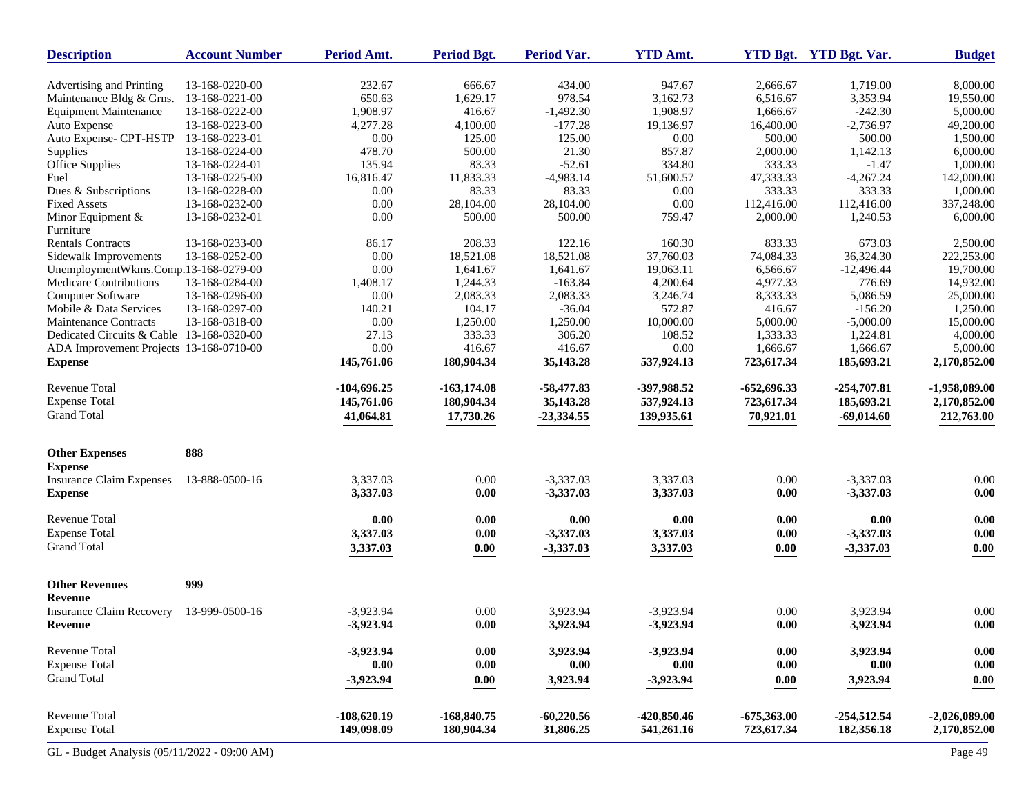| <b>Description</b>                           | <b>Account Number</b> | Period Amt.   | <b>Period Bgt.</b> | Period Var.  | <b>YTD Amt.</b> |               | YTD Bgt. YTD Bgt. Var. | <b>Budget</b>       |
|----------------------------------------------|-----------------------|---------------|--------------------|--------------|-----------------|---------------|------------------------|---------------------|
| Advertising and Printing                     | 13-168-0220-00        | 232.67        | 666.67             | 434.00       | 947.67          | 2,666.67      | 1,719.00               | 8,000.00            |
| Maintenance Bldg & Grns.                     | 13-168-0221-00        | 650.63        | 1,629.17           | 978.54       | 3,162.73        | 6,516.67      | 3,353.94               | 19,550.00           |
| <b>Equipment Maintenance</b>                 | 13-168-0222-00        | 1,908.97      | 416.67             | $-1,492.30$  | 1,908.97        | 1,666.67      | $-242.30$              | 5,000.00            |
| Auto Expense                                 | 13-168-0223-00        | 4,277.28      | 4,100.00           | $-177.28$    | 19,136.97       | 16,400.00     | $-2,736.97$            | 49,200.00           |
| Auto Expense- CPT-HSTP                       | 13-168-0223-01        | 0.00          | 125.00             | 125.00       | 0.00            | 500.00        | 500.00                 | 1,500.00            |
| Supplies                                     | 13-168-0224-00        | 478.70        | 500.00             | 21.30        | 857.87          | 2,000.00      | 1,142.13               | 6,000.00            |
| Office Supplies                              | 13-168-0224-01        | 135.94        | 83.33              | $-52.61$     | 334.80          | 333.33        | $-1.47$                | 1,000.00            |
| Fuel                                         | 13-168-0225-00        | 16,816.47     | 11,833.33          | $-4,983.14$  | 51,600.57       | 47,333.33     | $-4,267.24$            | 142,000.00          |
| Dues & Subscriptions                         | 13-168-0228-00        | 0.00          | 83.33              | 83.33        | 0.00            | 333.33        | 333.33                 | 1,000.00            |
| <b>Fixed Assets</b>                          | 13-168-0232-00        | 0.00          | 28,104.00          | 28,104.00    | 0.00            | 112,416.00    | 112,416.00             | 337,248.00          |
| Minor Equipment &                            | 13-168-0232-01        | 0.00          | 500.00             | 500.00       | 759.47          | 2,000.00      | 1,240.53               | 6,000.00            |
| Furniture                                    |                       |               |                    |              |                 |               |                        |                     |
| <b>Rentals Contracts</b>                     | 13-168-0233-00        | 86.17         | 208.33             | 122.16       | 160.30          | 833.33        | 673.03                 | 2,500.00            |
| Sidewalk Improvements                        | 13-168-0252-00        | 0.00          | 18,521.08          | 18,521.08    | 37,760.03       | 74,084.33     | 36,324.30              | 222,253.00          |
| UnemploymentWkms.Comp.13-168-0279-00         |                       | 0.00          | 1,641.67           | 1,641.67     | 19,063.11       | 6,566.67      | $-12,496.44$           | 19,700.00           |
| Medicare Contributions                       | 13-168-0284-00        | 1,408.17      | 1,244.33           | $-163.84$    | 4,200.64        | 4,977.33      | 776.69                 | 14,932.00           |
| Computer Software                            | 13-168-0296-00        | 0.00          | 2,083.33           | 2,083.33     | 3,246.74        | 8,333.33      | 5,086.59               | 25,000.00           |
| Mobile & Data Services                       | 13-168-0297-00        | 140.21        | 104.17             | $-36.04$     | 572.87          | 416.67        | $-156.20$              | 1,250.00            |
| <b>Maintenance Contracts</b>                 | 13-168-0318-00        | 0.00          | 1,250.00           | 1,250.00     | 10,000.00       | 5,000.00      | $-5,000.00$            | 15,000.00           |
| Dedicated Circuits & Cable 13-168-0320-00    |                       | 27.13         | 333.33             | 306.20       | 108.52          | 1,333.33      | 1,224.81               | 4,000.00            |
| ADA Improvement Projects 13-168-0710-00      |                       | 0.00          | 416.67             | 416.67       | 0.00            | 1,666.67      | 1,666.67               | 5,000.00            |
| <b>Expense</b>                               |                       | 145,761.06    | 180,904.34         | 35,143.28    | 537,924.13      | 723,617.34    | 185,693.21             | 2,170,852.00        |
| <b>Revenue Total</b>                         |                       | $-104,696.25$ | $-163,174.08$      | $-58,477.83$ | -397,988.52     | $-652,696.33$ | $-254,707.81$          | $-1,958,089.00$     |
| <b>Expense Total</b>                         |                       | 145,761.06    | 180,904.34         | 35,143.28    | 537,924.13      | 723,617.34    | 185,693.21             | 2,170,852.00        |
| <b>Grand Total</b>                           |                       | 41,064.81     | 17,730.26          | $-23,334.55$ | 139,935.61      | 70,921.01     | $-69,014.60$           | 212,763.00          |
|                                              |                       |               |                    |              |                 |               |                        |                     |
| <b>Other Expenses</b><br><b>Expense</b>      | 888                   |               |                    |              |                 |               |                        |                     |
| <b>Insurance Claim Expenses</b>              | 13-888-0500-16        | 3,337.03      | 0.00               | $-3,337.03$  | 3,337.03        | 0.00          | $-3,337.03$            | 0.00                |
| <b>Expense</b>                               |                       | 3,337.03      | 0.00               | $-3,337.03$  | 3,337.03        | 0.00          | $-3,337.03$            | 0.00                |
| Revenue Total                                |                       | 0.00          | 0.00               | $0.00\,$     | 0.00            | 0.00          | 0.00                   | $0.00\,$            |
| <b>Expense Total</b>                         |                       | 3,337.03      | 0.00               | $-3,337.03$  | 3,337.03        | 0.00          | $-3,337.03$            | 0.00                |
| <b>Grand Total</b>                           |                       | 3,337.03      | 0.00               | $-3,337.03$  | 3,337.03        | $0.00\,$      | $-3,337.03$            | 0.00                |
| <b>Other Revenues</b>                        | 999                   |               |                    |              |                 |               |                        |                     |
| Revenue                                      |                       |               |                    |              |                 |               |                        |                     |
| <b>Insurance Claim Recovery</b>              | 13-999-0500-16        | $-3,923.94$   | 0.00               | 3,923.94     | $-3,923.94$     | 0.00          | 3,923.94               | 0.00                |
| Revenue                                      |                       | $-3,923.94$   | 0.00               | 3,923.94     | $-3,923.94$     | 0.00          | 3,923.94               | 0.00                |
| Revenue Total                                |                       | $-3,923.94$   | 0.00               | 3,923.94     | $-3,923.94$     | 0.00          | 3,923.94               | $\boldsymbol{0.00}$ |
| <b>Expense Total</b>                         |                       | 0.00          | 0.00               | 0.00         | 0.00            | 0.00          | 0.00                   | 0.00                |
| <b>Grand Total</b>                           |                       | $-3,923.94$   | 0.00               | 3,923.94     | $-3,923.94$     | 0.00          | 3,923.94               | 0.00                |
| <b>Revenue Total</b>                         |                       | $-108,620.19$ | $-168,840.75$      | $-60,220.56$ | $-420,850.46$   | $-675,363.00$ | $-254,512.54$          | $-2,026,089.00$     |
| <b>Expense Total</b>                         |                       | 149,098.09    | 180,904.34         | 31,806.25    | 541,261.16      | 723,617.34    | 182,356.18             | 2,170,852.00        |
| GL - Budget Analysis (05/11/2022 - 09:00 AM) |                       |               |                    |              |                 |               |                        | Page 49             |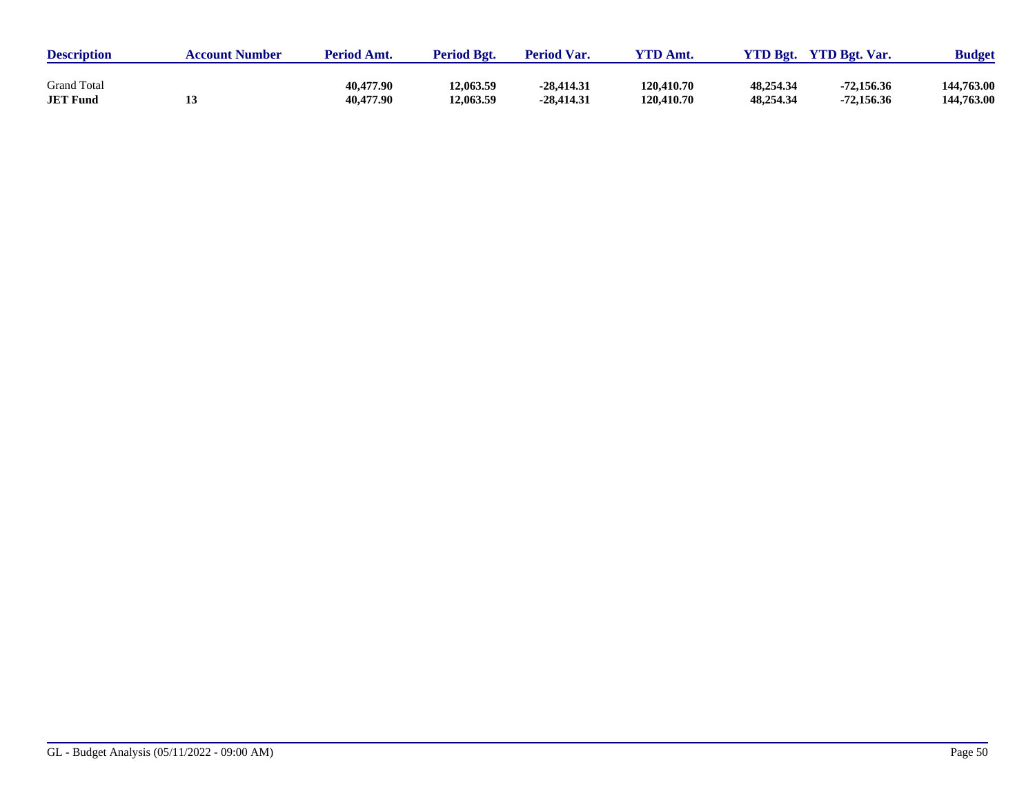| <b>Description</b> | <b>Account Number</b> | <b>Period Amt.</b> | <b>Period Bgt.</b> | <b>Period Var.</b> | VTD Amt.   | <b>YTD Bgt.</b> | <b>YTD Bgt. Var.</b> | <b>Budget</b> |
|--------------------|-----------------------|--------------------|--------------------|--------------------|------------|-----------------|----------------------|---------------|
| <b>Grand Total</b> |                       | 40,477.90          | 12.063.59          | $-28,414,31$       | 120,410.70 | 48,254.34       | $-72,156.36$         | 144,763.00    |
| <b>JET Fund</b>    |                       | 40,477.90          | 12,063.59          | $-28,414,31$       | 120,410.70 | 48,254.34       | $-72,156.36$         | 144,763.00    |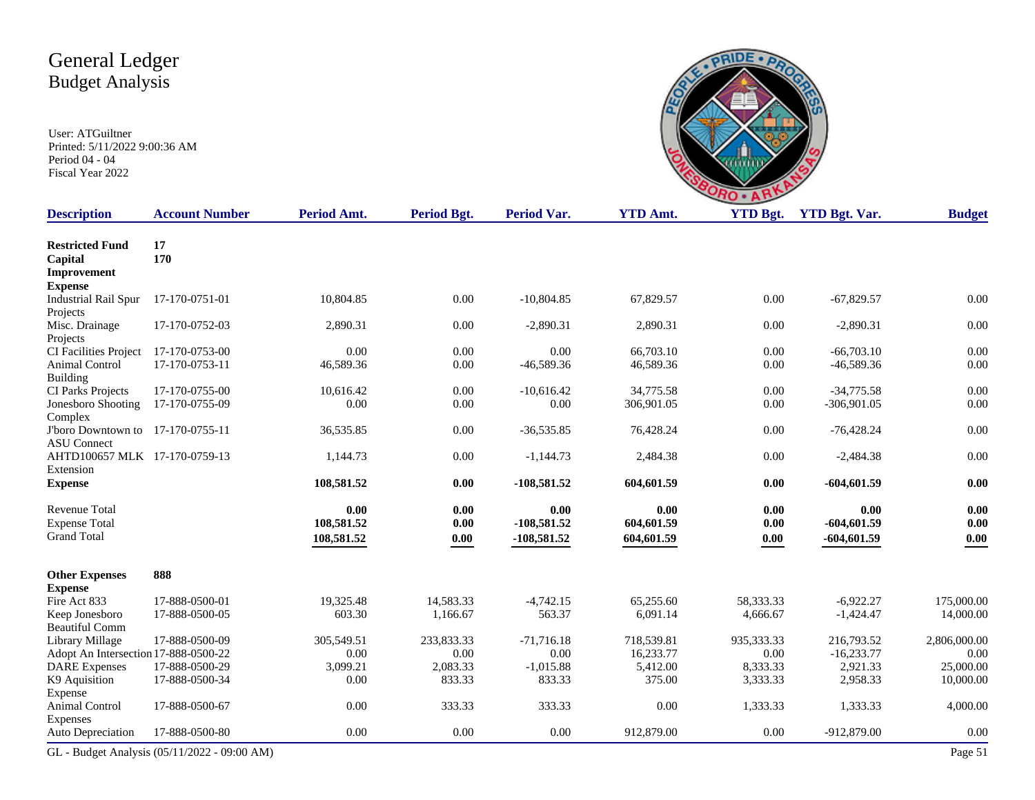Expense

Animal Control Expenses<br>Auto Depreciation

| <b>Budget Analysis</b><br>User: ATGuiltner<br>Printed: 5/11/2022 9:00:36 AM<br>Period 04 - 04<br>Fiscal Year 2022 |                       |             | <b>DO</b>          |                    |                 |                 |                      |               |
|-------------------------------------------------------------------------------------------------------------------|-----------------------|-------------|--------------------|--------------------|-----------------|-----------------|----------------------|---------------|
| <b>Description</b>                                                                                                | <b>Account Number</b> | Period Amt. | <b>Period Bgt.</b> | <b>Period Var.</b> | <b>YTD Amt.</b> | <b>YTD Bgt.</b> | <b>YTD Bgt. Var.</b> | <b>Budget</b> |
| <b>Restricted Fund</b><br>Capital<br>Improvement<br><b>Expense</b>                                                | 17<br>170             |             |                    |                    |                 |                 |                      |               |
| <b>Industrial Rail Spur</b><br>Projects                                                                           | 17-170-0751-01        | 10,804.85   | 0.00               | $-10,804.85$       | 67,829.57       | 0.00            | $-67,829.57$         | 0.00          |
| Misc. Drainage<br>Projects                                                                                        | 17-170-0752-03        | 2,890.31    | 0.00               | $-2,890.31$        | 2,890.31        | 0.00            | $-2,890.31$          | 0.00          |
| <b>CI Facilities Project</b>                                                                                      | 17-170-0753-00        | 0.00        | $0.00\,$           | 0.00               | 66,703.10       | 0.00            | $-66,703,10$         | $0.00\,$      |
| Animal Control<br>Building                                                                                        | 17-170-0753-11        | 46,589.36   | 0.00               | $-46,589.36$       | 46,589.36       | 0.00            | $-46,589.36$         | 0.00          |
| CI Parks Projects                                                                                                 | 17-170-0755-00        | 10,616.42   | 0.00               | $-10,616.42$       | 34,775.58       | 0.00            | $-34,775.58$         | 0.00          |
| Jonesboro Shooting<br>Complex                                                                                     | 17-170-0755-09        | 0.00        | 0.00               | 0.00               | 306,901.05      | 0.00            | $-306,901.05$        | 0.00          |
| J'boro Downtown to 17-170-0755-11<br><b>ASU</b> Connect                                                           |                       | 36,535.85   | 0.00               | $-36,535.85$       | 76,428.24       | 0.00            | $-76,428.24$         | 0.00          |
| AHTD100657 MLK 17-170-0759-13<br>Extension                                                                        |                       | 1,144.73    | 0.00               | $-1,144.73$        | 2,484.38        | 0.00            | $-2,484.38$          | $0.00\,$      |
| <b>Expense</b>                                                                                                    |                       | 108,581.52  | 0.00               | $-108,581.52$      | 604,601.59      | 0.00            | $-604,601.59$        | 0.00          |
| Revenue Total                                                                                                     |                       | 0.00        | 0.00               | 0.00               | 0.00            | 0.00            | 0.00                 | 0.00          |
| <b>Expense Total</b>                                                                                              |                       | 108,581.52  | 0.00               | $-108,581.52$      | 604,601.59      | 0.00            | $-604,601.59$        | 0.00          |
| <b>Grand Total</b>                                                                                                |                       | 108,581.52  | 0.00               | $-108,581.52$      | 604,601.59      | 0.00            | $-604,601.59$        | 0.00          |
| <b>Other Expenses</b><br><b>Expense</b>                                                                           | 888                   |             |                    |                    |                 |                 |                      |               |
| Fire Act 833                                                                                                      | 17-888-0500-01        | 19,325.48   | 14,583.33          | $-4,742.15$        | 65,255.60       | 58,333.33       | $-6,922.27$          | 175,000.00    |
| Keep Jonesboro<br><b>Beautiful Comm</b>                                                                           | 17-888-0500-05        | 603.30      | 1,166.67           | 563.37             | 6,091.14        | 4,666.67        | $-1,424.47$          | 14,000.00     |
| Library Millage                                                                                                   | 17-888-0500-09        | 305,549.51  | 233,833.33         | $-71,716.18$       | 718,539.81      | 935,333.33      | 216,793.52           | 2,806,000.00  |
| Adopt An Intersection 17-888-0500-22                                                                              |                       | 0.00        | 0.00               | 0.00               | 16,233.77       | 0.00            | $-16,233.77$         | 0.00          |
| <b>DARE</b> Expenses                                                                                              | 17-888-0500-29        | 3,099.21    | 2,083.33           | $-1,015.88$        | 5,412.00        | 8,333.33        | 2,921.33             | 25,000.00     |
| K9 Aquisition<br>Expense                                                                                          | 17-888-0500-34        | 0.00        | 833.33             | 833.33             | 375.00          | 3,333.33        | 2,958.33             | 10,000.00     |

**PRIDE** · P

17-888-0500-67 0.00 333.33 333.33 0.00 1,333.33 1,333.33 4,000.00

Auto Depreciation 17-888-0500-80 0.00 0.00 0.00 912,879.00 0.00 -912,879.00 0.00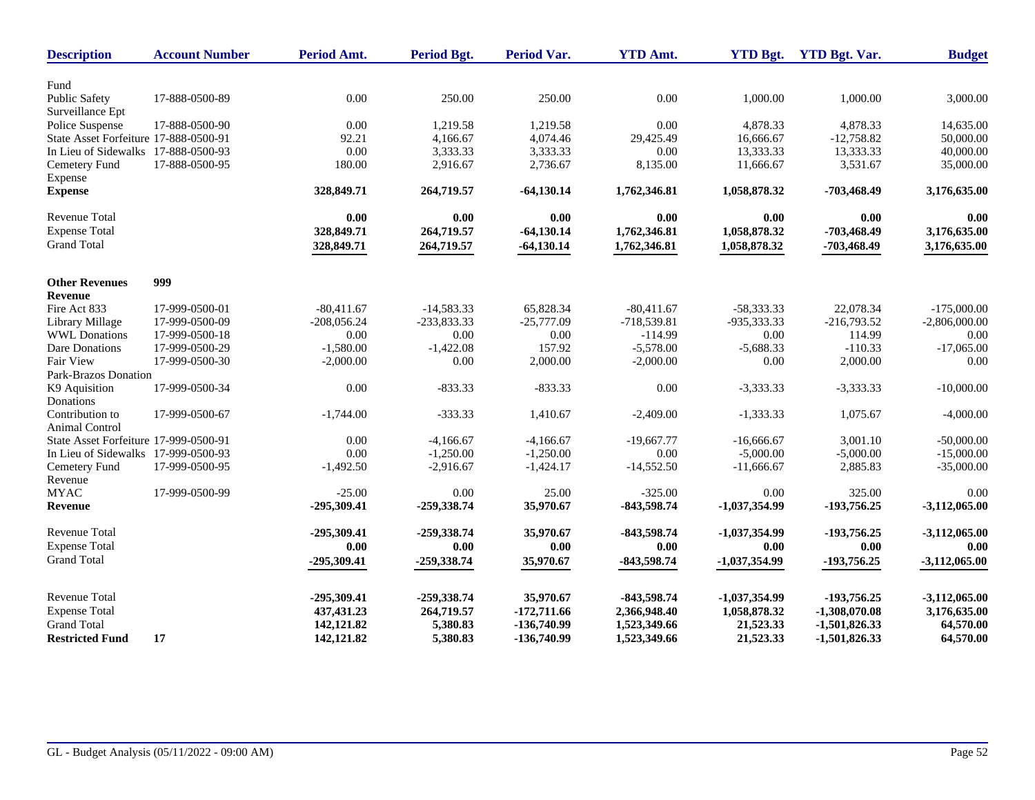| <b>Description</b>                      | <b>Account Number</b> | <b>Period Amt.</b> | Period Bgt.   | <b>Period Var.</b> | <b>YTD Amt.</b> | <b>YTD Bgt.</b> | <b>YTD Bgt. Var.</b> | <b>Budget</b>   |
|-----------------------------------------|-----------------------|--------------------|---------------|--------------------|-----------------|-----------------|----------------------|-----------------|
|                                         |                       |                    |               |                    |                 |                 |                      |                 |
| Fund<br><b>Public Safety</b>            | 17-888-0500-89        | 0.00               | 250.00        | 250.00             | 0.00            | 1,000.00        | 1,000.00             | 3,000.00        |
| Surveillance Ept                        |                       |                    |               |                    |                 |                 |                      |                 |
| Police Suspense                         | 17-888-0500-90        | 0.00               | 1,219.58      | 1,219.58           | 0.00            | 4,878.33        | 4,878.33             | 14,635.00       |
| State Asset Forfeiture 17-888-0500-91   |                       | 92.21              | 4,166.67      | 4,074.46           | 29,425.49       | 16,666.67       | $-12,758.82$         | 50,000.00       |
| In Lieu of Sidewalks 17-888-0500-93     |                       | 0.00               | 3,333.33      | 3,333.33           | 0.00            | 13,333.33       | 13,333.33            | 40,000.00       |
| Cemetery Fund                           | 17-888-0500-95        | 180.00             | 2,916.67      | 2,736.67           | 8,135.00        | 11,666.67       | 3,531.67             | 35,000.00       |
| Expense                                 |                       |                    |               |                    |                 |                 |                      |                 |
| <b>Expense</b>                          |                       | 328,849.71         | 264,719.57    | $-64,130.14$       | 1,762,346.81    | 1,058,878.32    | -703,468.49          | 3,176,635.00    |
| <b>Revenue Total</b>                    |                       | 0.00               | 0.00          | 0.00               | 0.00            | 0.00            | 0.00                 | 0.00            |
| <b>Expense Total</b>                    |                       | 328,849.71         | 264,719.57    | $-64,130.14$       | 1,762,346.81    | 1,058,878.32    | -703,468.49          | 3,176,635.00    |
| <b>Grand Total</b>                      |                       | 328,849.71         | 264,719.57    | $-64,130.14$       | 1,762,346.81    | 1,058,878.32    | -703,468.49          | 3,176,635.00    |
|                                         |                       |                    |               |                    |                 |                 |                      |                 |
| <b>Other Revenues</b><br><b>Revenue</b> | 999                   |                    |               |                    |                 |                 |                      |                 |
| Fire Act 833                            | 17-999-0500-01        | $-80,411.67$       | $-14,583.33$  | 65,828.34          | $-80,411.67$    | -58,333.33      | 22,078.34            | $-175,000.00$   |
| Library Millage                         | 17-999-0500-09        | $-208,056.24$      | $-233.833.33$ | $-25,777.09$       | $-718.539.81$   | -935.333.33     | $-216,793.52$        | $-2,806,000.00$ |
| <b>WWL</b> Donations                    | 17-999-0500-18        | 0.00               | 0.00          | 0.00               | $-114.99$       | 0.00            | 114.99               | 0.00            |
| Dare Donations                          | 17-999-0500-29        | $-1,580.00$        | $-1,422.08$   | 157.92             | $-5,578.00$     | $-5,688.33$     | $-110.33$            | $-17,065.00$    |
| Fair View                               | 17-999-0500-30        | $-2,000.00$        | 0.00          | 2,000.00           | $-2,000.00$     | 0.00            | 2,000.00             | 0.00            |
| Park-Brazos Donation                    |                       |                    |               |                    |                 |                 |                      |                 |
| K9 Aquisition                           | 17-999-0500-34        | 0.00               | $-833.33$     | $-833.33$          | 0.00            | $-3,333.33$     | $-3,333.33$          | $-10,000.00$    |
| Donations                               |                       |                    |               |                    |                 |                 |                      |                 |
| Contribution to                         | 17-999-0500-67        | $-1,744.00$        | $-333.33$     | 1,410.67           | $-2,409.00$     | $-1,333.33$     | 1,075.67             | $-4,000.00$     |
| Animal Control                          |                       |                    |               |                    |                 |                 |                      |                 |
| State Asset Forfeiture 17-999-0500-91   |                       | 0.00               | $-4,166.67$   | $-4,166.67$        | $-19,667.77$    | $-16,666.67$    | 3,001.10             | $-50,000.00$    |
| In Lieu of Sidewalks 17-999-0500-93     |                       | 0.00               | $-1,250.00$   | $-1,250.00$        | 0.00            | $-5.000.00$     | $-5,000.00$          | $-15,000.00$    |
| Cemetery Fund                           | 17-999-0500-95        | $-1,492.50$        | $-2,916.67$   | $-1,424.17$        | $-14,552.50$    | $-11,666.67$    | 2,885.83             | $-35,000.00$    |
| Revenue                                 |                       |                    |               |                    |                 |                 |                      |                 |
| <b>MYAC</b>                             | 17-999-0500-99        | $-25.00$           | 0.00          | 25.00              | $-325.00$       | 0.00            | 325.00               | 0.00            |
| <b>Revenue</b>                          |                       | $-295,309.41$      | -259,338.74   | 35,970.67          | -843,598.74     | $-1,037,354.99$ | -193,756.25          | $-3,112,065.00$ |
| <b>Revenue Total</b>                    |                       | -295,309.41        | -259,338.74   | 35,970.67          | -843,598.74     | $-1,037,354.99$ | -193,756.25          | $-3,112,065.00$ |
| <b>Expense Total</b>                    |                       | 0.00               | 0.00          | 0.00               | 0.00            | 0.00            | 0.00                 | 0.00            |
| <b>Grand Total</b>                      |                       | -295,309.41        | $-259,338.74$ | 35,970.67          | $-843,598.74$   | $-1,037,354.99$ | $-193,756.25$        | $-3,112,065.00$ |
| <b>Revenue Total</b>                    |                       | -295,309.41        | -259,338.74   | 35,970.67          | $-843,598.74$   | $-1,037,354.99$ | -193,756.25          | $-3,112,065.00$ |
| <b>Expense Total</b>                    |                       | 437, 431.23        | 264,719.57    | $-172,711.66$      | 2,366,948.40    | 1,058,878.32    | $-1,308,070.08$      | 3,176,635.00    |
| <b>Grand Total</b>                      |                       | 142,121.82         | 5,380.83      | -136,740.99        | 1,523,349.66    | 21,523.33       | $-1,501,826.33$      | 64,570.00       |
| <b>Restricted Fund</b>                  | 17                    | 142,121.82         | 5,380.83      | -136,740.99        | 1,523,349.66    | 21,523.33       | $-1,501,826.33$      | 64,570.00       |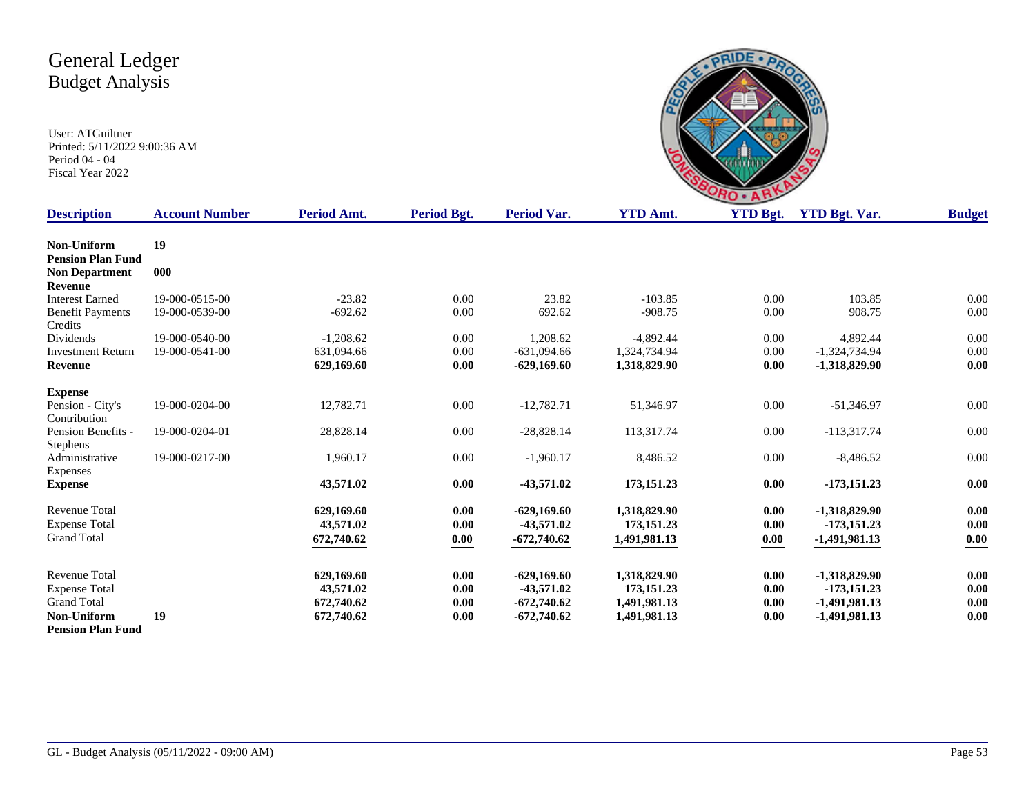

| <b>Description</b>       | <b>Account Number</b> | Period Amt. | <b>Period Bgt.</b> | <b>Period Var.</b> | <b>YTD Amt.</b> | <b>YTD Bgt.</b> | <b>YTD Bgt. Var.</b> | <b>Budget</b> |
|--------------------------|-----------------------|-------------|--------------------|--------------------|-----------------|-----------------|----------------------|---------------|
| Non-Uniform              | 19                    |             |                    |                    |                 |                 |                      |               |
| <b>Pension Plan Fund</b> |                       |             |                    |                    |                 |                 |                      |               |
| <b>Non Department</b>    | 000                   |             |                    |                    |                 |                 |                      |               |
| <b>Revenue</b>           |                       |             |                    |                    |                 |                 |                      |               |
| <b>Interest Earned</b>   | 19-000-0515-00        | $-23.82$    | 0.00               | 23.82              | $-103.85$       | 0.00            | 103.85               | 0.00          |
| <b>Benefit Payments</b>  | 19-000-0539-00        | $-692.62$   | 0.00               | 692.62             | $-908.75$       | 0.00            | 908.75               | 0.00          |
| Credits                  |                       |             |                    |                    |                 |                 |                      |               |
| Dividends                | 19-000-0540-00        | $-1,208.62$ | 0.00               | 1,208.62           | $-4,892.44$     | 0.00            | 4,892.44             | 0.00          |
| <b>Investment Return</b> | 19-000-0541-00        | 631.094.66  | 0.00               | $-631.094.66$      | 1.324.734.94    | 0.00            | $-1,324,734.94$      | 0.00          |
| <b>Revenue</b>           |                       | 629,169.60  | 0.00               | $-629,169.60$      | 1,318,829.90    | 0.00            | -1,318,829.90        | 0.00          |
| <b>Expense</b>           |                       |             |                    |                    |                 |                 |                      |               |
| Pension - City's         | 19-000-0204-00        | 12,782.71   | 0.00               | $-12,782.71$       | 51,346.97       | 0.00            | $-51,346.97$         | 0.00          |
| Contribution             |                       |             |                    |                    |                 |                 |                      |               |
| Pension Benefits -       | 19-000-0204-01        | 28,828.14   | 0.00               | $-28,828.14$       | 113,317.74      | 0.00            | $-113,317.74$        | 0.00          |
| <b>Stephens</b>          |                       |             |                    |                    |                 |                 |                      |               |
| Administrative           | 19-000-0217-00        | 1,960.17    | 0.00               | $-1,960.17$        | 8,486.52        | 0.00            | $-8,486.52$          | 0.00          |
| Expenses                 |                       |             |                    |                    |                 |                 |                      |               |
| <b>Expense</b>           |                       | 43,571.02   | 0.00               | $-43,571.02$       | 173, 151.23     | 0.00            | $-173,151.23$        | $0.00\,$      |
| <b>Revenue Total</b>     |                       | 629,169.60  | 0.00               | $-629,169.60$      | 1,318,829.90    | 0.00            | $-1,318,829.90$      | 0.00          |
| <b>Expense Total</b>     |                       | 43,571.02   | 0.00               | $-43,571.02$       | 173, 151.23     | 0.00            | -173,151.23          | 0.00          |
| <b>Grand Total</b>       |                       | 672,740.62  | 0.00               | $-672,740.62$      | 1,491,981.13    | 0.00            | -1,491,981.13        | 0.00          |
|                          |                       |             |                    |                    |                 |                 |                      |               |
| <b>Revenue Total</b>     |                       | 629,169.60  | 0.00               | $-629,169.60$      | 1,318,829.90    | 0.00            | -1,318,829.90        | 0.00          |
| <b>Expense Total</b>     |                       | 43,571.02   | 0.00               | $-43,571.02$       | 173, 151.23     | 0.00            | $-173,151.23$        | $0.00\,$      |
| <b>Grand Total</b>       |                       | 672,740.62  | 0.00               | $-672,740.62$      | 1,491,981.13    | 0.00            | -1,491,981.13        | 0.00          |
| Non-Uniform              | 19                    | 672,740.62  | 0.00               | $-672,740.62$      | 1,491,981.13    | 0.00            | $-1,491,981.13$      | 0.00          |
| <b>Pension Plan Fund</b> |                       |             |                    |                    |                 |                 |                      |               |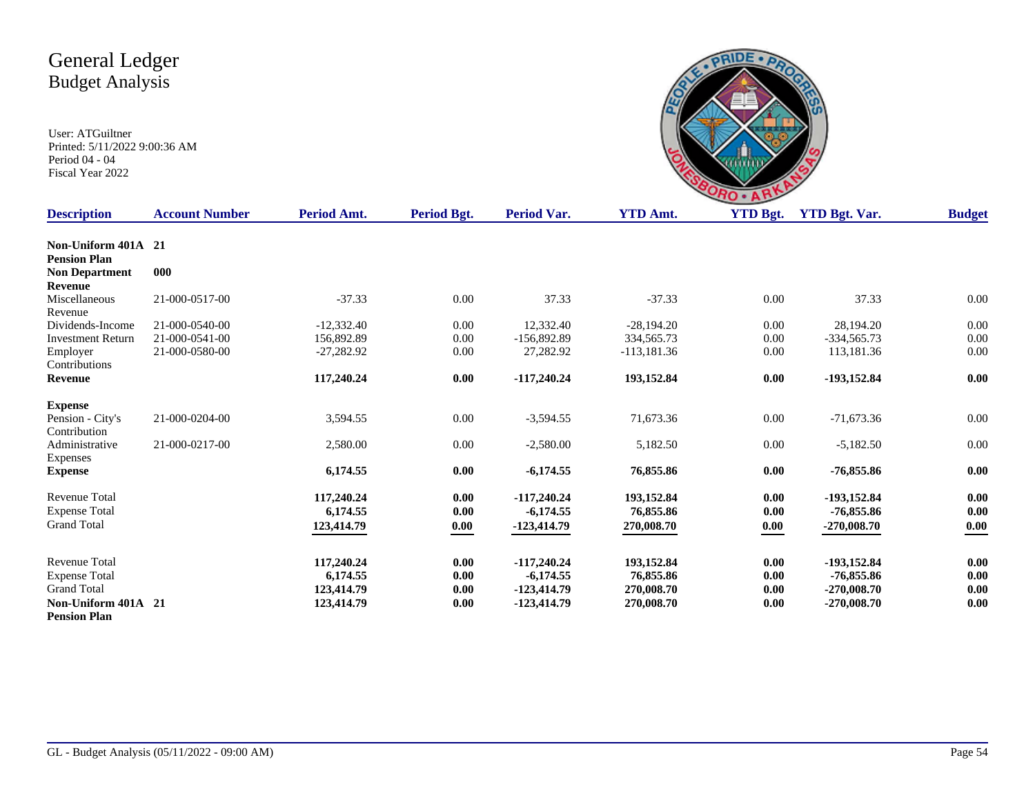|             |                      | ۰               |
|-------------|----------------------|-----------------|
| $A_{\rm m}$ | $VTD$ $R_{\alpha t}$ | $VTD$ $Rot$ $V$ |

| <b>Description</b>       | <b>Account Number</b> | Period Amt.  | Period Bgt. | Period Var.   | <b>YTD Amt.</b> | <b>YTD Bgt.</b> | <b>YTD Bgt. Var.</b> | <b>Budget</b> |
|--------------------------|-----------------------|--------------|-------------|---------------|-----------------|-----------------|----------------------|---------------|
| Non-Uniform 401A 21      |                       |              |             |               |                 |                 |                      |               |
| <b>Pension Plan</b>      |                       |              |             |               |                 |                 |                      |               |
| <b>Non Department</b>    | 000                   |              |             |               |                 |                 |                      |               |
| Revenue                  |                       |              |             |               |                 |                 |                      |               |
| Miscellaneous            | 21-000-0517-00        | $-37.33$     | 0.00        | 37.33         | $-37.33$        | 0.00            | 37.33                | 0.00          |
| Revenue                  |                       |              |             |               |                 |                 |                      |               |
| Dividends-Income         | 21-000-0540-00        | $-12,332.40$ | 0.00        | 12,332.40     | $-28.194.20$    | 0.00            | 28.194.20            | 0.00          |
| <b>Investment Return</b> | 21-000-0541-00        | 156,892.89   | 0.00        | $-156,892.89$ | 334,565.73      | 0.00            | $-334,565.73$        | 0.00          |
| Employer                 | 21-000-0580-00        | $-27,282.92$ | 0.00        | 27,282.92     | $-113,181.36$   | 0.00            | 113,181.36           | 0.00          |
| Contributions            |                       |              |             |               |                 |                 |                      |               |
| <b>Revenue</b>           |                       | 117,240.24   | 0.00        | $-117,240.24$ | 193,152.84      | 0.00            | -193,152.84          | 0.00          |
| <b>Expense</b>           |                       |              |             |               |                 |                 |                      |               |
| Pension - City's         | 21-000-0204-00        | 3,594.55     | $0.00\,$    | $-3,594.55$   | 71,673.36       | $0.00\,$        | $-71,673.36$         | $0.00\,$      |
| Contribution             |                       |              |             |               |                 |                 |                      |               |
| Administrative           | 21-000-0217-00        | 2,580.00     | 0.00        | $-2,580.00$   | 5,182.50        | $0.00\,$        | $-5,182.50$          | $0.00\,$      |
| Expenses                 |                       |              |             |               |                 |                 |                      |               |
| <b>Expense</b>           |                       | 6,174.55     | 0.00        | $-6,174.55$   | 76,855.86       | 0.00            | $-76,855.86$         | 0.00          |
| <b>Revenue Total</b>     |                       | 117,240.24   | 0.00        | $-117,240.24$ | 193,152.84      | 0.00            | -193,152.84          | 0.00          |
| <b>Expense Total</b>     |                       | 6,174.55     | 0.00        | $-6,174.55$   | 76,855.86       | 0.00            | $-76,855.86$         | 0.00          |
| <b>Grand Total</b>       |                       | 123,414.79   | 0.00        | $-123,414.79$ | 270,008.70      | 0.00            | $-270,008.70$        | 0.00          |
|                          |                       |              |             |               |                 |                 |                      |               |
| <b>Revenue Total</b>     |                       | 117,240.24   | 0.00        | $-117,240.24$ | 193,152.84      | 0.00            | -193,152.84          | 0.00          |
| <b>Expense Total</b>     |                       | 6,174.55     | 0.00        | $-6,174.55$   | 76,855.86       | 0.00            | -76,855.86           | 0.00          |
| <b>Grand Total</b>       |                       | 123,414.79   | 0.00        | $-123,414.79$ | 270,008.70      | 0.00            | $-270,008.70$        | 0.00          |
| Non-Uniform 401A 21      |                       | 123,414.79   | 0.00        | $-123,414.79$ | 270,008.70      | 0.00            | $-270,008.70$        | 0.00          |
| <b>Pension Plan</b>      |                       |              |             |               |                 |                 |                      |               |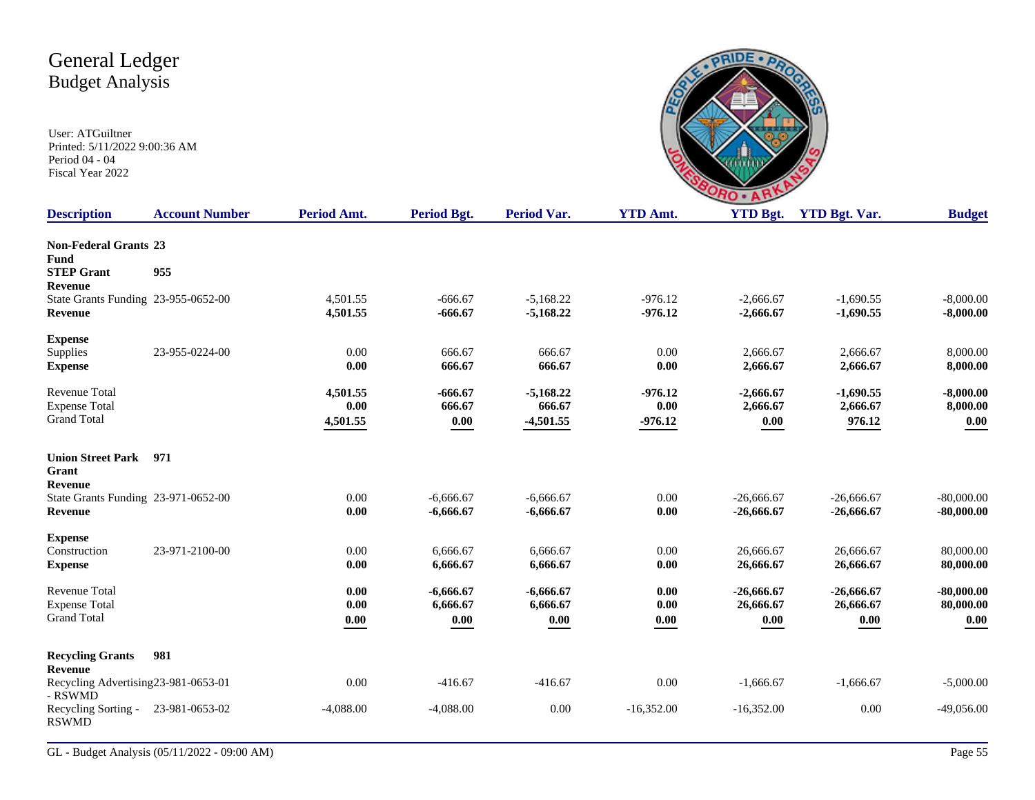

| <b>Account Number</b>               | Period Amt.                                                                       | <b>Period Bgt.</b>                                                                                   | <b>Period Var.</b>                                                                                                                 | <b>YTD Amt.</b>                                                                                                                                 | <b>YTD Bgt.</b>                                                                                          | <b>YTD Bgt. Var.</b>                                                                                                                            | <b>Budget</b>                                                                                                                                     |
|-------------------------------------|-----------------------------------------------------------------------------------|------------------------------------------------------------------------------------------------------|------------------------------------------------------------------------------------------------------------------------------------|-------------------------------------------------------------------------------------------------------------------------------------------------|----------------------------------------------------------------------------------------------------------|-------------------------------------------------------------------------------------------------------------------------------------------------|---------------------------------------------------------------------------------------------------------------------------------------------------|
| <b>Non-Federal Grants 23</b>        |                                                                                   |                                                                                                      |                                                                                                                                    |                                                                                                                                                 |                                                                                                          |                                                                                                                                                 |                                                                                                                                                   |
|                                     |                                                                                   |                                                                                                      |                                                                                                                                    |                                                                                                                                                 |                                                                                                          |                                                                                                                                                 |                                                                                                                                                   |
|                                     |                                                                                   |                                                                                                      |                                                                                                                                    |                                                                                                                                                 |                                                                                                          |                                                                                                                                                 |                                                                                                                                                   |
|                                     |                                                                                   |                                                                                                      |                                                                                                                                    |                                                                                                                                                 |                                                                                                          |                                                                                                                                                 | $-8,000.00$<br>$-8,000.00$                                                                                                                        |
|                                     |                                                                                   |                                                                                                      |                                                                                                                                    |                                                                                                                                                 |                                                                                                          |                                                                                                                                                 |                                                                                                                                                   |
|                                     |                                                                                   |                                                                                                      |                                                                                                                                    |                                                                                                                                                 |                                                                                                          |                                                                                                                                                 |                                                                                                                                                   |
| 23-955-0224-00                      | 0.00                                                                              | 666.67                                                                                               | 666.67                                                                                                                             | 0.00                                                                                                                                            | 2,666.67                                                                                                 | 2,666.67                                                                                                                                        | 8,000.00                                                                                                                                          |
|                                     | 0.00                                                                              | 666.67                                                                                               | 666.67                                                                                                                             | 0.00                                                                                                                                            | 2,666.67                                                                                                 | 2,666.67                                                                                                                                        | 8,000.00                                                                                                                                          |
|                                     |                                                                                   |                                                                                                      |                                                                                                                                    |                                                                                                                                                 |                                                                                                          |                                                                                                                                                 | $-8,000.00$                                                                                                                                       |
|                                     |                                                                                   |                                                                                                      |                                                                                                                                    |                                                                                                                                                 |                                                                                                          |                                                                                                                                                 | 8,000.00                                                                                                                                          |
|                                     |                                                                                   |                                                                                                      |                                                                                                                                    |                                                                                                                                                 |                                                                                                          |                                                                                                                                                 | 0.00                                                                                                                                              |
|                                     |                                                                                   |                                                                                                      |                                                                                                                                    |                                                                                                                                                 |                                                                                                          |                                                                                                                                                 |                                                                                                                                                   |
| 971                                 |                                                                                   |                                                                                                      |                                                                                                                                    |                                                                                                                                                 |                                                                                                          |                                                                                                                                                 |                                                                                                                                                   |
|                                     |                                                                                   |                                                                                                      |                                                                                                                                    |                                                                                                                                                 |                                                                                                          |                                                                                                                                                 |                                                                                                                                                   |
|                                     |                                                                                   |                                                                                                      |                                                                                                                                    |                                                                                                                                                 |                                                                                                          |                                                                                                                                                 | $-80,000.00$<br>$-80,000.00$                                                                                                                      |
|                                     |                                                                                   |                                                                                                      |                                                                                                                                    |                                                                                                                                                 |                                                                                                          |                                                                                                                                                 |                                                                                                                                                   |
|                                     |                                                                                   |                                                                                                      |                                                                                                                                    |                                                                                                                                                 |                                                                                                          |                                                                                                                                                 |                                                                                                                                                   |
| 23-971-2100-00                      | 0.00                                                                              | 6,666.67                                                                                             | 6,666.67                                                                                                                           | 0.00                                                                                                                                            | 26,666.67                                                                                                | 26,666.67                                                                                                                                       | 80,000.00                                                                                                                                         |
|                                     |                                                                                   |                                                                                                      |                                                                                                                                    |                                                                                                                                                 |                                                                                                          |                                                                                                                                                 | 80,000.00                                                                                                                                         |
|                                     |                                                                                   |                                                                                                      |                                                                                                                                    |                                                                                                                                                 |                                                                                                          |                                                                                                                                                 | $-80,000.00$                                                                                                                                      |
|                                     |                                                                                   |                                                                                                      |                                                                                                                                    |                                                                                                                                                 |                                                                                                          |                                                                                                                                                 | 80,000.00                                                                                                                                         |
|                                     |                                                                                   |                                                                                                      |                                                                                                                                    |                                                                                                                                                 |                                                                                                          |                                                                                                                                                 | 0.00                                                                                                                                              |
|                                     |                                                                                   |                                                                                                      |                                                                                                                                    |                                                                                                                                                 |                                                                                                          |                                                                                                                                                 |                                                                                                                                                   |
| 981                                 |                                                                                   |                                                                                                      |                                                                                                                                    |                                                                                                                                                 |                                                                                                          |                                                                                                                                                 |                                                                                                                                                   |
| Recycling Advertising23-981-0653-01 | 0.00                                                                              | $-416.67$                                                                                            | $-416.67$                                                                                                                          | 0.00                                                                                                                                            | $-1,666.67$                                                                                              | $-1,666.67$                                                                                                                                     | $-5,000.00$                                                                                                                                       |
| 23-981-0653-02                      | $-4,088.00$                                                                       | $-4,088.00$                                                                                          | 0.00                                                                                                                               | $-16,352.00$                                                                                                                                    | $-16,352.00$                                                                                             | 0.00                                                                                                                                            | $-49,056.00$                                                                                                                                      |
|                                     | 955<br>State Grants Funding 23-955-0652-00<br>State Grants Funding 23-971-0652-00 | 4,501.55<br>4,501.55<br>4,501.55<br>0.00<br>4,501.55<br>0.00<br>0.00<br>0.00<br>0.00<br>0.00<br>0.00 | $-666.67$<br>$-666.67$<br>$-666.67$<br>666.67<br>0.00<br>$-6,666.67$<br>$-6,666.67$<br>6,666.67<br>$-6,666.67$<br>6,666.67<br>0.00 | $-5,168.22$<br>$-5,168.22$<br>$-5,168.22$<br>666.67<br>$-4,501.55$<br>$-6,666.67$<br>$-6,666.67$<br>6,666.67<br>$-6,666.67$<br>6,666.67<br>0.00 | $-976.12$<br>$-976.12$<br>$-976.12$<br>0.00<br>$-976.12$<br>0.00<br>0.00<br>0.00<br>0.00<br>0.00<br>0.00 | $-2,666.67$<br>$-2,666.67$<br>$-2,666.67$<br>2,666.67<br>0.00<br>$-26,666.67$<br>$-26,666.67$<br>26,666.67<br>$-26,666.67$<br>26,666.67<br>0.00 | $-1,690.55$<br>$-1,690.55$<br>$-1,690.55$<br>2,666.67<br>976.12<br>$-26,666,67$<br>$-26,666.67$<br>26,666.67<br>$-26,666.67$<br>26,666.67<br>0.00 |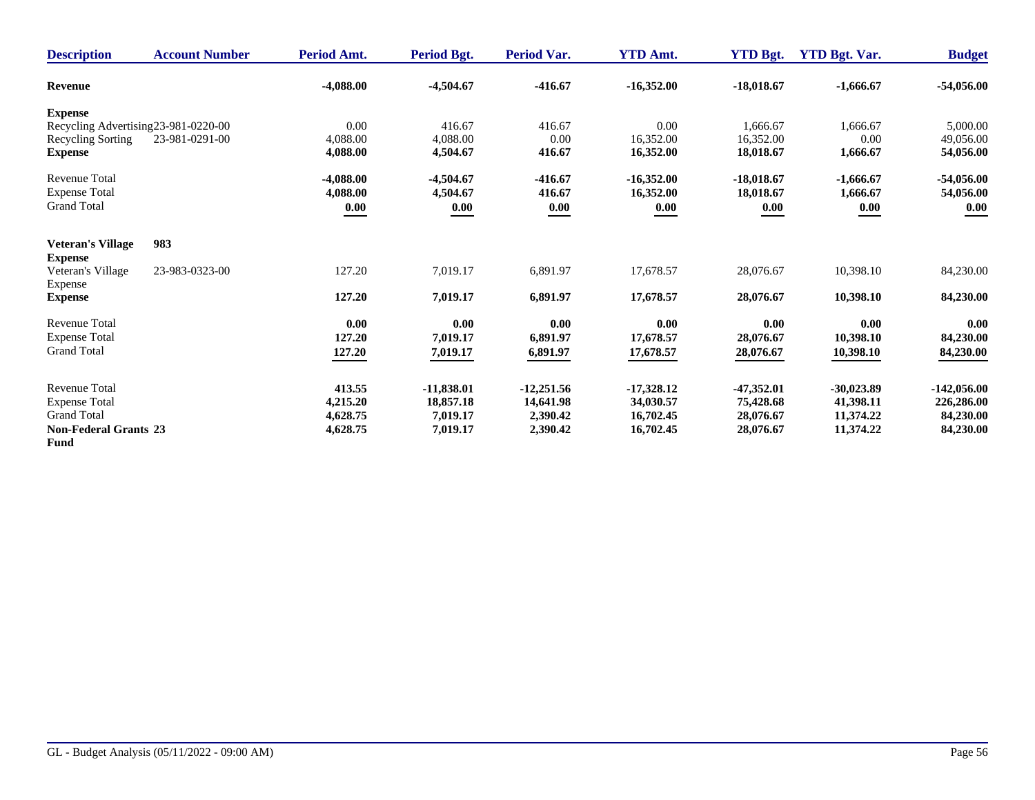| <b>Description</b>                   | <b>Account Number</b> | Period Amt. | Period Bgt.  | <b>Period Var.</b> | <b>YTD Amt.</b> | <b>YTD Bgt.</b> | <b>YTD Bgt. Var.</b> | <b>Budget</b> |
|--------------------------------------|-----------------------|-------------|--------------|--------------------|-----------------|-----------------|----------------------|---------------|
| <b>Revenue</b>                       |                       | $-4,088.00$ | $-4,504.67$  | $-416.67$          | $-16,352.00$    | $-18,018.67$    | $-1,666.67$          | $-54,056.00$  |
| <b>Expense</b>                       |                       |             |              |                    |                 |                 |                      |               |
| Recycling Advertising 23-981-0220-00 |                       | 0.00        | 416.67       | 416.67             | 0.00            | 1.666.67        | 1,666.67             | 5,000.00      |
| Recycling Sorting                    | 23-981-0291-00        | 4,088.00    | 4,088.00     | 0.00               | 16,352.00       | 16.352.00       | 0.00                 | 49,056.00     |
| <b>Expense</b>                       |                       | 4,088.00    | 4,504.67     | 416.67             | 16,352.00       | 18,018.67       | 1,666.67             | 54,056.00     |
| <b>Revenue Total</b>                 |                       | $-4,088.00$ | $-4,504.67$  | $-416.67$          | $-16,352.00$    | $-18,018.67$    | $-1,666.67$          | $-54,056.00$  |
| <b>Expense Total</b>                 |                       | 4,088.00    | 4,504.67     | 416.67             | 16,352.00       | 18,018.67       | 1,666.67             | 54,056.00     |
| <b>Grand Total</b>                   |                       | 0.00        | 0.00         | 0.00               | 0.00            | 0.00            | 0.00                 | 0.00          |
| <b>Veteran's Village</b>             | 983                   |             |              |                    |                 |                 |                      |               |
| <b>Expense</b>                       |                       |             |              |                    |                 |                 |                      |               |
| Veteran's Village                    | 23-983-0323-00        | 127.20      | 7,019.17     | 6,891.97           | 17,678.57       | 28,076.67       | 10,398.10            | 84,230.00     |
| Expense                              |                       |             |              |                    |                 |                 |                      |               |
| <b>Expense</b>                       |                       | 127.20      | 7,019.17     | 6,891.97           | 17,678.57       | 28,076.67       | 10,398.10            | 84,230.00     |
| <b>Revenue Total</b>                 |                       | 0.00        | 0.00         | 0.00               | 0.00            | 0.00            | 0.00                 | 0.00          |
| <b>Expense Total</b>                 |                       | 127.20      | 7,019.17     | 6,891.97           | 17,678.57       | 28,076.67       | 10,398.10            | 84,230.00     |
| <b>Grand Total</b>                   |                       | 127.20      | 7,019.17     | 6,891.97           | 17,678.57       | 28,076.67       | 10,398.10            | 84,230.00     |
| <b>Revenue Total</b>                 |                       | 413.55      | $-11,838.01$ | $-12,251.56$       | $-17,328.12$    | $-47,352.01$    | $-30,023.89$         | $-142,056.00$ |
| <b>Expense Total</b>                 |                       | 4,215.20    | 18,857.18    | 14,641.98          | 34,030.57       | 75,428.68       | 41,398.11            | 226,286.00    |
| <b>Grand Total</b>                   |                       | 4,628.75    | 7,019.17     | 2,390.42           | 16,702.45       | 28,076.67       | 11,374.22            | 84,230.00     |
| <b>Non-Federal Grants 23</b>         |                       | 4,628.75    | 7,019.17     | 2,390.42           | 16,702.45       | 28,076.67       | 11,374.22            | 84,230.00     |
| <b>Fund</b>                          |                       |             |              |                    |                 |                 |                      |               |